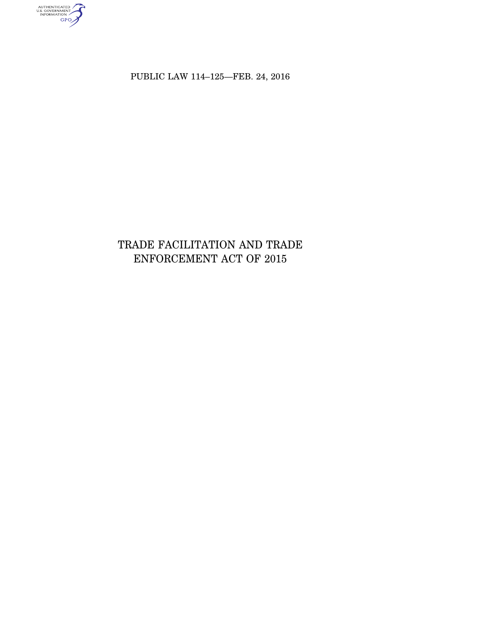AUTHENTICATED

PUBLIC LAW 114–125—FEB. 24, 2016

# TRADE FACILITATION AND TRADE ENFORCEMENT ACT OF 2015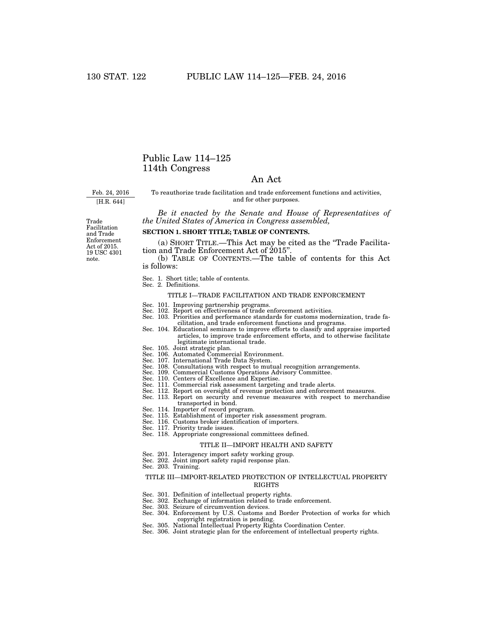# Public Law 114–125 114th Congress

# An Act

Feb. 24, 2016

[H.R. 644]

To reauthorize trade facilitation and trade enforcement functions and activities, and for other purposes.

*Be it enacted by the Senate and House of Representatives of the United States of America in Congress assembled,* 

Trade Facilitation and Trade Enforcement Act of 2015. 19 USC 4301 note.

# **SECTION 1. SHORT TITLE; TABLE OF CONTENTS.**

(a) SHORT TITLE.—This Act may be cited as the ''Trade Facilitation and Trade Enforcement Act of 2015''.

(b) TABLE OF CONTENTS.—The table of contents for this Act is follows:

- Sec. 1. Short title; table of contents. Sec. 2. Definitions.
- 

### TITLE I—TRADE FACILITATION AND TRADE ENFORCEMENT

- Sec. 101. Improving partnership programs.
- Sec. 102. Report on effectiveness of trade enforcement activities.
- Sec. 103. Priorities and performance standards for customs modernization, trade facilitation, and trade enforcement functions and programs.
- Sec. 104. Educational seminars to improve efforts to classify and appraise imported articles, to improve trade enforcement efforts, and to otherwise facilitate legitimate international trade.
- Sec. 105. Joint strategic plan.
- 
- Sec. 106. Automated Commercial Environment. Sec. 107. International Trade Data System.
- Sec. 108. Consultations with respect to mutual recognition arrangements. Sec. 109. Commercial Customs Operations Advisory Committee.
- 
- 
- Sec. 110. Centers of Excellence and Expertise. Sec. 111. Commercial risk assessment targeting and trade alerts.
- Sec. 112. Report on oversight of revenue protection and enforcement measures. Sec. 113. Report on security and revenue measures with respect to merchandise transported in bond.
- Sec. 114. Importer of record program.
- Sec. 115. Establishment of importer risk assessment program.
- Sec. 116. Customs broker identification of importers. Sec. 117. Priority trade issues.
- 
- Sec. 118. Appropriate congressional committees defined.

### TITLE II—IMPORT HEALTH AND SAFETY

- Sec. 201. Interagency import safety working group.
- Sec. 202. Joint import safety rapid response plan. Sec. 203. Training.
- 

### TITLE III—IMPORT-RELATED PROTECTION OF INTELLECTUAL PROPERTY RIGHTS

- Sec. 301. Definition of intellectual property rights.
- Sec. 302. Exchange of information related to trade enforcement.
- Sec. 303. Seizure of circumvention devices.
- Sec. 304. Enforcement by U.S. Customs and Border Protection of works for which copyright registration is pending.
- 
- Sec. 305. National Intellectual Property Rights Coordination Center. Sec. 306. Joint strategic plan for the enforcement of intellectual property rights.
-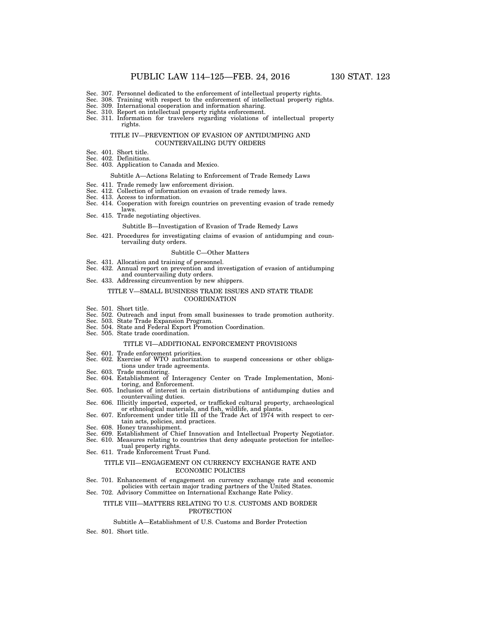- Sec. 308. Training with respect to the enforcement of intellectual property rights.
- Sec. 309. International cooperation and information sharing.
- Sec. 310. Report on intellectual property rights enforcement.
- Sec. 311. Information for travelers regarding violations of intellectual property rights.

### TITLE IV—PREVENTION OF EVASION OF ANTIDUMPING AND COUNTERVAILING DUTY ORDERS

- Sec. 401. Short title. Sec. 402. Definitions.
- 
- Sec. 403. Application to Canada and Mexico.

### Subtitle A—Actions Relating to Enforcement of Trade Remedy Laws

- Sec. 411. Trade remedy law enforcement division.
- Sec. 412. Collection of information on evasion of trade remedy laws.
- Sec. 413. Access to information.
- Sec. 414. Cooperation with foreign countries on preventing evasion of trade remedy laws.
- Sec. 415. Trade negotiating objectives.

#### Subtitle B—Investigation of Evasion of Trade Remedy Laws

Sec. 421. Procedures for investigating claims of evasion of antidumping and countervailing duty orders.

#### Subtitle C—Other Matters

- Sec. 431. Allocation and training of personnel.
- Sec. 432. Annual report on prevention and investigation of evasion of antidumping and countervailing duty orders.
- Sec. 433. Addressing circumvention by new shippers.

### TITLE V—SMALL BUSINESS TRADE ISSUES AND STATE TRADE COORDINATION

- Sec. 501. Short title.
- Sec. 502. Outreach and input from small businesses to trade promotion authority.
- 
- Sec. 503. State Trade Expansion Program. Sec. 504. State and Federal Export Promotion Coordination.
- Sec. 505. State trade coordination.

### TITLE VI—ADDITIONAL ENFORCEMENT PROVISIONS

- Sec. 601. Trade enforcement priorities.
- Sec. 602. Exercise of WTO authorization to suspend concessions or other obligations under trade agreements.
- Sec. 603. Trade monitoring.
- Sec. 604. Establishment of Interagency Center on Trade Implementation, Monitoring, and Enforcement.
- Sec. 605. Inclusion of interest in certain distributions of antidumping duties and countervailing duties.
- Sec. 606. Illicitly imported, exported, or trafficked cultural property, archaeological or ethnological materials, and fish, wildlife, and plants. Sec. 607. Enforcement under title III of the Trade Act of 1974 with respect to cer-
- tain acts, policies, and practices.
- Sec. 608. Honey transshipment.
- Sec. 609. Establishment of Chief Innovation and Intellectual Property Negotiator. Sec. 610. Measures relating to countries that deny adequate protection for intellec-
- tual property rights.
- Sec. 611. Trade Enforcement Trust Fund.

### TITLE VII—ENGAGEMENT ON CURRENCY EXCHANGE RATE AND ECONOMIC POLICIES

- Sec. 701. Enhancement of engagement on currency exchange rate and economic policies with certain major trading partners of the United States.
- Sec. 702. Advisory Committee on International Exchange Rate Policy.

### TITLE VIII—MATTERS RELATING TO U.S. CUSTOMS AND BORDER **PROTECTION**

Subtitle A—Establishment of U.S. Customs and Border Protection Sec. 801. Short title.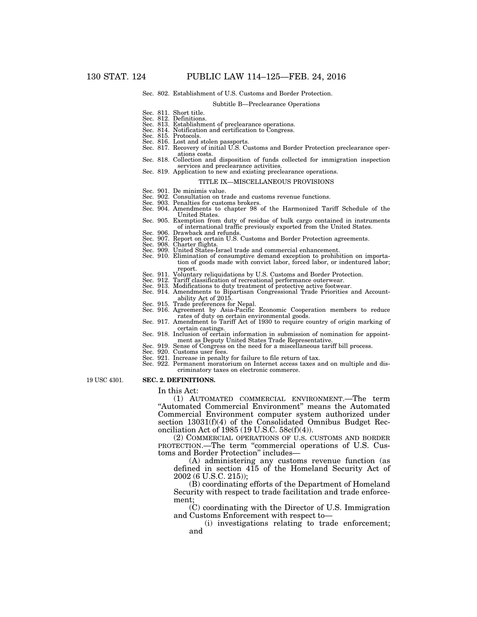Sec. 802. Establishment of U.S. Customs and Border Protection.

#### Subtitle B—Preclearance Operations

- Sec. 811. Short title. Sec. 812. Definitions.
- Sec. 813. Establishment of preclearance operations.
- Sec. 814. Notification and certification to Congress.
- 
- 
- Sec. 815. Protocols. Sec. 816. Lost and stolen passports. Sec. 817. Recovery of initial U.S. Customs and Border Protection preclearance operations costs.
- Sec. 818. Collection and disposition of funds collected for immigration inspection
- Sec. 819. Application to new and existing preclearance operations.

#### TITLE IX—MISCELLANEOUS PROVISIONS

- Sec. 901. De minimis value.
- Sec. 902. Consultation on trade and customs revenue functions.
- Sec. 903. Penalties for customs brokers. Sec. 904. Amendments to chapter 98 of the Harmonized Tariff Schedule of the
	- United States.
- Sec. 905. Exemption from duty of residue of bulk cargo contained in instruments of international traffic previously exported from the United States. Sec. 906. Drawback and refunds.
- 
- Sec. 907. Report on certain U.S. Customs and Border Protection agreements.
- 
- Sec. 908. Charter flights. Sec. 909. United States-Israel trade and commercial enhancement.
- Sec. 910. Elimination of consumptive demand exception to prohibition on importation of goods made with convict labor, forced labor, or indentured labor;
- report.<br>Sec. 911. Voluntary reliquidations by U.S. Customs and Border Protection.<br>Sec. 912. Tariff classification of recreational performance outerwear.<br>Sec. 913. Modifications to duty treatment of protective active footwe
- 
- 
- Sec. 914. Amendments to Bipartisan Congressional Trade Priorities and Account-
- Sec. 915. Trade preferences for Nepal.
- Sec. 916. Agreement by Asia-Pacific Economic Cooperation members to reduce
- Sec. 917. Amendment to Tariff Act of 1930 to require country of origin marking of certain castings.
- Sec. 918. Inclusion of certain information in submission of nomination for appoint-<br>ment as Deputy United States Trade Representative. ment as Deputy United States Trade Representative. Sec. 919. Sense of Congress on the need for a miscellaneous tariff bill process. Sec. 920. Customs user fees.
- 
- 
- Sec. 921. Increase in penalty for failure to file return of tax.
- Sec. 922. Permanent moratorium on Internet access taxes and on multiple and discriminatory taxes on electronic commerce.

19 USC 4301.

# **SEC. 2. DEFINITIONS.**

In this Act:

(1) AUTOMATED COMMERCIAL ENVIRONMENT.—The term "Automated Commercial Environment" means the Automated Commercial Environment computer system authorized under section 13031(f)(4) of the Consolidated Omnibus Budget Reconciliation Act of 1985 (19 U.S.C. 58c(f)(4)).

(2) COMMERCIAL OPERATIONS OF U.S. CUSTOMS AND BORDER PROTECTION.—The term "commercial operations of U.S. Customs and Border Protection'' includes—

(A) administering any customs revenue function (as defined in section 415 of the Homeland Security Act of 2002 (6 U.S.C. 215));

(B) coordinating efforts of the Department of Homeland Security with respect to trade facilitation and trade enforcement;

(C) coordinating with the Director of U.S. Immigration and Customs Enforcement with respect to—

(i) investigations relating to trade enforcement; and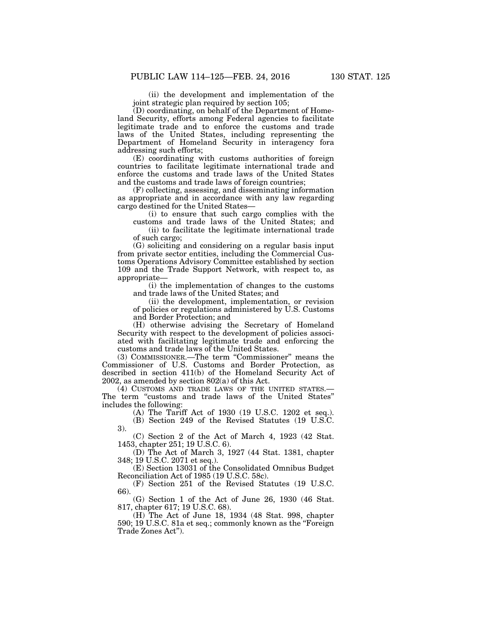(ii) the development and implementation of the joint strategic plan required by section 105;

(D) coordinating, on behalf of the Department of Homeland Security, efforts among Federal agencies to facilitate legitimate trade and to enforce the customs and trade laws of the United States, including representing the Department of Homeland Security in interagency fora addressing such efforts;

(E) coordinating with customs authorities of foreign countries to facilitate legitimate international trade and enforce the customs and trade laws of the United States and the customs and trade laws of foreign countries;

(F) collecting, assessing, and disseminating information as appropriate and in accordance with any law regarding cargo destined for the United States—

(i) to ensure that such cargo complies with the customs and trade laws of the United States; and

(ii) to facilitate the legitimate international trade of such cargo;

(G) soliciting and considering on a regular basis input from private sector entities, including the Commercial Customs Operations Advisory Committee established by section 109 and the Trade Support Network, with respect to, as appropriate—

(i) the implementation of changes to the customs and trade laws of the United States; and

(ii) the development, implementation, or revision of policies or regulations administered by U.S. Customs and Border Protection; and

(H) otherwise advising the Secretary of Homeland Security with respect to the development of policies associated with facilitating legitimate trade and enforcing the customs and trade laws of the United States.

(3) COMMISSIONER.—The term ''Commissioner'' means the Commissioner of U.S. Customs and Border Protection, as described in section 411(b) of the Homeland Security Act of 2002, as amended by section 802(a) of this Act.

(4) CUSTOMS AND TRADE LAWS OF THE UNITED STATES.— The term "customs and trade laws of the United States" includes the following:

(A) The Tariff Act of 1930 (19 U.S.C. 1202 et seq.).

(B) Section 249 of the Revised Statutes (19 U.S.C. 3).

(C) Section 2 of the Act of March 4, 1923 (42 Stat. 1453, chapter 251; 19 U.S.C. 6).

(D) The Act of March 3, 1927 (44 Stat. 1381, chapter 348; 19 U.S.C. 2071 et seq.).

(E) Section 13031 of the Consolidated Omnibus Budget Reconciliation Act of 1985 (19 U.S.C. 58c).

(F) Section 251 of the Revised Statutes (19 U.S.C. 66).

(G) Section 1 of the Act of June 26, 1930 (46 Stat. 817, chapter 617; 19 U.S.C. 68).

(H) The Act of June 18, 1934 (48 Stat. 998, chapter 590; 19 U.S.C. 81a et seq.; commonly known as the ''Foreign Trade Zones Act'').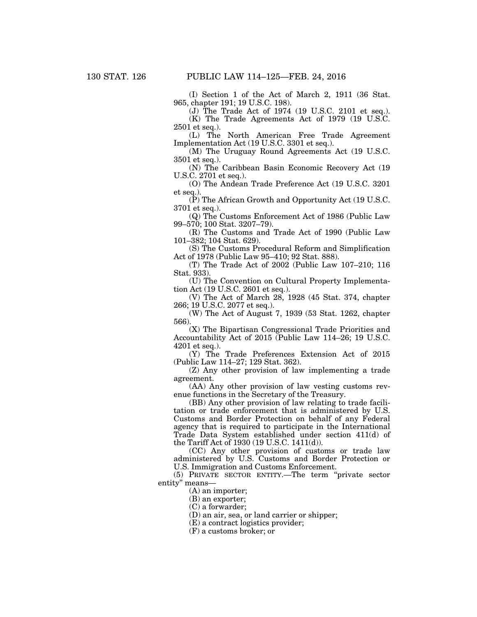(I) Section 1 of the Act of March 2, 1911 (36 Stat. 965, chapter 191; 19 U.S.C. 198).

(J) The Trade Act of 1974 (19 U.S.C. 2101 et seq.). (K) The Trade Agreements Act of 1979 (19 U.S.C. 2501 et seq.).

(L) The North American Free Trade Agreement Implementation Act (19 U.S.C. 3301 et seq.).

(M) The Uruguay Round Agreements Act (19 U.S.C. 3501 et seq.).

(N) The Caribbean Basin Economic Recovery Act (19 U.S.C. 2701 et seq.).

(O) The Andean Trade Preference Act (19 U.S.C. 3201 et seq.).

(P) The African Growth and Opportunity Act (19 U.S.C. 3701 et seq.).

(Q) The Customs Enforcement Act of 1986 (Public Law 99–570; 100 Stat. 3207–79).

(R) The Customs and Trade Act of 1990 (Public Law 101–382; 104 Stat. 629).

(S) The Customs Procedural Reform and Simplification Act of 1978 (Public Law 95–410; 92 Stat. 888).

(T) The Trade Act of 2002 (Public Law 107–210; 116 Stat. 933).

(U) The Convention on Cultural Property Implementation Act (19 U.S.C. 2601 et seq.).

(V) The Act of March 28, 1928 (45 Stat. 374, chapter 266; 19 U.S.C. 2077 et seq.).

(W) The Act of August 7, 1939 (53 Stat. 1262, chapter 566).

(X) The Bipartisan Congressional Trade Priorities and Accountability Act of 2015 (Public Law 114–26; 19 U.S.C. 4201 et seq.).

(Y) The Trade Preferences Extension Act of 2015 (Public Law 114–27; 129 Stat. 362).

(Z) Any other provision of law implementing a trade agreement.

(AA) Any other provision of law vesting customs revenue functions in the Secretary of the Treasury.

(BB) Any other provision of law relating to trade facilitation or trade enforcement that is administered by U.S. Customs and Border Protection on behalf of any Federal agency that is required to participate in the International Trade Data System established under section 411(d) of the Tariff Act of 1930 (19 U.S.C. 1411(d)).

(CC) Any other provision of customs or trade law administered by U.S. Customs and Border Protection or U.S. Immigration and Customs Enforcement.

(5) PRIVATE SECTOR ENTITY.—The term ''private sector entity'' means—

(A) an importer;

(B) an exporter;

(C) a forwarder;

(D) an air, sea, or land carrier or shipper;

(E) a contract logistics provider;

(F) a customs broker; or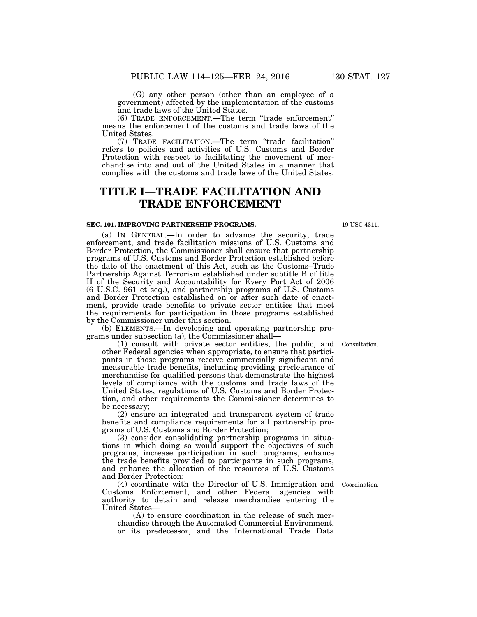(G) any other person (other than an employee of a government) affected by the implementation of the customs and trade laws of the United States.

(6) TRADE ENFORCEMENT.—The term ''trade enforcement'' means the enforcement of the customs and trade laws of the United States.

(7) TRADE FACILITATION.—The term ''trade facilitation'' refers to policies and activities of U.S. Customs and Border Protection with respect to facilitating the movement of merchandise into and out of the United States in a manner that complies with the customs and trade laws of the United States.

# **TITLE I—TRADE FACILITATION AND TRADE ENFORCEMENT**

### **SEC. 101. IMPROVING PARTNERSHIP PROGRAMS.**

(a) IN GENERAL.—In order to advance the security, trade enforcement, and trade facilitation missions of U.S. Customs and Border Protection, the Commissioner shall ensure that partnership programs of U.S. Customs and Border Protection established before the date of the enactment of this Act, such as the Customs–Trade Partnership Against Terrorism established under subtitle B of title II of the Security and Accountability for Every Port Act of 2006 (6 U.S.C. 961 et seq.), and partnership programs of U.S. Customs and Border Protection established on or after such date of enactment, provide trade benefits to private sector entities that meet the requirements for participation in those programs established by the Commissioner under this section.

(b) ELEMENTS.—In developing and operating partnership programs under subsection (a), the Commissioner shall—

(1) consult with private sector entities, the public, and Consultation. other Federal agencies when appropriate, to ensure that participants in those programs receive commercially significant and measurable trade benefits, including providing preclearance of merchandise for qualified persons that demonstrate the highest levels of compliance with the customs and trade laws of the United States, regulations of U.S. Customs and Border Protection, and other requirements the Commissioner determines to be necessary;

(2) ensure an integrated and transparent system of trade benefits and compliance requirements for all partnership programs of U.S. Customs and Border Protection;

(3) consider consolidating partnership programs in situations in which doing so would support the objectives of such programs, increase participation in such programs, enhance the trade benefits provided to participants in such programs, and enhance the allocation of the resources of U.S. Customs and Border Protection;

(4) coordinate with the Director of U.S. Immigration and Customs Enforcement, and other Federal agencies with authority to detain and release merchandise entering the United States—

(A) to ensure coordination in the release of such merchandise through the Automated Commercial Environment, or its predecessor, and the International Trade Data

Coordination.

19 USC 4311.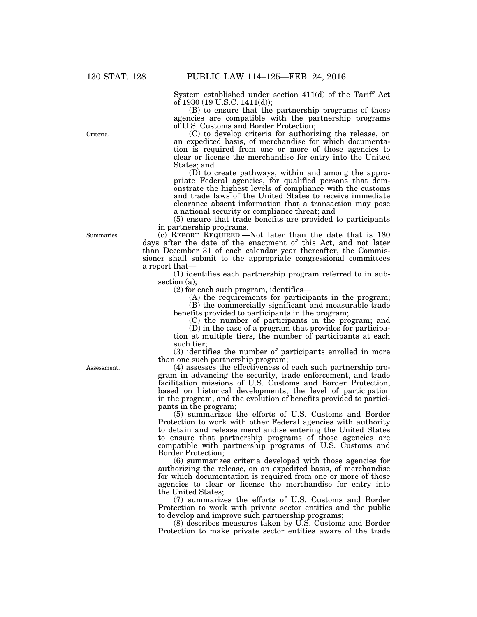System established under section 411(d) of the Tariff Act of 1930 (19 U.S.C. 1411(d));

(B) to ensure that the partnership programs of those agencies are compatible with the partnership programs of U.S. Customs and Border Protection;

(C) to develop criteria for authorizing the release, on an expedited basis, of merchandise for which documentation is required from one or more of those agencies to clear or license the merchandise for entry into the United States; and

(D) to create pathways, within and among the appropriate Federal agencies, for qualified persons that demonstrate the highest levels of compliance with the customs and trade laws of the United States to receive immediate clearance absent information that a transaction may pose a national security or compliance threat; and

(5) ensure that trade benefits are provided to participants in partnership programs.

(c) REPORT REQUIRED.—Not later than the date that is 180 days after the date of the enactment of this Act, and not later than December 31 of each calendar year thereafter, the Commissioner shall submit to the appropriate congressional committees a report that—

(1) identifies each partnership program referred to in subsection (a);

(2) for each such program, identifies—

(A) the requirements for participants in the program; (B) the commercially significant and measurable trade

benefits provided to participants in the program;

(C) the number of participants in the program; and

(D) in the case of a program that provides for participation at multiple tiers, the number of participants at each such tier;

(3) identifies the number of participants enrolled in more than one such partnership program;

(4) assesses the effectiveness of each such partnership program in advancing the security, trade enforcement, and trade facilitation missions of U.S. Customs and Border Protection, based on historical developments, the level of participation in the program, and the evolution of benefits provided to participants in the program;

(5) summarizes the efforts of U.S. Customs and Border Protection to work with other Federal agencies with authority to detain and release merchandise entering the United States to ensure that partnership programs of those agencies are compatible with partnership programs of U.S. Customs and Border Protection;

(6) summarizes criteria developed with those agencies for authorizing the release, on an expedited basis, of merchandise for which documentation is required from one or more of those agencies to clear or license the merchandise for entry into the United States;

(7) summarizes the efforts of U.S. Customs and Border Protection to work with private sector entities and the public to develop and improve such partnership programs;

(8) describes measures taken by U.S. Customs and Border Protection to make private sector entities aware of the trade

Assessment.

Criteria.

Summaries.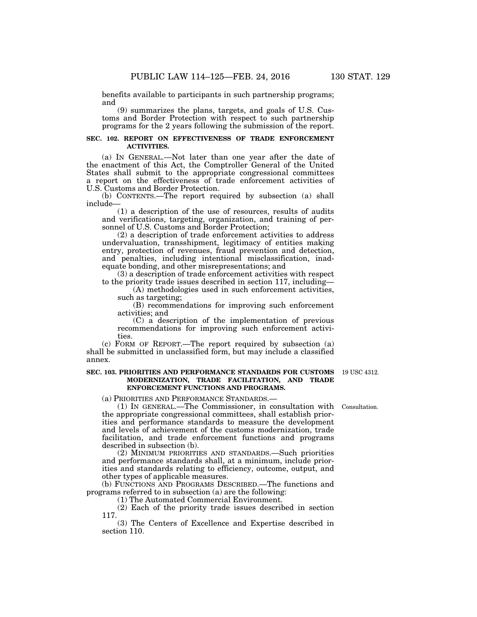benefits available to participants in such partnership programs; and

(9) summarizes the plans, targets, and goals of U.S. Customs and Border Protection with respect to such partnership programs for the 2 years following the submission of the report.

### **SEC. 102. REPORT ON EFFECTIVENESS OF TRADE ENFORCEMENT ACTIVITIES.**

(a) IN GENERAL.—Not later than one year after the date of the enactment of this Act, the Comptroller General of the United States shall submit to the appropriate congressional committees a report on the effectiveness of trade enforcement activities of U.S. Customs and Border Protection.

(b) CONTENTS.—The report required by subsection (a) shall include—

(1) a description of the use of resources, results of audits and verifications, targeting, organization, and training of personnel of U.S. Customs and Border Protection;

(2) a description of trade enforcement activities to address undervaluation, transshipment, legitimacy of entities making entry, protection of revenues, fraud prevention and detection, and penalties, including intentional misclassification, inadequate bonding, and other misrepresentations; and

(3) a description of trade enforcement activities with respect to the priority trade issues described in section 117, including—

(A) methodologies used in such enforcement activities, such as targeting;

(B) recommendations for improving such enforcement activities; and

(C) a description of the implementation of previous recommendations for improving such enforcement activities.

(c) FORM OF REPORT.—The report required by subsection (a) shall be submitted in unclassified form, but may include a classified annex.

## **SEC. 103. PRIORITIES AND PERFORMANCE STANDARDS FOR CUSTOMS MODERNIZATION, TRADE FACILITATION, AND TRADE ENFORCEMENT FUNCTIONS AND PROGRAMS.**

(a) PRIORITIES AND PERFORMANCE STANDARDS.—

(1) IN GENERAL.—The Commissioner, in consultation with the appropriate congressional committees, shall establish priorities and performance standards to measure the development and levels of achievement of the customs modernization, trade facilitation, and trade enforcement functions and programs described in subsection (b).

(2) MINIMUM PRIORITIES AND STANDARDS.—Such priorities and performance standards shall, at a minimum, include priorities and standards relating to efficiency, outcome, output, and other types of applicable measures.

(b) FUNCTIONS AND PROGRAMS DESCRIBED.—The functions and programs referred to in subsection (a) are the following:

(1) The Automated Commercial Environment.

(2) Each of the priority trade issues described in section 117.

(3) The Centers of Excellence and Expertise described in section 110.

19 USC 4312.

Consultation.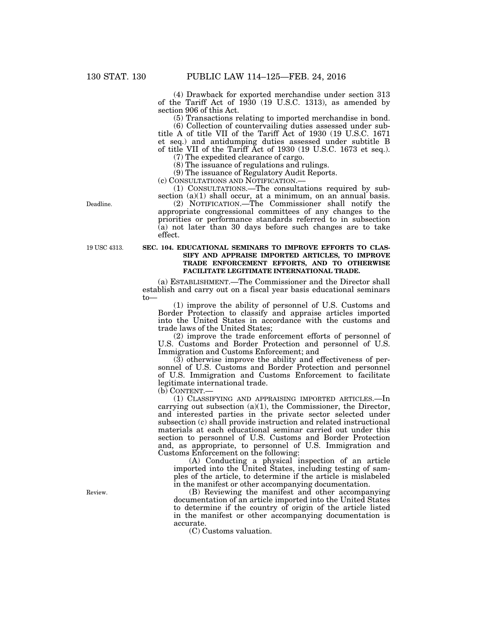(4) Drawback for exported merchandise under section 313 of the Tariff Act of 1930 (19 U.S.C. 1313), as amended by section 906 of this Act.

(5) Transactions relating to imported merchandise in bond.

(6) Collection of countervailing duties assessed under subtitle A of title VII of the Tariff Act of 1930 (19 U.S.C. 1671 et seq.) and antidumping duties assessed under subtitle B of title VII of the Tariff Act of 1930 (19 U.S.C. 1673 et seq.).

(7) The expedited clearance of cargo.

(8) The issuance of regulations and rulings.

(9) The issuance of Regulatory Audit Reports.

(c) CONSULTATIONS AND NOTIFICATION.— (1) CONSULTATIONS.—The consultations required by subsection (a)(1) shall occur, at a minimum, on an annual basis.

(2) NOTIFICATION.—The Commissioner shall notify the appropriate congressional committees of any changes to the priorities or performance standards referred to in subsection (a) not later than 30 days before such changes are to take effect.

## **SEC. 104. EDUCATIONAL SEMINARS TO IMPROVE EFFORTS TO CLAS-SIFY AND APPRAISE IMPORTED ARTICLES, TO IMPROVE TRADE ENFORCEMENT EFFORTS, AND TO OTHERWISE FACILITATE LEGITIMATE INTERNATIONAL TRADE.**

(a) ESTABLISHMENT.—The Commissioner and the Director shall establish and carry out on a fiscal year basis educational seminars to—

(1) improve the ability of personnel of U.S. Customs and Border Protection to classify and appraise articles imported into the United States in accordance with the customs and trade laws of the United States;

(2) improve the trade enforcement efforts of personnel of U.S. Customs and Border Protection and personnel of U.S. Immigration and Customs Enforcement; and

(3) otherwise improve the ability and effectiveness of personnel of U.S. Customs and Border Protection and personnel of U.S. Immigration and Customs Enforcement to facilitate legitimate international trade.

(b) CONTENT.—

(1) CLASSIFYING AND APPRAISING IMPORTED ARTICLES.—In carrying out subsection  $(a)(1)$ , the Commissioner, the Director, and interested parties in the private sector selected under subsection (c) shall provide instruction and related instructional materials at each educational seminar carried out under this section to personnel of U.S. Customs and Border Protection and, as appropriate, to personnel of U.S. Immigration and Customs Enforcement on the following:

(A) Conducting a physical inspection of an article imported into the United States, including testing of samples of the article, to determine if the article is mislabeled in the manifest or other accompanying documentation.

(B) Reviewing the manifest and other accompanying documentation of an article imported into the United States to determine if the country of origin of the article listed in the manifest or other accompanying documentation is accurate.

(C) Customs valuation.

Deadline.

19 USC 4313.

Review.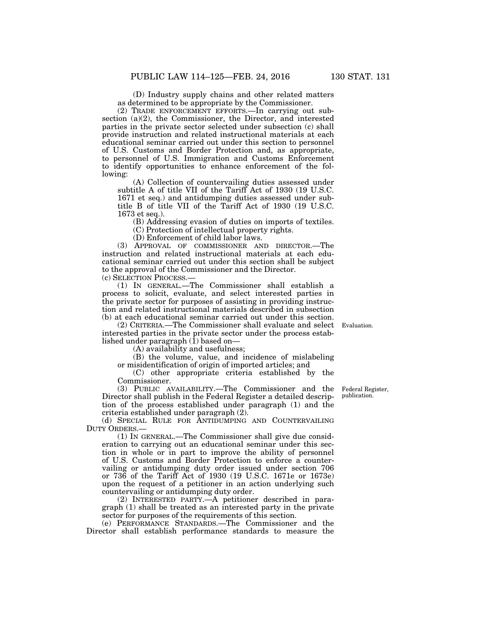(D) Industry supply chains and other related matters as determined to be appropriate by the Commissioner.

(2) TRADE ENFORCEMENT EFFORTS.—In carrying out subsection (a)(2), the Commissioner, the Director, and interested parties in the private sector selected under subsection (c) shall provide instruction and related instructional materials at each educational seminar carried out under this section to personnel of U.S. Customs and Border Protection and, as appropriate, to personnel of U.S. Immigration and Customs Enforcement to identify opportunities to enhance enforcement of the following:

(A) Collection of countervailing duties assessed under subtitle A of title VII of the Tariff Act of 1930 (19 U.S.C. 1671 et seq.) and antidumping duties assessed under subtitle B of title VII of the Tariff Act of 1930 (19 U.S.C. 1673 et seq.).

(B) Addressing evasion of duties on imports of textiles.

(C) Protection of intellectual property rights.

(D) Enforcement of child labor laws.

(3) APPROVAL OF COMMISSIONER AND DIRECTOR.—The instruction and related instructional materials at each educational seminar carried out under this section shall be subject to the approval of the Commissioner and the Director. (c) SELECTION PROCESS.—

(1) IN GENERAL.—The Commissioner shall establish a process to solicit, evaluate, and select interested parties in the private sector for purposes of assisting in providing instruction and related instructional materials described in subsection (b) at each educational seminar carried out under this section.

(2) CRITERIA.—The Commissioner shall evaluate and select Evaluation. interested parties in the private sector under the process established under paragraph (1) based on—

(A) availability and usefulness;

(B) the volume, value, and incidence of mislabeling or misidentification of origin of imported articles; and

(C) other appropriate criteria established by the Commissioner.

(3) PUBLIC AVAILABILITY.—The Commissioner and the Federal Register, Director shall publish in the Federal Register a detailed description of the process established under paragraph (1) and the criteria established under paragraph (2).

(d) SPECIAL RULE FOR ANTIDUMPING AND COUNTERVAILING DUTY ORDERS.—

(1) IN GENERAL.—The Commissioner shall give due consideration to carrying out an educational seminar under this section in whole or in part to improve the ability of personnel of U.S. Customs and Border Protection to enforce a countervailing or antidumping duty order issued under section 706 or 736 of the Tariff Act of 1930 (19 U.S.C. 1671e or 1673e) upon the request of a petitioner in an action underlying such countervailing or antidumping duty order.

(2) INTERESTED PARTY.—A petitioner described in paragraph (1) shall be treated as an interested party in the private sector for purposes of the requirements of this section.

(e) PERFORMANCE STANDARDS.—The Commissioner and the Director shall establish performance standards to measure the

publication.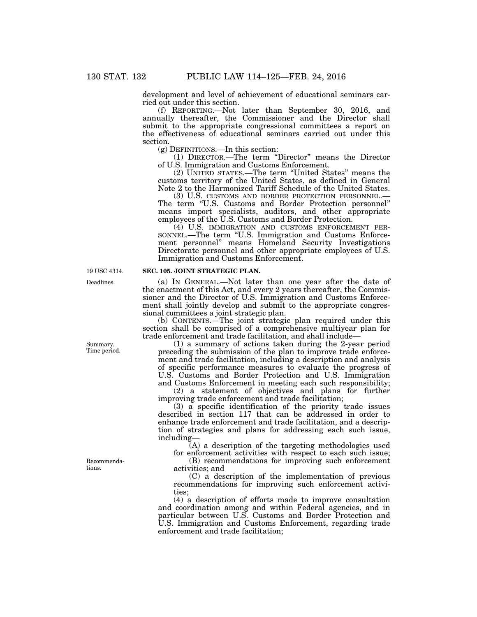development and level of achievement of educational seminars carried out under this section.

(f) REPORTING.—Not later than September 30, 2016, and annually thereafter, the Commissioner and the Director shall submit to the appropriate congressional committees a report on the effectiveness of educational seminars carried out under this section.

(g) DEFINITIONS.—In this section:

(1) DIRECTOR.—The term ''Director'' means the Director of U.S. Immigration and Customs Enforcement.

(2) UNITED STATES.—The term ''United States'' means the customs territory of the United States, as defined in General Note 2 to the Harmonized Tariff Schedule of the United States.<br>(3) U.S. CUSTOMS AND BORDER PROTECTION PERSONNEL.—

The term "U.S. Customs and Border Protection personnel" means import specialists, auditors, and other appropriate employees of the U.S. Customs and Border Protection.

(4) U.S. IMMIGRATION AND CUSTOMS ENFORCEMENT PER-SONNEL.—The term ''U.S. Immigration and Customs Enforcement personnel'' means Homeland Security Investigations Directorate personnel and other appropriate employees of U.S. Immigration and Customs Enforcement.

### **SEC. 105. JOINT STRATEGIC PLAN.**

(a) IN GENERAL.—Not later than one year after the date of the enactment of this Act, and every 2 years thereafter, the Commissioner and the Director of U.S. Immigration and Customs Enforcement shall jointly develop and submit to the appropriate congressional committees a joint strategic plan.

(b) CONTENTS.—The joint strategic plan required under this section shall be comprised of a comprehensive multiyear plan for trade enforcement and trade facilitation, and shall include—

(1) a summary of actions taken during the 2-year period preceding the submission of the plan to improve trade enforcement and trade facilitation, including a description and analysis of specific performance measures to evaluate the progress of U.S. Customs and Border Protection and U.S. Immigration and Customs Enforcement in meeting each such responsibility;

(2) a statement of objectives and plans for further improving trade enforcement and trade facilitation;

(3) a specific identification of the priority trade issues described in section 117 that can be addressed in order to enhance trade enforcement and trade facilitation, and a description of strategies and plans for addressing each such issue, including—

(A) a description of the targeting methodologies used

for enforcement activities with respect to each such issue; (B) recommendations for improving such enforcement activities; and

(C) a description of the implementation of previous recommendations for improving such enforcement activities;

(4) a description of efforts made to improve consultation and coordination among and within Federal agencies, and in particular between U.S. Customs and Border Protection and U.S. Immigration and Customs Enforcement, regarding trade enforcement and trade facilitation;

Summary.

Deadlines. 19 USC 4314.

Time period.

Recommendations.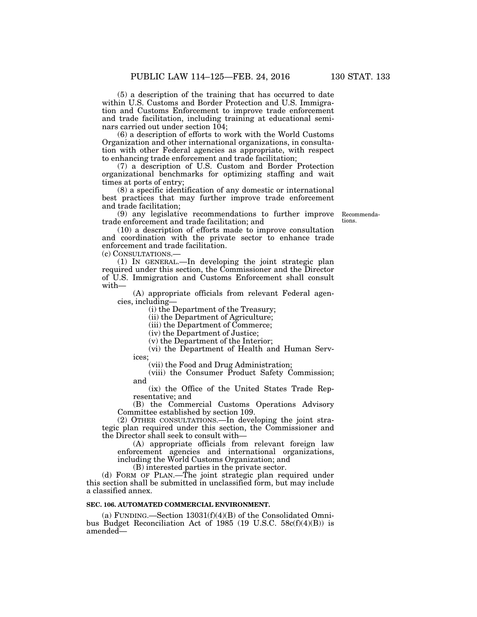(5) a description of the training that has occurred to date within U.S. Customs and Border Protection and U.S. Immigration and Customs Enforcement to improve trade enforcement and trade facilitation, including training at educational seminars carried out under section 104;

(6) a description of efforts to work with the World Customs Organization and other international organizations, in consultation with other Federal agencies as appropriate, with respect to enhancing trade enforcement and trade facilitation;

(7) a description of U.S. Custom and Border Protection organizational benchmarks for optimizing staffing and wait times at ports of entry;

(8) a specific identification of any domestic or international best practices that may further improve trade enforcement and trade facilitation;

(9) any legislative recommendations to further improve trade enforcement and trade facilitation; and

Recommendations.

(10) a description of efforts made to improve consultation and coordination with the private sector to enhance trade enforcement and trade facilitation.

(c) CONSULTATIONS.—

(1) IN GENERAL.—In developing the joint strategic plan required under this section, the Commissioner and the Director of U.S. Immigration and Customs Enforcement shall consult with—

(A) appropriate officials from relevant Federal agencies, including—

(i) the Department of the Treasury;

(ii) the Department of Agriculture;

(iii) the Department of Commerce;

(iv) the Department of Justice;

(v) the Department of the Interior;

(vi) the Department of Health and Human Services;

(vii) the Food and Drug Administration;

(viii) the Consumer Product Safety Commission; and

(ix) the Office of the United States Trade Representative; and

(B) the Commercial Customs Operations Advisory Committee established by section 109.

(2) OTHER CONSULTATIONS.—In developing the joint strategic plan required under this section, the Commissioner and the Director shall seek to consult with—

(A) appropriate officials from relevant foreign law enforcement agencies and international organizations, including the World Customs Organization; and

(B) interested parties in the private sector.

(d) FORM OF PLAN.—The joint strategic plan required under this section shall be submitted in unclassified form, but may include a classified annex.

# **SEC. 106. AUTOMATED COMMERCIAL ENVIRONMENT.**

(a) FUNDING.—Section 13031(f)(4)(B) of the Consolidated Omnibus Budget Reconciliation Act of 1985 (19 U.S.C. 58c(f)(4)(B)) is amended—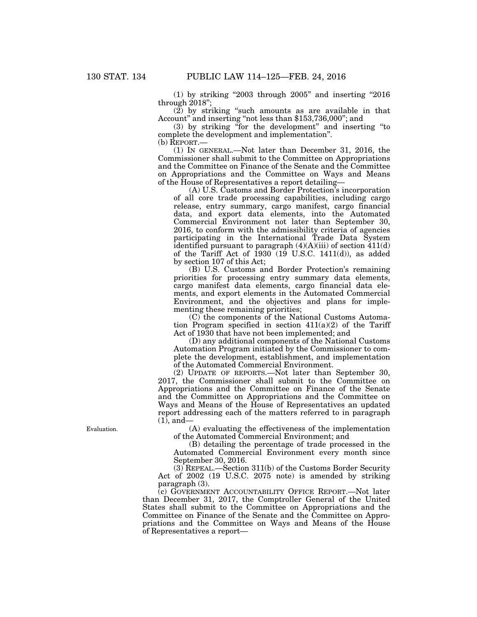$(1)$  by striking "2003 through 2005" and inserting "2016" through 2018'';

 $(2)$  by striking "such amounts as are available in that Account'' and inserting ''not less than \$153,736,000''; and

(3) by striking ''for the development'' and inserting ''to complete the development and implementation''.

(b) REPORT.—

(1) IN GENERAL.—Not later than December 31, 2016, the Commissioner shall submit to the Committee on Appropriations and the Committee on Finance of the Senate and the Committee on Appropriations and the Committee on Ways and Means of the House of Representatives a report detailing—

(A) U.S. Customs and Border Protection's incorporation of all core trade processing capabilities, including cargo release, entry summary, cargo manifest, cargo financial data, and export data elements, into the Automated Commercial Environment not later than September 30, 2016, to conform with the admissibility criteria of agencies participating in the International Trade Data System identified pursuant to paragraph  $(4)(A)(iii)$  of section  $411(d)$ of the Tariff Act of  $1930^\circ(19 \text{ U.S.C. } 1411(d))$ , as added by section 107 of this Act;

(B) U.S. Customs and Border Protection's remaining priorities for processing entry summary data elements, cargo manifest data elements, cargo financial data elements, and export elements in the Automated Commercial Environment, and the objectives and plans for implementing these remaining priorities;

(C) the components of the National Customs Automation Program specified in section 411(a)(2) of the Tariff Act of 1930 that have not been implemented; and

(D) any additional components of the National Customs Automation Program initiated by the Commissioner to complete the development, establishment, and implementation of the Automated Commercial Environment.

(2) UPDATE OF REPORTS.—Not later than September 30, 2017, the Commissioner shall submit to the Committee on Appropriations and the Committee on Finance of the Senate and the Committee on Appropriations and the Committee on Ways and Means of the House of Representatives an updated report addressing each of the matters referred to in paragraph (1), and—

(A) evaluating the effectiveness of the implementation of the Automated Commercial Environment; and

(B) detailing the percentage of trade processed in the Automated Commercial Environment every month since September 30, 2016.

(3) REPEAL.—Section 311(b) of the Customs Border Security Act of 2002 (19 U.S.C. 2075 note) is amended by striking paragraph (3).

(c) GOVERNMENT ACCOUNTABILITY OFFICE REPORT.—Not later than December 31, 2017, the Comptroller General of the United States shall submit to the Committee on Appropriations and the Committee on Finance of the Senate and the Committee on Appropriations and the Committee on Ways and Means of the House of Representatives a report—

Evaluation.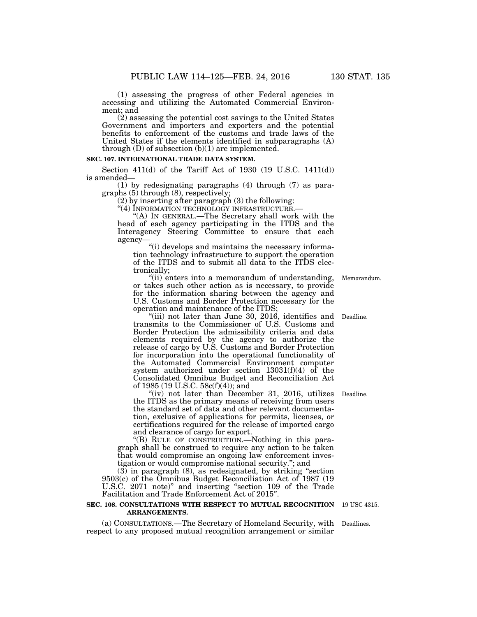(1) assessing the progress of other Federal agencies in accessing and utilizing the Automated Commercial Environment; and

(2) assessing the potential cost savings to the United States Government and importers and exporters and the potential benefits to enforcement of the customs and trade laws of the United States if the elements identified in subparagraphs (A) through  $(D)$  of subsection  $(b)(1)$  are implemented.

# **SEC. 107. INTERNATIONAL TRADE DATA SYSTEM.**

Section 411(d) of the Tariff Act of 1930 (19 U.S.C. 1411(d)) is amended—

(1) by redesignating paragraphs (4) through (7) as paragraphs (5) through (8), respectively;

(2) by inserting after paragraph (3) the following:

''(4) INFORMATION TECHNOLOGY INFRASTRUCTURE.— ''(A) IN GENERAL.—The Secretary shall work with the head of each agency participating in the ITDS and the Interagency Steering Committee to ensure that each agency—

"(i) develops and maintains the necessary information technology infrastructure to support the operation of the ITDS and to submit all data to the ITDS electronically;

''(ii) enters into a memorandum of understanding, or takes such other action as is necessary, to provide for the information sharing between the agency and U.S. Customs and Border Protection necessary for the operation and maintenance of the ITDS;

''(iii) not later than June 30, 2016, identifies and transmits to the Commissioner of U.S. Customs and Border Protection the admissibility criteria and data elements required by the agency to authorize the release of cargo by U.S. Customs and Border Protection for incorporation into the operational functionality of the Automated Commercial Environment computer system authorized under section 13031(f)(4) of the Consolidated Omnibus Budget and Reconciliation Act of 1985 (19 U.S.C. 58c(f)(4)); and

" $(iv)$  not later than December 31, 2016, utilizes the ITDS as the primary means of receiving from users the standard set of data and other relevant documentation, exclusive of applications for permits, licenses, or certifications required for the release of imported cargo and clearance of cargo for export.

''(B) RULE OF CONSTRUCTION.—Nothing in this paragraph shall be construed to require any action to be taken that would compromise an ongoing law enforcement investigation or would compromise national security.''; and

 $(3)$  in paragraph  $(8)$ , as redesignated, by striking "section 9503(c) of the Omnibus Budget Reconciliation Act of 1987 (19 U.S.C. 2071 note)'' and inserting ''section 109 of the Trade Facilitation and Trade Enforcement Act of 2015''.

#### **SEC. 108. CONSULTATIONS WITH RESPECT TO MUTUAL RECOGNITION**  19 USC 4315. **ARRANGEMENTS.**

(a) CONSULTATIONS.—The Secretary of Homeland Security, with Deadlines. respect to any proposed mutual recognition arrangement or similar

Deadline.

Deadline.

Memorandum.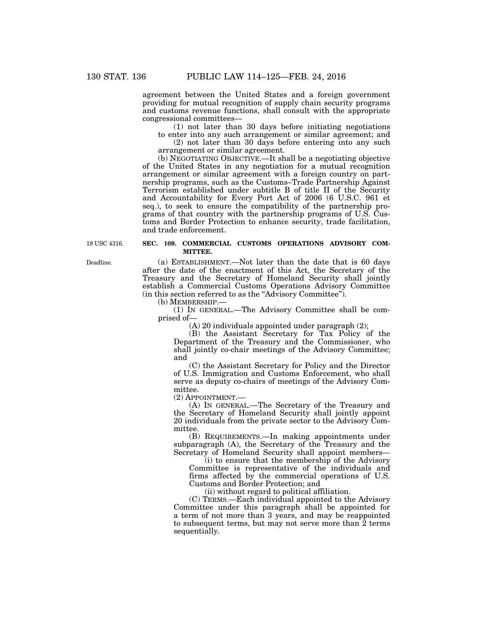agreement between the United States and a foreign government providing for mutual recognition of supply chain security programs and customs revenue functions, shall consult with the appropriate congressional committees—

(1) not later than 30 days before initiating negotiations to enter into any such arrangement or similar agreement; and

(2) not later than 30 days before entering into any such arrangement or similar agreement.

(b) NEGOTIATING OBJECTIVE.—It shall be a negotiating objective of the United States in any negotiation for a mutual recognition arrangement or similar agreement with a foreign country on partnership programs, such as the Customs–Trade Partnership Against Terrorism established under subtitle B of title II of the Security and Accountability for Every Port Act of 2006 (6 U.S.C. 961 et seq.), to seek to ensure the compatibility of the partnership programs of that country with the partnership programs of U.S. Customs and Border Protection to enhance security, trade facilitation, and trade enforcement.

19 USC 4316.

## **SEC. 109. COMMERCIAL CUSTOMS OPERATIONS ADVISORY COM-MITTEE.**

(a) ESTABLISHMENT.—Not later than the date that is 60 days after the date of the enactment of this Act, the Secretary of the Treasury and the Secretary of Homeland Security shall jointly establish a Commercial Customs Operations Advisory Committee (in this section referred to as the ''Advisory Committee'').

(b) MEMBERSHIP.—

(1) IN GENERAL.—The Advisory Committee shall be comprised of—

(A) 20 individuals appointed under paragraph (2);

(B) the Assistant Secretary for Tax Policy of the Department of the Treasury and the Commissioner, who shall jointly co-chair meetings of the Advisory Committee; and

(C) the Assistant Secretary for Policy and the Director of U.S. Immigration and Customs Enforcement, who shall serve as deputy co-chairs of meetings of the Advisory Committee.

(2) APPOINTMENT.—

(A) IN GENERAL.—The Secretary of the Treasury and the Secretary of Homeland Security shall jointly appoint 20 individuals from the private sector to the Advisory Committee.

(B) REQUIREMENTS.—In making appointments under subparagraph (A), the Secretary of the Treasury and the Secretary of Homeland Security shall appoint members—

(i) to ensure that the membership of the Advisory Committee is representative of the individuals and firms affected by the commercial operations of U.S. Customs and Border Protection; and

(ii) without regard to political affiliation.

(C) TERMS.—Each individual appointed to the Advisory Committee under this paragraph shall be appointed for a term of not more than 3 years, and may be reappointed to subsequent terms, but may not serve more than 2 terms sequentially.

Deadline.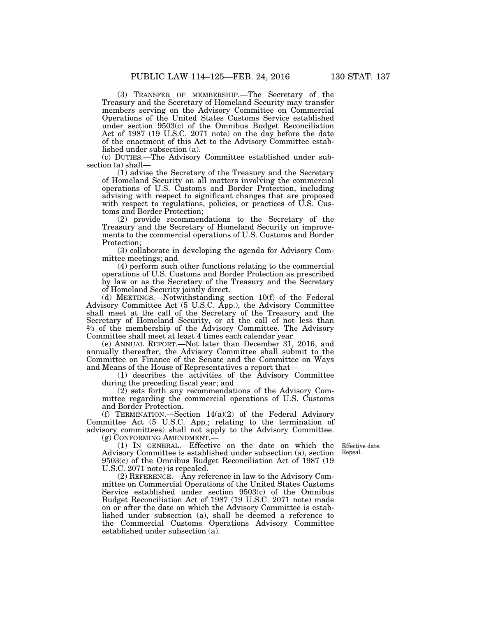(3) TRANSFER OF MEMBERSHIP.—The Secretary of the Treasury and the Secretary of Homeland Security may transfer members serving on the Advisory Committee on Commercial Operations of the United States Customs Service established under section 9503(c) of the Omnibus Budget Reconciliation Act of 1987 (19 U.S.C. 2071 note) on the day before the date of the enactment of this Act to the Advisory Committee established under subsection (a).

(c) DUTIES.—The Advisory Committee established under subsection (a) shall—

(1) advise the Secretary of the Treasury and the Secretary of Homeland Security on all matters involving the commercial operations of U.S. Customs and Border Protection, including advising with respect to significant changes that are proposed with respect to regulations, policies, or practices of U.S. Customs and Border Protection;

(2) provide recommendations to the Secretary of the Treasury and the Secretary of Homeland Security on improvements to the commercial operations of U.S. Customs and Border Protection;

(3) collaborate in developing the agenda for Advisory Committee meetings; and

(4) perform such other functions relating to the commercial operations of U.S. Customs and Border Protection as prescribed by law or as the Secretary of the Treasury and the Secretary of Homeland Security jointly direct.

(d) MEETINGS.—Notwithstanding section 10(f) of the Federal Advisory Committee Act (5 U.S.C. App.), the Advisory Committee shall meet at the call of the Secretary of the Treasury and the Secretary of Homeland Security, or at the call of not less than 2⁄3 of the membership of the Advisory Committee. The Advisory Committee shall meet at least 4 times each calendar year.

(e) ANNUAL REPORT.—Not later than December 31, 2016, and annually thereafter, the Advisory Committee shall submit to the Committee on Finance of the Senate and the Committee on Ways and Means of the House of Representatives a report that—

(1) describes the activities of the Advisory Committee during the preceding fiscal year; and

(2) sets forth any recommendations of the Advisory Committee regarding the commercial operations of U.S. Customs and Border Protection.

(f) TERMINATION.—Section 14(a)(2) of the Federal Advisory Committee Act (5 U.S.C. App.; relating to the termination of advisory committees) shall not apply to the Advisory Committee. (g) CONFORMING AMENDMENT.

> Effective date. Repeal.

(1) IN GENERAL.—Effective on the date on which the Advisory Committee is established under subsection (a), section 9503(c) of the Omnibus Budget Reconciliation Act of 1987 (19 U.S.C. 2071 note) is repealed.

 $(2)$  REFERENCE.—Any reference in law to the Advisory Committee on Commercial Operations of the United States Customs Service established under section 9503(c) of the Omnibus Budget Reconciliation Act of 1987 (19 U.S.C. 2071 note) made on or after the date on which the Advisory Committee is established under subsection (a), shall be deemed a reference to the Commercial Customs Operations Advisory Committee established under subsection (a).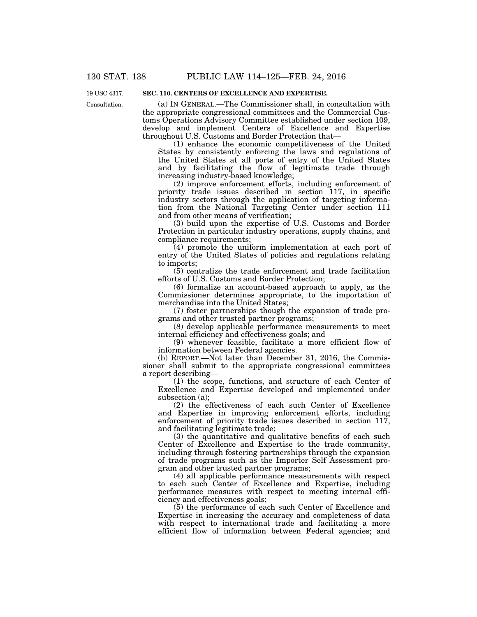19 USC 4317.

# **SEC. 110. CENTERS OF EXCELLENCE AND EXPERTISE.**

(a) IN GENERAL.—The Commissioner shall, in consultation with the appropriate congressional committees and the Commercial Customs Operations Advisory Committee established under section 109, develop and implement Centers of Excellence and Expertise throughout U.S. Customs and Border Protection that—

(1) enhance the economic competitiveness of the United States by consistently enforcing the laws and regulations of the United States at all ports of entry of the United States and by facilitating the flow of legitimate trade through increasing industry-based knowledge;

(2) improve enforcement efforts, including enforcement of priority trade issues described in section 117, in specific industry sectors through the application of targeting information from the National Targeting Center under section 111 and from other means of verification;

(3) build upon the expertise of U.S. Customs and Border Protection in particular industry operations, supply chains, and compliance requirements;

(4) promote the uniform implementation at each port of entry of the United States of policies and regulations relating to imports;

(5) centralize the trade enforcement and trade facilitation efforts of U.S. Customs and Border Protection;

(6) formalize an account-based approach to apply, as the Commissioner determines appropriate, to the importation of merchandise into the United States;

(7) foster partnerships though the expansion of trade programs and other trusted partner programs;

(8) develop applicable performance measurements to meet internal efficiency and effectiveness goals; and

(9) whenever feasible, facilitate a more efficient flow of information between Federal agencies.

(b) REPORT.—Not later than December 31, 2016, the Commissioner shall submit to the appropriate congressional committees a report describing—

(1) the scope, functions, and structure of each Center of Excellence and Expertise developed and implemented under subsection (a);

(2) the effectiveness of each such Center of Excellence and Expertise in improving enforcement efforts, including enforcement of priority trade issues described in section 117, and facilitating legitimate trade;

(3) the quantitative and qualitative benefits of each such Center of Excellence and Expertise to the trade community, including through fostering partnerships through the expansion of trade programs such as the Importer Self Assessment program and other trusted partner programs;

(4) all applicable performance measurements with respect to each such Center of Excellence and Expertise, including performance measures with respect to meeting internal efficiency and effectiveness goals;

(5) the performance of each such Center of Excellence and Expertise in increasing the accuracy and completeness of data with respect to international trade and facilitating a more efficient flow of information between Federal agencies; and

Consultation.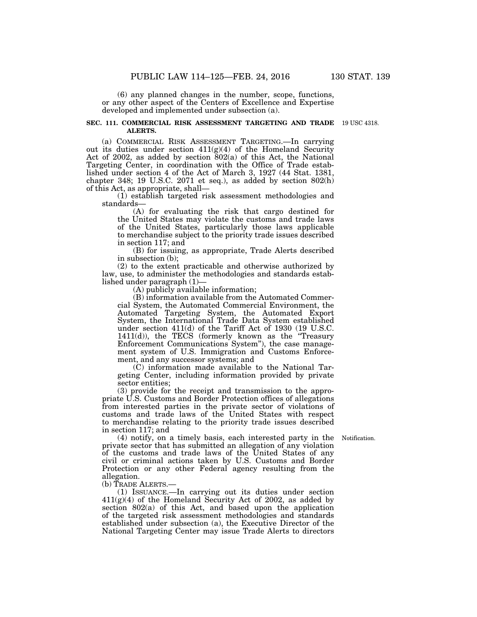(6) any planned changes in the number, scope, functions, or any other aspect of the Centers of Excellence and Expertise developed and implemented under subsection (a).

### **SEC. 111. COMMERCIAL RISK ASSESSMENT TARGETING AND TRADE**  19 USC 4318. **ALERTS.**

(a) COMMERCIAL RISK ASSESSMENT TARGETING.—In carrying out its duties under section  $411(g)(4)$  of the Homeland Security Act of 2002, as added by section  $\frac{802}{a}$  of this Act, the National Targeting Center, in coordination with the Office of Trade established under section 4 of the Act of March 3, 1927 (44 Stat. 1381, chapter 348; 19 U.S.C. 2071 et seq.), as added by section 802(h) of this Act, as appropriate, shall—

(1) establish targeted risk assessment methodologies and standards—

(A) for evaluating the risk that cargo destined for the United States may violate the customs and trade laws of the United States, particularly those laws applicable to merchandise subject to the priority trade issues described in section 117; and

(B) for issuing, as appropriate, Trade Alerts described in subsection (b);

(2) to the extent practicable and otherwise authorized by law, use, to administer the methodologies and standards established under paragraph (1)—

(A) publicly available information;

(B) information available from the Automated Commercial System, the Automated Commercial Environment, the Automated Targeting System, the Automated Export System, the International Trade Data System established under section 411(d) of the Tariff Act of 1930 (19 U.S.C.  $1411(d)$ , the TECS (formerly known as the "Treasury Enforcement Communications System''), the case management system of U.S. Immigration and Customs Enforcement, and any successor systems; and

(C) information made available to the National Targeting Center, including information provided by private sector entities;

(3) provide for the receipt and transmission to the appropriate U.S. Customs and Border Protection offices of allegations from interested parties in the private sector of violations of customs and trade laws of the United States with respect to merchandise relating to the priority trade issues described in section 117; and

(4) notify, on a timely basis, each interested party in the Notification. private sector that has submitted an allegation of any violation of the customs and trade laws of the United States of any civil or criminal actions taken by U.S. Customs and Border Protection or any other Federal agency resulting from the allegation.<br>(b) TRADE ALERTS.-

 $(1)$  ISSUANCE.—In carrying out its duties under section  $411(g)(4)$  of the Homeland Security Act of 2002, as added by section  $802(a)$  of this Act, and based upon the application of the targeted risk assessment methodologies and standards established under subsection (a), the Executive Director of the National Targeting Center may issue Trade Alerts to directors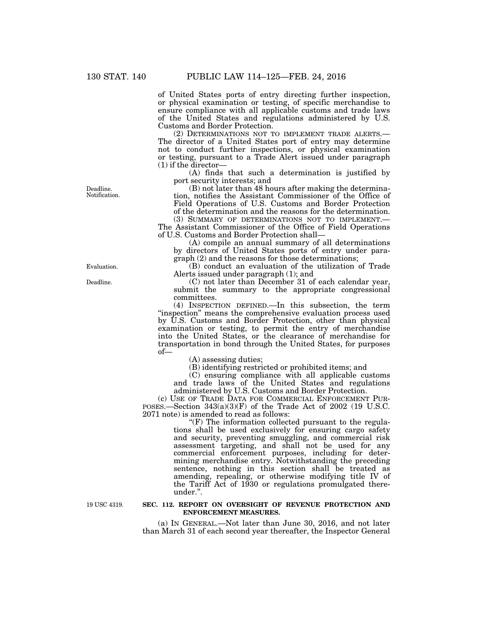of United States ports of entry directing further inspection, or physical examination or testing, of specific merchandise to ensure compliance with all applicable customs and trade laws of the United States and regulations administered by U.S. Customs and Border Protection.<br>
(2) DETERMINATIONS NOT TO IMPLEMENT TRADE ALERTS.—

The director of a United States port of entry may determine not to conduct further inspections, or physical examination or testing, pursuant to a Trade Alert issued under paragraph (1) if the director—

(A) finds that such a determination is justified by port security interests; and

(B) not later than 48 hours after making the determination, notifies the Assistant Commissioner of the Office of Field Operations of U.S. Customs and Border Protection of the determination and the reasons for the determination. (3) SUMMARY OF DETERMINATIONS NOT TO IMPLEMENT.—

The Assistant Commissioner of the Office of Field Operations of U.S. Customs and Border Protection shall—

(A) compile an annual summary of all determinations by directors of United States ports of entry under paragraph (2) and the reasons for those determinations;

(B) conduct an evaluation of the utilization of Trade Alerts issued under paragraph (1); and

(C) not later than December 31 of each calendar year, submit the summary to the appropriate congressional committees.

(4) INSPECTION DEFINED.—In this subsection, the term ''inspection'' means the comprehensive evaluation process used by U.S. Customs and Border Protection, other than physical examination or testing, to permit the entry of merchandise into the United States, or the clearance of merchandise for transportation in bond through the United States, for purposes of—

(A) assessing duties;

(B) identifying restricted or prohibited items; and

(C) ensuring compliance with all applicable customs and trade laws of the United States and regulations administered by U.S. Customs and Border Protection.

(c) USE OF TRADE DATA FOR COMMERCIAL ENFORCEMENT PUR-POSES.—Section  $343(a)(3)(F)$  of the Trade Act of 2002 (19 U.S.C. 2071 note) is amended to read as follows:

 $\mathcal{F}(F)$  The information collected pursuant to the regulations shall be used exclusively for ensuring cargo safety and security, preventing smuggling, and commercial risk assessment targeting, and shall not be used for any commercial enforcement purposes, including for determining merchandise entry. Notwithstanding the preceding sentence, nothing in this section shall be treated as amending, repealing, or otherwise modifying title IV of the Tariff Act of 1930 or regulations promulgated thereunder.''.

19 USC 4319.

### **SEC. 112. REPORT ON OVERSIGHT OF REVENUE PROTECTION AND ENFORCEMENT MEASURES.**

(a) IN GENERAL.—Not later than June 30, 2016, and not later than March 31 of each second year thereafter, the Inspector General

Deadline. Notification.

Evaluation.

Deadline.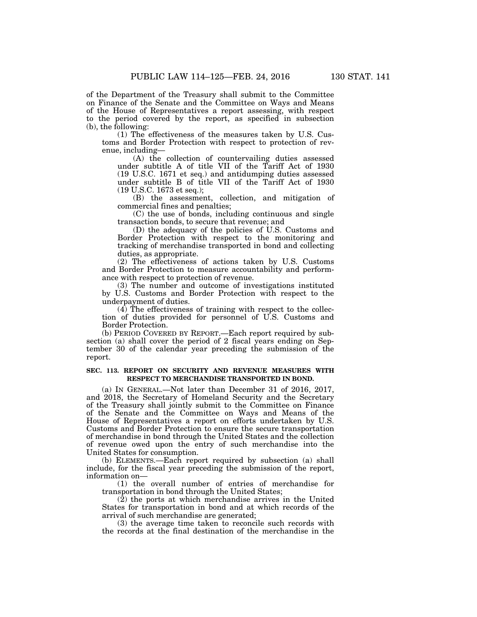of the Department of the Treasury shall submit to the Committee on Finance of the Senate and the Committee on Ways and Means of the House of Representatives a report assessing, with respect to the period covered by the report, as specified in subsection (b), the following:

(1) The effectiveness of the measures taken by U.S. Customs and Border Protection with respect to protection of revenue, including—

(A) the collection of countervailing duties assessed under subtitle A of title VII of the Tariff Act of 1930 (19 U.S.C. 1671 et seq.) and antidumping duties assessed under subtitle B of title VII of the Tariff Act of 1930 (19 U.S.C. 1673 et seq.);

(B) the assessment, collection, and mitigation of commercial fines and penalties;

(C) the use of bonds, including continuous and single transaction bonds, to secure that revenue; and

(D) the adequacy of the policies of U.S. Customs and Border Protection with respect to the monitoring and tracking of merchandise transported in bond and collecting duties, as appropriate.

(2) The effectiveness of actions taken by U.S. Customs and Border Protection to measure accountability and performance with respect to protection of revenue.

(3) The number and outcome of investigations instituted by U.S. Customs and Border Protection with respect to the underpayment of duties.

(4) The effectiveness of training with respect to the collection of duties provided for personnel of U.S. Customs and Border Protection.

(b) PERIOD COVERED BY REPORT.—Each report required by subsection (a) shall cover the period of 2 fiscal years ending on September 30 of the calendar year preceding the submission of the report.

## **SEC. 113. REPORT ON SECURITY AND REVENUE MEASURES WITH RESPECT TO MERCHANDISE TRANSPORTED IN BOND.**

(a) IN GENERAL.—Not later than December 31 of 2016, 2017, and 2018, the Secretary of Homeland Security and the Secretary of the Treasury shall jointly submit to the Committee on Finance of the Senate and the Committee on Ways and Means of the House of Representatives a report on efforts undertaken by U.S. Customs and Border Protection to ensure the secure transportation of merchandise in bond through the United States and the collection of revenue owed upon the entry of such merchandise into the United States for consumption.

(b) ELEMENTS.—Each report required by subsection (a) shall include, for the fiscal year preceding the submission of the report, information on—

(1) the overall number of entries of merchandise for transportation in bond through the United States;

(2) the ports at which merchandise arrives in the United States for transportation in bond and at which records of the arrival of such merchandise are generated;

(3) the average time taken to reconcile such records with the records at the final destination of the merchandise in the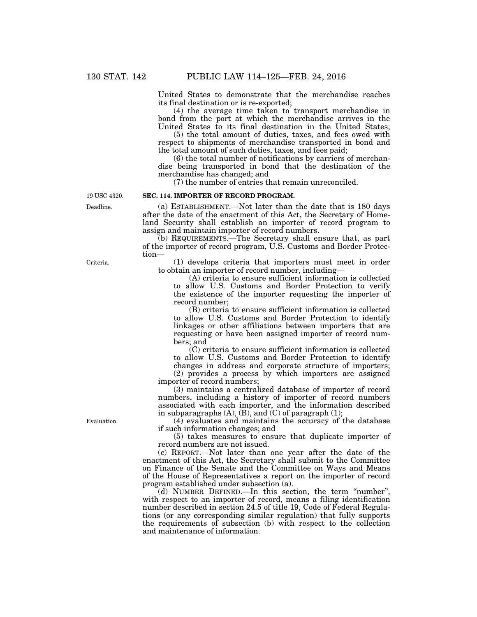United States to demonstrate that the merchandise reaches its final destination or is re-exported;

(4) the average time taken to transport merchandise in bond from the port at which the merchandise arrives in the United States to its final destination in the United States;

(5) the total amount of duties, taxes, and fees owed with respect to shipments of merchandise transported in bond and the total amount of such duties, taxes, and fees paid;

(6) the total number of notifications by carriers of merchandise being transported in bond that the destination of the merchandise has changed; and

(7) the number of entries that remain unreconciled.

19 USC 4320.

Deadline.

# **SEC. 114. IMPORTER OF RECORD PROGRAM.**

(a) ESTABLISHMENT.—Not later than the date that is 180 days after the date of the enactment of this Act, the Secretary of Homeland Security shall establish an importer of record program to assign and maintain importer of record numbers.

(b) REQUIREMENTS.—The Secretary shall ensure that, as part of the importer of record program, U.S. Customs and Border Protection—

(1) develops criteria that importers must meet in order to obtain an importer of record number, including—

(A) criteria to ensure sufficient information is collected to allow U.S. Customs and Border Protection to verify the existence of the importer requesting the importer of record number;

(B) criteria to ensure sufficient information is collected to allow U.S. Customs and Border Protection to identify linkages or other affiliations between importers that are requesting or have been assigned importer of record numbers; and

(C) criteria to ensure sufficient information is collected to allow U.S. Customs and Border Protection to identify changes in address and corporate structure of importers; (2) provides a process by which importers are assigned importer of record numbers;

(3) maintains a centralized database of importer of record numbers, including a history of importer of record numbers associated with each importer, and the information described in subparagraphs  $(A)$ ,  $(B)$ , and  $(C)$  of paragraph  $(1)$ ;

(4) evaluates and maintains the accuracy of the database if such information changes; and

(5) takes measures to ensure that duplicate importer of record numbers are not issued.

(c) REPORT.—Not later than one year after the date of the enactment of this Act, the Secretary shall submit to the Committee on Finance of the Senate and the Committee on Ways and Means of the House of Representatives a report on the importer of record program established under subsection (a).

(d) NUMBER DEFINED.—In this section, the term ''number'', with respect to an importer of record, means a filing identification number described in section 24.5 of title 19, Code of Federal Regulations (or any corresponding similar regulation) that fully supports the requirements of subsection (b) with respect to the collection and maintenance of information.

Criteria.

Evaluation.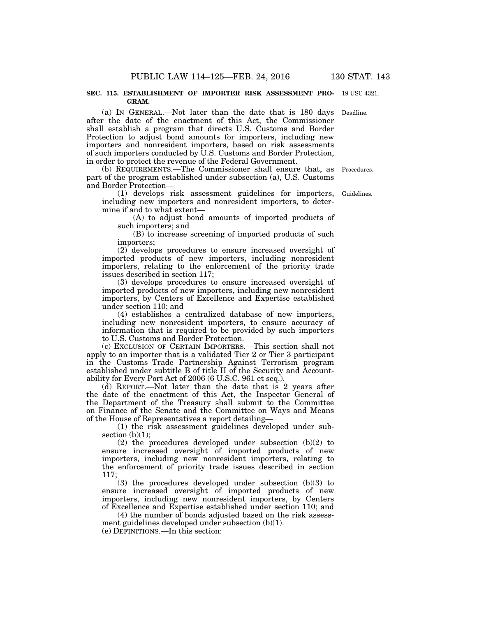### **SEC. 115. ESTABLISHMENT OF IMPORTER RISK ASSESSMENT PRO-**19 USC 4321. **GRAM.**

(a) IN GENERAL.—Not later than the date that is 180 days Deadline. after the date of the enactment of this Act, the Commissioner shall establish a program that directs U.S. Customs and Border Protection to adjust bond amounts for importers, including new importers and nonresident importers, based on risk assessments of such importers conducted by U.S. Customs and Border Protection, in order to protect the revenue of the Federal Government.

(b) REQUIREMENTS.—The Commissioner shall ensure that, as Procedures. part of the program established under subsection (a), U.S. Customs and Border Protection—

(1) develops risk assessment guidelines for importers, including new importers and nonresident importers, to determine if and to what extent—

(A) to adjust bond amounts of imported products of such importers; and

(B) to increase screening of imported products of such importers;

(2) develops procedures to ensure increased oversight of imported products of new importers, including nonresident importers, relating to the enforcement of the priority trade issues described in section 117;

(3) develops procedures to ensure increased oversight of imported products of new importers, including new nonresident importers, by Centers of Excellence and Expertise established under section 110; and

(4) establishes a centralized database of new importers, including new nonresident importers, to ensure accuracy of information that is required to be provided by such importers to U.S. Customs and Border Protection.

(c) EXCLUSION OF CERTAIN IMPORTERS.—This section shall not apply to an importer that is a validated Tier 2 or Tier 3 participant in the Customs–Trade Partnership Against Terrorism program established under subtitle B of title II of the Security and Accountability for Every Port Act of 2006 (6 U.S.C. 961 et seq.).

(d) REPORT.—Not later than the date that is 2 years after the date of the enactment of this Act, the Inspector General of the Department of the Treasury shall submit to the Committee on Finance of the Senate and the Committee on Ways and Means of the House of Representatives a report detailing—

(1) the risk assessment guidelines developed under subsection  $(b)(1)$ ;

(2) the procedures developed under subsection (b)(2) to ensure increased oversight of imported products of new importers, including new nonresident importers, relating to the enforcement of priority trade issues described in section 117;

(3) the procedures developed under subsection (b)(3) to ensure increased oversight of imported products of new importers, including new nonresident importers, by Centers of Excellence and Expertise established under section 110; and

(4) the number of bonds adjusted based on the risk assessment guidelines developed under subsection (b)(1).

(e) DEFINITIONS.—In this section:

Guidelines.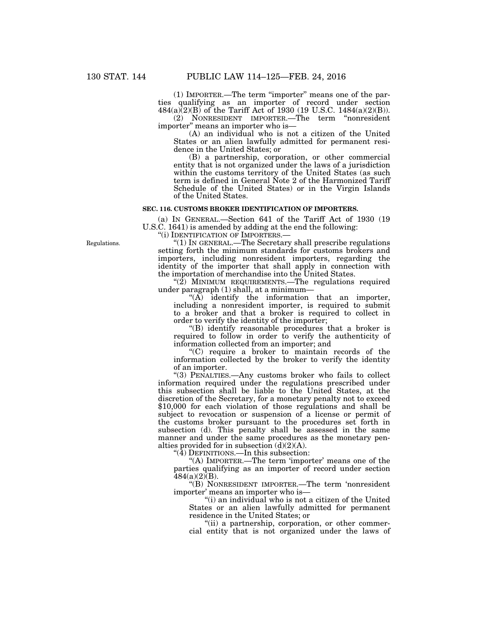(1) IMPORTER.—The term ''importer'' means one of the parties qualifying as an importer of record under section 484(a)(2)(B) of the Tariff Act of 1930 (19 U.S.C. 1484(a)(2)(B)).

(2) NONRESIDENT IMPORTER.—The term ''nonresident importer'' means an importer who is—

(A) an individual who is not a citizen of the United States or an alien lawfully admitted for permanent residence in the United States; or

(B) a partnership, corporation, or other commercial entity that is not organized under the laws of a jurisdiction within the customs territory of the United States (as such term is defined in General Note 2 of the Harmonized Tariff Schedule of the United States) or in the Virgin Islands of the United States.

# **SEC. 116. CUSTOMS BROKER IDENTIFICATION OF IMPORTERS.**

(a) IN GENERAL.—Section 641 of the Tariff Act of 1930 (19 U.S.C. 1641) is amended by adding at the end the following:

"(i) IDENTIFICATION OF IMPORTERS.—

''(1) IN GENERAL.—The Secretary shall prescribe regulations setting forth the minimum standards for customs brokers and importers, including nonresident importers, regarding the identity of the importer that shall apply in connection with the importation of merchandise into the United States.

" $(2)$  MINIMUM REQUIREMENTS.—The regulations required under paragraph (1) shall, at a minimum—

 $\widetilde{A}$  identify the information that an importer, including a nonresident importer, is required to submit to a broker and that a broker is required to collect in order to verify the identity of the importer;

''(B) identify reasonable procedures that a broker is required to follow in order to verify the authenticity of information collected from an importer; and

''(C) require a broker to maintain records of the information collected by the broker to verify the identity of an importer.

"(3) PENALTIES.—Any customs broker who fails to collect information required under the regulations prescribed under this subsection shall be liable to the United States, at the discretion of the Secretary, for a monetary penalty not to exceed \$10,000 for each violation of those regulations and shall be subject to revocation or suspension of a license or permit of the customs broker pursuant to the procedures set forth in subsection (d). This penalty shall be assessed in the same manner and under the same procedures as the monetary penalties provided for in subsection  $(d)(2)(A)$ .

" $(4)$  DEFINITIONS.—In this subsection:

"(A) IMPORTER.—The term 'importer' means one of the parties qualifying as an importer of record under section  $484(a)(2)$  $(B)$ .

''(B) NONRESIDENT IMPORTER.—The term 'nonresident importer' means an importer who is—

"(i) an individual who is not a citizen of the United States or an alien lawfully admitted for permanent residence in the United States; or

"(ii) a partnership, corporation, or other commercial entity that is not organized under the laws of

Regulations.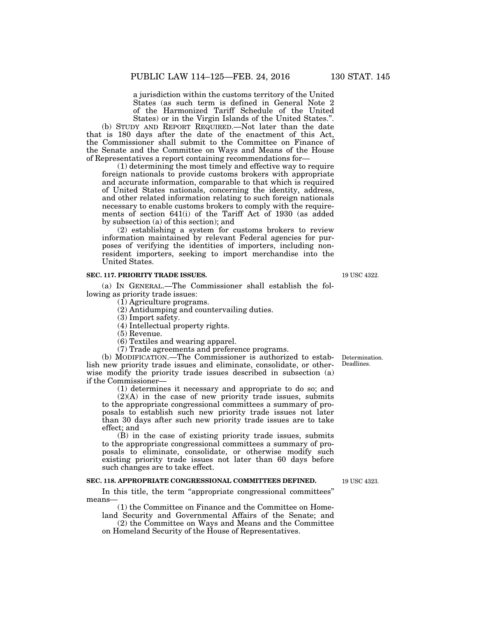a jurisdiction within the customs territory of the United States (as such term is defined in General Note 2 of the Harmonized Tariff Schedule of the United States) or in the Virgin Islands of the United States.''.

(b) STUDY AND REPORT REQUIRED.—Not later than the date that is 180 days after the date of the enactment of this Act, the Commissioner shall submit to the Committee on Finance of the Senate and the Committee on Ways and Means of the House of Representatives a report containing recommendations for—

(1) determining the most timely and effective way to require foreign nationals to provide customs brokers with appropriate and accurate information, comparable to that which is required of United States nationals, concerning the identity, address, and other related information relating to such foreign nationals necessary to enable customs brokers to comply with the requirements of section 641(i) of the Tariff Act of 1930 (as added by subsection (a) of this section); and

(2) establishing a system for customs brokers to review information maintained by relevant Federal agencies for purposes of verifying the identities of importers, including nonresident importers, seeking to import merchandise into the United States.

### **SEC. 117. PRIORITY TRADE ISSUES.**

(a) IN GENERAL.—The Commissioner shall establish the following as priority trade issues:

(1) Agriculture programs.

- (2) Antidumping and countervailing duties.
- (3) Import safety.
- (4) Intellectual property rights.
- (5) Revenue.
- (6) Textiles and wearing apparel.
- (7) Trade agreements and preference programs.

(b) MODIFICATION.—The Commissioner is authorized to establish new priority trade issues and eliminate, consolidate, or otherwise modify the priority trade issues described in subsection (a) if the Commissioner—

(1) determines it necessary and appropriate to do so; and

 $(2)(A)$  in the case of new priority trade issues, submits to the appropriate congressional committees a summary of proposals to establish such new priority trade issues not later than 30 days after such new priority trade issues are to take effect; and

(B) in the case of existing priority trade issues, submits to the appropriate congressional committees a summary of proposals to eliminate, consolidate, or otherwise modify such existing priority trade issues not later than 60 days before such changes are to take effect.

### **SEC. 118. APPROPRIATE CONGRESSIONAL COMMITTEES DEFINED.**

In this title, the term "appropriate congressional committees" means—

(1) the Committee on Finance and the Committee on Homeland Security and Governmental Affairs of the Senate; and

(2) the Committee on Ways and Means and the Committee on Homeland Security of the House of Representatives.

Determination. Deadlines.

19 USC 4323.

19 USC 4322.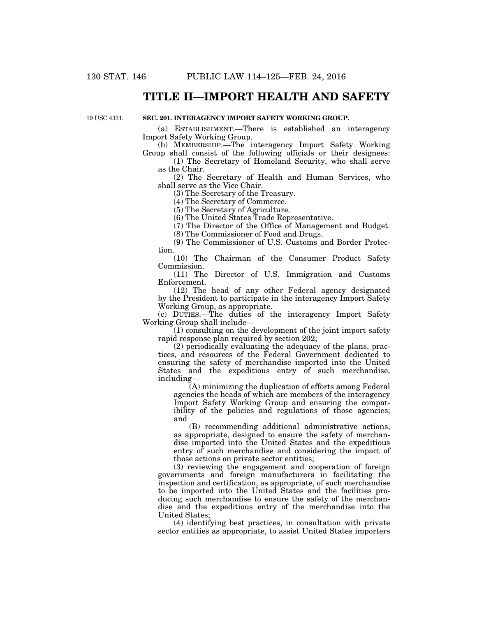# **TITLE II—IMPORT HEALTH AND SAFETY**

19 USC 4331.

# **SEC. 201. INTERAGENCY IMPORT SAFETY WORKING GROUP.**

(a) ESTABLISHMENT.—There is established an interagency Import Safety Working Group.

(b) MEMBERSHIP.—The interagency Import Safety Working Group shall consist of the following officials or their designees:

(1) The Secretary of Homeland Security, who shall serve as the Chair.

(2) The Secretary of Health and Human Services, who shall serve as the Vice Chair.

(3) The Secretary of the Treasury.

(4) The Secretary of Commerce.

(5) The Secretary of Agriculture.

(6) The United States Trade Representative.

(7) The Director of the Office of Management and Budget.

(8) The Commissioner of Food and Drugs.

(9) The Commissioner of U.S. Customs and Border Protection.

(10) The Chairman of the Consumer Product Safety Commission.

(11) The Director of U.S. Immigration and Customs Enforcement.

(12) The head of any other Federal agency designated by the President to participate in the interagency Import Safety Working Group, as appropriate.

(c) DUTIES.—The duties of the interagency Import Safety Working Group shall include—

(1) consulting on the development of the joint import safety rapid response plan required by section 202;

(2) periodically evaluating the adequacy of the plans, practices, and resources of the Federal Government dedicated to ensuring the safety of merchandise imported into the United States and the expeditious entry of such merchandise, including—

(A) minimizing the duplication of efforts among Federal agencies the heads of which are members of the interagency Import Safety Working Group and ensuring the compatibility of the policies and regulations of those agencies; and

(B) recommending additional administrative actions, as appropriate, designed to ensure the safety of merchandise imported into the United States and the expeditious entry of such merchandise and considering the impact of those actions on private sector entities;

(3) reviewing the engagement and cooperation of foreign governments and foreign manufacturers in facilitating the inspection and certification, as appropriate, of such merchandise to be imported into the United States and the facilities producing such merchandise to ensure the safety of the merchandise and the expeditious entry of the merchandise into the United States;

(4) identifying best practices, in consultation with private sector entities as appropriate, to assist United States importers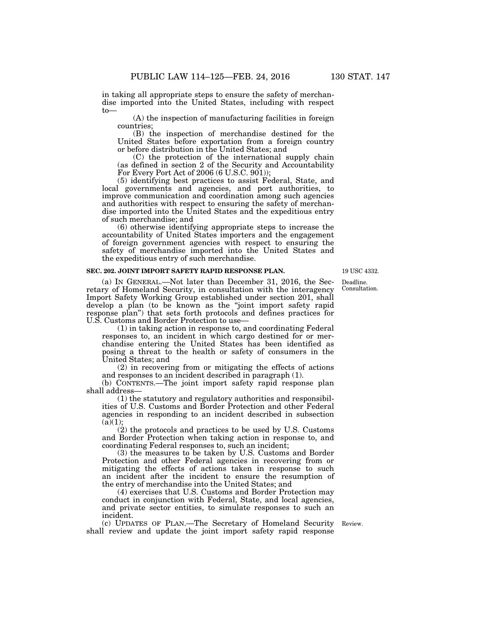in taking all appropriate steps to ensure the safety of merchandise imported into the United States, including with respect to—

(A) the inspection of manufacturing facilities in foreign countries;

(B) the inspection of merchandise destined for the United States before exportation from a foreign country or before distribution in the United States; and

(C) the protection of the international supply chain (as defined in section 2 of the Security and Accountability For Every Port Act of 2006 (6 U.S.C. 901));

(5) identifying best practices to assist Federal, State, and local governments and agencies, and port authorities, to improve communication and coordination among such agencies and authorities with respect to ensuring the safety of merchandise imported into the United States and the expeditious entry of such merchandise; and

(6) otherwise identifying appropriate steps to increase the accountability of United States importers and the engagement of foreign government agencies with respect to ensuring the safety of merchandise imported into the United States and the expeditious entry of such merchandise.

### **SEC. 202. JOINT IMPORT SAFETY RAPID RESPONSE PLAN.**

(a) IN GENERAL.—Not later than December 31, 2016, the Secretary of Homeland Security, in consultation with the interagency Import Safety Working Group established under section 201, shall develop a plan (to be known as the ''joint import safety rapid response plan'') that sets forth protocols and defines practices for U.S. Customs and Border Protection to use—

(1) in taking action in response to, and coordinating Federal responses to, an incident in which cargo destined for or merchandise entering the United States has been identified as posing a threat to the health or safety of consumers in the United States; and

(2) in recovering from or mitigating the effects of actions and responses to an incident described in paragraph (1).

(b) CONTENTS.—The joint import safety rapid response plan shall address—

(1) the statutory and regulatory authorities and responsibilities of U.S. Customs and Border Protection and other Federal agencies in responding to an incident described in subsection  $(a)(1)$ 

(2) the protocols and practices to be used by U.S. Customs and Border Protection when taking action in response to, and coordinating Federal responses to, such an incident;

(3) the measures to be taken by U.S. Customs and Border Protection and other Federal agencies in recovering from or mitigating the effects of actions taken in response to such an incident after the incident to ensure the resumption of the entry of merchandise into the United States; and

(4) exercises that U.S. Customs and Border Protection may conduct in conjunction with Federal, State, and local agencies, and private sector entities, to simulate responses to such an incident.

(c) UPDATES OF PLAN.—The Secretary of Homeland Security Review. shall review and update the joint import safety rapid response

Deadline. Consultation. 19 USC 4332.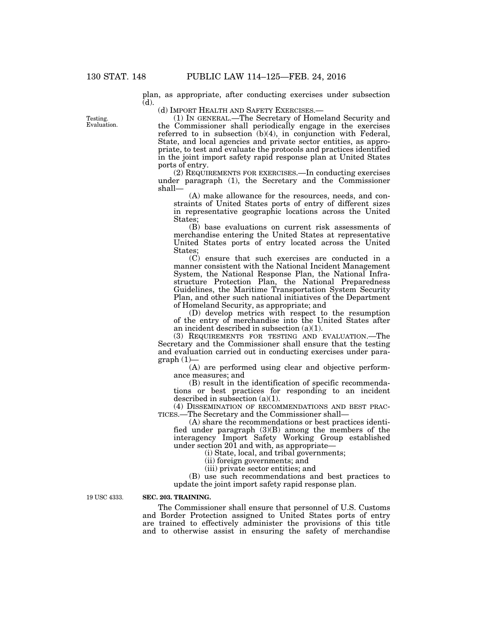plan, as appropriate, after conducting exercises under subsection  $(d).$ 

(d) IMPORT HEALTH AND SAFETY EXERCISES.—

(1) IN GENERAL.—The Secretary of Homeland Security and the Commissioner shall periodically engage in the exercises referred to in subsection (b)(4), in conjunction with Federal, State, and local agencies and private sector entities, as appropriate, to test and evaluate the protocols and practices identified in the joint import safety rapid response plan at United States ports of entry.

(2) REQUIREMENTS FOR EXERCISES.—In conducting exercises under paragraph (1), the Secretary and the Commissioner shall—

(A) make allowance for the resources, needs, and constraints of United States ports of entry of different sizes in representative geographic locations across the United States;

(B) base evaluations on current risk assessments of merchandise entering the United States at representative United States ports of entry located across the United States;

(C) ensure that such exercises are conducted in a manner consistent with the National Incident Management System, the National Response Plan, the National Infrastructure Protection Plan, the National Preparedness Guidelines, the Maritime Transportation System Security Plan, and other such national initiatives of the Department of Homeland Security, as appropriate; and

(D) develop metrics with respect to the resumption of the entry of merchandise into the United States after an incident described in subsection (a)(1).

(3) REQUIREMENTS FOR TESTING AND EVALUATION.—The Secretary and the Commissioner shall ensure that the testing and evaluation carried out in conducting exercises under para $graph(1)$ -

(A) are performed using clear and objective performance measures; and

(B) result in the identification of specific recommendations or best practices for responding to an incident described in subsection (a)(1).

(4) DISSEMINATION OF RECOMMENDATIONS AND BEST PRAC-TICES.—The Secretary and the Commissioner shall—

(A) share the recommendations or best practices identified under paragraph (3)(B) among the members of the interagency Import Safety Working Group established under section 201 and with, as appropriate—

(i) State, local, and tribal governments;

(ii) foreign governments; and

(iii) private sector entities; and

(B) use such recommendations and best practices to update the joint import safety rapid response plan.

19 USC 4333.

### **SEC. 203. TRAINING.**

The Commissioner shall ensure that personnel of U.S. Customs and Border Protection assigned to United States ports of entry are trained to effectively administer the provisions of this title and to otherwise assist in ensuring the safety of merchandise

Testing. Evaluation.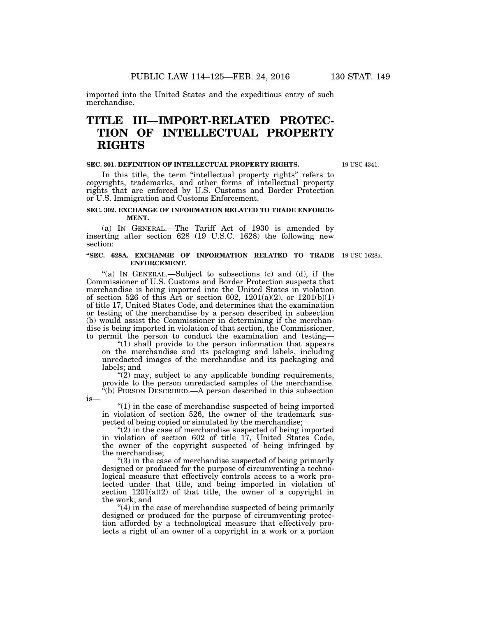imported into the United States and the expeditious entry of such merchandise.

# **TITLE III—IMPORT-RELATED PROTEC-TION OF INTELLECTUAL PROPERTY RIGHTS**

### **SEC. 301. DEFINITION OF INTELLECTUAL PROPERTY RIGHTS.**

19 USC 4341.

In this title, the term ''intellectual property rights'' refers to copyrights, trademarks, and other forms of intellectual property rights that are enforced by U.S. Customs and Border Protection or U.S. Immigration and Customs Enforcement.

# **SEC. 302. EXCHANGE OF INFORMATION RELATED TO TRADE ENFORCE-MENT.**

(a) IN GENERAL.—The Tariff Act of 1930 is amended by inserting after section 628 (19 U.S.C. 1628) the following new section:

### **''SEC. 628A. EXCHANGE OF INFORMATION RELATED TO TRADE**  19 USC 1628a. **ENFORCEMENT.**

''(a) IN GENERAL.—Subject to subsections (c) and (d), if the Commissioner of U.S. Customs and Border Protection suspects that merchandise is being imported into the United States in violation of section 526 of this Act or section 602,  $1201(a)(2)$ , or  $1201(b)(1)$ of title 17, United States Code, and determines that the examination or testing of the merchandise by a person described in subsection (b) would assist the Commissioner in determining if the merchandise is being imported in violation of that section, the Commissioner, to permit the person to conduct the examination and testing—

''(1) shall provide to the person information that appears on the merchandise and its packaging and labels, including unredacted images of the merchandise and its packaging and labels; and

"(2) may, subject to any applicable bonding requirements, provide to the person unredacted samples of the merchandise.  $\mathbf{F}$ (b) PERSON DESCRIBED.—A person described in this subsection

is—

 $(1)$  in the case of merchandise suspected of being imported in violation of section 526, the owner of the trademark suspected of being copied or simulated by the merchandise;

 $(2)$  in the case of merchandise suspected of being imported in violation of section 602 of title 17, United States Code, the owner of the copyright suspected of being infringed by the merchandise;

''(3) in the case of merchandise suspected of being primarily designed or produced for the purpose of circumventing a technological measure that effectively controls access to a work protected under that title, and being imported in violation of section  $1201(a)(2)$  of that title, the owner of a copyright in the work; and

 $(4)$  in the case of merchandise suspected of being primarily designed or produced for the purpose of circumventing protection afforded by a technological measure that effectively protects a right of an owner of a copyright in a work or a portion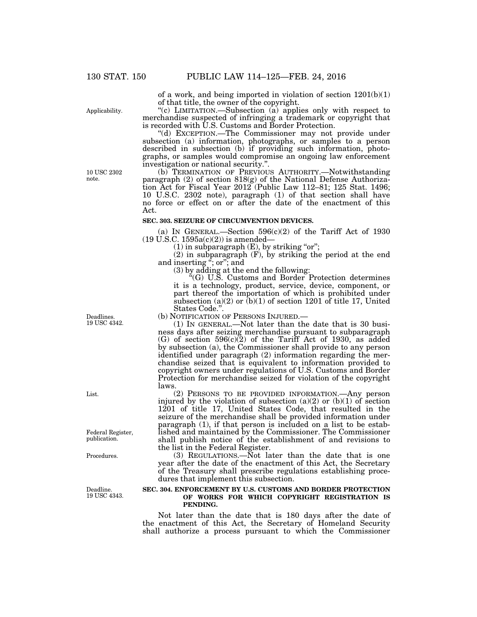of a work, and being imported in violation of section  $1201(b)(1)$ of that title, the owner of the copyright.

''(c) LIMITATION.—Subsection (a) applies only with respect to merchandise suspected of infringing a trademark or copyright that is recorded with U.S. Customs and Border Protection.

''(d) EXCEPTION.—The Commissioner may not provide under subsection (a) information, photographs, or samples to a person described in subsection (b) if providing such information, photographs, or samples would compromise an ongoing law enforcement investigation or national security.''.

(b) TERMINATION OF PREVIOUS AUTHORITY.—Notwithstanding paragraph (2) of section 818(g) of the National Defense Authorization Act for Fiscal Year 2012 (Public Law 112–81; 125 Stat. 1496; 10 U.S.C. 2302 note), paragraph (1) of that section shall have no force or effect on or after the date of the enactment of this Act.

# **SEC. 303. SEIZURE OF CIRCUMVENTION DEVICES.**

(a) IN GENERAL.—Section  $596(c)(2)$  of the Tariff Act of 1930  $(19 \text{ U.S.C. } 1595a(c)(2))$  is amended-

 $(1)$  in subparagraph  $(E)$ , by striking "or";

(2) in subparagraph (F), by striking the period at the end and inserting ''; or''; and

(3) by adding at the end the following:

''(G) U.S. Customs and Border Protection determines it is a technology, product, service, device, component, or part thereof the importation of which is prohibited under subsection (a)(2) or  $(b)(1)$  of section 1201 of title 17, United States Code.".<br>(b) NOTIFICATION OF PERSONS INJURED.-

 $(1)$  In GENERAL.—Not later than the date that is 30 business days after seizing merchandise pursuant to subparagraph (G) of section  $596(c)(2)$  of the Tariff Act of 1930, as added by subsection (a), the Commissioner shall provide to any person identified under paragraph (2) information regarding the merchandise seized that is equivalent to information provided to copyright owners under regulations of U.S. Customs and Border Protection for merchandise seized for violation of the copyright laws.

(2) PERSONS TO BE PROVIDED INFORMATION.—Any person injured by the violation of subsection  $(a)(2)$  or  $(b)(1)$  of section 1201 of title 17, United States Code, that resulted in the seizure of the merchandise shall be provided information under paragraph (1), if that person is included on a list to be established and maintained by the Commissioner. The Commissioner shall publish notice of the establishment of and revisions to the list in the Federal Register.

(3) REGULATIONS.—Not later than the date that is one year after the date of the enactment of this Act, the Secretary of the Treasury shall prescribe regulations establishing procedures that implement this subsection.

## **SEC. 304. ENFORCEMENT BY U.S. CUSTOMS AND BORDER PROTECTION OF WORKS FOR WHICH COPYRIGHT REGISTRATION IS PENDING.**

Not later than the date that is 180 days after the date of the enactment of this Act, the Secretary of Homeland Security shall authorize a process pursuant to which the Commissioner

10 USC 2302 note.

Applicability.

Deadlines. 19 USC 4342.

List.

Federal Register, publication.

Procedures.

Deadline. 19 USC 4343.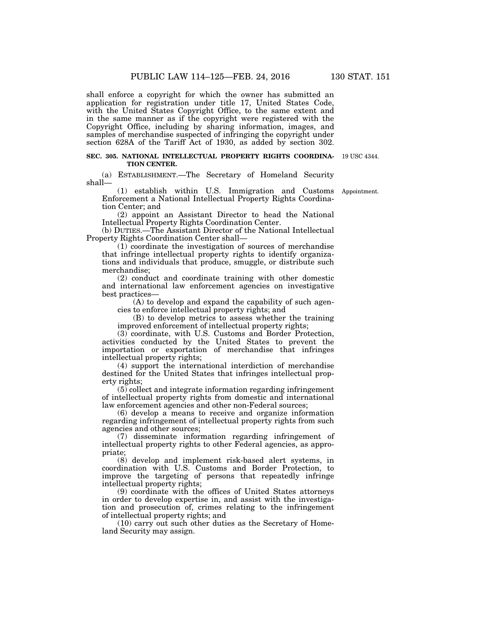shall enforce a copyright for which the owner has submitted an application for registration under title 17, United States Code, with the United States Copyright Office, to the same extent and in the same manner as if the copyright were registered with the Copyright Office, including by sharing information, images, and samples of merchandise suspected of infringing the copyright under section 628A of the Tariff Act of 1930, as added by section 302.

### **SEC. 305. NATIONAL INTELLECTUAL PROPERTY RIGHTS COORDINA-**19 USC 4344. **TION CENTER.**

(a) ESTABLISHMENT.—The Secretary of Homeland Security shall—

(1) establish within U.S. Immigration and Customs Appointment. Enforcement a National Intellectual Property Rights Coordination Center; and

(2) appoint an Assistant Director to head the National Intellectual Property Rights Coordination Center.

(b) DUTIES.—The Assistant Director of the National Intellectual Property Rights Coordination Center shall—

(1) coordinate the investigation of sources of merchandise that infringe intellectual property rights to identify organizations and individuals that produce, smuggle, or distribute such merchandise;

(2) conduct and coordinate training with other domestic and international law enforcement agencies on investigative best practices—

(A) to develop and expand the capability of such agencies to enforce intellectual property rights; and

(B) to develop metrics to assess whether the training improved enforcement of intellectual property rights;

(3) coordinate, with U.S. Customs and Border Protection, activities conducted by the United States to prevent the importation or exportation of merchandise that infringes intellectual property rights;

(4) support the international interdiction of merchandise destined for the United States that infringes intellectual property rights;

(5) collect and integrate information regarding infringement of intellectual property rights from domestic and international law enforcement agencies and other non-Federal sources;

(6) develop a means to receive and organize information regarding infringement of intellectual property rights from such agencies and other sources;

(7) disseminate information regarding infringement of intellectual property rights to other Federal agencies, as appropriate;

(8) develop and implement risk-based alert systems, in coordination with U.S. Customs and Border Protection, to improve the targeting of persons that repeatedly infringe intellectual property rights;

(9) coordinate with the offices of United States attorneys in order to develop expertise in, and assist with the investigation and prosecution of, crimes relating to the infringement of intellectual property rights; and

(10) carry out such other duties as the Secretary of Homeland Security may assign.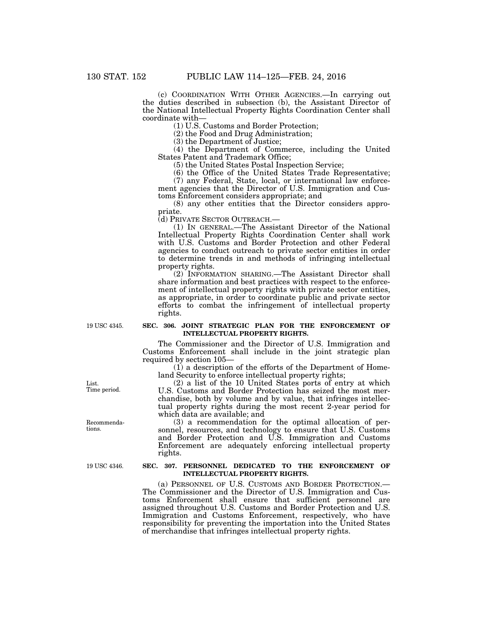(c) COORDINATION WITH OTHER AGENCIES.—In carrying out the duties described in subsection (b), the Assistant Director of the National Intellectual Property Rights Coordination Center shall coordinate with—

(1) U.S. Customs and Border Protection;

(2) the Food and Drug Administration;

(3) the Department of Justice;

(4) the Department of Commerce, including the United States Patent and Trademark Office;

(5) the United States Postal Inspection Service;

(6) the Office of the United States Trade Representative;

(7) any Federal, State, local, or international law enforcement agencies that the Director of U.S. Immigration and Customs Enforcement considers appropriate; and

(8) any other entities that the Director considers appropriate.

(d) PRIVATE SECTOR OUTREACH.—

(1) IN GENERAL.—The Assistant Director of the National Intellectual Property Rights Coordination Center shall work with U.S. Customs and Border Protection and other Federal agencies to conduct outreach to private sector entities in order to determine trends in and methods of infringing intellectual property rights.

(2) INFORMATION SHARING.—The Assistant Director shall share information and best practices with respect to the enforcement of intellectual property rights with private sector entities, as appropriate, in order to coordinate public and private sector efforts to combat the infringement of intellectual property rights.

19 USC 4345.

# **SEC. 306. JOINT STRATEGIC PLAN FOR THE ENFORCEMENT OF INTELLECTUAL PROPERTY RIGHTS.**

The Commissioner and the Director of U.S. Immigration and Customs Enforcement shall include in the joint strategic plan required by section 105—

(1) a description of the efforts of the Department of Homeland Security to enforce intellectual property rights;

(2) a list of the 10 United States ports of entry at which U.S. Customs and Border Protection has seized the most merchandise, both by volume and by value, that infringes intellectual property rights during the most recent 2-year period for which data are available; and

(3) a recommendation for the optimal allocation of personnel, resources, and technology to ensure that U.S. Customs and Border Protection and U.S. Immigration and Customs Enforcement are adequately enforcing intellectual property rights.

### **SEC. 307. PERSONNEL DEDICATED TO THE ENFORCEMENT OF INTELLECTUAL PROPERTY RIGHTS.**

(a) PERSONNEL OF U.S. CUSTOMS AND BORDER PROTECTION.— The Commissioner and the Director of U.S. Immigration and Customs Enforcement shall ensure that sufficient personnel are assigned throughout U.S. Customs and Border Protection and U.S. Immigration and Customs Enforcement, respectively, who have responsibility for preventing the importation into the United States of merchandise that infringes intellectual property rights.

List. Time period.

Recommendations.

19 USC 4346.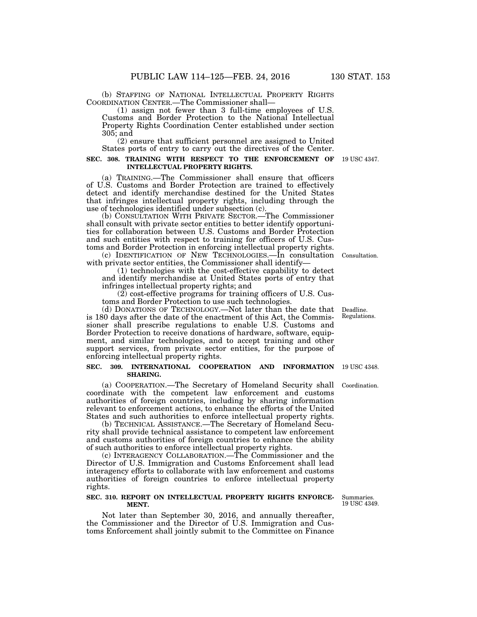(b) STAFFING OF NATIONAL INTELLECTUAL PROPERTY RIGHTS COORDINATION CENTER.—The Commissioner shall—

(1) assign not fewer than 3 full-time employees of U.S. Customs and Border Protection to the National Intellectual Property Rights Coordination Center established under section 305; and

(2) ensure that sufficient personnel are assigned to United States ports of entry to carry out the directives of the Center.

### **SEC. 308. TRAINING WITH RESPECT TO THE ENFORCEMENT OF**  19 USC 4347. **INTELLECTUAL PROPERTY RIGHTS.**

(a) TRAINING.—The Commissioner shall ensure that officers of U.S. Customs and Border Protection are trained to effectively detect and identify merchandise destined for the United States that infringes intellectual property rights, including through the use of technologies identified under subsection (c).

(b) CONSULTATION WITH PRIVATE SECTOR.—The Commissioner shall consult with private sector entities to better identify opportunities for collaboration between U.S. Customs and Border Protection and such entities with respect to training for officers of U.S. Customs and Border Protection in enforcing intellectual property rights.

(c) IDENTIFICATION OF NEW TECHNOLOGIES.—In consultation with private sector entities, the Commissioner shall identify—

(1) technologies with the cost-effective capability to detect and identify merchandise at United States ports of entry that infringes intellectual property rights; and

 $(2)$  cost-effective programs for training officers of U.S. Customs and Border Protection to use such technologies.

(d) DONATIONS OF TECHNOLOGY.—Not later than the date that is 180 days after the date of the enactment of this Act, the Commissioner shall prescribe regulations to enable U.S. Customs and Border Protection to receive donations of hardware, software, equipment, and similar technologies, and to accept training and other support services, from private sector entities, for the purpose of enforcing intellectual property rights.

#### **SEC. 309. INTERNATIONAL COOPERATION AND INFORMATION**  19 USC 4348. **SHARING.**

(a) COOPERATION.—The Secretary of Homeland Security shall coordinate with the competent law enforcement and customs authorities of foreign countries, including by sharing information relevant to enforcement actions, to enhance the efforts of the United States and such authorities to enforce intellectual property rights.

(b) TECHNICAL ASSISTANCE.—The Secretary of Homeland Security shall provide technical assistance to competent law enforcement and customs authorities of foreign countries to enhance the ability of such authorities to enforce intellectual property rights.

(c) INTERAGENCY COLLABORATION.—The Commissioner and the Director of U.S. Immigration and Customs Enforcement shall lead interagency efforts to collaborate with law enforcement and customs authorities of foreign countries to enforce intellectual property rights.

### **SEC. 310. REPORT ON INTELLECTUAL PROPERTY RIGHTS ENFORCE-MENT.**

Not later than September 30, 2016, and annually thereafter, the Commissioner and the Director of U.S. Immigration and Customs Enforcement shall jointly submit to the Committee on Finance

Summaries. 19 USC 4349.

Coordination.

Consultation.

Deadline. Regulations.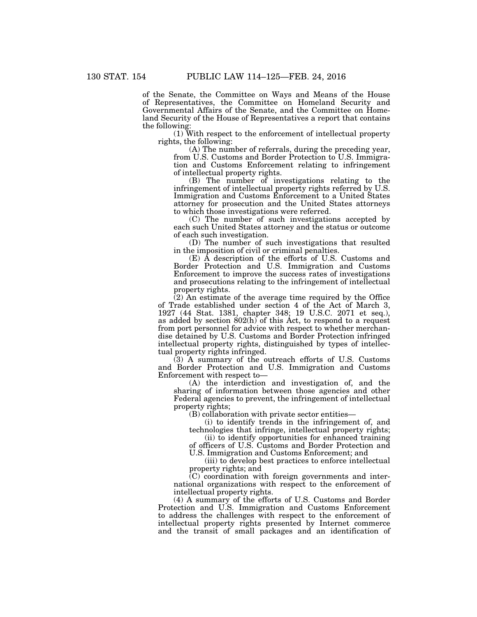of the Senate, the Committee on Ways and Means of the House of Representatives, the Committee on Homeland Security and Governmental Affairs of the Senate, and the Committee on Homeland Security of the House of Representatives a report that contains the following:

(1) With respect to the enforcement of intellectual property rights, the following:

(A) The number of referrals, during the preceding year, from U.S. Customs and Border Protection to U.S. Immigration and Customs Enforcement relating to infringement of intellectual property rights.

(B) The number of investigations relating to the infringement of intellectual property rights referred by U.S. Immigration and Customs Enforcement to a United States attorney for prosecution and the United States attorneys to which those investigations were referred.

(C) The number of such investigations accepted by each such United States attorney and the status or outcome of each such investigation.

(D) The number of such investigations that resulted in the imposition of civil or criminal penalties.

(E) A description of the efforts of U.S. Customs and Border Protection and U.S. Immigration and Customs Enforcement to improve the success rates of investigations and prosecutions relating to the infringement of intellectual property rights.

(2) An estimate of the average time required by the Office of Trade established under section 4 of the Act of March 3, 1927 (44 Stat. 1381, chapter 348; 19 U.S.C. 2071 et seq.), as added by section  $802(h)$  of this Act, to respond to a request from port personnel for advice with respect to whether merchandise detained by U.S. Customs and Border Protection infringed intellectual property rights, distinguished by types of intellectual property rights infringed.

(3) A summary of the outreach efforts of U.S. Customs and Border Protection and U.S. Immigration and Customs Enforcement with respect to—

(A) the interdiction and investigation of, and the sharing of information between those agencies and other Federal agencies to prevent, the infringement of intellectual property rights;

(B) collaboration with private sector entities—

(i) to identify trends in the infringement of, and technologies that infringe, intellectual property rights;

(ii) to identify opportunities for enhanced training of officers of U.S. Customs and Border Protection and

U.S. Immigration and Customs Enforcement; and

(iii) to develop best practices to enforce intellectual property rights; and

 $(C)$  coordination with foreign governments and international organizations with respect to the enforcement of intellectual property rights.

(4) A summary of the efforts of U.S. Customs and Border Protection and U.S. Immigration and Customs Enforcement to address the challenges with respect to the enforcement of intellectual property rights presented by Internet commerce and the transit of small packages and an identification of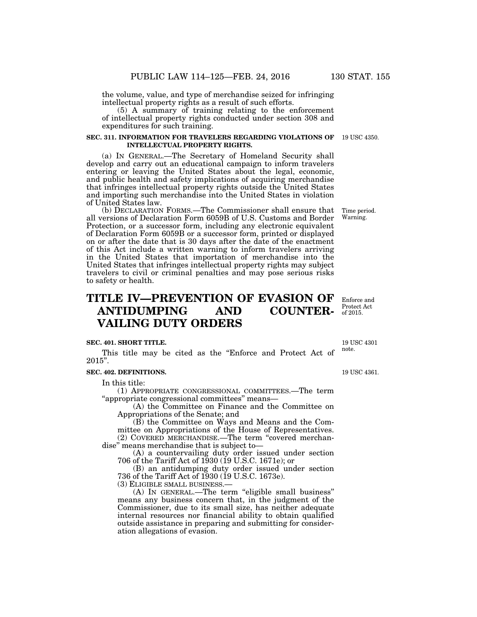the volume, value, and type of merchandise seized for infringing intellectual property rights as a result of such efforts.

(5) A summary of training relating to the enforcement of intellectual property rights conducted under section 308 and expenditures for such training.

### **SEC. 311. INFORMATION FOR TRAVELERS REGARDING VIOLATIONS OF**  19 USC 4350. **INTELLECTUAL PROPERTY RIGHTS.**

(a) IN GENERAL.—The Secretary of Homeland Security shall develop and carry out an educational campaign to inform travelers entering or leaving the United States about the legal, economic, and public health and safety implications of acquiring merchandise that infringes intellectual property rights outside the United States and importing such merchandise into the United States in violation of United States law.

(b) DECLARATION FORMS.—The Commissioner shall ensure that all versions of Declaration Form 6059B of U.S. Customs and Border Protection, or a successor form, including any electronic equivalent of Declaration Form 6059B or a successor form, printed or displayed on or after the date that is 30 days after the date of the enactment of this Act include a written warning to inform travelers arriving in the United States that importation of merchandise into the United States that infringes intellectual property rights may subject travelers to civil or criminal penalties and may pose serious risks to safety or health.

# **TITLE IV—PREVENTION OF EVASION OF ANTIDUMPING AND COUNTER-VAILING DUTY ORDERS**

# **SEC. 401. SHORT TITLE.**

This title may be cited as the "Enforce and Protect Act of 2015''.

# **SEC. 402. DEFINITIONS.**

In this title:

(1) APPROPRIATE CONGRESSIONAL COMMITTEES.—The term ''appropriate congressional committees'' means—

(A) the Committee on Finance and the Committee on Appropriations of the Senate; and

(B) the Committee on Ways and Means and the Committee on Appropriations of the House of Representatives. (2) COVERED MERCHANDISE.—The term ''covered merchan-

dise'' means merchandise that is subject to—

(A) a countervailing duty order issued under section 706 of the Tariff Act of 1930 (19 U.S.C. 1671e); or

(B) an antidumping duty order issued under section 736 of the Tariff Act of 1930 (19 U.S.C. 1673e).

(3) ELIGIBLE SMALL BUSINESS.— (A) IN GENERAL.—The term ''eligible small business'' means any business concern that, in the judgment of the Commissioner, due to its small size, has neither adequate internal resources nor financial ability to obtain qualified outside assistance in preparing and submitting for consideration allegations of evasion.

19 USC 4301

Enforce and Protect Act of 2015.

note.

19 USC 4361.

Time period.

Warning.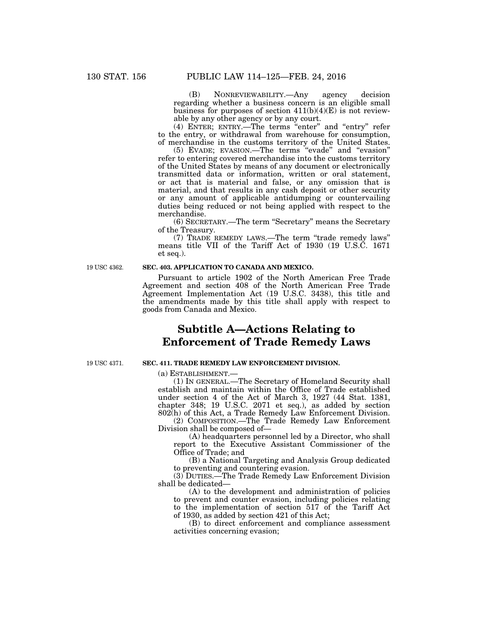(B) NONREVIEWABILITY.—Any agency decision regarding whether a business concern is an eligible small business for purposes of section  $411(b)(4)(E)$  is not reviewable by any other agency or by any court.

(4) ENTER; ENTRY.—The terms ''enter'' and ''entry'' refer to the entry, or withdrawal from warehouse for consumption, of merchandise in the customs territory of the United States.

(5) EVADE; EVASION.—The terms ''evade'' and ''evasion'' refer to entering covered merchandise into the customs territory of the United States by means of any document or electronically transmitted data or information, written or oral statement, or act that is material and false, or any omission that is material, and that results in any cash deposit or other security or any amount of applicable antidumping or countervailing duties being reduced or not being applied with respect to the merchandise.

(6) SECRETARY.—The term ''Secretary'' means the Secretary of the Treasury.

(7) TRADE REMEDY LAWS.—The term ''trade remedy laws'' means title VII of the Tariff Act of 1930 (19 U.S.C. 1671 et seq.).

19 USC 4362.

### **SEC. 403. APPLICATION TO CANADA AND MEXICO.**

Pursuant to article 1902 of the North American Free Trade Agreement and section 408 of the North American Free Trade Agreement Implementation Act (19 U.S.C. 3438), this title and the amendments made by this title shall apply with respect to goods from Canada and Mexico.

# **Subtitle A—Actions Relating to Enforcement of Trade Remedy Laws**

19 USC 4371.

# **SEC. 411. TRADE REMEDY LAW ENFORCEMENT DIVISION.**

(a) ESTABLISHMENT.—

(1) IN GENERAL.—The Secretary of Homeland Security shall establish and maintain within the Office of Trade established under section 4 of the Act of March 3, 1927 (44 Stat. 1381, chapter 348; 19 U.S.C. 2071 et seq.), as added by section 802(h) of this Act, a Trade Remedy Law Enforcement Division.

(2) COMPOSITION.—The Trade Remedy Law Enforcement Division shall be composed of—

(A) headquarters personnel led by a Director, who shall report to the Executive Assistant Commissioner of the Office of Trade; and

(B) a National Targeting and Analysis Group dedicated to preventing and countering evasion.

(3) DUTIES.—The Trade Remedy Law Enforcement Division shall be dedicated—

(A) to the development and administration of policies to prevent and counter evasion, including policies relating to the implementation of section 517 of the Tariff Act of 1930, as added by section 421 of this Act;

(B) to direct enforcement and compliance assessment activities concerning evasion;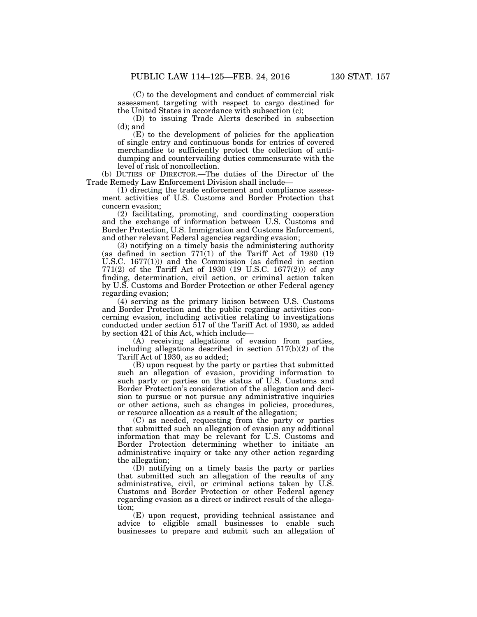(C) to the development and conduct of commercial risk assessment targeting with respect to cargo destined for the United States in accordance with subsection (c);

(D) to issuing Trade Alerts described in subsection (d); and

(E) to the development of policies for the application of single entry and continuous bonds for entries of covered merchandise to sufficiently protect the collection of antidumping and countervailing duties commensurate with the level of risk of noncollection.

(b) DUTIES OF DIRECTOR.—The duties of the Director of the Trade Remedy Law Enforcement Division shall include—

(1) directing the trade enforcement and compliance assessment activities of U.S. Customs and Border Protection that concern evasion;

(2) facilitating, promoting, and coordinating cooperation and the exchange of information between U.S. Customs and Border Protection, U.S. Immigration and Customs Enforcement, and other relevant Federal agencies regarding evasion;

(3) notifying on a timely basis the administering authority (as defined in section  $771(1)$  of the Tariff Act of 1930 (19) U.S.C. 1677(1))) and the Commission (as defined in section 771(2) of the Tariff Act of 1930 (19 U.S.C. 1677(2))) of any finding, determination, civil action, or criminal action taken by U.S. Customs and Border Protection or other Federal agency regarding evasion;

(4) serving as the primary liaison between U.S. Customs and Border Protection and the public regarding activities concerning evasion, including activities relating to investigations conducted under section 517 of the Tariff Act of 1930, as added by section 421 of this Act, which include—

(A) receiving allegations of evasion from parties, including allegations described in section  $517(b)(2)$  of the Tariff Act of 1930, as so added;

(B) upon request by the party or parties that submitted such an allegation of evasion, providing information to such party or parties on the status of U.S. Customs and Border Protection's consideration of the allegation and decision to pursue or not pursue any administrative inquiries or other actions, such as changes in policies, procedures, or resource allocation as a result of the allegation;

(C) as needed, requesting from the party or parties that submitted such an allegation of evasion any additional information that may be relevant for U.S. Customs and Border Protection determining whether to initiate an administrative inquiry or take any other action regarding the allegation;

(D) notifying on a timely basis the party or parties that submitted such an allegation of the results of any administrative, civil, or criminal actions taken by U.S. Customs and Border Protection or other Federal agency regarding evasion as a direct or indirect result of the allegation;

(E) upon request, providing technical assistance and advice to eligible small businesses to enable such businesses to prepare and submit such an allegation of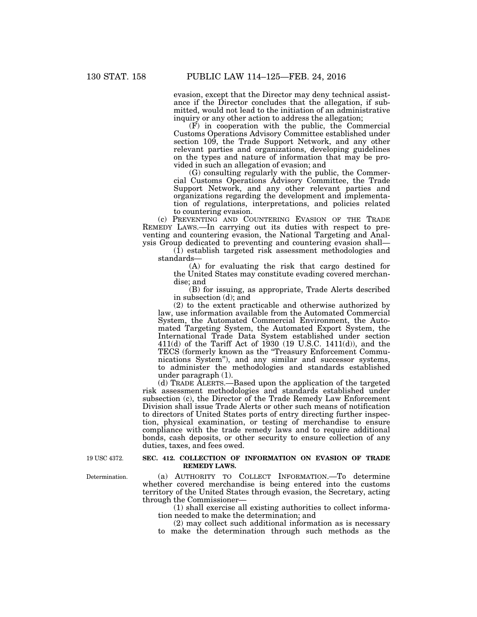evasion, except that the Director may deny technical assistance if the Director concludes that the allegation, if submitted, would not lead to the initiation of an administrative inquiry or any other action to address the allegation;

(F) in cooperation with the public, the Commercial Customs Operations Advisory Committee established under section 109, the Trade Support Network, and any other relevant parties and organizations, developing guidelines on the types and nature of information that may be provided in such an allegation of evasion; and

(G) consulting regularly with the public, the Commercial Customs Operations Advisory Committee, the Trade Support Network, and any other relevant parties and organizations regarding the development and implementation of regulations, interpretations, and policies related to countering evasion.

(c) PREVENTING AND COUNTERING EVASION OF THE TRADE REMEDY LAWS.—In carrying out its duties with respect to preventing and countering evasion, the National Targeting and Analysis Group dedicated to preventing and countering evasion shall—

(1) establish targeted risk assessment methodologies and standards—

(A) for evaluating the risk that cargo destined for the United States may constitute evading covered merchandise; and

(B) for issuing, as appropriate, Trade Alerts described in subsection (d); and

(2) to the extent practicable and otherwise authorized by law, use information available from the Automated Commercial System, the Automated Commercial Environment, the Automated Targeting System, the Automated Export System, the International Trade Data System established under section 411(d) of the Tariff Act of 1930 (19 U.S.C. 1411(d)), and the TECS (formerly known as the "Treasury Enforcement Communications System''), and any similar and successor systems, to administer the methodologies and standards established under paragraph (1).

(d) TRADE ALERTS.—Based upon the application of the targeted risk assessment methodologies and standards established under subsection (c), the Director of the Trade Remedy Law Enforcement Division shall issue Trade Alerts or other such means of notification to directors of United States ports of entry directing further inspection, physical examination, or testing of merchandise to ensure compliance with the trade remedy laws and to require additional bonds, cash deposits, or other security to ensure collection of any duties, taxes, and fees owed.

19 USC 4372.

## **SEC. 412. COLLECTION OF INFORMATION ON EVASION OF TRADE REMEDY LAWS.**

(a) AUTHORITY TO COLLECT INFORMATION.—To determine whether covered merchandise is being entered into the customs territory of the United States through evasion, the Secretary, acting through the Commissioner—

(1) shall exercise all existing authorities to collect information needed to make the determination; and

(2) may collect such additional information as is necessary to make the determination through such methods as the

Determination.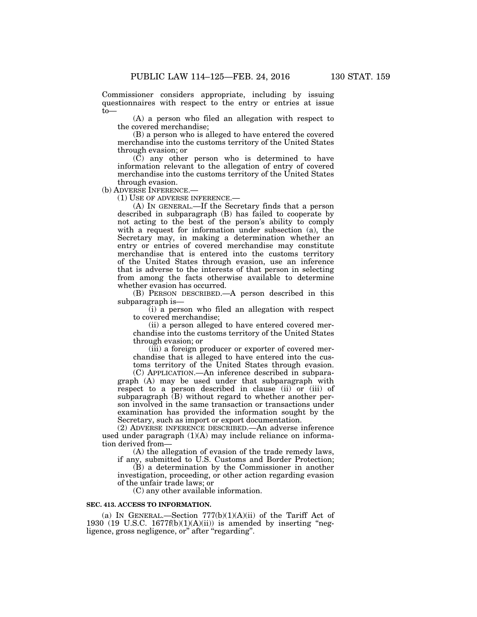Commissioner considers appropriate, including by issuing

questionnaires with respect to the entry or entries at issue to—

(A) a person who filed an allegation with respect to the covered merchandise;

(B) a person who is alleged to have entered the covered merchandise into the customs territory of the United States through evasion; or

 $(\tilde{C})$  any other person who is determined to have information relevant to the allegation of entry of covered merchandise into the customs territory of the United States through evasion.

(b) ADVERSE INFERENCE.—

(1) USE OF ADVERSE INFERENCE.—

(A) IN GENERAL.—If the Secretary finds that a person described in subparagraph (B) has failed to cooperate by not acting to the best of the person's ability to comply with a request for information under subsection (a), the Secretary may, in making a determination whether an entry or entries of covered merchandise may constitute merchandise that is entered into the customs territory of the United States through evasion, use an inference that is adverse to the interests of that person in selecting from among the facts otherwise available to determine whether evasion has occurred.

(B) PERSON DESCRIBED.—A person described in this subparagraph is—

(i) a person who filed an allegation with respect to covered merchandise;

(ii) a person alleged to have entered covered merchandise into the customs territory of the United States through evasion; or

(iii) a foreign producer or exporter of covered merchandise that is alleged to have entered into the customs territory of the United States through evasion.

(C) APPLICATION.—An inference described in subparagraph (A) may be used under that subparagraph with respect to a person described in clause (ii) or (iii) of subparagraph  $(B)$  without regard to whether another person involved in the same transaction or transactions under examination has provided the information sought by the Secretary, such as import or export documentation.

(2) ADVERSE INFERENCE DESCRIBED.—An adverse inference used under paragraph (1)(A) may include reliance on information derived from—

(A) the allegation of evasion of the trade remedy laws, if any, submitted to U.S. Customs and Border Protection;

 $(B)$  a determination by the Commissioner in another investigation, proceeding, or other action regarding evasion

of the unfair trade laws; or

(C) any other available information.

## **SEC. 413. ACCESS TO INFORMATION.**

(a) IN GENERAL.—Section  $777(b)(1)(A)(ii)$  of the Tariff Act of 1930 (19 U.S.C. 1677 $f(b)(1)(A)(ii)$ ) is amended by inserting "negligence, gross negligence, or'' after ''regarding''.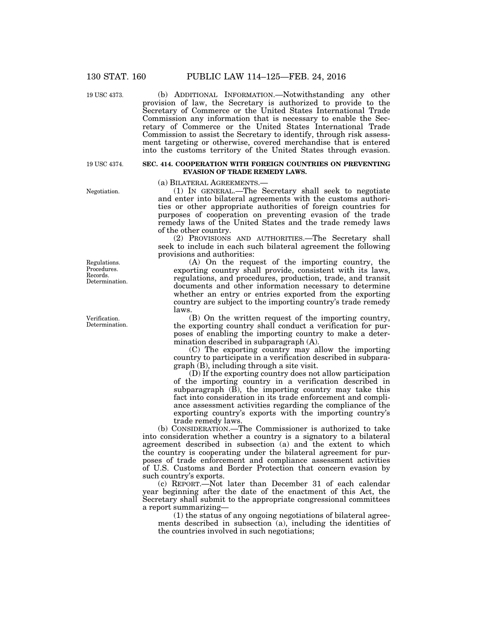19 USC 4373.

(b) ADDITIONAL INFORMATION.—Notwithstanding any other provision of law, the Secretary is authorized to provide to the Secretary of Commerce or the United States International Trade Commission any information that is necessary to enable the Secretary of Commerce or the United States International Trade Commission to assist the Secretary to identify, through risk assessment targeting or otherwise, covered merchandise that is entered into the customs territory of the United States through evasion.

19 USC 4374.

## **SEC. 414. COOPERATION WITH FOREIGN COUNTRIES ON PREVENTING EVASION OF TRADE REMEDY LAWS.**

Negotiation.

Regulations. Procedures. Records. Determination.

Verification. Determination. (a) BILATERAL AGREEMENTS.—

(1) IN GENERAL.—The Secretary shall seek to negotiate and enter into bilateral agreements with the customs authorities or other appropriate authorities of foreign countries for purposes of cooperation on preventing evasion of the trade remedy laws of the United States and the trade remedy laws of the other country.

(2) PROVISIONS AND AUTHORITIES.—The Secretary shall seek to include in each such bilateral agreement the following provisions and authorities:

(A) On the request of the importing country, the exporting country shall provide, consistent with its laws, regulations, and procedures, production, trade, and transit documents and other information necessary to determine whether an entry or entries exported from the exporting country are subject to the importing country's trade remedy laws.

(B) On the written request of the importing country, the exporting country shall conduct a verification for purposes of enabling the importing country to make a determination described in subparagraph (A).

(C) The exporting country may allow the importing country to participate in a verification described in subparagraph (B), including through a site visit.

(D) If the exporting country does not allow participation of the importing country in a verification described in subparagraph (B), the importing country may take this fact into consideration in its trade enforcement and compliance assessment activities regarding the compliance of the exporting country's exports with the importing country's trade remedy laws.

(b) CONSIDERATION.—The Commissioner is authorized to take into consideration whether a country is a signatory to a bilateral agreement described in subsection (a) and the extent to which the country is cooperating under the bilateral agreement for purposes of trade enforcement and compliance assessment activities of U.S. Customs and Border Protection that concern evasion by such country's exports.

(c) REPORT.—Not later than December 31 of each calendar year beginning after the date of the enactment of this Act, the Secretary shall submit to the appropriate congressional committees a report summarizing—

(1) the status of any ongoing negotiations of bilateral agreements described in subsection (a), including the identities of the countries involved in such negotiations;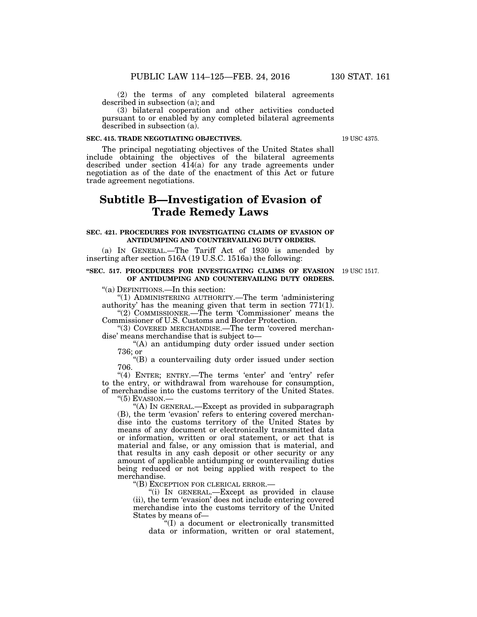(2) the terms of any completed bilateral agreements described in subsection (a); and

(3) bilateral cooperation and other activities conducted pursuant to or enabled by any completed bilateral agreements described in subsection (a).

### **SEC. 415. TRADE NEGOTIATING OBJECTIVES.**

trade agreement negotiations.

The principal negotiating objectives of the United States shall include obtaining the objectives of the bilateral agreements described under section 414(a) for any trade agreements under negotiation as of the date of the enactment of this Act or future

## **Subtitle B—Investigation of Evasion of Trade Remedy Laws**

## **SEC. 421. PROCEDURES FOR INVESTIGATING CLAIMS OF EVASION OF ANTIDUMPING AND COUNTERVAILING DUTY ORDERS.**

(a) IN GENERAL.—The Tariff Act of 1930 is amended by inserting after section 516A (19 U.S.C. 1516a) the following:

#### **''SEC. 517. PROCEDURES FOR INVESTIGATING CLAIMS OF EVASION**  19 USC 1517. **OF ANTIDUMPING AND COUNTERVAILING DUTY ORDERS.**

''(a) DEFINITIONS.—In this section:

''(1) ADMINISTERING AUTHORITY.—The term 'administering authority' has the meaning given that term in section 771(1). "(2) COMMISSIONER.—The term 'Commissioner' means the

Commissioner of U.S. Customs and Border Protection. ''(3) COVERED MERCHANDISE.—The term 'covered merchan-

dise' means merchandise that is subject to—

"(A) an antidumping duty order issued under section 736; or

''(B) a countervailing duty order issued under section 706.

"(4) ENTER; ENTRY.—The terms 'enter' and 'entry' refer to the entry, or withdrawal from warehouse for consumption, of merchandise into the customs territory of the United States.

" $(5)$  EVASION. $-$ 

''(A) IN GENERAL.—Except as provided in subparagraph (B), the term 'evasion' refers to entering covered merchandise into the customs territory of the United States by means of any document or electronically transmitted data or information, written or oral statement, or act that is material and false, or any omission that is material, and that results in any cash deposit or other security or any amount of applicable antidumping or countervailing duties being reduced or not being applied with respect to the merchandise.

''(B) EXCEPTION FOR CLERICAL ERROR.—

''(i) IN GENERAL.—Except as provided in clause (ii), the term 'evasion' does not include entering covered merchandise into the customs territory of the United States by means of—

''(I) a document or electronically transmitted data or information, written or oral statement,

19 USC 4375.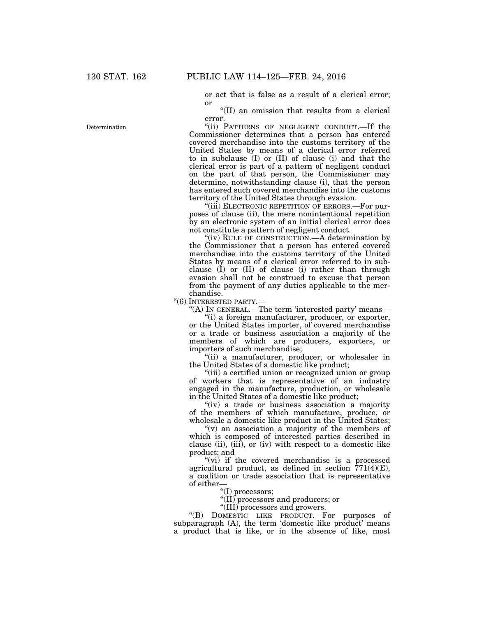or act that is false as a result of a clerical error; or

''(II) an omission that results from a clerical error.

"(ii) PATTERNS OF NEGLIGENT CONDUCT.—If the Commissioner determines that a person has entered covered merchandise into the customs territory of the United States by means of a clerical error referred to in subclause (I) or (II) of clause (i) and that the clerical error is part of a pattern of negligent conduct on the part of that person, the Commissioner may determine, notwithstanding clause (i), that the person has entered such covered merchandise into the customs territory of the United States through evasion.

"(iii) ELECTRONIC REPETITION OF ERRORS.—For purposes of clause (ii), the mere nonintentional repetition by an electronic system of an initial clerical error does not constitute a pattern of negligent conduct.

''(iv) RULE OF CONSTRUCTION.—A determination by the Commissioner that a person has entered covered merchandise into the customs territory of the United States by means of a clerical error referred to in subclause  $(I)$  or  $(II)$  of clause  $(i)$  rather than through evasion shall not be construed to excuse that person from the payment of any duties applicable to the merchandise.

''(6) INTERESTED PARTY.—

"(A) IN GENERAL.—The term 'interested party' means—

''(i) a foreign manufacturer, producer, or exporter, or the United States importer, of covered merchandise or a trade or business association a majority of the members of which are producers, exporters, or importers of such merchandise;

''(ii) a manufacturer, producer, or wholesaler in the United States of a domestic like product;

"(iii) a certified union or recognized union or group of workers that is representative of an industry engaged in the manufacture, production, or wholesale in the United States of a domestic like product;

"(iv) a trade or business association a majority" of the members of which manufacture, produce, or wholesale a domestic like product in the United States;

" $(v)$  an association a majority of the members of which is composed of interested parties described in clause (ii), (iii), or (iv) with respect to a domestic like product; and

"(vi) if the covered merchandise is a processed agricultural product, as defined in section  $771(4)(E)$ , a coalition or trade association that is representative of either—

''(I) processors;

''(II) processors and producers; or

''(III) processors and growers.

''(B) DOMESTIC LIKE PRODUCT.—For purposes of subparagraph (A), the term 'domestic like product' means a product that is like, or in the absence of like, most

Determination.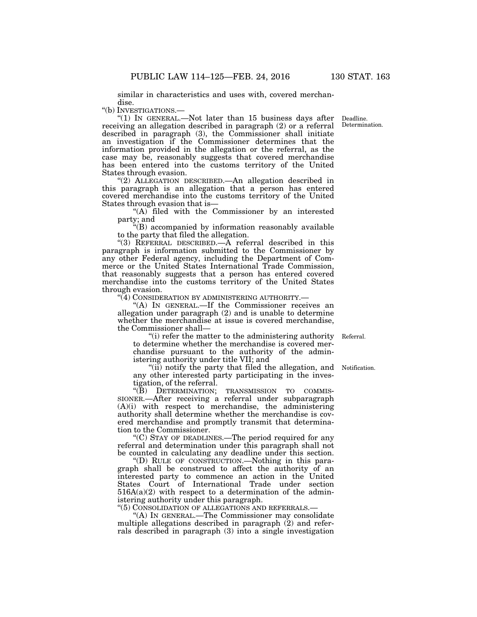similar in characteristics and uses with, covered merchandise.

''(b) INVESTIGATIONS.—

''(1) IN GENERAL.—Not later than 15 business days after receiving an allegation described in paragraph (2) or a referral described in paragraph (3), the Commissioner shall initiate an investigation if the Commissioner determines that the information provided in the allegation or the referral, as the case may be, reasonably suggests that covered merchandise has been entered into the customs territory of the United States through evasion.

''(2) ALLEGATION DESCRIBED.—An allegation described in this paragraph is an allegation that a person has entered covered merchandise into the customs territory of the United States through evasion that is—

"(A) filed with the Commissioner by an interested party; and

''(B) accompanied by information reasonably available to the party that filed the allegation.

''(3) REFERRAL DESCRIBED.—A referral described in this paragraph is information submitted to the Commissioner by any other Federal agency, including the Department of Commerce or the United States International Trade Commission, that reasonably suggests that a person has entered covered merchandise into the customs territory of the United States through evasion.

''(4) CONSIDERATION BY ADMINISTERING AUTHORITY.—

''(A) IN GENERAL.—If the Commissioner receives an allegation under paragraph (2) and is unable to determine whether the merchandise at issue is covered merchandise, the Commissioner shall—

''(i) refer the matter to the administering authority to determine whether the merchandise is covered merchandise pursuant to the authority of the administering authority under title VII; and

"(ii) notify the party that filed the allegation, and Notification. any other interested party participating in the investigation, of the referral.

"(B) DETERMINATION; TRANSMISSION TO COMMIS-SIONER.—After receiving a referral under subparagraph (A)(i) with respect to merchandise, the administering authority shall determine whether the merchandise is covered merchandise and promptly transmit that determination to the Commissioner.

"(C) STAY OF DEADLINES.—The period required for any referral and determination under this paragraph shall not be counted in calculating any deadline under this section.

''(D) RULE OF CONSTRUCTION.—Nothing in this paragraph shall be construed to affect the authority of an interested party to commence an action in the United States Court of International Trade under section  $516A(a)(2)$  with respect to a determination of the administering authority under this paragraph.

''(5) CONSOLIDATION OF ALLEGATIONS AND REFERRALS.—

''(A) IN GENERAL.—The Commissioner may consolidate multiple allegations described in paragraph (2) and referrals described in paragraph (3) into a single investigation

Referral.

Deadline. Determination.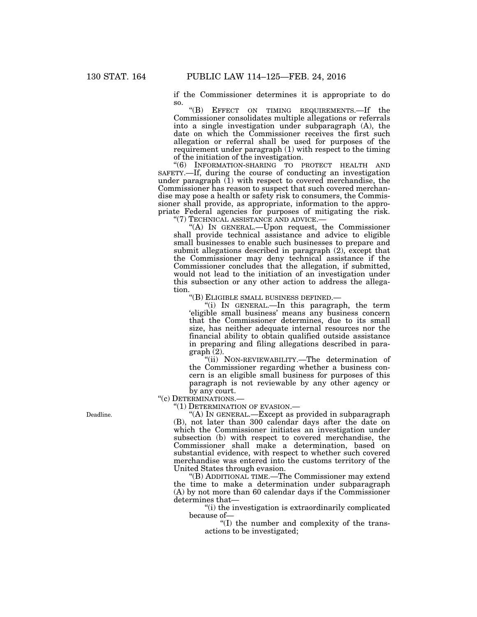if the Commissioner determines it is appropriate to do so.

"(B) EFFECT ON TIMING REQUIREMENTS.—If the Commissioner consolidates multiple allegations or referrals into a single investigation under subparagraph (A), the date on which the Commissioner receives the first such allegation or referral shall be used for purposes of the requirement under paragraph (1) with respect to the timing of the initiation of the investigation.

''(6) INFORMATION-SHARING TO PROTECT HEALTH AND SAFETY.—If, during the course of conducting an investigation under paragraph  $(1)$  with respect to covered merchandise, the Commissioner has reason to suspect that such covered merchandise may pose a health or safety risk to consumers, the Commissioner shall provide, as appropriate, information to the appropriate Federal agencies for purposes of mitigating the risk.

''(7) TECHNICAL ASSISTANCE AND ADVICE.—

''(A) IN GENERAL.—Upon request, the Commissioner shall provide technical assistance and advice to eligible small businesses to enable such businesses to prepare and submit allegations described in paragraph (2), except that the Commissioner may deny technical assistance if the Commissioner concludes that the allegation, if submitted, would not lead to the initiation of an investigation under this subsection or any other action to address the allegation.

''(B) ELIGIBLE SMALL BUSINESS DEFINED.—

''(i) IN GENERAL.—In this paragraph, the term 'eligible small business' means any business concern that the Commissioner determines, due to its small size, has neither adequate internal resources nor the financial ability to obtain qualified outside assistance in preparing and filing allegations described in para $graph(2)$ .

''(ii) NON-REVIEWABILITY.—The determination of the Commissioner regarding whether a business concern is an eligible small business for purposes of this paragraph is not reviewable by any other agency or by any court.

''(c) DETERMINATIONS.—

''(1) DETERMINATION OF EVASION.—

''(A) IN GENERAL.—Except as provided in subparagraph (B), not later than 300 calendar days after the date on which the Commissioner initiates an investigation under subsection (b) with respect to covered merchandise, the Commissioner shall make a determination, based on substantial evidence, with respect to whether such covered merchandise was entered into the customs territory of the United States through evasion.

''(B) ADDITIONAL TIME.—The Commissioner may extend the time to make a determination under subparagraph (A) by not more than 60 calendar days if the Commissioner determines that—

''(i) the investigation is extraordinarily complicated because of—

''(I) the number and complexity of the transactions to be investigated;

Deadline.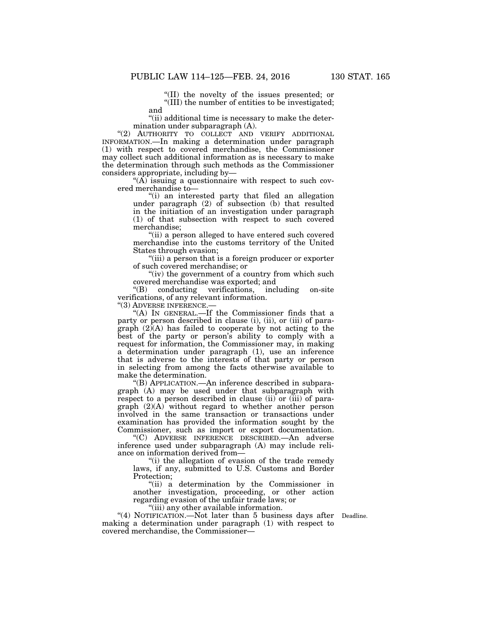''(II) the novelty of the issues presented; or ''(III) the number of entities to be investigated;

and "(ii) additional time is necessary to make the deter-

mination under subparagraph (A). "(2) AUTHORITY TO COLLECT AND VERIFY ADDITIONAL

INFORMATION.—In making a determination under paragraph (1) with respect to covered merchandise, the Commissioner may collect such additional information as is necessary to make the determination through such methods as the Commissioner considers appropriate, including by—

 $*(A)$  issuing a questionnaire with respect to such covered merchandise to—

"(i) an interested party that filed an allegation under paragraph (2) of subsection (b) that resulted in the initiation of an investigation under paragraph (1) of that subsection with respect to such covered merchandise;

"(ii) a person alleged to have entered such covered merchandise into the customs territory of the United States through evasion;

''(iii) a person that is a foreign producer or exporter of such covered merchandise; or

"(iv) the government of a country from which such covered merchandise was exported; and

''(B) conducting verifications, including on-site verifications, of any relevant information.

''(3) ADVERSE INFERENCE.—

''(A) IN GENERAL.—If the Commissioner finds that a party or person described in clause (i), (ii), or (iii) of paragraph  $(2)(A)$  has failed to cooperate by not acting to the best of the party or person's ability to comply with a request for information, the Commissioner may, in making a determination under paragraph (1), use an inference that is adverse to the interests of that party or person in selecting from among the facts otherwise available to make the determination.

''(B) APPLICATION.—An inference described in subparagraph (A) may be used under that subparagraph with respect to a person described in clause (ii) or (iii) of paragraph (2)(A) without regard to whether another person involved in the same transaction or transactions under examination has provided the information sought by the Commissioner, such as import or export documentation.

''(C) ADVERSE INFERENCE DESCRIBED.—An adverse inference used under subparagraph (A) may include reliance on information derived from—

"(i) the allegation of evasion of the trade remedy laws, if any, submitted to U.S. Customs and Border Protection;

''(ii) a determination by the Commissioner in another investigation, proceeding, or other action regarding evasion of the unfair trade laws; or

''(iii) any other available information.

"(4) NOTIFICATION.—Not later than 5 business days after Deadline. making a determination under paragraph (1) with respect to covered merchandise, the Commissioner—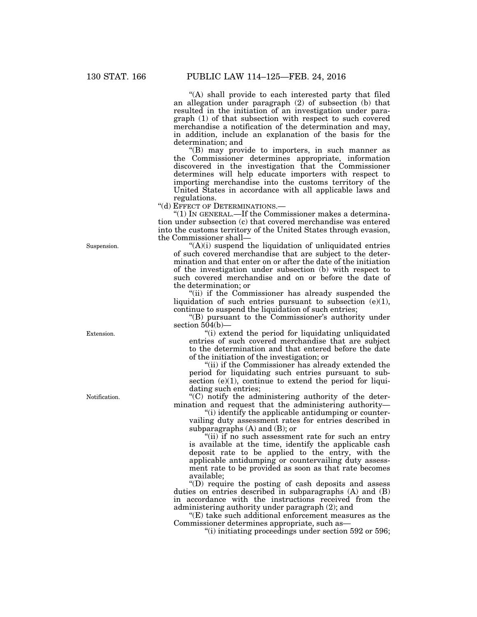''(A) shall provide to each interested party that filed an allegation under paragraph (2) of subsection (b) that resulted in the initiation of an investigation under paragraph (1) of that subsection with respect to such covered merchandise a notification of the determination and may, in addition, include an explanation of the basis for the determination; and

''(B) may provide to importers, in such manner as the Commissioner determines appropriate, information discovered in the investigation that the Commissioner determines will help educate importers with respect to importing merchandise into the customs territory of the United States in accordance with all applicable laws and regulations.

''(d) EFFECT OF DETERMINATIONS.—

''(1) IN GENERAL.—If the Commissioner makes a determination under subsection (c) that covered merchandise was entered into the customs territory of the United States through evasion, the Commissioner shall—

"(A)(i) suspend the liquidation of unliquidated entries of such covered merchandise that are subject to the determination and that enter on or after the date of the initiation of the investigation under subsection (b) with respect to such covered merchandise and on or before the date of the determination; or

''(ii) if the Commissioner has already suspended the liquidation of such entries pursuant to subsection  $(e)(1)$ , continue to suspend the liquidation of such entries;

''(B) pursuant to the Commissioner's authority under section  $504(b)$ —

''(i) extend the period for liquidating unliquidated entries of such covered merchandise that are subject to the determination and that entered before the date of the initiation of the investigation; or

"(ii) if the Commissioner has already extended the period for liquidating such entries pursuant to sub- $\frac{1}{2}$  section (e)(1), continue to extend the period for liquidating such entries;

''(C) notify the administering authority of the determination and request that the administering authority—

''(i) identify the applicable antidumping or countervailing duty assessment rates for entries described in subparagraphs (A) and (B); or

"(ii) if no such assessment rate for such an entry is available at the time, identify the applicable cash deposit rate to be applied to the entry, with the applicable antidumping or countervailing duty assessment rate to be provided as soon as that rate becomes available;

''(D) require the posting of cash deposits and assess duties on entries described in subparagraphs (A) and (B) in accordance with the instructions received from the administering authority under paragraph (2); and

''(E) take such additional enforcement measures as the Commissioner determines appropriate, such as—

''(i) initiating proceedings under section 592 or 596;

Suspension.

Extension.

Notification.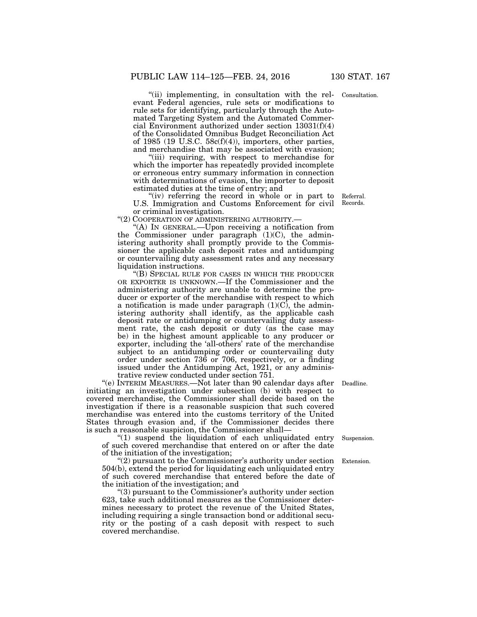"(ii) implementing, in consultation with the relevant Federal agencies, rule sets or modifications to rule sets for identifying, particularly through the Automated Targeting System and the Automated Commercial Environment authorized under section 13031(f)(4) of the Consolidated Omnibus Budget Reconciliation Act of 1985 (19 U.S.C.  $58c(f)(4)$ ), importers, other parties, and merchandise that may be associated with evasion;

''(iii) requiring, with respect to merchandise for which the importer has repeatedly provided incomplete or erroneous entry summary information in connection with determinations of evasion, the importer to deposit estimated duties at the time of entry; and

"(iv) referring the record in whole or in part to U.S. Immigration and Customs Enforcement for civil or criminal investigation.

''(2) COOPERATION OF ADMINISTERING AUTHORITY.—

''(A) IN GENERAL.—Upon receiving a notification from the Commissioner under paragraph  $(1)(C)$ , the administering authority shall promptly provide to the Commissioner the applicable cash deposit rates and antidumping or countervailing duty assessment rates and any necessary liquidation instructions.

''(B) SPECIAL RULE FOR CASES IN WHICH THE PRODUCER OR EXPORTER IS UNKNOWN.—If the Commissioner and the administering authority are unable to determine the producer or exporter of the merchandise with respect to which a notification is made under paragraph  $(1)(C)$ , the administering authority shall identify, as the applicable cash deposit rate or antidumping or countervailing duty assessment rate, the cash deposit or duty (as the case may be) in the highest amount applicable to any producer or exporter, including the 'all-others' rate of the merchandise subject to an antidumping order or countervailing duty order under section 736 or 706, respectively, or a finding issued under the Antidumping Act, 1921, or any administrative review conducted under section 751.

''(e) INTERIM MEASURES.—Not later than 90 calendar days after initiating an investigation under subsection (b) with respect to covered merchandise, the Commissioner shall decide based on the investigation if there is a reasonable suspicion that such covered merchandise was entered into the customs territory of the United States through evasion and, if the Commissioner decides there is such a reasonable suspicion, the Commissioner shall—

''(1) suspend the liquidation of each unliquidated entry of such covered merchandise that entered on or after the date of the initiation of the investigation;

''(2) pursuant to the Commissioner's authority under section 504(b), extend the period for liquidating each unliquidated entry of such covered merchandise that entered before the date of the initiation of the investigation; and

''(3) pursuant to the Commissioner's authority under section 623, take such additional measures as the Commissioner determines necessary to protect the revenue of the United States, including requiring a single transaction bond or additional security or the posting of a cash deposit with respect to such covered merchandise.

Referral. Records.

Deadline.

Suspension.

Extension.

Consultation.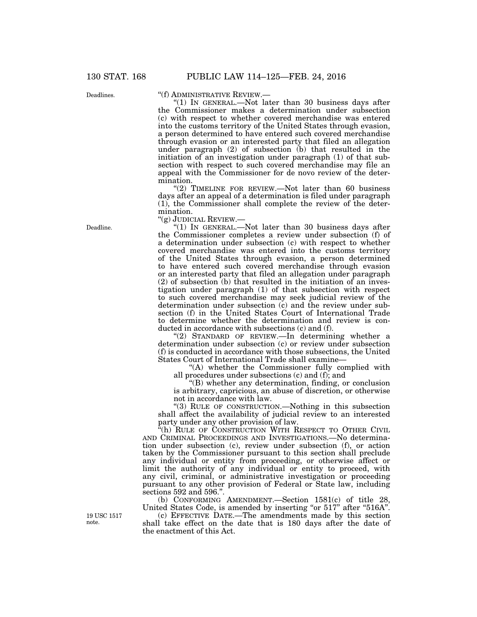Deadlines.

''(f) ADMINISTRATIVE REVIEW.— ''(1) IN GENERAL.—Not later than 30 business days after the Commissioner makes a determination under subsection (c) with respect to whether covered merchandise was entered into the customs territory of the United States through evasion, a person determined to have entered such covered merchandise through evasion or an interested party that filed an allegation under paragraph (2) of subsection (b) that resulted in the initiation of an investigation under paragraph (1) of that subsection with respect to such covered merchandise may file an appeal with the Commissioner for de novo review of the determination.

"(2) TIMELINE FOR REVIEW.—Not later than 60 business days after an appeal of a determination is filed under paragraph (1), the Commissioner shall complete the review of the determination.

''(g) JUDICIAL REVIEW.—

" $(1)$  In GENERAL.—Not later than 30 business days after the Commissioner completes a review under subsection (f) of a determination under subsection (c) with respect to whether covered merchandise was entered into the customs territory of the United States through evasion, a person determined to have entered such covered merchandise through evasion or an interested party that filed an allegation under paragraph  $(2)$  of subsection  $(b)$  that resulted in the initiation of an investigation under paragraph (1) of that subsection with respect to such covered merchandise may seek judicial review of the determination under subsection (c) and the review under subsection (f) in the United States Court of International Trade to determine whether the determination and review is conducted in accordance with subsections (c) and (f).

''(2) STANDARD OF REVIEW.—In determining whether a determination under subsection (c) or review under subsection (f) is conducted in accordance with those subsections, the United States Court of International Trade shall examine—

"(A) whether the Commissioner fully complied with all procedures under subsections (c) and (f); and

''(B) whether any determination, finding, or conclusion is arbitrary, capricious, an abuse of discretion, or otherwise not in accordance with law.

''(3) RULE OF CONSTRUCTION.—Nothing in this subsection shall affect the availability of judicial review to an interested party under any other provision of law.

''(h) RULE OF CONSTRUCTION WITH RESPECT TO OTHER CIVIL AND CRIMINAL PROCEEDINGS AND INVESTIGATIONS.—No determination under subsection (c), review under subsection (f), or action taken by the Commissioner pursuant to this section shall preclude any individual or entity from proceeding, or otherwise affect or limit the authority of any individual or entity to proceed, with any civil, criminal, or administrative investigation or proceeding pursuant to any other provision of Federal or State law, including sections 592 and 596.".

(b) CONFORMING AMENDMENT.—Section 1581(c) of title 28, United States Code, is amended by inserting "or 517" after "516A".

(c) EFFECTIVE DATE.—The amendments made by this section shall take effect on the date that is 180 days after the date of the enactment of this Act.

Deadline.

19 USC 1517 note.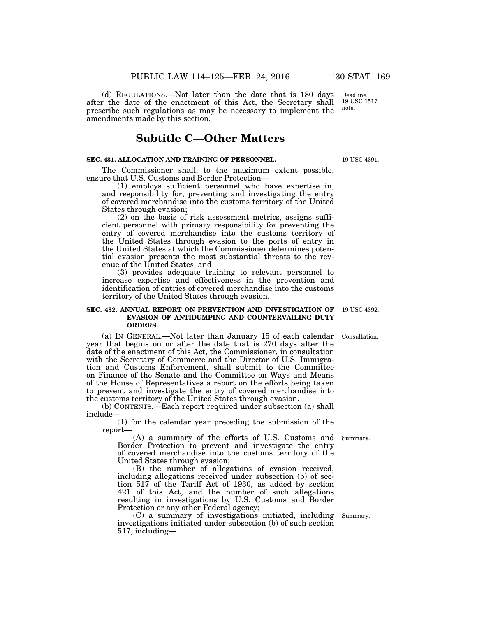Deadline.

(d) REGULATIONS.—Not later than the date that is 180 days after the date of the enactment of this Act, the Secretary shall prescribe such regulations as may be necessary to implement the amendments made by this section. 19 USC 1517 note.

## **Subtitle C—Other Matters**

## **SEC. 431. ALLOCATION AND TRAINING OF PERSONNEL.**

The Commissioner shall, to the maximum extent possible, ensure that U.S. Customs and Border Protection—

(1) employs sufficient personnel who have expertise in, and responsibility for, preventing and investigating the entry of covered merchandise into the customs territory of the United States through evasion;

(2) on the basis of risk assessment metrics, assigns sufficient personnel with primary responsibility for preventing the entry of covered merchandise into the customs territory of the United States through evasion to the ports of entry in the United States at which the Commissioner determines potential evasion presents the most substantial threats to the revenue of the United States; and

(3) provides adequate training to relevant personnel to increase expertise and effectiveness in the prevention and identification of entries of covered merchandise into the customs territory of the United States through evasion.

#### **SEC. 432. ANNUAL REPORT ON PREVENTION AND INVESTIGATION OF**  19 USC 4392. **EVASION OF ANTIDUMPING AND COUNTERVAILING DUTY ORDERS.**

(a) IN GENERAL.—Not later than January 15 of each calendar year that begins on or after the date that is 270 days after the date of the enactment of this Act, the Commissioner, in consultation with the Secretary of Commerce and the Director of U.S. Immigration and Customs Enforcement, shall submit to the Committee on Finance of the Senate and the Committee on Ways and Means of the House of Representatives a report on the efforts being taken to prevent and investigate the entry of covered merchandise into the customs territory of the United States through evasion.

(b) CONTENTS.—Each report required under subsection (a) shall include—

(1) for the calendar year preceding the submission of the report—

(A) a summary of the efforts of U.S. Customs and Summary. Border Protection to prevent and investigate the entry of covered merchandise into the customs territory of the United States through evasion;

(B) the number of allegations of evasion received, including allegations received under subsection (b) of section 517 of the Tariff Act of 1930, as added by section 421 of this Act, and the number of such allegations resulting in investigations by U.S. Customs and Border Protection or any other Federal agency;

(C) a summary of investigations initiated, including investigations initiated under subsection (b) of such section 517, including—

Summary.

Consultation.

19 USC 4391.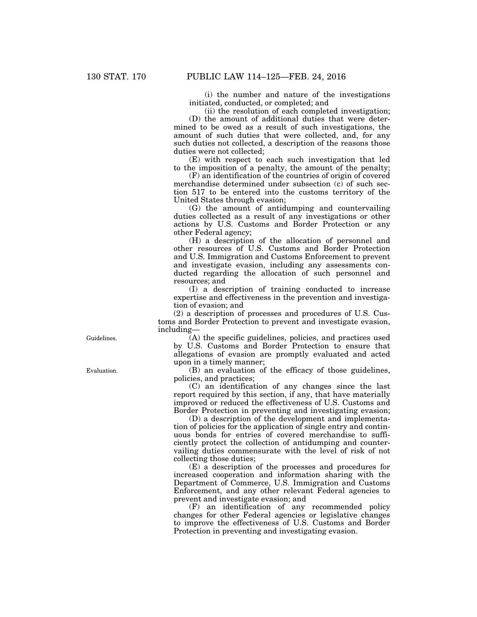(i) the number and nature of the investigations initiated, conducted, or completed; and

(ii) the resolution of each completed investigation; (D) the amount of additional duties that were determined to be owed as a result of such investigations, the amount of such duties that were collected, and, for any such duties not collected, a description of the reasons those

duties were not collected; (E) with respect to each such investigation that led to the imposition of a penalty, the amount of the penalty;

(F) an identification of the countries of origin of covered merchandise determined under subsection (c) of such section 517 to be entered into the customs territory of the United States through evasion;

(G) the amount of antidumping and countervailing duties collected as a result of any investigations or other actions by U.S. Customs and Border Protection or any other Federal agency;

(H) a description of the allocation of personnel and other resources of U.S. Customs and Border Protection and U.S. Immigration and Customs Enforcement to prevent and investigate evasion, including any assessments conducted regarding the allocation of such personnel and resources; and

(I) a description of training conducted to increase expertise and effectiveness in the prevention and investigation of evasion; and

(2) a description of processes and procedures of U.S. Customs and Border Protection to prevent and investigate evasion, including—

(A) the specific guidelines, policies, and practices used by U.S. Customs and Border Protection to ensure that allegations of evasion are promptly evaluated and acted upon in a timely manner;

(B) an evaluation of the efficacy of those guidelines, policies, and practices;

(C) an identification of any changes since the last report required by this section, if any, that have materially improved or reduced the effectiveness of U.S. Customs and Border Protection in preventing and investigating evasion;

(D) a description of the development and implementation of policies for the application of single entry and continuous bonds for entries of covered merchandise to sufficiently protect the collection of antidumping and countervailing duties commensurate with the level of risk of not collecting those duties;

(E) a description of the processes and procedures for increased cooperation and information sharing with the Department of Commerce, U.S. Immigration and Customs Enforcement, and any other relevant Federal agencies to prevent and investigate evasion; and

(F) an identification of any recommended policy changes for other Federal agencies or legislative changes to improve the effectiveness of U.S. Customs and Border Protection in preventing and investigating evasion.

Guidelines.

Evaluation.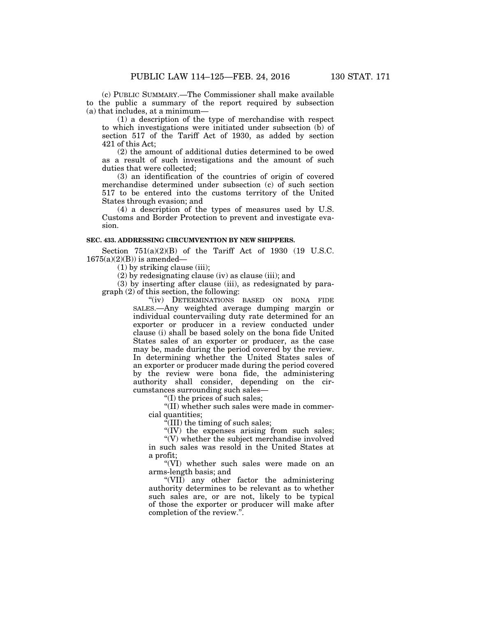to the public a summary of the report required by subsection (a) that includes, at a minimum—

(1) a description of the type of merchandise with respect to which investigations were initiated under subsection (b) of section 517 of the Tariff Act of 1930, as added by section 421 of this Act;

(2) the amount of additional duties determined to be owed as a result of such investigations and the amount of such duties that were collected;

(3) an identification of the countries of origin of covered merchandise determined under subsection (c) of such section 517 to be entered into the customs territory of the United States through evasion; and

(4) a description of the types of measures used by U.S. Customs and Border Protection to prevent and investigate evasion.

## **SEC. 433. ADDRESSING CIRCUMVENTION BY NEW SHIPPERS.**

Section  $751(a)(2)(B)$  of the Tariff Act of 1930 (19 U.S.C.  $1675(a)(2)(B)$ ) is amended—

(1) by striking clause (iii);

 $(2)$  by redesignating clause (iv) as clause (iii); and

(3) by inserting after clause (iii), as redesignated by paragraph (2) of this section, the following:

''(iv) DETERMINATIONS BASED ON BONA FIDE SALES.—Any weighted average dumping margin or individual countervailing duty rate determined for an exporter or producer in a review conducted under clause (i) shall be based solely on the bona fide United States sales of an exporter or producer, as the case may be, made during the period covered by the review. In determining whether the United States sales of an exporter or producer made during the period covered by the review were bona fide, the administering authority shall consider, depending on the circumstances surrounding such sales—

''(I) the prices of such sales;

''(II) whether such sales were made in commercial quantities;

''(III) the timing of such sales;

"(IV) the expenses arising from such sales;

''(V) whether the subject merchandise involved in such sales was resold in the United States at a profit;

''(VI) whether such sales were made on an arms-length basis; and

''(VII) any other factor the administering authority determines to be relevant as to whether such sales are, or are not, likely to be typical of those the exporter or producer will make after completion of the review.''.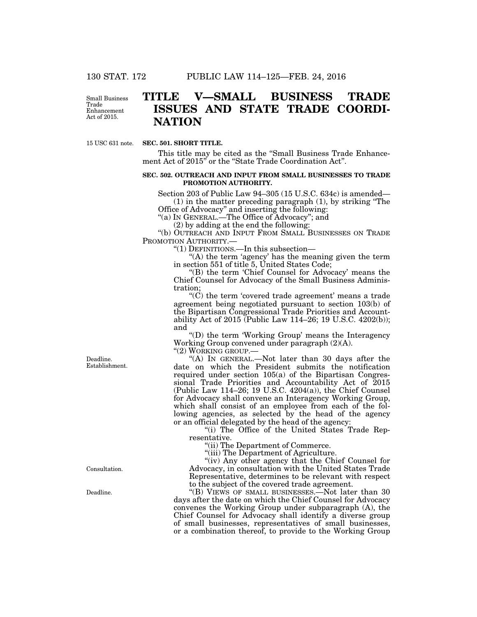Small Business Trade Enhancement Act of 2015.

# **TITLE V—SMALL BUSINESS TRADE ISSUES AND STATE TRADE COORDI-NATION**

15 USC 631 note.

#### **SEC. 501. SHORT TITLE.**

This title may be cited as the ''Small Business Trade Enhancement Act of 2015" or the "State Trade Coordination Act".

## **SEC. 502. OUTREACH AND INPUT FROM SMALL BUSINESSES TO TRADE PROMOTION AUTHORITY.**

Section 203 of Public Law 94–305 (15 U.S.C. 634c) is amended— (1) in the matter preceding paragraph (1), by striking ''The

Office of Advocacy'' and inserting the following:

''(a) IN GENERAL.—The Office of Advocacy''; and (2) by adding at the end the following:

''(b) OUTREACH AND INPUT FROM SMALL BUSINESSES ON TRADE PROMOTION AUTHORITY.—

''(1) DEFINITIONS.—In this subsection—

"(A) the term 'agency' has the meaning given the term in section 551 of title 5, United States Code;

''(B) the term 'Chief Counsel for Advocacy' means the Chief Counsel for Advocacy of the Small Business Administration;

''(C) the term 'covered trade agreement' means a trade agreement being negotiated pursuant to section 103(b) of the Bipartisan Congressional Trade Priorities and Accountability Act of 2015 (Public Law 114–26; 19 U.S.C. 4202(b)); and

''(D) the term 'Working Group' means the Interagency Working Group convened under paragraph (2)(A).

''(2) WORKING GROUP.—

''(A) IN GENERAL.—Not later than 30 days after the date on which the President submits the notification required under section 105(a) of the Bipartisan Congressional Trade Priorities and Accountability Act of 2015 (Public Law 114–26; 19 U.S.C. 4204(a)), the Chief Counsel for Advocacy shall convene an Interagency Working Group, which shall consist of an employee from each of the following agencies, as selected by the head of the agency or an official delegated by the head of the agency:

"(i) The Office of the United States Trade Representative.

''(ii) The Department of Commerce.

"(iii) The Department of Agriculture.

"(iv) Any other agency that the Chief Counsel for Advocacy, in consultation with the United States Trade Representative, determines to be relevant with respect to the subject of the covered trade agreement.

''(B) VIEWS OF SMALL BUSINESSES.—Not later than 30 days after the date on which the Chief Counsel for Advocacy convenes the Working Group under subparagraph (A), the Chief Counsel for Advocacy shall identify a diverse group of small businesses, representatives of small businesses, or a combination thereof, to provide to the Working Group

Deadline. Establishment.

Consultation.

Deadline.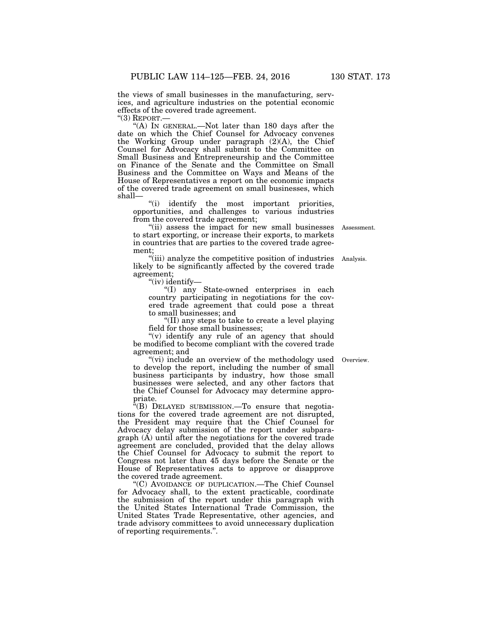the views of small businesses in the manufacturing, services, and agriculture industries on the potential economic effects of the covered trade agreement. "(3) REPORT.—

"(A) In GENERAL.—Not later than 180 days after the date on which the Chief Counsel for Advocacy convenes the Working Group under paragraph (2)(A), the Chief Counsel for Advocacy shall submit to the Committee on Small Business and Entrepreneurship and the Committee on Finance of the Senate and the Committee on Small Business and the Committee on Ways and Means of the House of Representatives a report on the economic impacts of the covered trade agreement on small businesses, which shall—

''(i) identify the most important priorities, opportunities, and challenges to various industries from the covered trade agreement;

"(ii) assess the impact for new small businesses Assessment. to start exporting, or increase their exports, to markets in countries that are parties to the covered trade agreement;

"(iii) analyze the competitive position of industries Analysis. likely to be significantly affected by the covered trade agreement;

''(iv) identify—

''(I) any State-owned enterprises in each country participating in negotiations for the covered trade agreement that could pose a threat to small businesses; and

''(II) any steps to take to create a level playing field for those small businesses;

"(v) identify any rule of an agency that should be modified to become compliant with the covered trade agreement; and

Overview.

"(vi) include an overview of the methodology used to develop the report, including the number of small business participants by industry, how those small businesses were selected, and any other factors that the Chief Counsel for Advocacy may determine appropriate.

''(B) DELAYED SUBMISSION.—To ensure that negotiations for the covered trade agreement are not disrupted, the President may require that the Chief Counsel for Advocacy delay submission of the report under subparagraph (A) until after the negotiations for the covered trade agreement are concluded, provided that the delay allows the Chief Counsel for Advocacy to submit the report to Congress not later than 45 days before the Senate or the House of Representatives acts to approve or disapprove the covered trade agreement.

''(C) AVOIDANCE OF DUPLICATION.—The Chief Counsel for Advocacy shall, to the extent practicable, coordinate the submission of the report under this paragraph with the United States International Trade Commission, the United States Trade Representative, other agencies, and trade advisory committees to avoid unnecessary duplication of reporting requirements.''.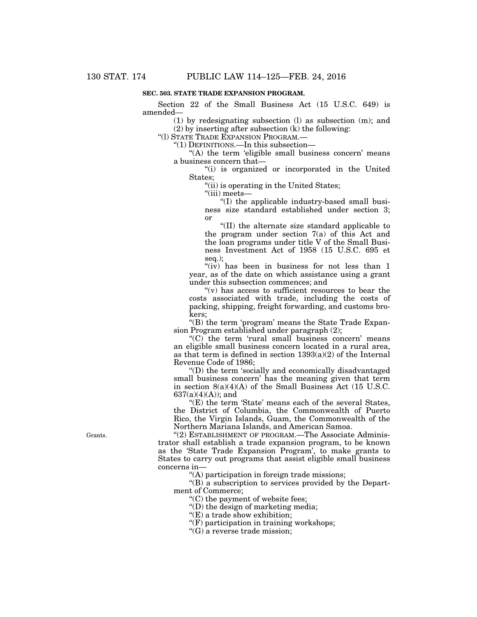## **SEC. 503. STATE TRADE EXPANSION PROGRAM.**

Section 22 of the Small Business Act (15 U.S.C. 649) is amended—

(1) by redesignating subsection (l) as subsection (m); and (2) by inserting after subsection (k) the following:

''(l) STATE TRADE EXPANSION PROGRAM.—

''(1) DEFINITIONS.—In this subsection—

" $(A)$  the term 'eligible small business concern' means a business concern that—

''(i) is organized or incorporated in the United States;

''(ii) is operating in the United States;

''(iii) meets—

''(I) the applicable industry-based small business size standard established under section 3; or

''(II) the alternate size standard applicable to the program under section 7(a) of this Act and the loan programs under title V of the Small Business Investment Act of 1958 (15 U.S.C. 695 et seq.);

" $(iv)$  has been in business for not less than 1 year, as of the date on which assistance using a grant under this subsection commences; and

''(v) has access to sufficient resources to bear the costs associated with trade, including the costs of packing, shipping, freight forwarding, and customs brokers;

''(B) the term 'program' means the State Trade Expansion Program established under paragraph (2);

 $(C)$  the term 'rural small business concern' means an eligible small business concern located in a rural area, as that term is defined in section  $1393(a)(2)$  of the Internal Revenue Code of 1986;

''(D) the term 'socially and economically disadvantaged small business concern' has the meaning given that term in section 8(a)(4)(A) of the Small Business Act (15 U.S.C.  $637(a)(4)(A)$ ; and

''(E) the term 'State' means each of the several States, the District of Columbia, the Commonwealth of Puerto Rico, the Virgin Islands, Guam, the Commonwealth of the Northern Mariana Islands, and American Samoa.

"(2) ESTABLISHMENT OF PROGRAM.—The Associate Administrator shall establish a trade expansion program, to be known as the 'State Trade Expansion Program', to make grants to States to carry out programs that assist eligible small business concerns in—

''(A) participation in foreign trade missions;

''(B) a subscription to services provided by the Department of Commerce;

''(C) the payment of website fees;

''(D) the design of marketing media;

''(E) a trade show exhibition;

''(F) participation in training workshops;

''(G) a reverse trade mission;

Grants.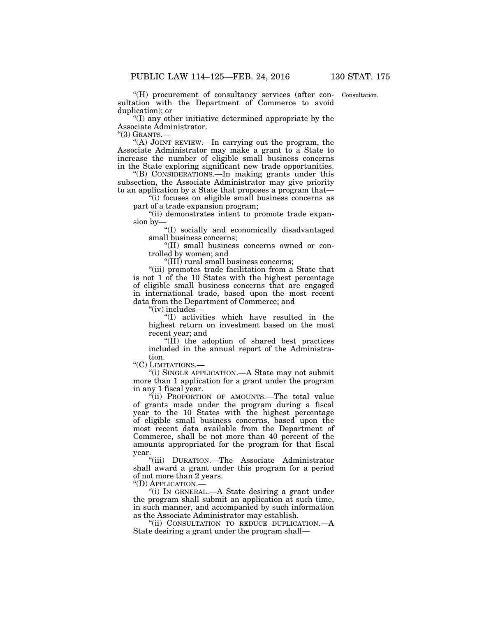"(H) procurement of consultancy services (after consultation with the Department of Commerce to avoid duplication); or

''(I) any other initiative determined appropriate by the Associate Administrator.

 $"$ (3) GRANTS. $-$ 

''(A) JOINT REVIEW.—In carrying out the program, the Associate Administrator may make a grant to a State to increase the number of eligible small business concerns in the State exploring significant new trade opportunities.

''(B) CONSIDERATIONS.—In making grants under this subsection, the Associate Administrator may give priority to an application by a State that proposes a program that—

"(i) focuses on eligible small business concerns as part of a trade expansion program;

"(ii) demonstrates intent to promote trade expansion by-

''(I) socially and economically disadvantaged small business concerns;

''(II) small business concerns owned or controlled by women; and

''(III) rural small business concerns;

''(iii) promotes trade facilitation from a State that is not 1 of the 10 States with the highest percentage of eligible small business concerns that are engaged in international trade, based upon the most recent data from the Department of Commerce; and

 $\lq\lq$ (iv) includes—

''(I) activities which have resulted in the highest return on investment based on the most recent year; and

 $\sqrt[4]{(II)}$  the adoption of shared best practices included in the annual report of the Administration.

"(C) LIMITATIONS.-

''(i) SINGLE APPLICATION.—A State may not submit more than 1 application for a grant under the program in any 1 fiscal year.

''(ii) PROPORTION OF AMOUNTS.—The total value of grants made under the program during a fiscal year to the 10 States with the highest percentage of eligible small business concerns, based upon the most recent data available from the Department of Commerce, shall be not more than 40 percent of the amounts appropriated for the program for that fiscal year.

''(iii) DURATION.—The Associate Administrator shall award a grant under this program for a period of not more than 2 years.

''(D) APPLICATION.—

''(i) IN GENERAL.—A State desiring a grant under the program shall submit an application at such time, in such manner, and accompanied by such information as the Associate Administrator may establish.

"(ii) CONSULTATION TO REDUCE DUPLICATION.—A State desiring a grant under the program shall—

Consultation.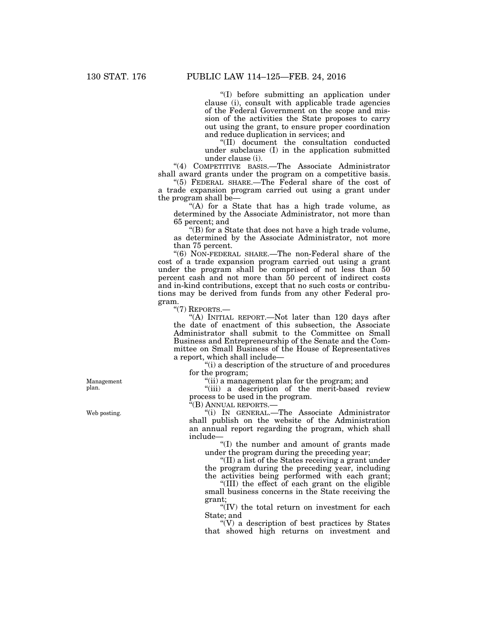''(I) before submitting an application under clause (i), consult with applicable trade agencies of the Federal Government on the scope and mission of the activities the State proposes to carry out using the grant, to ensure proper coordination and reduce duplication in services; and

''(II) document the consultation conducted under subclause (I) in the application submitted under clause (i).

''(4) COMPETITIVE BASIS.—The Associate Administrator shall award grants under the program on a competitive basis.

''(5) FEDERAL SHARE.—The Federal share of the cost of a trade expansion program carried out using a grant under the program shall be—

"(A) for a State that has a high trade volume, as determined by the Associate Administrator, not more than 65 percent; and

''(B) for a State that does not have a high trade volume, as determined by the Associate Administrator, not more than 75 percent.

''(6) NON-FEDERAL SHARE.—The non-Federal share of the cost of a trade expansion program carried out using a grant under the program shall be comprised of not less than 50 percent cash and not more than 50 percent of indirect costs and in-kind contributions, except that no such costs or contributions may be derived from funds from any other Federal program.

 $''(7)$  REPORTS.—

"(A) INITIAL REPORT.—Not later than 120 days after the date of enactment of this subsection, the Associate Administrator shall submit to the Committee on Small Business and Entrepreneurship of the Senate and the Committee on Small Business of the House of Representatives a report, which shall include—

''(i) a description of the structure of and procedures for the program;

''(ii) a management plan for the program; and

''(iii) a description of the merit-based review process to be used in the program.

''(B) ANNUAL REPORTS.—

''(i) IN GENERAL.—The Associate Administrator shall publish on the website of the Administration an annual report regarding the program, which shall include—

''(I) the number and amount of grants made under the program during the preceding year;

''(II) a list of the States receiving a grant under the program during the preceding year, including the activities being performed with each grant;

''(III) the effect of each grant on the eligible small business concerns in the State receiving the grant;

"(IV) the total return on investment for each State; and

" $(V)$  a description of best practices by States" that showed high returns on investment and

Management plan.

Web posting.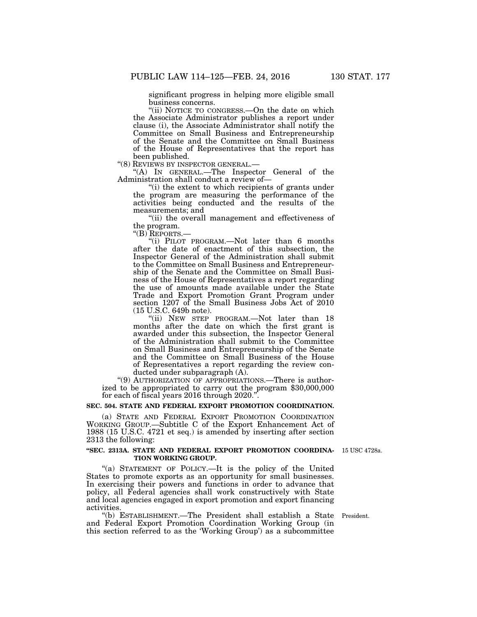significant progress in helping more eligible small business concerns.

"(ii) NOTICE TO CONGRESS. - On the date on which the Associate Administrator publishes a report under clause (i), the Associate Administrator shall notify the Committee on Small Business and Entrepreneurship of the Senate and the Committee on Small Business of the House of Representatives that the report has

been published.<br>"(8) Reviews by INSPECTOR GENERAL.—

"(A) IN GENERAL.—The Inspector General of the Administration shall conduct a review of—

"(i) the extent to which recipients of grants under the program are measuring the performance of the activities being conducted and the results of the measurements; and

"(ii) the overall management and effectiveness of the program.<br>"(B) REPORTS.

"(i) PILOT PROGRAM.—Not later than 6 months after the date of enactment of this subsection, the Inspector General of the Administration shall submit to the Committee on Small Business and Entrepreneurship of the Senate and the Committee on Small Business of the House of Representatives a report regarding the use of amounts made available under the State Trade and Export Promotion Grant Program under section 1207 of the Small Business Jobs Act of 2010 (15 U.S.C. 649b note).

''(ii) NEW STEP PROGRAM.—Not later than 18 months after the date on which the first grant is awarded under this subsection, the Inspector General of the Administration shall submit to the Committee on Small Business and Entrepreneurship of the Senate and the Committee on Small Business of the House of Representatives a report regarding the review conducted under subparagraph (A).

"(9) AUTHORIZATION OF APPROPRIATIONS.—There is authorized to be appropriated to carry out the program \$30,000,000 for each of fiscal years 2016 through 2020.''.

## **SEC. 504. STATE AND FEDERAL EXPORT PROMOTION COORDINATION.**

(a) STATE AND FEDERAL EXPORT PROMOTION COORDINATION WORKING GROUP.—Subtitle C of the Export Enhancement Act of 1988 (15 U.S.C. 4721 et seq.) is amended by inserting after section 2313 the following:

### **''SEC. 2313A. STATE AND FEDERAL EXPORT PROMOTION COORDINA-TION WORKING GROUP.**

15 USC 4728a.

"(a) STATEMENT OF POLICY.—It is the policy of the United States to promote exports as an opportunity for small businesses. In exercising their powers and functions in order to advance that policy, all Federal agencies shall work constructively with State and local agencies engaged in export promotion and export financing activities.

''(b) ESTABLISHMENT.—The President shall establish a State President. and Federal Export Promotion Coordination Working Group (in this section referred to as the 'Working Group') as a subcommittee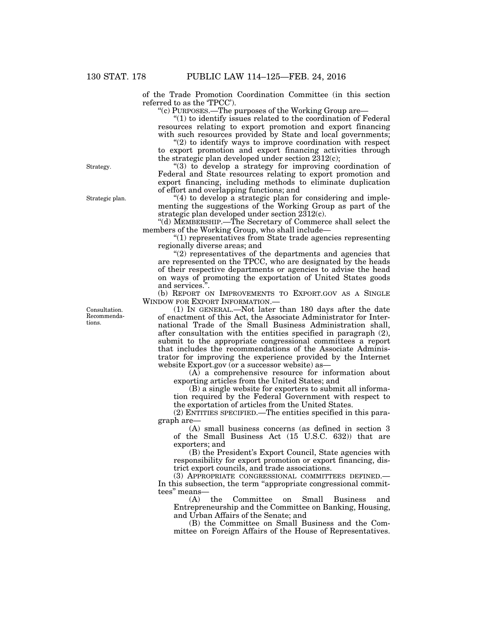of the Trade Promotion Coordination Committee (in this section referred to as the 'TPCC').

''(c) PURPOSES.—The purposes of the Working Group are—

" $(1)$  to identify issues related to the coordination of Federal resources relating to export promotion and export financing with such resources provided by State and local governments;

 $(2)$  to identify ways to improve coordination with respect to export promotion and export financing activities through the strategic plan developed under section 2312(c);

''(3) to develop a strategy for improving coordination of Federal and State resources relating to export promotion and export financing, including methods to eliminate duplication of effort and overlapping functions; and

 $(4)$  to develop a strategic plan for considering and implementing the suggestions of the Working Group as part of the strategic plan developed under section 2312(c).

''(d) MEMBERSHIP.—The Secretary of Commerce shall select the members of the Working Group, who shall include—

''(1) representatives from State trade agencies representing regionally diverse areas; and

 $''(2)$  representatives of the departments and agencies that are represented on the TPCC, who are designated by the heads of their respective departments or agencies to advise the head on ways of promoting the exportation of United States goods and services.''.

(b) REPORT ON IMPROVEMENTS TO EXPORT.GOV AS A SINGLE WINDOW FOR EXPORT INFORMATION.—

(1) IN GENERAL.—Not later than 180 days after the date of enactment of this Act, the Associate Administrator for International Trade of the Small Business Administration shall, after consultation with the entities specified in paragraph (2), submit to the appropriate congressional committees a report that includes the recommendations of the Associate Administrator for improving the experience provided by the Internet website Export.gov (or a successor website) as-

(A) a comprehensive resource for information about exporting articles from the United States; and

(B) a single website for exporters to submit all information required by the Federal Government with respect to the exportation of articles from the United States.

(2) ENTITIES SPECIFIED.—The entities specified in this paragraph are—

(A) small business concerns (as defined in section 3 of the Small Business Act (15 U.S.C. 632)) that are exporters; and

(B) the President's Export Council, State agencies with responsibility for export promotion or export financing, district export councils, and trade associations.

(3) APPROPRIATE CONGRESSIONAL COMMITTEES DEFINED.— In this subsection, the term "appropriate congressional committees'' means—

(A) the Committee on Small Business and Entrepreneurship and the Committee on Banking, Housing, and Urban Affairs of the Senate; and

(B) the Committee on Small Business and the Committee on Foreign Affairs of the House of Representatives.

Strategy.

Strategic plan.

Consultation. Recommendations.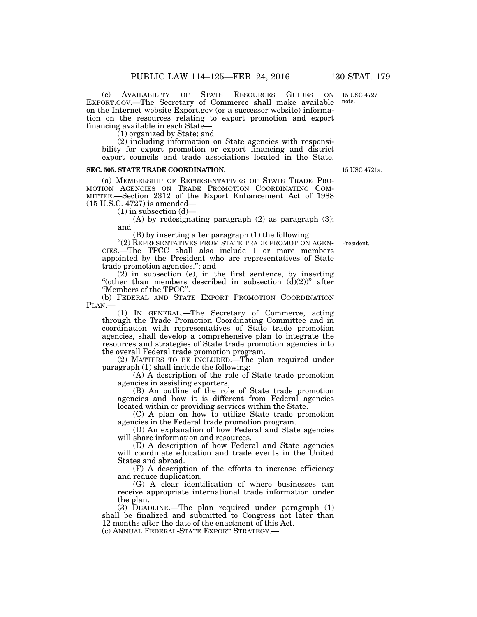(c) AVAILABILITY OF STATE RESOURCES GUIDES ON 15 USC 4727 EXPORT.GOV.—The Secretary of Commerce shall make available on the Internet website Export.gov (or a successor website) information on the resources relating to export promotion and export financing available in each State—

(1) organized by State; and

(2) including information on State agencies with responsibility for export promotion or export financing and district export councils and trade associations located in the State.

#### **SEC. 505. STATE TRADE COORDINATION.**

(a) MEMBERSHIP OF REPRESENTATIVES OF STATE TRADE PRO- MOTION AGENCIES ON TRADE PROMOTION COORDINATING COM-<br>MITTEE.—Section 2312 of the Export Enhancement Act of 1988 (15 U.S.C. 4727) is amended—

 $(1)$  in subsection  $(d)$ —

(A) by redesignating paragraph (2) as paragraph (3); and

(B) by inserting after paragraph (1) the following:

''(2) REPRESENTATIVES FROM STATE TRADE PROMOTION AGEN-CIES.—The TPCC shall also include 1 or more members appointed by the President who are representatives of State trade promotion agencies.''; and

(2) in subsection (e), in the first sentence, by inserting "(other than members described in subsection  $(d)(2)$ " after ''Members of the TPCC''.

(b) FEDERAL AND STATE EXPORT PROMOTION COORDINATION PLAN.—

(1) IN GENERAL.—The Secretary of Commerce, acting through the Trade Promotion Coordinating Committee and in coordination with representatives of State trade promotion agencies, shall develop a comprehensive plan to integrate the resources and strategies of State trade promotion agencies into the overall Federal trade promotion program.

(2) MATTERS TO BE INCLUDED.—The plan required under paragraph (1) shall include the following:

(A) A description of the role of State trade promotion agencies in assisting exporters.

(B) An outline of the role of State trade promotion agencies and how it is different from Federal agencies located within or providing services within the State.

(C) A plan on how to utilize State trade promotion agencies in the Federal trade promotion program.

(D) An explanation of how Federal and State agencies will share information and resources.

(E) A description of how Federal and State agencies will coordinate education and trade events in the United States and abroad.

(F) A description of the efforts to increase efficiency and reduce duplication.

(G) A clear identification of where businesses can receive appropriate international trade information under the plan.

(3) DEADLINE.—The plan required under paragraph (1) shall be finalized and submitted to Congress not later than 12 months after the date of the enactment of this Act.

(c) ANNUAL FEDERAL-STATE EXPORT STRATEGY.—

15 USC 4721a.

President.

note.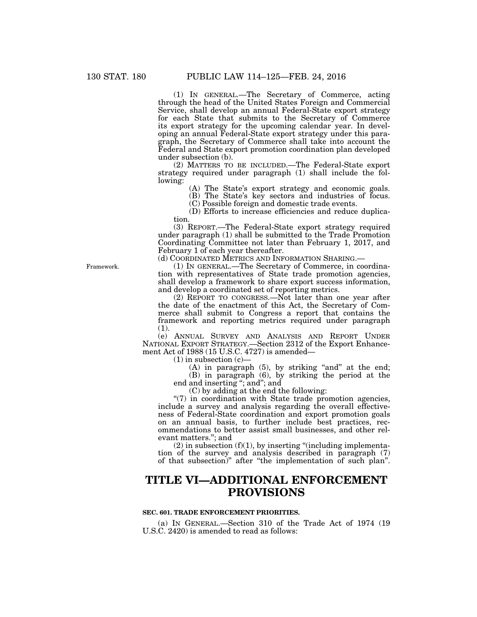(1) IN GENERAL.—The Secretary of Commerce, acting through the head of the United States Foreign and Commercial Service, shall develop an annual Federal-State export strategy for each State that submits to the Secretary of Commerce its export strategy for the upcoming calendar year. In developing an annual Federal-State export strategy under this paragraph, the Secretary of Commerce shall take into account the Federal and State export promotion coordination plan developed under subsection (b).

(2) MATTERS TO BE INCLUDED.—The Federal-State export strategy required under paragraph (1) shall include the following:

(A) The State's export strategy and economic goals.

(B) The State's key sectors and industries of focus.

(C) Possible foreign and domestic trade events.

(D) Efforts to increase efficiencies and reduce duplication.

(3) REPORT.—The Federal-State export strategy required under paragraph (1) shall be submitted to the Trade Promotion Coordinating Committee not later than February 1, 2017, and February 1 of each year thereafter.

(d) COORDINATED METRICS AND INFORMATION SHARING.—

(1) IN GENERAL.—The Secretary of Commerce, in coordination with representatives of State trade promotion agencies, shall develop a framework to share export success information, and develop a coordinated set of reporting metrics.

(2) REPORT TO CONGRESS.—Not later than one year after the date of the enactment of this Act, the Secretary of Commerce shall submit to Congress a report that contains the framework and reporting metrics required under paragraph (1).

(e) ANNUAL SURVEY AND ANALYSIS AND REPORT UNDER NATIONAL EXPORT STRATEGY.—Section 2312 of the Export Enhancement Act of 1988 (15 U.S.C. 4727) is amended—

 $(1)$  in subsection  $(c)$ —

 $(A)$  in paragraph  $(5)$ , by striking "and" at the end; (B) in paragraph (6), by striking the period at the

end and inserting ''; and''; and

(C) by adding at the end the following:

''(7) in coordination with State trade promotion agencies, include a survey and analysis regarding the overall effectiveness of Federal-State coordination and export promotion goals on an annual basis, to further include best practices, recommendations to better assist small businesses, and other relevant matters.''; and

 $(2)$  in subsection  $(f)(1)$ , by inserting "(including implementation of the survey and analysis described in paragraph (7) of that subsection)'' after ''the implementation of such plan''.

## **TITLE VI—ADDITIONAL ENFORCEMENT PROVISIONS**

## **SEC. 601. TRADE ENFORCEMENT PRIORITIES.**

(a) IN GENERAL.—Section 310 of the Trade Act of 1974 (19 U.S.C. 2420) is amended to read as follows:

Framework.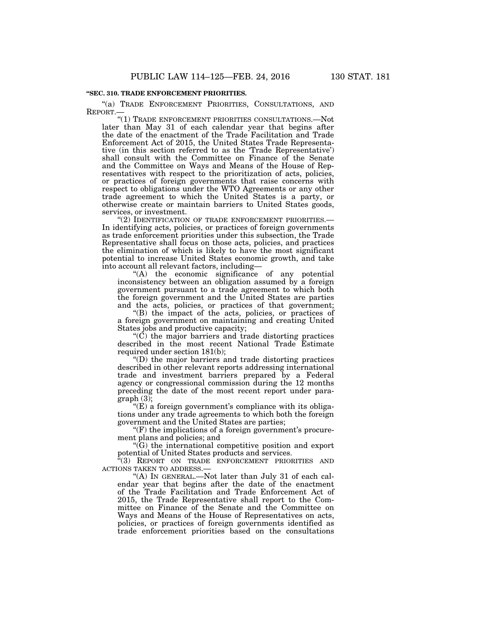## **''SEC. 310. TRADE ENFORCEMENT PRIORITIES.**

"(a) TRADE ENFORCEMENT PRIORITIES, CONSULTATIONS, AND REPORT.—

"(1) TRADE ENFORCEMENT PRIORITIES CONSULTATIONS.—Not later than May 31 of each calendar year that begins after the date of the enactment of the Trade Facilitation and Trade Enforcement Act of 2015, the United States Trade Representative (in this section referred to as the 'Trade Representative') shall consult with the Committee on Finance of the Senate and the Committee on Ways and Means of the House of Representatives with respect to the prioritization of acts, policies, or practices of foreign governments that raise concerns with respect to obligations under the WTO Agreements or any other trade agreement to which the United States is a party, or otherwise create or maintain barriers to United States goods, services, or investment.<br>
"(2) IDENTIFICATION OF TRADE ENFORCEMENT PRIORITIES.—

In identifying acts, policies, or practices of foreign governments as trade enforcement priorities under this subsection, the Trade Representative shall focus on those acts, policies, and practices the elimination of which is likely to have the most significant potential to increase United States economic growth, and take into account all relevant factors, including—

"(A) the economic significance of any potential inconsistency between an obligation assumed by a foreign government pursuant to a trade agreement to which both the foreign government and the United States are parties and the acts, policies, or practices of that government;

''(B) the impact of the acts, policies, or practices of a foreign government on maintaining and creating United States jobs and productive capacity;

 $(C)$  the major barriers and trade distorting practices described in the most recent National Trade Estimate required under section 181(b);

''(D) the major barriers and trade distorting practices described in other relevant reports addressing international trade and investment barriers prepared by a Federal agency or congressional commission during the 12 months preceding the date of the most recent report under paragraph (3);

 $(C)$  a foreign government's compliance with its obligations under any trade agreements to which both the foreign government and the United States are parties;

 $\mathcal{F}(F)$  the implications of a foreign government's procurement plans and policies; and

''(G) the international competitive position and export potential of United States products and services.

 $\frac{a}{3}$  REPORT ON TRADE ENFORCEMENT PRIORITIES AND ACTIONS TAKEN TO ADDRESS.—

''(A) IN GENERAL.—Not later than July 31 of each calendar year that begins after the date of the enactment of the Trade Facilitation and Trade Enforcement Act of 2015, the Trade Representative shall report to the Committee on Finance of the Senate and the Committee on Ways and Means of the House of Representatives on acts, policies, or practices of foreign governments identified as trade enforcement priorities based on the consultations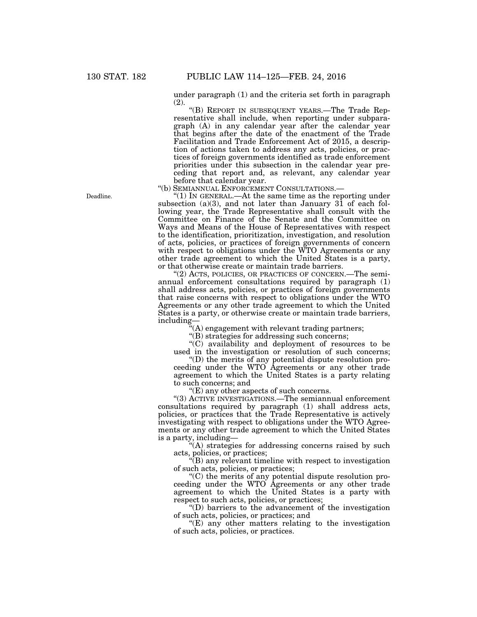under paragraph (1) and the criteria set forth in paragraph (2).

''(B) REPORT IN SUBSEQUENT YEARS.—The Trade Representative shall include, when reporting under subparagraph (A) in any calendar year after the calendar year that begins after the date of the enactment of the Trade Facilitation and Trade Enforcement Act of 2015, a description of actions taken to address any acts, policies, or practices of foreign governments identified as trade enforcement priorities under this subsection in the calendar year preceding that report and, as relevant, any calendar year

before that calendar year.<br>"(b) SEMIANNUAL ENFORCEMENT CONSULTATIONS.—

" $(1)$  In GENERAL.—At the same time as the reporting under subsection (a)(3), and not later than January 31 of each following year, the Trade Representative shall consult with the Committee on Finance of the Senate and the Committee on Ways and Means of the House of Representatives with respect to the identification, prioritization, investigation, and resolution of acts, policies, or practices of foreign governments of concern with respect to obligations under the WTO Agreements or any other trade agreement to which the United States is a party, or that otherwise create or maintain trade barriers.

''(2) ACTS, POLICIES, OR PRACTICES OF CONCERN.—The semiannual enforcement consultations required by paragraph (1) shall address acts, policies, or practices of foreign governments that raise concerns with respect to obligations under the WTO Agreements or any other trade agreement to which the United States is a party, or otherwise create or maintain trade barriers, including—

 $\mathcal{H}(A)$  engagement with relevant trading partners;

''(B) strategies for addressing such concerns;

''(C) availability and deployment of resources to be used in the investigation or resolution of such concerns;

''(D) the merits of any potential dispute resolution proceeding under the WTO Agreements or any other trade agreement to which the United States is a party relating to such concerns; and

 $f(E)$  any other aspects of such concerns.

''(3) ACTIVE INVESTIGATIONS.—The semiannual enforcement consultations required by paragraph (1) shall address acts, policies, or practices that the Trade Representative is actively investigating with respect to obligations under the WTO Agreements or any other trade agreement to which the United States is a party, including—

''(A) strategies for addressing concerns raised by such acts, policies, or practices;

 $\sqrt{\text{B}}$  any relevant timeline with respect to investigation of such acts, policies, or practices;

''(C) the merits of any potential dispute resolution proceeding under the WTO Agreements or any other trade agreement to which the United States is a party with respect to such acts, policies, or practices;

''(D) barriers to the advancement of the investigation of such acts, policies, or practices; and

''(E) any other matters relating to the investigation of such acts, policies, or practices.

Deadline.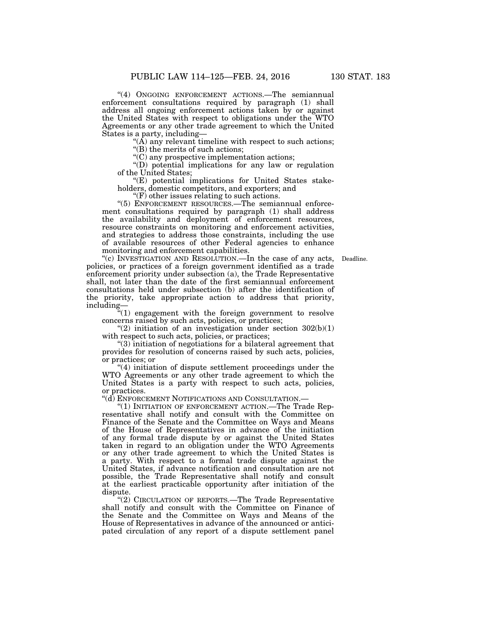''(4) ONGOING ENFORCEMENT ACTIONS.—The semiannual enforcement consultations required by paragraph (1) shall address all ongoing enforcement actions taken by or against the United States with respect to obligations under the WTO Agreements or any other trade agreement to which the United States is a party, including—

 $(A)$  any relevant timeline with respect to such actions;

''(B) the merits of such actions;

''(C) any prospective implementation actions;

''(D) potential implications for any law or regulation of the United States;

''(E) potential implications for United States stakeholders, domestic competitors, and exporters; and

 $f(F)$  other issues relating to such actions.

''(5) ENFORCEMENT RESOURCES.—The semiannual enforcement consultations required by paragraph (1) shall address the availability and deployment of enforcement resources, resource constraints on monitoring and enforcement activities, and strategies to address those constraints, including the use of available resources of other Federal agencies to enhance monitoring and enforcement capabilities.

Deadline.

''(c) INVESTIGATION AND RESOLUTION.—In the case of any acts, policies, or practices of a foreign government identified as a trade enforcement priority under subsection (a), the Trade Representative shall, not later than the date of the first semiannual enforcement consultations held under subsection (b) after the identification of the priority, take appropriate action to address that priority, including—

'(1) engagement with the foreign government to resolve concerns raised by such acts, policies, or practices;

" $(2)$  initiation of an investigation under section  $302(b)(1)$ with respect to such acts, policies, or practices;

''(3) initiation of negotiations for a bilateral agreement that provides for resolution of concerns raised by such acts, policies, or practices; or

''(4) initiation of dispute settlement proceedings under the WTO Agreements or any other trade agreement to which the United States is a party with respect to such acts, policies, or practices.

''(d) ENFORCEMENT NOTIFICATIONS AND CONSULTATION.—

"(1) INITIATION OF ENFORCEMENT ACTION.—The Trade Representative shall notify and consult with the Committee on Finance of the Senate and the Committee on Ways and Means of the House of Representatives in advance of the initiation of any formal trade dispute by or against the United States taken in regard to an obligation under the WTO Agreements or any other trade agreement to which the United States is a party. With respect to a formal trade dispute against the United States, if advance notification and consultation are not possible, the Trade Representative shall notify and consult at the earliest practicable opportunity after initiation of the dispute.

"(2) CIRCULATION OF REPORTS.—The Trade Representative shall notify and consult with the Committee on Finance of the Senate and the Committee on Ways and Means of the House of Representatives in advance of the announced or anticipated circulation of any report of a dispute settlement panel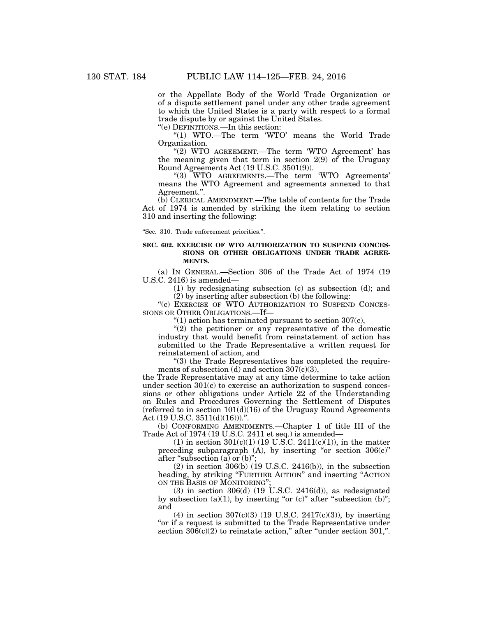or the Appellate Body of the World Trade Organization or of a dispute settlement panel under any other trade agreement to which the United States is a party with respect to a formal trade dispute by or against the United States.

''(e) DEFINITIONS.—In this section:

''(1) WTO.—The term 'WTO' means the World Trade Organization.

"(2) WTO AGREEMENT.—The term 'WTO Agreement' has the meaning given that term in section 2(9) of the Uruguay Round Agreements Act (19 U.S.C. 3501(9)).

''(3) WTO AGREEMENTS.—The term 'WTO Agreements' means the WTO Agreement and agreements annexed to that Agreement.''.

(b) CLERICAL AMENDMENT.—The table of contents for the Trade Act of 1974 is amended by striking the item relating to section 310 and inserting the following:

''Sec. 310. Trade enforcement priorities.''.

## **SEC. 602. EXERCISE OF WTO AUTHORIZATION TO SUSPEND CONCES-SIONS OR OTHER OBLIGATIONS UNDER TRADE AGREE-MENTS.**

(a) IN GENERAL.—Section 306 of the Trade Act of 1974 (19 U.S.C. 2416) is amended—

(1) by redesignating subsection (c) as subsection (d); and (2) by inserting after subsection (b) the following:

"(c) EXERCISE OF WTO AUTHORIZATION TO SUSPEND CONCES-SIONS OR OTHER OBLIGATIONS.—If—

" $(1)$  action has terminated pursuant to section 307 $(c)$ ,

" $(2)$  the petitioner or any representative of the domestic industry that would benefit from reinstatement of action has submitted to the Trade Representative a written request for reinstatement of action, and

" $(3)$  the Trade Representatives has completed the requirements of subsection (d) and section  $307(c)(3)$ ,

the Trade Representative may at any time determine to take action under section 301(c) to exercise an authorization to suspend concessions or other obligations under Article 22 of the Understanding on Rules and Procedures Governing the Settlement of Disputes (referred to in section  $101(d)(16)$  of the Uruguay Round Agreements Act (19 U.S.C. 3511(d)(16))).".

(b) CONFORMING AMENDMENTS.—Chapter 1 of title III of the Trade Act of 1974 (19 U.S.C. 2411 et seq.) is amended—

(1) in section  $301(c)(1)$  (19 U.S.C. 2411(c)(1)), in the matter preceding subparagraph  $(A)$ , by inserting "or section  $306(c)$ " after "subsection (a) or  $(b)$ ";

 $(2)$  in section 306(b) (19 U.S.C. 2416(b)), in the subsection heading, by striking "FURTHER ACTION" and inserting "ACTION ON THE BASIS OF MONITORING'';

 $(3)$  in section 306 $(d)$  (19 U.S.C. 2416 $(d)$ ), as redesignated by subsection  $(a)(1)$ , by inserting "or  $(c)$ " after "subsection  $(b)$ "; and

(4) in section  $307(c)(3)$  (19 U.S.C. 2417(c)(3)), by inserting "or if a request is submitted to the Trade Representative under section  $30\hat{6}$ (c)(2) to reinstate action," after "under section 301,".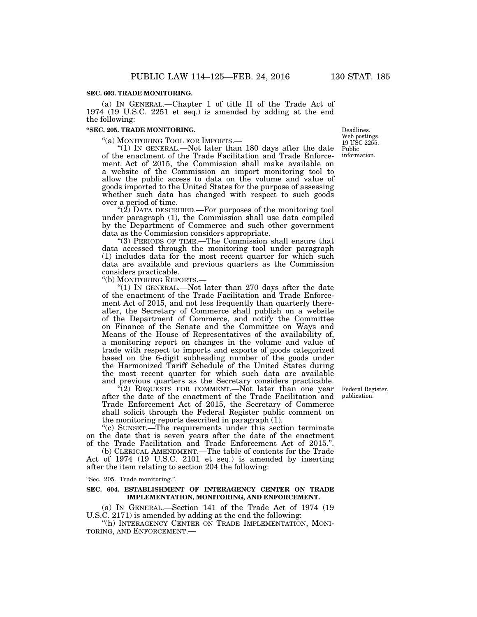(a) IN GENERAL.—Chapter 1 of title II of the Trade Act of 1974 (19 U.S.C. 2251 et seq.) is amended by adding at the end the following:

## **''SEC. 205. TRADE MONITORING.**

''(a) MONITORING TOOL FOR IMPORTS.— ''(1) IN GENERAL.—Not later than 180 days after the date of the enactment of the Trade Facilitation and Trade Enforcement Act of 2015, the Commission shall make available on a website of the Commission an import monitoring tool to allow the public access to data on the volume and value of goods imported to the United States for the purpose of assessing whether such data has changed with respect to such goods over a period of time.

" $(2)$  DATA DESCRIBED.—For purposes of the monitoring tool under paragraph (1), the Commission shall use data compiled by the Department of Commerce and such other government data as the Commission considers appropriate.

''(3) PERIODS OF TIME.—The Commission shall ensure that data accessed through the monitoring tool under paragraph (1) includes data for the most recent quarter for which such data are available and previous quarters as the Commission considers practicable.

''(b) MONITORING REPORTS.—

" $(1)$  In GENERAL.—Not later than 270 days after the date of the enactment of the Trade Facilitation and Trade Enforcement Act of 2015, and not less frequently than quarterly thereafter, the Secretary of Commerce shall publish on a website of the Department of Commerce, and notify the Committee on Finance of the Senate and the Committee on Ways and Means of the House of Representatives of the availability of, a monitoring report on changes in the volume and value of trade with respect to imports and exports of goods categorized based on the 6-digit subheading number of the goods under the Harmonized Tariff Schedule of the United States during the most recent quarter for which such data are available and previous quarters as the Secretary considers practicable.

 $f(2)$  REQUESTS FOR COMMENT.—Not later than one year after the date of the enactment of the Trade Facilitation and Trade Enforcement Act of 2015, the Secretary of Commerce shall solicit through the Federal Register public comment on the monitoring reports described in paragraph (1).

''(c) SUNSET.—The requirements under this section terminate on the date that is seven years after the date of the enactment of the Trade Facilitation and Trade Enforcement Act of 2015.''.

(b) CLERICAL AMENDMENT.—The table of contents for the Trade Act of 1974 (19 U.S.C. 2101 et seq.) is amended by inserting after the item relating to section 204 the following:

''Sec. 205. Trade monitoring.''.

## **SEC. 604. ESTABLISHMENT OF INTERAGENCY CENTER ON TRADE IMPLEMENTATION, MONITORING, AND ENFORCEMENT.**

(a) IN GENERAL.—Section 141 of the Trade Act of 1974 (19 U.S.C. 2171) is amended by adding at the end the following:

"(h) INTERAGENCY CENTER ON TRADE IMPLEMENTATION, MONI-TORING, AND ENFORCEMENT.—

Federal Register, publication.

Public information. Deadlines. Web postings. 19 USC 2255.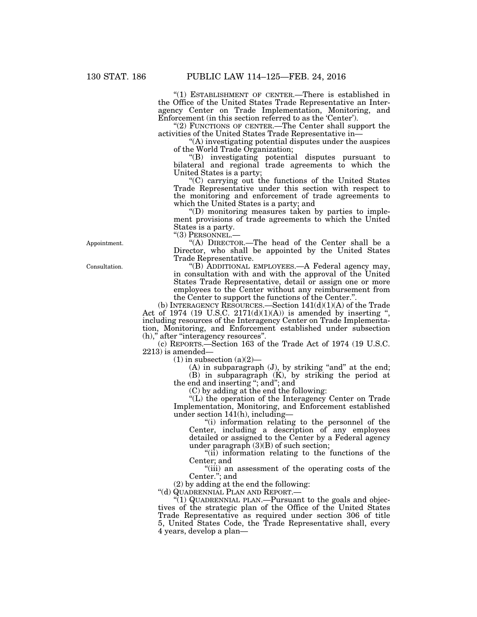''(1) ESTABLISHMENT OF CENTER.—There is established in the Office of the United States Trade Representative an Interagency Center on Trade Implementation, Monitoring, and Enforcement (in this section referred to as the 'Center').

"(2) FUNCTIONS OF CENTER.—The Center shall support the activities of the United States Trade Representative in—

''(A) investigating potential disputes under the auspices of the World Trade Organization;

''(B) investigating potential disputes pursuant to bilateral and regional trade agreements to which the United States is a party;

''(C) carrying out the functions of the United States Trade Representative under this section with respect to the monitoring and enforcement of trade agreements to which the United States is a party; and

''(D) monitoring measures taken by parties to implement provisions of trade agreements to which the United States is a party.

''(3) PERSONNEL.—

''(A) DIRECTOR.—The head of the Center shall be a Director, who shall be appointed by the United States Trade Representative.

''(B) ADDITIONAL EMPLOYEES.—A Federal agency may, in consultation with and with the approval of the United States Trade Representative, detail or assign one or more employees to the Center without any reimbursement from the Center to support the functions of the Center.''.

(b) INTERAGENCY RESOURCES.—Section  $141(d)(1)(A)$  of the Trade Act of 1974 (19 U.S.C.  $2171(d)(1)(A)$ ) is amended by inserting ", including resources of the Interagency Center on Trade Implementation, Monitoring, and Enforcement established under subsection (h)," after "interagency resources".

(c) REPORTS.—Section 163 of the Trade Act of 1974 (19 U.S.C. 2213) is amended—

 $(1)$  in subsection  $(a)(2)$ —

 $(A)$  in subparagraph  $(J)$ , by striking "and" at the end;  $(B)$  in subparagraph  $(K)$ , by striking the period at the end and inserting ''; and''; and

(C) by adding at the end the following:

''(L) the operation of the Interagency Center on Trade Implementation, Monitoring, and Enforcement established under section 141(h), including—

''(i) information relating to the personnel of the Center, including a description of any employees detailed or assigned to the Center by a Federal agency under paragraph (3)(B) of such section;

"(ii) information relating to the functions of the Center; and

''(iii) an assessment of the operating costs of the Center.''; and

(2) by adding at the end the following:

''(d) QUADRENNIAL PLAN AND REPORT.—

''(1) QUADRENNIAL PLAN.—Pursuant to the goals and objectives of the strategic plan of the Office of the United States Trade Representative as required under section 306 of title 5, United States Code, the Trade Representative shall, every 4 years, develop a plan—

Appointment.

Consultation.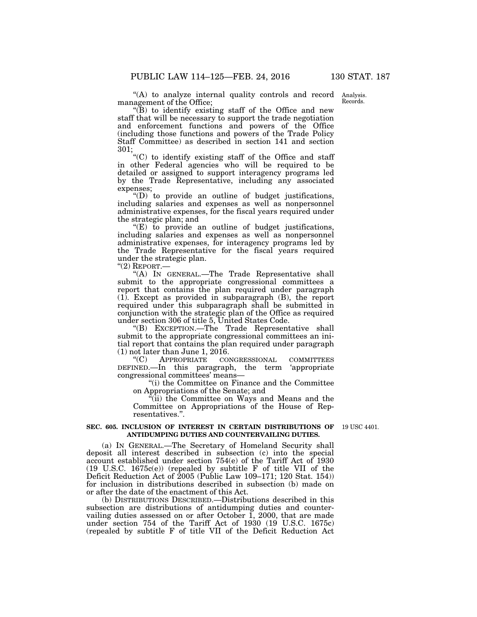''(A) to analyze internal quality controls and record management of the Office; Analysis. Records.

 $\sqrt{\text{B}}$  to identify existing staff of the Office and new staff that will be necessary to support the trade negotiation and enforcement functions and powers of the Office (including those functions and powers of the Trade Policy Staff Committee) as described in section 141 and section 301;

''(C) to identify existing staff of the Office and staff in other Federal agencies who will be required to be detailed or assigned to support interagency programs led by the Trade Representative, including any associated expenses;

 $'(D)$  to provide an outline of budget justifications, including salaries and expenses as well as nonpersonnel administrative expenses, for the fiscal years required under the strategic plan; and

''(E) to provide an outline of budget justifications, including salaries and expenses as well as nonpersonnel administrative expenses, for interagency programs led by the Trade Representative for the fiscal years required under the strategic plan.

''(2) REPORT.—

''(A) IN GENERAL.—The Trade Representative shall submit to the appropriate congressional committees a report that contains the plan required under paragraph (1). Except as provided in subparagraph (B), the report required under this subparagraph shall be submitted in conjunction with the strategic plan of the Office as required under section 306 of title 5, United States Code.

''(B) EXCEPTION.—The Trade Representative shall submit to the appropriate congressional committees an initial report that contains the plan required under paragraph

(1) not later than June 1, 2016.<br>
"(C) APPROPRIATE CO CONGRESSIONAL COMMITTEES DEFINED.—In this paragraph, the term 'appropriate congressional committees' means—

''(i) the Committee on Finance and the Committee on Appropriations of the Senate; and

''(ii) the Committee on Ways and Means and the Committee on Appropriations of the House of Representatives.''.

#### **SEC. 605. INCLUSION OF INTEREST IN CERTAIN DISTRIBUTIONS OF**  19 USC 4401. **ANTIDUMPING DUTIES AND COUNTERVAILING DUTIES.**

(a) IN GENERAL.—The Secretary of Homeland Security shall deposit all interest described in subsection (c) into the special account established under section 754(e) of the Tariff Act of 1930 (19 U.S.C. 1675c(e)) (repealed by subtitle F of title VII of the Deficit Reduction Act of 2005 (Public Law 109–171; 120 Stat. 154)) for inclusion in distributions described in subsection (b) made on or after the date of the enactment of this Act.

(b) DISTRIBUTIONS DESCRIBED.—Distributions described in this subsection are distributions of antidumping duties and countervailing duties assessed on or after October  $\overline{1}$ , 2000, that are made under section 754 of the Tariff Act of 1930 (19 U.S.C. 1675c) (repealed by subtitle F of title VII of the Deficit Reduction Act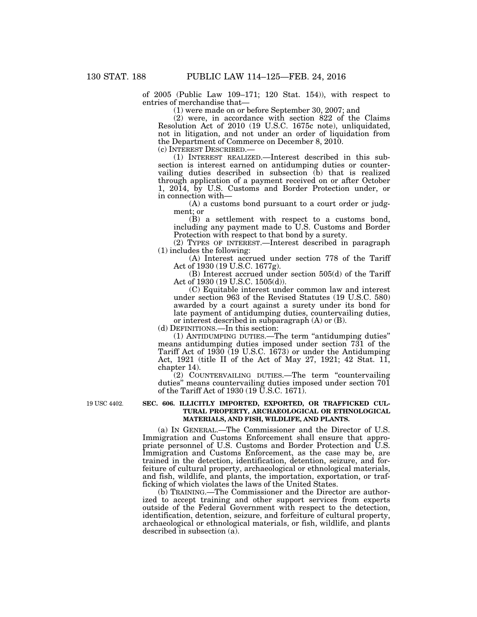of 2005 (Public Law 109–171; 120 Stat. 154)), with respect to entries of merchandise that—

(1) were made on or before September 30, 2007; and

(2) were, in accordance with section 822 of the Claims Resolution Act of 2010 (19 U.S.C. 1675c note), unliquidated, not in litigation, and not under an order of liquidation from the Department of Commerce on December 8, 2010.<br>(c) INTEREST DESCRIBED.—

(1) INTEREST REALIZED.—Interest described in this subsection is interest earned on antidumping duties or countervailing duties described in subsection (b) that is realized through application of a payment received on or after October 1, 2014, by U.S. Customs and Border Protection under, or in connection with—

(A) a customs bond pursuant to a court order or judgment; or

(B) a settlement with respect to a customs bond, including any payment made to U.S. Customs and Border Protection with respect to that bond by a surety.

(2) TYPES OF INTEREST.—Interest described in paragraph (1) includes the following:

(A) Interest accrued under section 778 of the Tariff Act of 1930 (19 U.S.C. 1677g).

(B) Interest accrued under section 505(d) of the Tariff Act of 1930 (19 U.S.C. 1505(d)).

(C) Equitable interest under common law and interest under section 963 of the Revised Statutes (19 U.S.C. 580) awarded by a court against a surety under its bond for late payment of antidumping duties, countervailing duties, or interest described in subparagraph (A) or (B).

(d) DEFINITIONS.—In this section:

(1) ANTIDUMPING DUTIES.—The term ''antidumping duties'' means antidumping duties imposed under section 731 of the Tariff Act of 1930 (19 U.S.C. 1673) or under the Antidumping Act, 1921 (title II of the Act of May 27, 1921; 42 Stat. 11, chapter 14).

(2) COUNTERVAILING DUTIES.—The term ''countervailing duties'' means countervailing duties imposed under section 701 of the Tariff Act of 1930 (19 U.S.C. 1671).

19 USC 4402.

## **SEC. 606. ILLICITLY IMPORTED, EXPORTED, OR TRAFFICKED CUL-TURAL PROPERTY, ARCHAEOLOGICAL OR ETHNOLOGICAL MATERIALS, AND FISH, WILDLIFE, AND PLANTS.**

(a) IN GENERAL.—The Commissioner and the Director of U.S. Immigration and Customs Enforcement shall ensure that appropriate personnel of U.S. Customs and Border Protection and U.S. Immigration and Customs Enforcement, as the case may be, are trained in the detection, identification, detention, seizure, and forfeiture of cultural property, archaeological or ethnological materials, and fish, wildlife, and plants, the importation, exportation, or trafficking of which violates the laws of the United States.

(b) TRAINING.—The Commissioner and the Director are authorized to accept training and other support services from experts outside of the Federal Government with respect to the detection, identification, detention, seizure, and forfeiture of cultural property, archaeological or ethnological materials, or fish, wildlife, and plants described in subsection (a).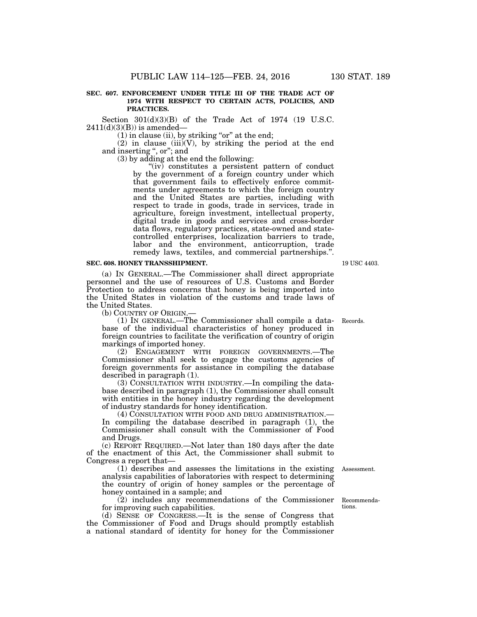## **SEC. 607. ENFORCEMENT UNDER TITLE III OF THE TRADE ACT OF 1974 WITH RESPECT TO CERTAIN ACTS, POLICIES, AND PRACTICES.**

Section  $301(d)(3)(B)$  of the Trade Act of 1974 (19 U.S.C.  $2411(d)(3)(B)$  is amended—

 $(1)$  in clause (ii), by striking "or" at the end;

 $(2)$  in clause  $(iii)(V)$ , by striking the period at the end and inserting '', or''; and

(3) by adding at the end the following:

 $\sqrt[4]{\text{iv}}$  constitutes a persistent pattern of conduct by the government of a foreign country under which that government fails to effectively enforce commitments under agreements to which the foreign country and the United States are parties, including with respect to trade in goods, trade in services, trade in agriculture, foreign investment, intellectual property, digital trade in goods and services and cross-border data flows, regulatory practices, state-owned and statecontrolled enterprises, localization barriers to trade, labor and the environment, anticorruption, trade remedy laws, textiles, and commercial partnerships.''.

#### **SEC. 608. HONEY TRANSSHIPMENT.**

(a) IN GENERAL.—The Commissioner shall direct appropriate personnel and the use of resources of U.S. Customs and Border Protection to address concerns that honey is being imported into the United States in violation of the customs and trade laws of the United States.

(b) COUNTRY OF ORIGIN.—

(1) IN GENERAL.—The Commissioner shall compile a database of the individual characteristics of honey produced in foreign countries to facilitate the verification of country of origin markings of imported honey. Records.

(2) ENGAGEMENT WITH FOREIGN GOVERNMENTS.—The Commissioner shall seek to engage the customs agencies of foreign governments for assistance in compiling the database described in paragraph (1).

(3) CONSULTATION WITH INDUSTRY.—In compiling the database described in paragraph (1), the Commissioner shall consult with entities in the honey industry regarding the development of industry standards for honey identification.

(4) CONSULTATION WITH FOOD AND DRUG ADMINISTRATION.— In compiling the database described in paragraph (1), the Commissioner shall consult with the Commissioner of Food and Drugs.

(c) REPORT REQUIRED.—Not later than 180 days after the date of the enactment of this Act, the Commissioner shall submit to Congress a report that—

(1) describes and assesses the limitations in the existing Assessment. analysis capabilities of laboratories with respect to determining the country of origin of honey samples or the percentage of honey contained in a sample; and

(2) includes any recommendations of the Commissioner for improving such capabilities.

(d) SENSE OF CONGRESS.—It is the sense of Congress that the Commissioner of Food and Drugs should promptly establish a national standard of identity for honey for the Commissioner

Recommendations.

19 USC 4403.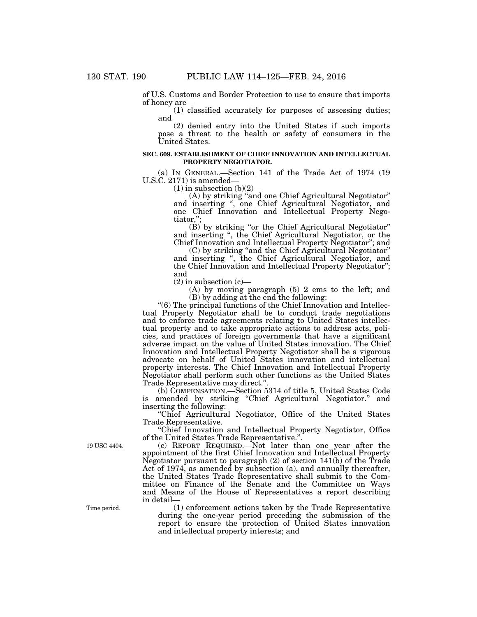of U.S. Customs and Border Protection to use to ensure that imports of honey are—

(1) classified accurately for purposes of assessing duties; and

(2) denied entry into the United States if such imports pose a threat to the health or safety of consumers in the United States.

## **SEC. 609. ESTABLISHMENT OF CHIEF INNOVATION AND INTELLECTUAL PROPERTY NEGOTIATOR.**

(a) IN GENERAL.—Section 141 of the Trade Act of 1974 (19 U.S.C. 2171) is amended—

 $(1)$  in subsection  $(b)(2)$ 

(A) by striking ''and one Chief Agricultural Negotiator'' and inserting '', one Chief Agricultural Negotiator, and one Chief Innovation and Intellectual Property Negotiator,'';

 $(\hat{B})$  by striking "or the Chief Agricultural Negotiator" and inserting '', the Chief Agricultural Negotiator, or the Chief Innovation and Intellectual Property Negotiator''; and

(C) by striking ''and the Chief Agricultural Negotiator'' and inserting '', the Chief Agricultural Negotiator, and the Chief Innovation and Intellectual Property Negotiator''; and

 $(2)$  in subsection  $(c)$ —

(A) by moving paragraph (5) 2 ems to the left; and (B) by adding at the end the following:

''(6) The principal functions of the Chief Innovation and Intellectual Property Negotiator shall be to conduct trade negotiations and to enforce trade agreements relating to United States intellectual property and to take appropriate actions to address acts, policies, and practices of foreign governments that have a significant adverse impact on the value of United States innovation. The Chief Innovation and Intellectual Property Negotiator shall be a vigorous advocate on behalf of United States innovation and intellectual property interests. The Chief Innovation and Intellectual Property Negotiator shall perform such other functions as the United States Trade Representative may direct.''.

(b) COMPENSATION.—Section 5314 of title 5, United States Code is amended by striking "Chief Agricultural Negotiator." and inserting the following:

''Chief Agricultural Negotiator, Office of the United States Trade Representative.

''Chief Innovation and Intellectual Property Negotiator, Office of the United States Trade Representative.''.

(c) REPORT REQUIRED.—Not later than one year after the appointment of the first Chief Innovation and Intellectual Property Negotiator pursuant to paragraph (2) of section 141(b) of the Trade Act of 1974, as amended by subsection (a), and annually thereafter, the United States Trade Representative shall submit to the Committee on Finance of the Senate and the Committee on Ways and Means of the House of Representatives a report describing in detail—

(1) enforcement actions taken by the Trade Representative during the one-year period preceding the submission of the report to ensure the protection of United States innovation and intellectual property interests; and

19 USC 4404.

Time period.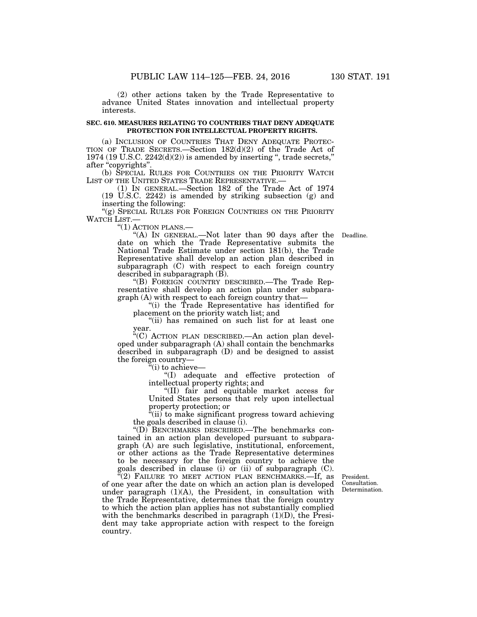(2) other actions taken by the Trade Representative to advance United States innovation and intellectual property interests.

## **SEC. 610. MEASURES RELATING TO COUNTRIES THAT DENY ADEQUATE PROTECTION FOR INTELLECTUAL PROPERTY RIGHTS.**

(a) INCLUSION OF COUNTRIES THAT DENY ADEQUATE PROTEC- TION OF TRADE SECRETS.—Section 182(d)(2) of the Trade Act of  $1974$  (19 U.S.C.  $2242(d)(2)$ ) is amended by inserting ", trade secrets, after ''copyrights''.

(b) SPECIAL RULES FOR COUNTRIES ON THE PRIORITY WATCH LIST OF THE UNITED STATES TRADE REPRESENTATIVE.—

 $(1)$  In GENERAL.—Section 182 of the Trade Act of 1974 (19 U.S.C. 2242) is amended by striking subsection (g) and inserting the following:

"(g) SPECIAL RULES FOR FOREIGN COUNTRIES ON THE PRIORITY WATCH LIST.-

''(1) ACTION PLANS.—

"(A) In GENERAL.—Not later than 90 days after the Deadline. date on which the Trade Representative submits the National Trade Estimate under section 181(b), the Trade Representative shall develop an action plan described in subparagraph (C) with respect to each foreign country described in subparagraph (B).

''(B) FOREIGN COUNTRY DESCRIBED.—The Trade Representative shall develop an action plan under subparagraph (A) with respect to each foreign country that—

''(i) the Trade Representative has identified for placement on the priority watch list; and

''(ii) has remained on such list for at least one year.

''(C) ACTION PLAN DESCRIBED.—An action plan developed under subparagraph (A) shall contain the benchmarks described in subparagraph (D) and be designed to assist the foreign country—

 $\mathbf{a}$ <sup>"</sup>(i) to achieve—

''(I) adequate and effective protection of intellectual property rights; and

''(II) fair and equitable market access for United States persons that rely upon intellectual property protection; or

 $\sqrt[n]{\text{iii}}$  to make significant progress toward achieving the goals described in clause (i).

''(D) BENCHMARKS DESCRIBED.—The benchmarks contained in an action plan developed pursuant to subparagraph (A) are such legislative, institutional, enforcement, or other actions as the Trade Representative determines to be necessary for the foreign country to achieve the goals described in clause (i) or (ii) of subparagraph (C).

 $\tilde{H}(2)$  FAILURE TO MEET ACTION PLAN BENCHMARKS.—If, as of one year after the date on which an action plan is developed under paragraph (1)(A), the President, in consultation with the Trade Representative, determines that the foreign country to which the action plan applies has not substantially complied with the benchmarks described in paragraph  $(1)(D)$ , the President may take appropriate action with respect to the foreign country.

President. Consultation. Determination.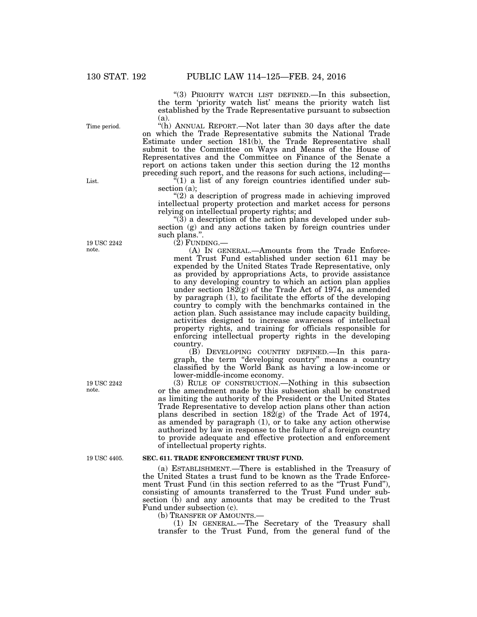"(3) PRIORITY WATCH LIST DEFINED.—In this subsection, the term 'priority watch list' means the priority watch list established by the Trade Representative pursuant to subsection (a).

Time period.

''(h) ANNUAL REPORT.—Not later than 30 days after the date on which the Trade Representative submits the National Trade Estimate under section 181(b), the Trade Representative shall submit to the Committee on Ways and Means of the House of Representatives and the Committee on Finance of the Senate a report on actions taken under this section during the 12 months preceding such report, and the reasons for such actions, including—

 $\frac{8}{10}$  a list of any foreign countries identified under subsection (a);

"(2) a description of progress made in achieving improved intellectual property protection and market access for persons relying on intellectual property rights; and

''(3) a description of the action plans developed under subsection (g) and any actions taken by foreign countries under such plans.''.

 $(2)$  FUNDING.

(A) IN GENERAL.—Amounts from the Trade Enforcement Trust Fund established under section 611 may be expended by the United States Trade Representative, only as provided by appropriations Acts, to provide assistance to any developing country to which an action plan applies under section 182(g) of the Trade Act of 1974, as amended by paragraph (1), to facilitate the efforts of the developing country to comply with the benchmarks contained in the action plan. Such assistance may include capacity building, activities designed to increase awareness of intellectual property rights, and training for officials responsible for enforcing intellectual property rights in the developing country.

(B) DEVELOPING COUNTRY DEFINED.—In this paragraph, the term ''developing country'' means a country classified by the World Bank as having a low-income or lower-middle-income economy.

(3) RULE OF CONSTRUCTION.—Nothing in this subsection or the amendment made by this subsection shall be construed as limiting the authority of the President or the United States Trade Representative to develop action plans other than action plans described in section  $18\overline{2}$ (g) of the Trade Act of 1974, as amended by paragraph (1), or to take any action otherwise authorized by law in response to the failure of a foreign country to provide adequate and effective protection and enforcement of intellectual property rights.

## **SEC. 611. TRADE ENFORCEMENT TRUST FUND.**

(a) ESTABLISHMENT.—There is established in the Treasury of the United States a trust fund to be known as the Trade Enforcement Trust Fund (in this section referred to as the "Trust Fund"), consisting of amounts transferred to the Trust Fund under subsection  $(\bar{b})$  and any amounts that may be credited to the Trust Fund under subsection (c).

(b) TRANSFER OF AMOUNTS.— (1) IN GENERAL.—The Secretary of the Treasury shall transfer to the Trust Fund, from the general fund of the

List.

19 USC 2242 note.

19 USC 2242 note.

19 USC 4405.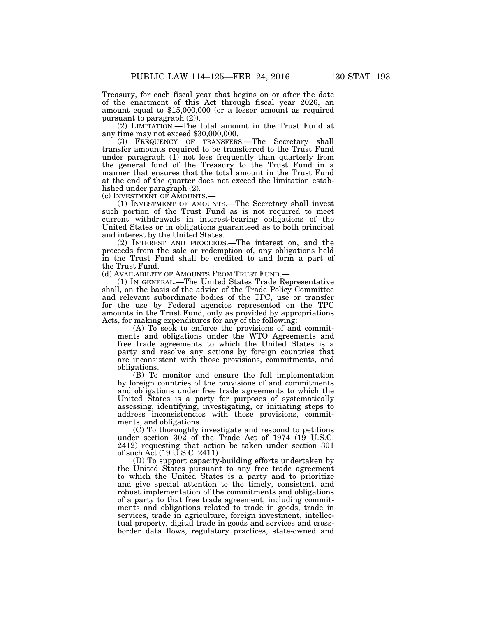Treasury, for each fiscal year that begins on or after the date of the enactment of this Act through fiscal year 2026, an amount equal to \$15,000,000 (or a lesser amount as required pursuant to paragraph (2)).

(2) LIMITATION.—The total amount in the Trust Fund at any time may not exceed \$30,000,000.

(3) FREQUENCY OF TRANSFERS.—The Secretary shall transfer amounts required to be transferred to the Trust Fund under paragraph (1) not less frequently than quarterly from the general fund of the Treasury to the Trust Fund in a manner that ensures that the total amount in the Trust Fund at the end of the quarter does not exceed the limitation established under paragraph (2).<br>(c) INVESTMENT OF AMOUNTS.-

(1) INVESTMENT OF AMOUNTS.—The Secretary shall invest such portion of the Trust Fund as is not required to meet current withdrawals in interest-bearing obligations of the United States or in obligations guaranteed as to both principal and interest by the United States.

(2) INTEREST AND PROCEEDS.—The interest on, and the proceeds from the sale or redemption of, any obligations held in the Trust Fund shall be credited to and form a part of the Trust Fund.

(d) AVAILABILITY OF AMOUNTS FROM TRUST FUND.—

(1) IN GENERAL.—The United States Trade Representative shall, on the basis of the advice of the Trade Policy Committee and relevant subordinate bodies of the TPC, use or transfer for the use by Federal agencies represented on the TPC amounts in the Trust Fund, only as provided by appropriations Acts, for making expenditures for any of the following:

(A) To seek to enforce the provisions of and commitments and obligations under the WTO Agreements and free trade agreements to which the United States is a party and resolve any actions by foreign countries that are inconsistent with those provisions, commitments, and obligations.

(B) To monitor and ensure the full implementation by foreign countries of the provisions of and commitments and obligations under free trade agreements to which the United States is a party for purposes of systematically assessing, identifying, investigating, or initiating steps to address inconsistencies with those provisions, commitments, and obligations.

(C) To thoroughly investigate and respond to petitions under section 302 of the Trade Act of 1974 (19 U.S.C. 2412) requesting that action be taken under section 301 of such Act (19 U.S.C. 2411).

(D) To support capacity-building efforts undertaken by the United States pursuant to any free trade agreement to which the United States is a party and to prioritize and give special attention to the timely, consistent, and robust implementation of the commitments and obligations of a party to that free trade agreement, including commitments and obligations related to trade in goods, trade in services, trade in agriculture, foreign investment, intellectual property, digital trade in goods and services and crossborder data flows, regulatory practices, state-owned and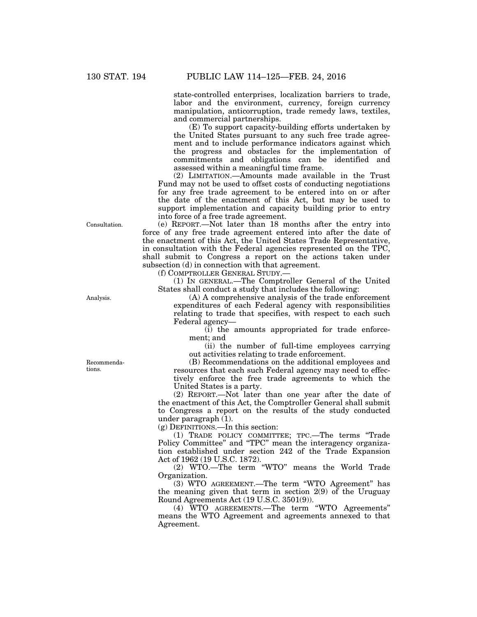state-controlled enterprises, localization barriers to trade, labor and the environment, currency, foreign currency manipulation, anticorruption, trade remedy laws, textiles, and commercial partnerships.

(E) To support capacity-building efforts undertaken by the United States pursuant to any such free trade agreement and to include performance indicators against which the progress and obstacles for the implementation of commitments and obligations can be identified and assessed within a meaningful time frame.

(2) LIMITATION.—Amounts made available in the Trust Fund may not be used to offset costs of conducting negotiations for any free trade agreement to be entered into on or after the date of the enactment of this Act, but may be used to support implementation and capacity building prior to entry into force of a free trade agreement.

(e) REPORT.—Not later than 18 months after the entry into force of any free trade agreement entered into after the date of the enactment of this Act, the United States Trade Representative, in consultation with the Federal agencies represented on the TPC, shall submit to Congress a report on the actions taken under subsection (d) in connection with that agreement.

(f) COMPTROLLER GENERAL STUDY.—

(1) IN GENERAL.—The Comptroller General of the United States shall conduct a study that includes the following:

(A) A comprehensive analysis of the trade enforcement expenditures of each Federal agency with responsibilities relating to trade that specifies, with respect to each such Federal agency—

(i) the amounts appropriated for trade enforcement; and

(ii) the number of full-time employees carrying out activities relating to trade enforcement.

(B) Recommendations on the additional employees and resources that each such Federal agency may need to effectively enforce the free trade agreements to which the United States is a party.

(2) REPORT.—Not later than one year after the date of the enactment of this Act, the Comptroller General shall submit to Congress a report on the results of the study conducted under paragraph (1).

(g) DEFINITIONS.—In this section:

(1) TRADE POLICY COMMITTEE; TPC.—The terms ''Trade Policy Committee'' and ''TPC'' mean the interagency organization established under section 242 of the Trade Expansion Act of 1962 (19 U.S.C. 1872).

(2) WTO.—The term ''WTO'' means the World Trade Organization.

(3) WTO AGREEMENT.—The term ''WTO Agreement'' has the meaning given that term in section 2(9) of the Uruguay Round Agreements Act (19 U.S.C. 3501(9)).

(4) WTO AGREEMENTS.—The term ''WTO Agreements'' means the WTO Agreement and agreements annexed to that Agreement.

Consultation.

Analysis.

Recommendations.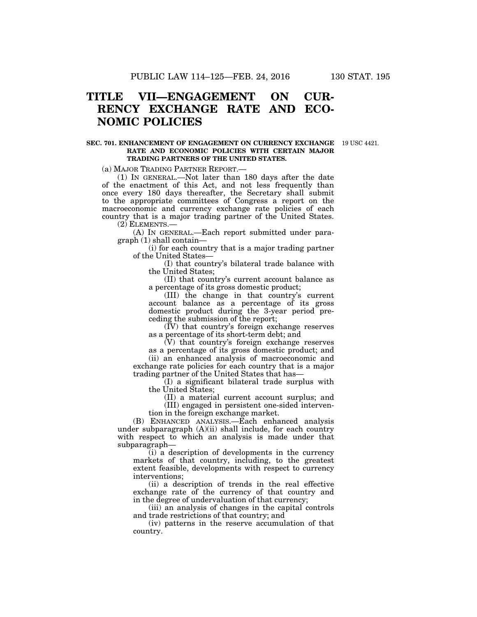# **TITLE VII—ENGAGEMENT ON CUR-RENCY EXCHANGE RATE AND ECO-NOMIC POLICIES**

#### **SEC. 701. ENHANCEMENT OF ENGAGEMENT ON CURRENCY EXCHANGE**  19 USC 4421. **RATE AND ECONOMIC POLICIES WITH CERTAIN MAJOR TRADING PARTNERS OF THE UNITED STATES.**

(a) MAJOR TRADING PARTNER REPORT.—

(1) IN GENERAL.—Not later than 180 days after the date of the enactment of this Act, and not less frequently than once every 180 days thereafter, the Secretary shall submit to the appropriate committees of Congress a report on the macroeconomic and currency exchange rate policies of each country that is a major trading partner of the United States.

(2) ELEMENTS.—

(A) IN GENERAL.—Each report submitted under paragraph (1) shall contain—

(i) for each country that is a major trading partner of the United States—

(I) that country's bilateral trade balance with the United States;

(II) that country's current account balance as a percentage of its gross domestic product;

(III) the change in that country's current account balance as a percentage of its gross domestic product during the 3-year period preceding the submission of the report;

 $(\overline{IV})$  that country's foreign exchange reserves as a percentage of its short-term debt; and

(V) that country's foreign exchange reserves as a percentage of its gross domestic product; and (ii) an enhanced analysis of macroeconomic and exchange rate policies for each country that is a major trading partner of the United States that has—

(I) a significant bilateral trade surplus with the United States;

(II) a material current account surplus; and

(III) engaged in persistent one-sided intervention in the foreign exchange market.

(B) ENHANCED ANALYSIS.—Each enhanced analysis under subparagraph  $(A)(ii)$  shall include, for each country with respect to which an analysis is made under that subparagraph—

(i) a description of developments in the currency markets of that country, including, to the greatest extent feasible, developments with respect to currency interventions;

(ii) a description of trends in the real effective exchange rate of the currency of that country and in the degree of undervaluation of that currency;

(iii) an analysis of changes in the capital controls and trade restrictions of that country; and

(iv) patterns in the reserve accumulation of that country.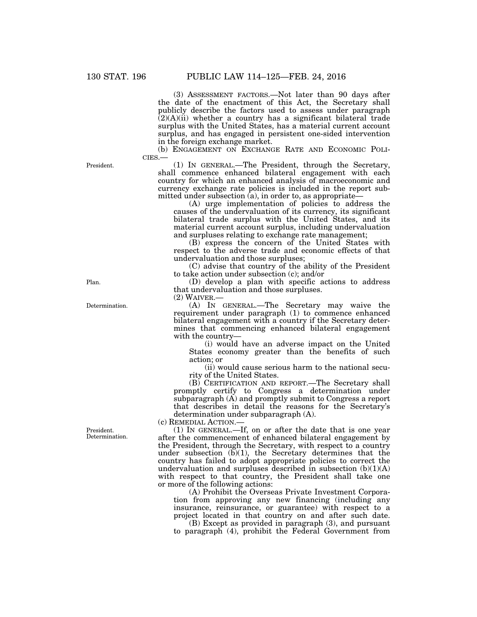(3) ASSESSMENT FACTORS.—Not later than 90 days after the date of the enactment of this Act, the Secretary shall publicly describe the factors used to assess under paragraph  $(2)(A)(ii)$  whether a country has a significant bilateral trade surplus with the United States, has a material current account surplus, and has engaged in persistent one-sided intervention in the foreign exchange market.<br>(b) ENGAGEMENT ON EXCHANGE RATE AND ECONOMIC POLI-

(b) ENGAGEMENT ON EXCHANGE RATE AND ECONOMIC POLICIES.—<br>(1) IN GENERAL.—The President, through the Secretary,

shall commence enhanced bilateral engagement with each country for which an enhanced analysis of macroeconomic and currency exchange rate policies is included in the report submitted under subsection  $(a)$ , in order to, as appropriate-

(A) urge implementation of policies to address the causes of the undervaluation of its currency, its significant bilateral trade surplus with the United States, and its material current account surplus, including undervaluation and surpluses relating to exchange rate management;

(B) express the concern of the United States with respect to the adverse trade and economic effects of that undervaluation and those surpluses;

(C) advise that country of the ability of the President to take action under subsection (c); and/or

(D) develop a plan with specific actions to address that undervaluation and those surpluses.

(2) WAIVER.—

(A) IN GENERAL.—The Secretary may waive the requirement under paragraph (1) to commence enhanced bilateral engagement with a country if the Secretary determines that commencing enhanced bilateral engagement with the country-

(i) would have an adverse impact on the United States economy greater than the benefits of such action; or

(ii) would cause serious harm to the national security of the United States.

(B) CERTIFICATION AND REPORT.—The Secretary shall promptly certify to Congress a determination under subparagraph (A) and promptly submit to Congress a report that describes in detail the reasons for the Secretary's determination under subparagraph (A).

(c) REMEDIAL ACTION.—

(1) IN GENERAL.—If, on or after the date that is one year after the commencement of enhanced bilateral engagement by the President, through the Secretary, with respect to a country under subsection (b)(1), the Secretary determines that the country has failed to adopt appropriate policies to correct the undervaluation and surpluses described in subsection  $(b)(1)(A)$ with respect to that country, the President shall take one or more of the following actions:

(A) Prohibit the Overseas Private Investment Corporation from approving any new financing (including any insurance, reinsurance, or guarantee) with respect to a project located in that country on and after such date.

(B) Except as provided in paragraph (3), and pursuant to paragraph (4), prohibit the Federal Government from

President.

Plan.

Determination.

President. Determination.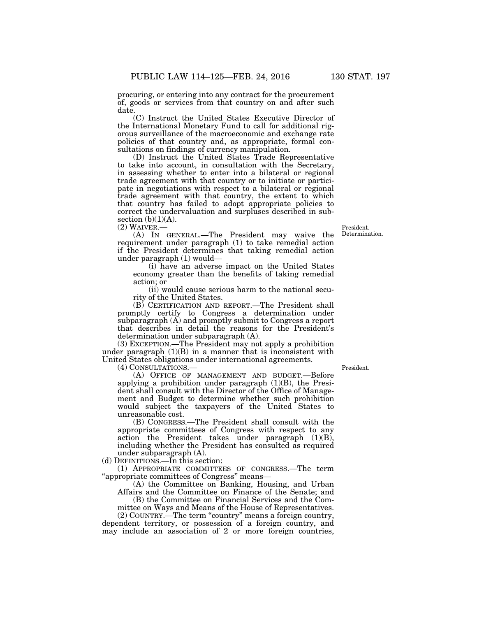procuring, or entering into any contract for the procurement of, goods or services from that country on and after such date.

(C) Instruct the United States Executive Director of the International Monetary Fund to call for additional rigorous surveillance of the macroeconomic and exchange rate policies of that country and, as appropriate, formal consultations on findings of currency manipulation.

(D) Instruct the United States Trade Representative to take into account, in consultation with the Secretary, in assessing whether to enter into a bilateral or regional trade agreement with that country or to initiate or participate in negotiations with respect to a bilateral or regional trade agreement with that country, the extent to which that country has failed to adopt appropriate policies to correct the undervaluation and surpluses described in subsection  $(b)(1)(A)$ .

(2) WAIVER.—

President. Determination.

(A) IN GENERAL.—The President may waive the requirement under paragraph (1) to take remedial action if the President determines that taking remedial action under paragraph (1) would—

(i) have an adverse impact on the United States economy greater than the benefits of taking remedial action; or

(ii) would cause serious harm to the national security of the United States.

(B) CERTIFICATION AND REPORT.—The President shall promptly certify to Congress a determination under subparagraph (A) and promptly submit to Congress a report that describes in detail the reasons for the President's determination under subparagraph (A).

(3) EXCEPTION.—The President may not apply a prohibition under paragraph  $(1)(B)$  in a manner that is inconsistent with United States obligations under international agreements.

(4) CONSULTATIONS.—

(A) OFFICE OF MANAGEMENT AND BUDGET.—Before applying a prohibition under paragraph  $(1)(B)$ , the President shall consult with the Director of the Office of Management and Budget to determine whether such prohibition would subject the taxpayers of the United States to unreasonable cost.

(B) CONGRESS.—The President shall consult with the appropriate committees of Congress with respect to any action the President takes under paragraph  $(1)(B)$ , including whether the President has consulted as required under subparagraph (A).

(d) DEFINITIONS.—In this section:

(1) APPROPRIATE COMMITTEES OF CONGRESS.—The term ''appropriate committees of Congress'' means—

(A) the Committee on Banking, Housing, and Urban Affairs and the Committee on Finance of the Senate; and

(B) the Committee on Financial Services and the Committee on Ways and Means of the House of Representatives.

(2) COUNTRY.—The term ''country'' means a foreign country, dependent territory, or possession of a foreign country, and may include an association of 2 or more foreign countries,

President.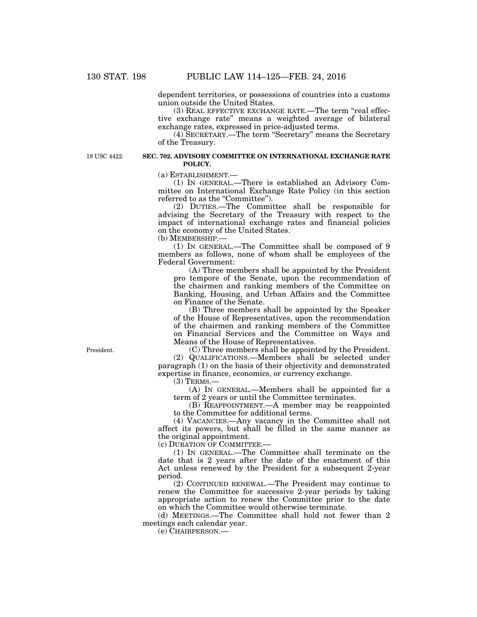dependent territories, or possessions of countries into a customs union outside the United States.

(3) REAL EFFECTIVE EXCHANGE RATE.—The term ''real effective exchange rate'' means a weighted average of bilateral exchange rates, expressed in price-adjusted terms.

(4) SECRETARY.—The term ''Secretary'' means the Secretary of the Treasury.

19 USC 4422.

#### **SEC. 702. ADVISORY COMMITTEE ON INTERNATIONAL EXCHANGE RATE POLICY.**

(a) ESTABLISHMENT.—

(1) IN GENERAL.—There is established an Advisory Committee on International Exchange Rate Policy (in this section referred to as the "Committee".

(2) DUTIES.—The Committee shall be responsible for advising the Secretary of the Treasury with respect to the impact of international exchange rates and financial policies on the economy of the United States.

(b) MEMBERSHIP.—

(1) IN GENERAL.—The Committee shall be composed of 9 members as follows, none of whom shall be employees of the Federal Government:

(A) Three members shall be appointed by the President pro tempore of the Senate, upon the recommendation of the chairmen and ranking members of the Committee on Banking, Housing, and Urban Affairs and the Committee on Finance of the Senate.

(B) Three members shall be appointed by the Speaker of the House of Representatives, upon the recommendation of the chairmen and ranking members of the Committee on Financial Services and the Committee on Ways and Means of the House of Representatives.

(C) Three members shall be appointed by the President. (2) QUALIFICATIONS.—Members shall be selected under paragraph (1) on the basis of their objectivity and demonstrated

expertise in finance, economics, or currency exchange.

(3) TERMS.—

(A) IN GENERAL.—Members shall be appointed for a term of 2 years or until the Committee terminates.

(B) REAPPOINTMENT.—A member may be reappointed to the Committee for additional terms.

(4) VACANCIES.—Any vacancy in the Committee shall not affect its powers, but shall be filled in the same manner as the original appointment.

(c) DURATION OF COMMITTEE.—

(1) IN GENERAL.—The Committee shall terminate on the date that is 2 years after the date of the enactment of this Act unless renewed by the President for a subsequent 2-year period.

(2) CONTINUED RENEWAL.—The President may continue to renew the Committee for successive 2-year periods by taking appropriate action to renew the Committee prior to the date on which the Committee would otherwise terminate.

(d) MEETINGS.—The Committee shall hold not fewer than 2 meetings each calendar year.

(e) CHAIRPERSON.—

President.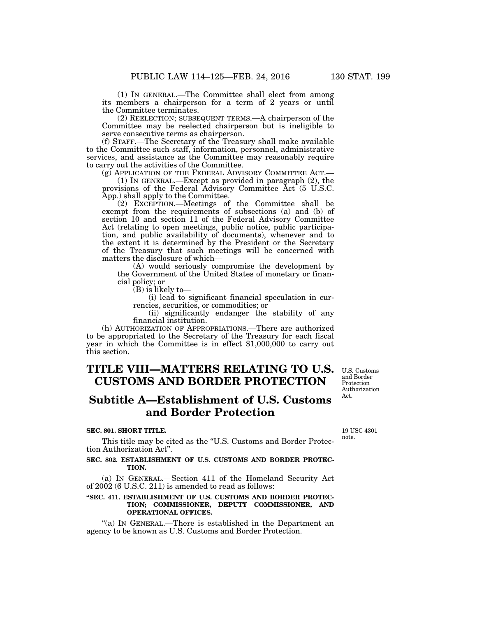(1) IN GENERAL.—The Committee shall elect from among its members a chairperson for a term of 2 years or until the Committee terminates.

(2) REELECTION; SUBSEQUENT TERMS.—A chairperson of the Committee may be reelected chairperson but is ineligible to serve consecutive terms as chairperson.

(f) STAFF.—The Secretary of the Treasury shall make available to the Committee such staff, information, personnel, administrative services, and assistance as the Committee may reasonably require to carry out the activities of the Committee.<br>(g) APPLICATION OF THE FEDERAL ADVISORY COMMITTEE ACT.

(1) IN GENERAL.—Except as provided in paragraph  $(2)$ , the provisions of the Federal Advisory Committee Act (5 U.S.C. App.) shall apply to the Committee.

(2) EXCEPTION.—Meetings of the Committee shall be exempt from the requirements of subsections (a) and (b) of section 10 and section 11 of the Federal Advisory Committee Act (relating to open meetings, public notice, public participation, and public availability of documents), whenever and to the extent it is determined by the President or the Secretary of the Treasury that such meetings will be concerned with matters the disclosure of which—

(A) would seriously compromise the development by the Government of the United States of monetary or financial policy; or

(B) is likely to—

(i) lead to significant financial speculation in currencies, securities, or commodities; or

(ii) significantly endanger the stability of any financial institution.

(h) AUTHORIZATION OF APPROPRIATIONS.—There are authorized to be appropriated to the Secretary of the Treasury for each fiscal year in which the Committee is in effect \$1,000,000 to carry out this section.

# **TITLE VIII—MATTERS RELATING TO U.S. CUSTOMS AND BORDER PROTECTION**

U.S. Customs and Border Protection Authorization Act.

# **Subtitle A—Establishment of U.S. Customs and Border Protection**

### **SEC. 801. SHORT TITLE.**

This title may be cited as the "U.S. Customs and Border Protection Authorization Act''.

### **SEC. 802. ESTABLISHMENT OF U.S. CUSTOMS AND BORDER PROTEC-TION.**

(a) IN GENERAL.—Section 411 of the Homeland Security Act of 2002 (6 U.S.C. 211) is amended to read as follows:

#### **''SEC. 411. ESTABLISHMENT OF U.S. CUSTOMS AND BORDER PROTEC-TION; COMMISSIONER, DEPUTY COMMISSIONER, AND OPERATIONAL OFFICES.**

"(a) IN GENERAL.—There is established in the Department an agency to be known as U.S. Customs and Border Protection.

19 USC 4301 note.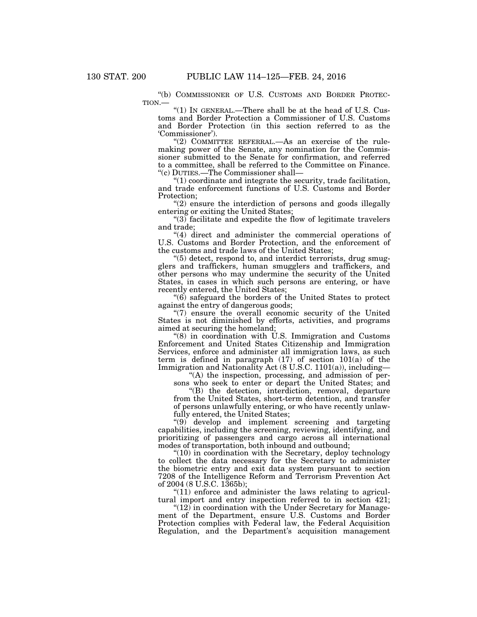''(b) COMMISSIONER OF U.S. CUSTOMS AND BORDER PROTEC- TION.— ''(1) IN GENERAL.—There shall be at the head of U.S. Cus-

toms and Border Protection a Commissioner of U.S. Customs and Border Protection (in this section referred to as the 'Commissioner').

" $(2)$  COMMITTEE REFERRAL.—As an exercise of the rulemaking power of the Senate, any nomination for the Commissioner submitted to the Senate for confirmation, and referred to a committee, shall be referred to the Committee on Finance. ''(c) DUTIES.—The Commissioner shall—

 $''(1)$  coordinate and integrate the security, trade facilitation, and trade enforcement functions of U.S. Customs and Border Protection;

 $(2)$  ensure the interdiction of persons and goods illegally entering or exiting the United States;

 $(3)$  facilitate and expedite the flow of legitimate travelers and trade;

''(4) direct and administer the commercial operations of U.S. Customs and Border Protection, and the enforcement of the customs and trade laws of the United States;

''(5) detect, respond to, and interdict terrorists, drug smugglers and traffickers, human smugglers and traffickers, and other persons who may undermine the security of the United States, in cases in which such persons are entering, or have recently entered, the United States;

''(6) safeguard the borders of the United States to protect against the entry of dangerous goods;

"(7) ensure the overall economic security of the United States is not diminished by efforts, activities, and programs aimed at securing the homeland;

" $(8)$  in coordination with U.S. Immigration and Customs Enforcement and United States Citizenship and Immigration Services, enforce and administer all immigration laws, as such term is defined in paragraph (17) of section 101(a) of the Immigration and Nationality Act (8 U.S.C. 1101(a)), including—

''(A) the inspection, processing, and admission of persons who seek to enter or depart the United States; and

''(B) the detection, interdiction, removal, departure from the United States, short-term detention, and transfer of persons unlawfully entering, or who have recently unlawfully entered, the United States;

"(9) develop and implement screening and targeting capabilities, including the screening, reviewing, identifying, and prioritizing of passengers and cargo across all international modes of transportation, both inbound and outbound;

''(10) in coordination with the Secretary, deploy technology to collect the data necessary for the Secretary to administer the biometric entry and exit data system pursuant to section 7208 of the Intelligence Reform and Terrorism Prevention Act of 2004 (8 U.S.C. 1365b);

 $"(11)$  enforce and administer the laws relating to agricultural import and entry inspection referred to in section 421;

 $\degree$ (12) in coordination with the Under Secretary for Management of the Department, ensure U.S. Customs and Border Protection complies with Federal law, the Federal Acquisition Regulation, and the Department's acquisition management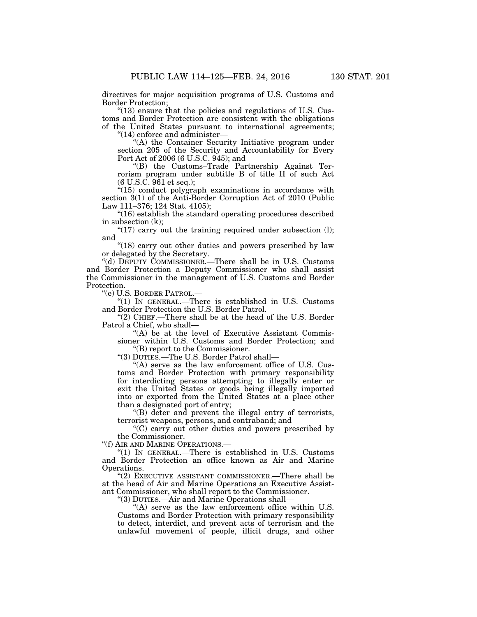directives for major acquisition programs of U.S. Customs and Border Protection;

 $\degree$ (13) ensure that the policies and regulations of U.S. Customs and Border Protection are consistent with the obligations of the United States pursuant to international agreements;

''(14) enforce and administer—

''(A) the Container Security Initiative program under section 205 of the Security and Accountability for Every Port Act of 2006 (6 U.S.C. 945); and

''(B) the Customs–Trade Partnership Against Terrorism program under subtitle B of title II of such Act (6 U.S.C. 961 et seq.);

"(15) conduct polygraph examinations in accordance with section 3(1) of the Anti-Border Corruption Act of 2010 (Public Law 111–376; 124 Stat. 4105);

''(16) establish the standard operating procedures described in subsection (k);

" $(17)$  carry out the training required under subsection  $(l)$ ; and

"(18) carry out other duties and powers prescribed by law or delegated by the Secretary.

''(d) DEPUTY COMMISSIONER.—There shall be in U.S. Customs and Border Protection a Deputy Commissioner who shall assist the Commissioner in the management of U.S. Customs and Border Protection.

''(e) U.S. BORDER PATROL.—

''(1) IN GENERAL.—There is established in U.S. Customs and Border Protection the U.S. Border Patrol.

''(2) CHIEF.—There shall be at the head of the U.S. Border Patrol a Chief, who shall—

"(A) be at the level of Executive Assistant Commissioner within U.S. Customs and Border Protection; and ''(B) report to the Commissioner.

''(3) DUTIES.—The U.S. Border Patrol shall—

"(A) serve as the law enforcement office of U.S. Customs and Border Protection with primary responsibility for interdicting persons attempting to illegally enter or exit the United States or goods being illegally imported into or exported from the United States at a place other than a designated port of entry;

''(B) deter and prevent the illegal entry of terrorists, terrorist weapons, persons, and contraband; and

''(C) carry out other duties and powers prescribed by the Commissioner.

''(f) AIR AND MARINE OPERATIONS.—

''(1) IN GENERAL.—There is established in U.S. Customs and Border Protection an office known as Air and Marine Operations.

"(2) EXECUTIVE ASSISTANT COMMISSIONER.—There shall be at the head of Air and Marine Operations an Executive Assistant Commissioner, who shall report to the Commissioner.

''(3) DUTIES.—Air and Marine Operations shall—

" $(A)$  serve as the law enforcement office within U.S. Customs and Border Protection with primary responsibility to detect, interdict, and prevent acts of terrorism and the unlawful movement of people, illicit drugs, and other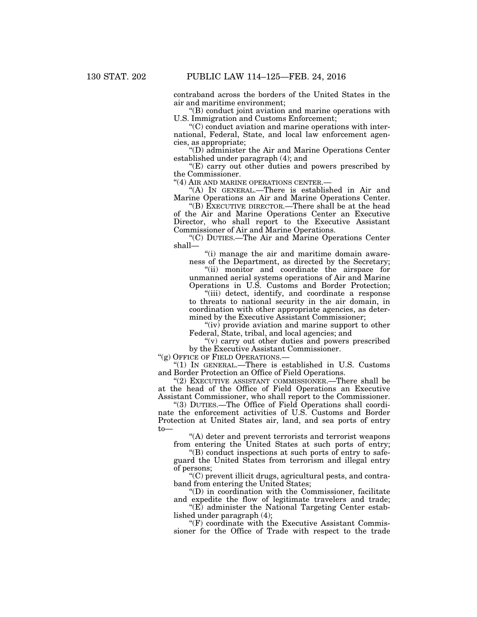contraband across the borders of the United States in the air and maritime environment;

''(B) conduct joint aviation and marine operations with U.S. Immigration and Customs Enforcement;

''(C) conduct aviation and marine operations with international, Federal, State, and local law enforcement agencies, as appropriate;

''(D) administer the Air and Marine Operations Center established under paragraph (4); and

''(E) carry out other duties and powers prescribed by the Commissioner.

''(4) AIR AND MARINE OPERATIONS CENTER.—

"(A) In GENERAL.—There is established in Air and Marine Operations an Air and Marine Operations Center.

''(B) EXECUTIVE DIRECTOR.—There shall be at the head of the Air and Marine Operations Center an Executive Director, who shall report to the Executive Assistant Commissioner of Air and Marine Operations.

''(C) DUTIES.—The Air and Marine Operations Center shall—

''(i) manage the air and maritime domain awareness of the Department, as directed by the Secretary;

''(ii) monitor and coordinate the airspace for unmanned aerial systems operations of Air and Marine Operations in U.S. Customs and Border Protection;

''(iii) detect, identify, and coordinate a response to threats to national security in the air domain, in coordination with other appropriate agencies, as determined by the Executive Assistant Commissioner;

"(iv) provide aviation and marine support to other Federal, State, tribal, and local agencies; and

" $(v)$  carry out other duties and powers prescribed by the Executive Assistant Commissioner.

''(g) OFFICE OF FIELD OPERATIONS.—

''(1) IN GENERAL.—There is established in U.S. Customs and Border Protection an Office of Field Operations.

"(2) EXECUTIVE ASSISTANT COMMISSIONER.—There shall be at the head of the Office of Field Operations an Executive Assistant Commissioner, who shall report to the Commissioner.

''(3) DUTIES.—The Office of Field Operations shall coordinate the enforcement activities of U.S. Customs and Border Protection at United States air, land, and sea ports of entry to—

"(A) deter and prevent terrorists and terrorist weapons from entering the United States at such ports of entry;

''(B) conduct inspections at such ports of entry to safeguard the United States from terrorism and illegal entry of persons;

''(C) prevent illicit drugs, agricultural pests, and contraband from entering the United States;

''(D) in coordination with the Commissioner, facilitate and expedite the flow of legitimate travelers and trade;

 $\mathrm{``(E)}$  administer the National Targeting Center established under paragraph (4);

''(F) coordinate with the Executive Assistant Commissioner for the Office of Trade with respect to the trade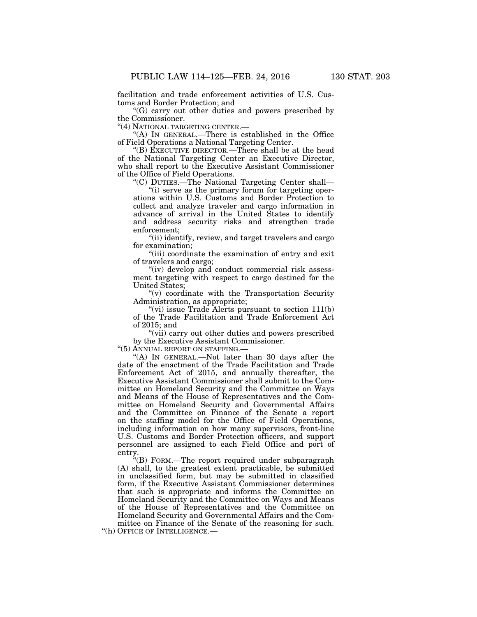facilitation and trade enforcement activities of U.S. Customs and Border Protection; and

''(G) carry out other duties and powers prescribed by the Commissioner.

''(4) NATIONAL TARGETING CENTER.—

''(A) IN GENERAL.—There is established in the Office of Field Operations a National Targeting Center.

''(B) EXECUTIVE DIRECTOR.—There shall be at the head of the National Targeting Center an Executive Director, who shall report to the Executive Assistant Commissioner of the Office of Field Operations.

''(C) DUTIES.—The National Targeting Center shall—

"(i) serve as the primary forum for targeting operations within U.S. Customs and Border Protection to collect and analyze traveler and cargo information in advance of arrival in the United States to identify and address security risks and strengthen trade enforcement;

"(ii) identify, review, and target travelers and cargo for examination;

''(iii) coordinate the examination of entry and exit of travelers and cargo;

"(iv) develop and conduct commercial risk assessment targeting with respect to cargo destined for the United States;

''(v) coordinate with the Transportation Security Administration, as appropriate;

"(vi) issue Trade Alerts pursuant to section  $111(b)$ of the Trade Facilitation and Trade Enforcement Act of 2015; and

"(vii) carry out other duties and powers prescribed by the Executive Assistant Commissioner.

''(5) ANNUAL REPORT ON STAFFING.—

''(A) IN GENERAL.—Not later than 30 days after the date of the enactment of the Trade Facilitation and Trade Enforcement Act of 2015, and annually thereafter, the Executive Assistant Commissioner shall submit to the Committee on Homeland Security and the Committee on Ways and Means of the House of Representatives and the Committee on Homeland Security and Governmental Affairs and the Committee on Finance of the Senate a report on the staffing model for the Office of Field Operations, including information on how many supervisors, front-line U.S. Customs and Border Protection officers, and support personnel are assigned to each Field Office and port of entry.

''(B) FORM.—The report required under subparagraph (A) shall, to the greatest extent practicable, be submitted in unclassified form, but may be submitted in classified form, if the Executive Assistant Commissioner determines that such is appropriate and informs the Committee on Homeland Security and the Committee on Ways and Means of the House of Representatives and the Committee on Homeland Security and Governmental Affairs and the Committee on Finance of the Senate of the reasoning for such.

''(h) OFFICE OF INTELLIGENCE.—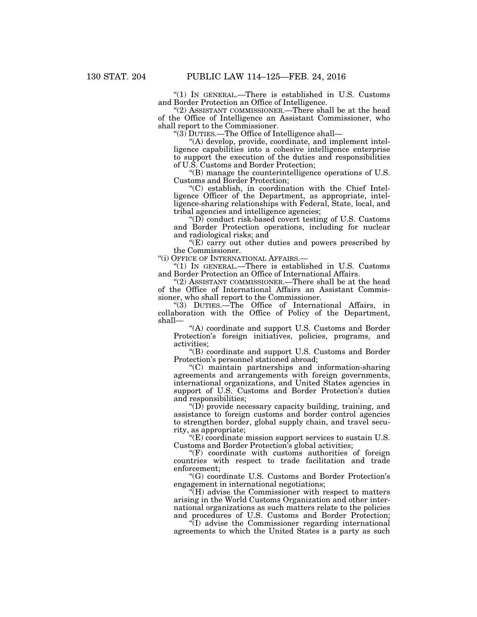''(1) IN GENERAL.—There is established in U.S. Customs and Border Protection an Office of Intelligence.

"(2) ASSISTANT COMMISSIONER.—There shall be at the head of the Office of Intelligence an Assistant Commissioner, who shall report to the Commissioner.

''(3) DUTIES.—The Office of Intelligence shall—

''(A) develop, provide, coordinate, and implement intelligence capabilities into a cohesive intelligence enterprise to support the execution of the duties and responsibilities of U.S. Customs and Border Protection;

''(B) manage the counterintelligence operations of U.S. Customs and Border Protection;

''(C) establish, in coordination with the Chief Intelligence Officer of the Department, as appropriate, intelligence-sharing relationships with Federal, State, local, and tribal agencies and intelligence agencies;

 $\mathrm{``(D)}$  conduct risk-based covert testing of U.S. Customs and Border Protection operations, including for nuclear and radiological risks; and

 $E(E)$  carry out other duties and powers prescribed by the Commissioner.

''(i) OFFICE OF INTERNATIONAL AFFAIRS.—

''(1) IN GENERAL.—There is established in U.S. Customs and Border Protection an Office of International Affairs.

"(2) ASSISTANT COMMISSIONER.—There shall be at the head of the Office of International Affairs an Assistant Commissioner, who shall report to the Commissioner.

''(3) DUTIES.—The Office of International Affairs, in collaboration with the Office of Policy of the Department, shall—

''(A) coordinate and support U.S. Customs and Border Protection's foreign initiatives, policies, programs, and activities;

''(B) coordinate and support U.S. Customs and Border Protection's personnel stationed abroad;

''(C) maintain partnerships and information-sharing agreements and arrangements with foreign governments, international organizations, and United States agencies in support of U.S. Customs and Border Protection's duties and responsibilities;

''(D) provide necessary capacity building, training, and assistance to foreign customs and border control agencies to strengthen border, global supply chain, and travel security, as appropriate;

 $E(E)$  coordinate mission support services to sustain U.S. Customs and Border Protection's global activities;

''(F) coordinate with customs authorities of foreign countries with respect to trade facilitation and trade enforcement;

''(G) coordinate U.S. Customs and Border Protection's engagement in international negotiations;

 $H$ ) advise the Commissioner with respect to matters arising in the World Customs Organization and other international organizations as such matters relate to the policies and procedures of U.S. Customs and Border Protection;

 $\hat{f}(I)$  advise the Commissioner regarding international agreements to which the United States is a party as such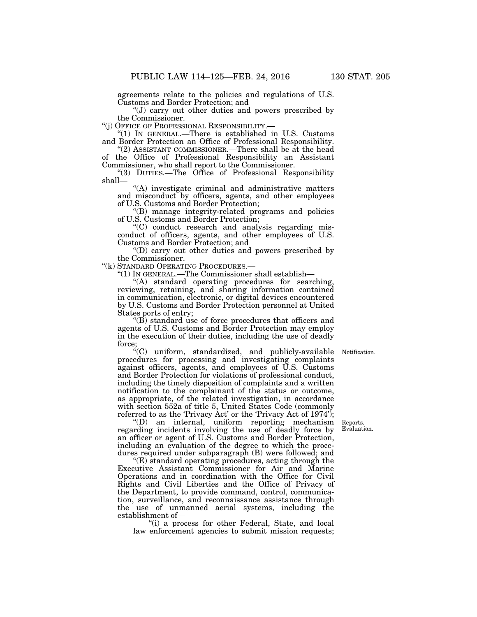agreements relate to the policies and regulations of U.S. Customs and Border Protection; and

''(J) carry out other duties and powers prescribed by the Commissioner.<br>"(i) Office of Professional Responsibility.—

"(1) IN GENERAL.—There is established in U.S. Customs and Border Protection an Office of Professional Responsibility.

''(2) ASSISTANT COMMISSIONER.—There shall be at the head of the Office of Professional Responsibility an Assistant Commissioner, who shall report to the Commissioner.

''(3) DUTIES.—The Office of Professional Responsibility shall—

''(A) investigate criminal and administrative matters and misconduct by officers, agents, and other employees of U.S. Customs and Border Protection;

''(B) manage integrity-related programs and policies of U.S. Customs and Border Protection;

''(C) conduct research and analysis regarding misconduct of officers, agents, and other employees of U.S. Customs and Border Protection; and

''(D) carry out other duties and powers prescribed by the Commissioner.

''(k) STANDARD OPERATING PROCEDURES.—

''(1) IN GENERAL.—The Commissioner shall establish—

"(A) standard operating procedures for searching, reviewing, retaining, and sharing information contained in communication, electronic, or digital devices encountered by U.S. Customs and Border Protection personnel at United States ports of entry;

 $\mathrm{``(B)}$  standard use of force procedures that officers and agents of U.S. Customs and Border Protection may employ in the execution of their duties, including the use of deadly force;

Notification.

''(C) uniform, standardized, and publicly-available procedures for processing and investigating complaints against officers, agents, and employees of U.S. Customs and Border Protection for violations of professional conduct, including the timely disposition of complaints and a written notification to the complainant of the status or outcome, as appropriate, of the related investigation, in accordance with section 552a of title 5, United States Code (commonly referred to as the 'Privacy Act' or the 'Privacy Act of 1974');

''(D) an internal, uniform reporting mechanism regarding incidents involving the use of deadly force by an officer or agent of U.S. Customs and Border Protection, including an evaluation of the degree to which the procedures required under subparagraph (B) were followed; and

''(E) standard operating procedures, acting through the Executive Assistant Commissioner for Air and Marine Operations and in coordination with the Office for Civil Rights and Civil Liberties and the Office of Privacy of the Department, to provide command, control, communication, surveillance, and reconnaissance assistance through the use of unmanned aerial systems, including the establishment of—

''(i) a process for other Federal, State, and local law enforcement agencies to submit mission requests;

Reports. Evaluation.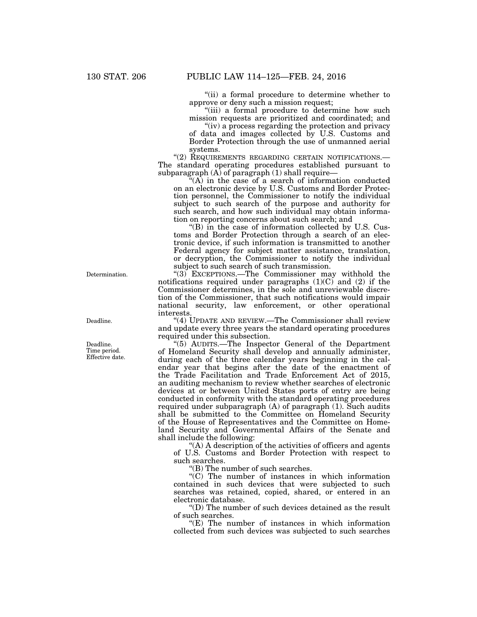''(ii) a formal procedure to determine whether to approve or deny such a mission request;

''(iii) a formal procedure to determine how such mission requests are prioritized and coordinated; and

"(iv) a process regarding the protection and privacy of data and images collected by U.S. Customs and Border Protection through the use of unmanned aerial

systems.<br>"(2) REQUIREMENTS REGARDING CERTAIN NOTIFICATIONS.— The standard operating procedures established pursuant to subparagraph  $(A)$  of paragraph  $(1)$  shall require—

 $(A)$  in the case of a search of information conducted on an electronic device by U.S. Customs and Border Protection personnel, the Commissioner to notify the individual subject to such search of the purpose and authority for such search, and how such individual may obtain information on reporting concerns about such search; and

''(B) in the case of information collected by U.S. Customs and Border Protection through a search of an electronic device, if such information is transmitted to another Federal agency for subject matter assistance, translation, or decryption, the Commissioner to notify the individual subject to such search of such transmission.

''(3) EXCEPTIONS.—The Commissioner may withhold the notifications required under paragraphs  $(1)(C)$  and  $(2)$  if the Commissioner determines, in the sole and unreviewable discretion of the Commissioner, that such notifications would impair national security, law enforcement, or other operational interests.

''(4) UPDATE AND REVIEW.—The Commissioner shall review and update every three years the standard operating procedures required under this subsection.

''(5) AUDITS.—The Inspector General of the Department of Homeland Security shall develop and annually administer, during each of the three calendar years beginning in the calendar year that begins after the date of the enactment of the Trade Facilitation and Trade Enforcement Act of 2015, an auditing mechanism to review whether searches of electronic devices at or between United States ports of entry are being conducted in conformity with the standard operating procedures required under subparagraph  $(A)$  of paragraph  $(1)$ . Such audits shall be submitted to the Committee on Homeland Security of the House of Representatives and the Committee on Homeland Security and Governmental Affairs of the Senate and shall include the following:

''(A) A description of the activities of officers and agents of U.S. Customs and Border Protection with respect to such searches.

''(B) The number of such searches.

''(C) The number of instances in which information contained in such devices that were subjected to such searches was retained, copied, shared, or entered in an electronic database.

''(D) The number of such devices detained as the result of such searches.

"(E) The number of instances in which information collected from such devices was subjected to such searches

Determination.

Deadline.

Deadline. Time period. Effective date.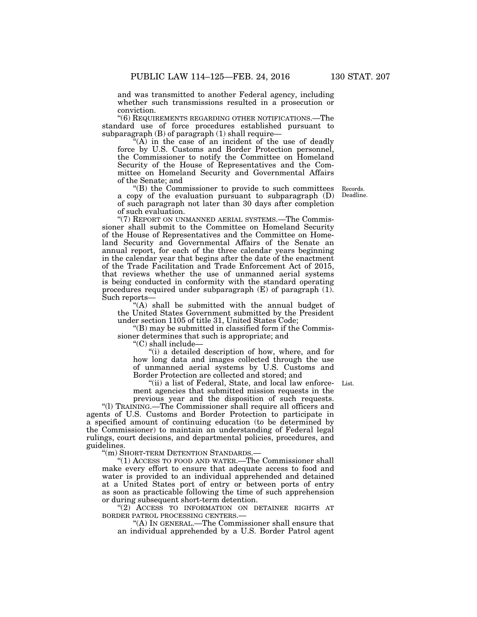and was transmitted to another Federal agency, including whether such transmissions resulted in a prosecution or conviction.

''(6) REQUIREMENTS REGARDING OTHER NOTIFICATIONS.—The standard use of force procedures established pursuant to subparagraph  $(B)$  of paragraph  $(1)$  shall require—

"(A) in the case of an incident of the use of deadly force by U.S. Customs and Border Protection personnel, the Commissioner to notify the Committee on Homeland Security of the House of Representatives and the Committee on Homeland Security and Governmental Affairs of the Senate; and

''(B) the Commissioner to provide to such committees a copy of the evaluation pursuant to subparagraph (D) of such paragraph not later than 30 days after completion of such evaluation.

''(7) REPORT ON UNMANNED AERIAL SYSTEMS.—The Commissioner shall submit to the Committee on Homeland Security of the House of Representatives and the Committee on Homeland Security and Governmental Affairs of the Senate an annual report, for each of the three calendar years beginning in the calendar year that begins after the date of the enactment of the Trade Facilitation and Trade Enforcement Act of 2015, that reviews whether the use of unmanned aerial systems is being conducted in conformity with the standard operating procedures required under subparagraph (E) of paragraph (1). Such reports—

"(A) shall be submitted with the annual budget of the United States Government submitted by the President under section 1105 of title 31, United States Code;

''(B) may be submitted in classified form if the Commissioner determines that such is appropriate; and

''(C) shall include—

"(i) a detailed description of how, where, and for how long data and images collected through the use of unmanned aerial systems by U.S. Customs and Border Protection are collected and stored; and

"(ii) a list of Federal, State, and local law enforce- List. ment agencies that submitted mission requests in the previous year and the disposition of such requests.

''(l) TRAINING.—The Commissioner shall require all officers and agents of U.S. Customs and Border Protection to participate in a specified amount of continuing education (to be determined by the Commissioner) to maintain an understanding of Federal legal rulings, court decisions, and departmental policies, procedures, and guidelines.

"(m) SHORT-TERM DETENTION STANDARDS.-

'(1) ACCESS TO FOOD AND WATER.—The Commissioner shall make every effort to ensure that adequate access to food and water is provided to an individual apprehended and detained at a United States port of entry or between ports of entry as soon as practicable following the time of such apprehension or during subsequent short-term detention.

''(2) ACCESS TO INFORMATION ON DETAINEE RIGHTS AT BORDER PATROL PROCESSING CENTERS.— ''(A) IN GENERAL.—The Commissioner shall ensure that

an individual apprehended by a U.S. Border Patrol agent

Records. Deadline.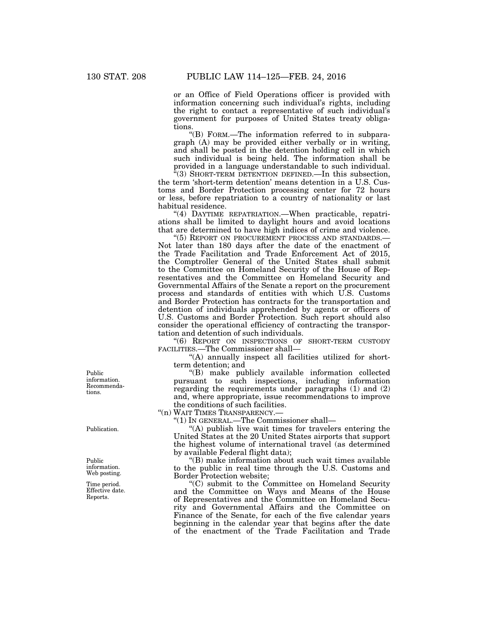or an Office of Field Operations officer is provided with information concerning such individual's rights, including the right to contact a representative of such individual's government for purposes of United States treaty obligations.

''(B) FORM.—The information referred to in subparagraph (A) may be provided either verbally or in writing, and shall be posted in the detention holding cell in which such individual is being held. The information shall be provided in a language understandable to such individual.

''(3) SHORT-TERM DETENTION DEFINED.—In this subsection, the term 'short-term detention' means detention in a U.S. Customs and Border Protection processing center for 72 hours or less, before repatriation to a country of nationality or last habitual residence.

''(4) DAYTIME REPATRIATION.—When practicable, repatriations shall be limited to daylight hours and avoid locations that are determined to have high indices of crime and violence.

"(5) REPORT ON PROCUREMENT PROCESS AND STANDARDS.-Not later than 180 days after the date of the enactment of the Trade Facilitation and Trade Enforcement Act of 2015, the Comptroller General of the United States shall submit to the Committee on Homeland Security of the House of Representatives and the Committee on Homeland Security and Governmental Affairs of the Senate a report on the procurement process and standards of entities with which U.S. Customs and Border Protection has contracts for the transportation and detention of individuals apprehended by agents or officers of U.S. Customs and Border Protection. Such report should also consider the operational efficiency of contracting the transportation and detention of such individuals.

"(6) REPORT ON INSPECTIONS OF SHORT-TERM CUSTODY FACILITIES.—The Commissioner shall—

"(A) annually inspect all facilities utilized for shortterm detention; and

''(B) make publicly available information collected pursuant to such inspections, including information regarding the requirements under paragraphs (1) and (2) and, where appropriate, issue recommendations to improve the conditions of such facilities.

"(n) WAIT TIMES TRANSPARENCY.-

''(1) IN GENERAL.—The Commissioner shall—

"(A) publish live wait times for travelers entering the United States at the 20 United States airports that support the highest volume of international travel (as determined by available Federal flight data);

''(B) make information about such wait times available to the public in real time through the U.S. Customs and Border Protection website;

''(C) submit to the Committee on Homeland Security and the Committee on Ways and Means of the House of Representatives and the Committee on Homeland Security and Governmental Affairs and the Committee on Finance of the Senate, for each of the five calendar years beginning in the calendar year that begins after the date of the enactment of the Trade Facilitation and Trade

Public information. Recommendations.

Publication.

Public information. Web posting.

Time period. Effective date. Reports.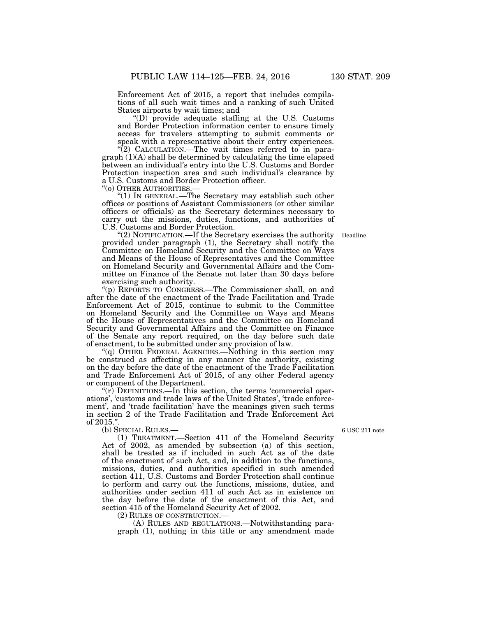Enforcement Act of 2015, a report that includes compilations of all such wait times and a ranking of such United States airports by wait times; and

''(D) provide adequate staffing at the U.S. Customs and Border Protection information center to ensure timely access for travelers attempting to submit comments or speak with a representative about their entry experiences.

"(2) CALCULATION.—The wait times referred to in paragraph (1)(A) shall be determined by calculating the time elapsed between an individual's entry into the U.S. Customs and Border Protection inspection area and such individual's clearance by a U.S. Customs and Border Protection officer.

" $(1)$  In GENERAL.—The Secretary may establish such other offices or positions of Assistant Commissioners (or other similar officers or officials) as the Secretary determines necessary to carry out the missions, duties, functions, and authorities of U.S. Customs and Border Protection.

''(2) NOTIFICATION.—If the Secretary exercises the authority provided under paragraph (1), the Secretary shall notify the Committee on Homeland Security and the Committee on Ways and Means of the House of Representatives and the Committee on Homeland Security and Governmental Affairs and the Committee on Finance of the Senate not later than 30 days before exercising such authority.

''(p) REPORTS TO CONGRESS.—The Commissioner shall, on and after the date of the enactment of the Trade Facilitation and Trade Enforcement Act of 2015, continue to submit to the Committee on Homeland Security and the Committee on Ways and Means of the House of Representatives and the Committee on Homeland Security and Governmental Affairs and the Committee on Finance of the Senate any report required, on the day before such date of enactment, to be submitted under any provision of law.

''(q) OTHER FEDERAL AGENCIES.—Nothing in this section may be construed as affecting in any manner the authority, existing on the day before the date of the enactment of the Trade Facilitation and Trade Enforcement Act of 2015, of any other Federal agency or component of the Department.

" $(r)$  DEFINITIONS.—In this section, the terms 'commercial operations', 'customs and trade laws of the United States', 'trade enforcement', and 'trade facilitation' have the meanings given such terms in section 2 of the Trade Facilitation and Trade Enforcement Act of 2015."

(b) SPECIAL RULES.—

(1) TREATMENT.—Section 411 of the Homeland Security Act of 2002, as amended by subsection (a) of this section, shall be treated as if included in such Act as of the date of the enactment of such Act, and, in addition to the functions, missions, duties, and authorities specified in such amended section 411, U.S. Customs and Border Protection shall continue to perform and carry out the functions, missions, duties, and authorities under section 411 of such Act as in existence on the day before the date of the enactment of this Act, and section 415 of the Homeland Security Act of 2002.

(2) RULES OF CONSTRUCTION.— (A) RULES AND REGULATIONS.—Notwithstanding paragraph (1), nothing in this title or any amendment made

6 USC 211 note.

Deadline.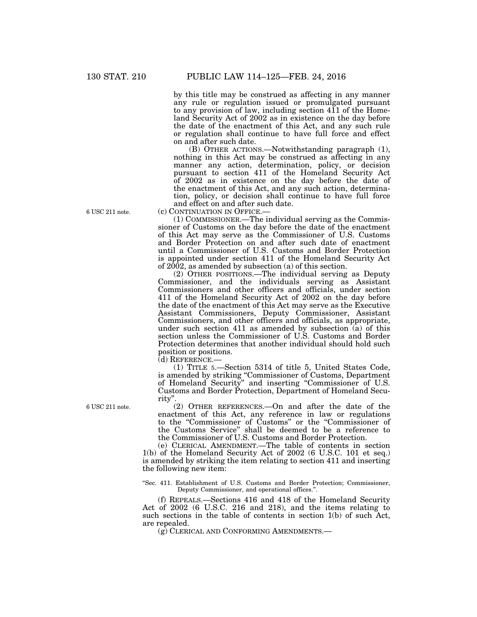by this title may be construed as affecting in any manner any rule or regulation issued or promulgated pursuant to any provision of law, including section 411 of the Homeland Security Act of 2002 as in existence on the day before the date of the enactment of this Act, and any such rule or regulation shall continue to have full force and effect on and after such date.

(B) OTHER ACTIONS.—Notwithstanding paragraph (1), nothing in this Act may be construed as affecting in any manner any action, determination, policy, or decision pursuant to section 411 of the Homeland Security Act of 2002 as in existence on the day before the date of the enactment of this Act, and any such action, determination, policy, or decision shall continue to have full force and effect on and after such date.<br>(c) CONTINUATION IN OFFICE.—

 $(1)$  COMMISSIONER.—The individual serving as the Commissioner of Customs on the day before the date of the enactment of this Act may serve as the Commissioner of U.S. Customs and Border Protection on and after such date of enactment until a Commissioner of U.S. Customs and Border Protection is appointed under section 411 of the Homeland Security Act of  $2002$ , as amended by subsection (a) of this section.

(2) OTHER POSITIONS.—The individual serving as Deputy Commissioner, and the individuals serving as Assistant Commissioners and other officers and officials, under section 411 of the Homeland Security Act of 2002 on the day before the date of the enactment of this Act may serve as the Executive Assistant Commissioners, Deputy Commissioner, Assistant Commissioners, and other officers and officials, as appropriate, under such section 411 as amended by subsection (a) of this section unless the Commissioner of U.S. Customs and Border Protection determines that another individual should hold such position or positions.<br>(d) REFERENCE.—

(1) TITLE 5.—Section 5314 of title 5, United States Code, is amended by striking ''Commissioner of Customs, Department of Homeland Security'' and inserting ''Commissioner of U.S. Customs and Border Protection, Department of Homeland Security''.

(2) OTHER REFERENCES.—On and after the date of the enactment of this Act, any reference in law or regulations to the ''Commissioner of Customs'' or the ''Commissioner of the Customs Service'' shall be deemed to be a reference to the Commissioner of U.S. Customs and Border Protection.

(e) CLERICAL AMENDMENT.—The table of contents in section 1(b) of the Homeland Security Act of 2002 (6 U.S.C. 101 et seq.) is amended by striking the item relating to section 411 and inserting the following new item:

''Sec. 411. Establishment of U.S. Customs and Border Protection; Commissioner, Deputy Commissioner, and operational offices."

(f) REPEALS.—Sections 416 and 418 of the Homeland Security Act of 2002 (6 U.S.C. 216 and 218), and the items relating to such sections in the table of contents in section 1(b) of such Act, are repealed.

(g) CLERICAL AND CONFORMING AMENDMENTS.—

6 USC 211 note.

6 USC 211 note.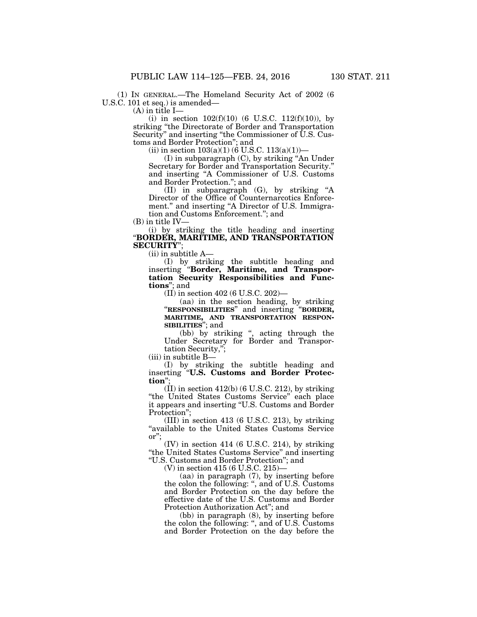(1) IN GENERAL.—The Homeland Security Act of 2002 (6 U.S.C. 101 et seq.) is amended—

 $(A)$  in title I—

(i) in section  $102(f)(10)$  (6 U.S.C.  $112(f)(10)$ ), by striking ''the Directorate of Border and Transportation Security" and inserting "the Commissioner of U.S. Customs and Border Protection''; and

(ii) in section  $103(a)(1)$  (6 U.S.C.  $113(a)(1)$ )

(I) in subparagraph (C), by striking ''An Under Secretary for Border and Transportation Security.'' and inserting ''A Commissioner of U.S. Customs and Border Protection.''; and

(II) in subparagraph (G), by striking ''A Director of the Office of Counternarcotics Enforcement.'' and inserting ''A Director of U.S. Immigration and Customs Enforcement.''; and

(B) in title IV—

(i) by striking the title heading and inserting ''**BORDER, MARITIME, AND TRANSPORTATION SECURITY**'';

(ii) in subtitle A—

(I) by striking the subtitle heading and inserting ''**Border, Maritime, and Transportation Security Responsibilities and Functions**''; and

(II) in section 402 (6 U.S.C. 202)—

(aa) in the section heading, by striking ''**RESPONSIBILITIES**'' and inserting ''**BORDER, MARITIME, AND TRANSPORTATION RESPON-SIBILITIES**''; and

(bb) by striking '', acting through the Under Secretary for Border and Transportation Security,'';

(iii) in subtitle B—

(I) by striking the subtitle heading and inserting ''**U.S. Customs and Border Protection**'';

 $(II)$  in section 412(b) (6 U.S.C. 212), by striking ''the United States Customs Service'' each place it appears and inserting ''U.S. Customs and Border Protection'';

(III) in section 413 (6 U.S.C. 213), by striking "available to the United States Customs Service or'';

(IV) in section 414 (6 U.S.C. 214), by striking ''the United States Customs Service'' and inserting ''U.S. Customs and Border Protection''; and

(V) in section 415 (6 U.S.C. 215)—

(aa) in paragraph (7), by inserting before the colon the following: '', and of U.S. Customs and Border Protection on the day before the effective date of the U.S. Customs and Border Protection Authorization Act''; and

(bb) in paragraph (8), by inserting before the colon the following: '', and of U.S. Customs and Border Protection on the day before the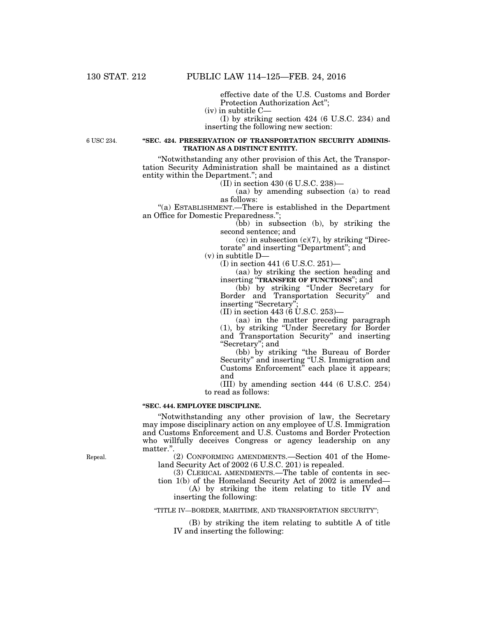effective date of the U.S. Customs and Border Protection Authorization Act'';

(iv) in subtitle C—

(I) by striking section 424 (6 U.S.C. 234) and inserting the following new section:

6 USC 234.

### **''SEC. 424. PRESERVATION OF TRANSPORTATION SECURITY ADMINIS-TRATION AS A DISTINCT ENTITY.**

''Notwithstanding any other provision of this Act, the Transportation Security Administration shall be maintained as a distinct entity within the Department.''; and

(II) in section 430 (6 U.S.C. 238)—

(aa) by amending subsection (a) to read as follows:

''(a) ESTABLISHMENT.—There is established in the Department an Office for Domestic Preparedness.'';

> (bb) in subsection (b), by striking the second sentence; and

> $(cc)$  in subsection  $(c)(7)$ , by striking "Directorate'' and inserting ''Department''; and

(v) in subtitle D—

(I) in section 441 (6 U.S.C. 251)—

(aa) by striking the section heading and inserting ''**TRANSFER OF FUNCTIONS**''; and

(bb) by striking ''Under Secretary for Border and Transportation Security'' and inserting "Secretary'

(II) in section 443 (6 U.S.C. 253)-

(aa) in the matter preceding paragraph (1), by striking ''Under Secretary for Border and Transportation Security'' and inserting ''Secretary''; and

(bb) by striking ''the Bureau of Border Security" and inserting "U.S. Immigration and Customs Enforcement'' each place it appears; and

(III) by amending section 444 (6 U.S.C. 254) to read as follows:

## **''SEC. 444. EMPLOYEE DISCIPLINE.**

''Notwithstanding any other provision of law, the Secretary may impose disciplinary action on any employee of U.S. Immigration and Customs Enforcement and U.S. Customs and Border Protection who willfully deceives Congress or agency leadership on any matter.''.

Repeal.

(2) CONFORMING AMENDMENTS.—Section 401 of the Homeland Security Act of 2002 (6 U.S.C. 201) is repealed.

(3) CLERICAL AMENDMENTS.—The table of contents in sec-

tion 1(b) of the Homeland Security Act of 2002 is amended— (A) by striking the item relating to title IV and inserting the following:

#### ''TITLE IV—BORDER, MARITIME, AND TRANSPORTATION SECURITY'';

(B) by striking the item relating to subtitle A of title IV and inserting the following: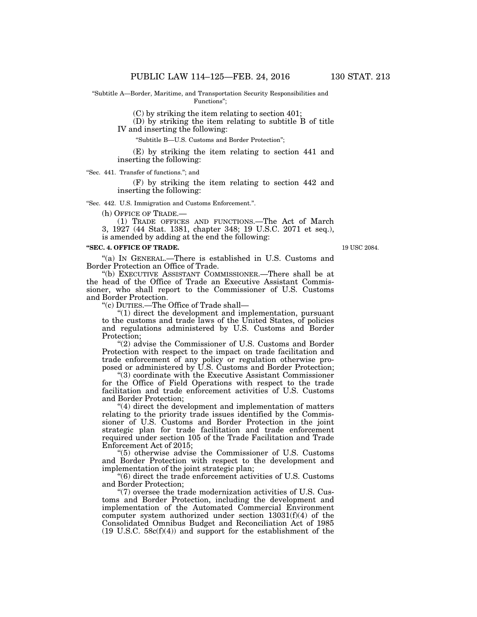''Subtitle A—Border, Maritime, and Transportation Security Responsibilities and Functions'';

(C) by striking the item relating to section 401;

(D) by striking the item relating to subtitle B of title IV and inserting the following:

''Subtitle B—U.S. Customs and Border Protection'';

(E) by striking the item relating to section 441 and inserting the following:

''Sec. 441. Transfer of functions.''; and

(F) by striking the item relating to section 442 and inserting the following:

''Sec. 442. U.S. Immigration and Customs Enforcement.''.

(h) OFFICE OF TRADE.— (1) TRADE OFFICES AND FUNCTIONS.—The Act of March 3, 1927 (44 Stat. 1381, chapter 348; 19 U.S.C. 2071 et seq.), is amended by adding at the end the following:

#### **''SEC. 4. OFFICE OF TRADE.**

''(a) IN GENERAL.—There is established in U.S. Customs and Border Protection an Office of Trade.

''(b) EXECUTIVE ASSISTANT COMMISSIONER.—There shall be at the head of the Office of Trade an Executive Assistant Commissioner, who shall report to the Commissioner of U.S. Customs and Border Protection.

''(c) DUTIES.—The Office of Trade shall—

''(1) direct the development and implementation, pursuant to the customs and trade laws of the United States, of policies and regulations administered by U.S. Customs and Border Protection;

''(2) advise the Commissioner of U.S. Customs and Border Protection with respect to the impact on trade facilitation and trade enforcement of any policy or regulation otherwise proposed or administered by U.S. Customs and Border Protection;

"(3) coordinate with the Executive Assistant Commissioner for the Office of Field Operations with respect to the trade facilitation and trade enforcement activities of U.S. Customs and Border Protection;

''(4) direct the development and implementation of matters relating to the priority trade issues identified by the Commissioner of U.S. Customs and Border Protection in the joint strategic plan for trade facilitation and trade enforcement required under section 105 of the Trade Facilitation and Trade Enforcement Act of 2015;

''(5) otherwise advise the Commissioner of U.S. Customs and Border Protection with respect to the development and implementation of the joint strategic plan;

''(6) direct the trade enforcement activities of U.S. Customs and Border Protection;

"(7) oversee the trade modernization activities of U.S. Customs and Border Protection, including the development and implementation of the Automated Commercial Environment computer system authorized under section 13031(f)(4) of the Consolidated Omnibus Budget and Reconciliation Act of 1985  $(19 \text{ U.S.C. } 58c(f)(4))$  and support for the establishment of the

19 USC 2084.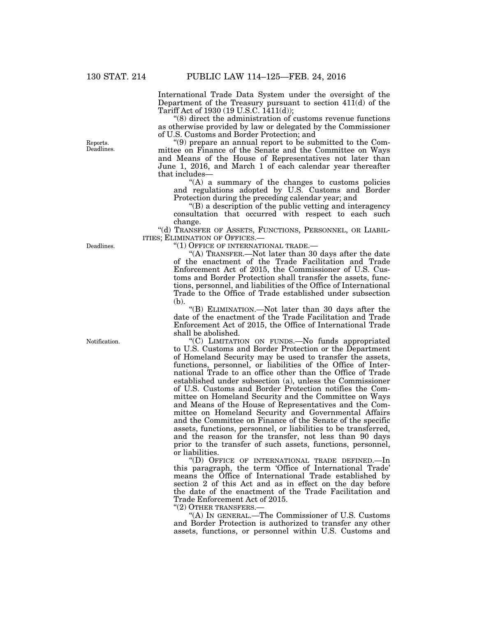International Trade Data System under the oversight of the Department of the Treasury pursuant to section  $41\overline{1}$ (d) of the Tariff Act of 1930 (19 U.S.C. 1411(d));

''(8) direct the administration of customs revenue functions as otherwise provided by law or delegated by the Commissioner of U.S. Customs and Border Protection; and

''(9) prepare an annual report to be submitted to the Committee on Finance of the Senate and the Committee on Ways and Means of the House of Representatives not later than June 1, 2016, and March 1 of each calendar year thereafter that includes—

 $(A)$  a summary of the changes to customs policies and regulations adopted by U.S. Customs and Border Protection during the preceding calendar year; and

''(B) a description of the public vetting and interagency consultation that occurred with respect to each such change.

''(d) TRANSFER OF ASSETS, FUNCTIONS, PERSONNEL, OR LIABIL-ITIES; ELIMINATION OF OFFICES.

''(1) OFFICE OF INTERNATIONAL TRADE.—

''(A) TRANSFER.—Not later than 30 days after the date of the enactment of the Trade Facilitation and Trade Enforcement Act of 2015, the Commissioner of U.S. Customs and Border Protection shall transfer the assets, functions, personnel, and liabilities of the Office of International Trade to the Office of Trade established under subsection (b).

''(B) ELIMINATION.—Not later than 30 days after the date of the enactment of the Trade Facilitation and Trade Enforcement Act of 2015, the Office of International Trade shall be abolished.

''(C) LIMITATION ON FUNDS.—No funds appropriated to U.S. Customs and Border Protection or the Department of Homeland Security may be used to transfer the assets, functions, personnel, or liabilities of the Office of International Trade to an office other than the Office of Trade established under subsection (a), unless the Commissioner of U.S. Customs and Border Protection notifies the Committee on Homeland Security and the Committee on Ways and Means of the House of Representatives and the Committee on Homeland Security and Governmental Affairs and the Committee on Finance of the Senate of the specific assets, functions, personnel, or liabilities to be transferred, and the reason for the transfer, not less than 90 days prior to the transfer of such assets, functions, personnel, or liabilities.

''(D) OFFICE OF INTERNATIONAL TRADE DEFINED.—In this paragraph, the term 'Office of International Trade' means the Office of International Trade established by section 2 of this Act and as in effect on the day before the date of the enactment of the Trade Facilitation and Trade Enforcement Act of 2015.

''(2) OTHER TRANSFERS.—

''(A) IN GENERAL.—The Commissioner of U.S. Customs and Border Protection is authorized to transfer any other assets, functions, or personnel within U.S. Customs and

Reports. Deadlines.

Deadlines.

Notification.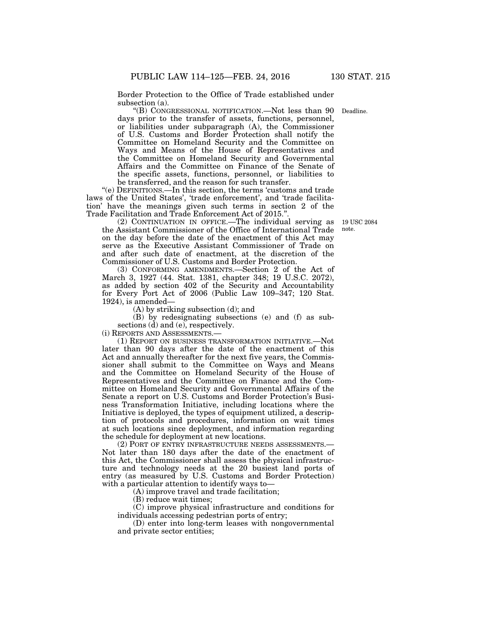Border Protection to the Office of Trade established under subsection (a).

Deadline.

''(B) CONGRESSIONAL NOTIFICATION.—Not less than 90 days prior to the transfer of assets, functions, personnel, or liabilities under subparagraph (A), the Commissioner of U.S. Customs and Border Protection shall notify the Committee on Homeland Security and the Committee on Ways and Means of the House of Representatives and the Committee on Homeland Security and Governmental Affairs and the Committee on Finance of the Senate of the specific assets, functions, personnel, or liabilities to be transferred, and the reason for such transfer.

''(e) DEFINITIONS.—In this section, the terms 'customs and trade laws of the United States', 'trade enforcement', and 'trade facilitation' have the meanings given such terms in section 2 of the Trade Facilitation and Trade Enforcement Act of 2015.''.

(2) CONTINUATION IN OFFICE.—The individual serving as the Assistant Commissioner of the Office of International Trade on the day before the date of the enactment of this Act may serve as the Executive Assistant Commissioner of Trade on and after such date of enactment, at the discretion of the Commissioner of U.S. Customs and Border Protection.

(3) CONFORMING AMENDMENTS.—Section 2 of the Act of March 3, 1927 (44. Stat. 1381, chapter 348; 19 U.S.C. 2072), as added by section 402 of the Security and Accountability for Every Port Act of 2006 (Public Law 109–347; 120 Stat. 1924), is amended—

(A) by striking subsection (d); and

(B) by redesignating subsections (e) and (f) as subsections  $(d)$  and  $(e)$ , respectively.

(i) REPORTS AND ASSESSMENTS.—

(1) REPORT ON BUSINESS TRANSFORMATION INITIATIVE.—Not later than 90 days after the date of the enactment of this Act and annually thereafter for the next five years, the Commissioner shall submit to the Committee on Ways and Means and the Committee on Homeland Security of the House of Representatives and the Committee on Finance and the Committee on Homeland Security and Governmental Affairs of the Senate a report on U.S. Customs and Border Protection's Business Transformation Initiative, including locations where the Initiative is deployed, the types of equipment utilized, a description of protocols and procedures, information on wait times at such locations since deployment, and information regarding the schedule for deployment at new locations.

(2) PORT OF ENTRY INFRASTRUCTURE NEEDS ASSESSMENTS.— Not later than 180 days after the date of the enactment of this Act, the Commissioner shall assess the physical infrastructure and technology needs at the 20 busiest land ports of entry (as measured by U.S. Customs and Border Protection) with a particular attention to identify ways to—

(A) improve travel and trade facilitation;

(B) reduce wait times;

(C) improve physical infrastructure and conditions for individuals accessing pedestrian ports of entry;

(D) enter into long-term leases with nongovernmental and private sector entities;

19 USC 2084 note.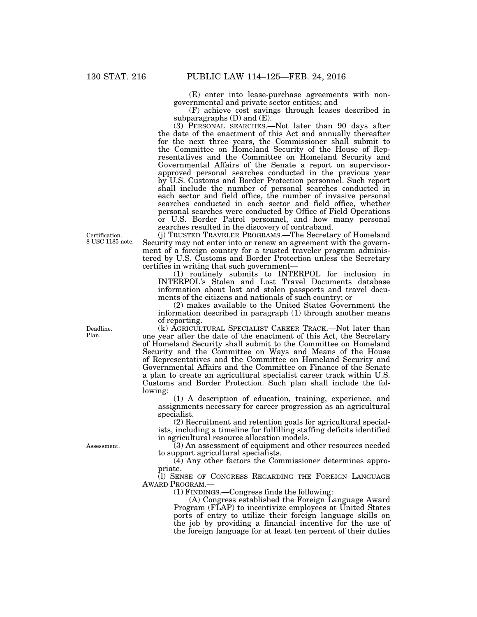(E) enter into lease-purchase agreements with nongovernmental and private sector entities; and

(F) achieve cost savings through leases described in subparagraphs  $(D)$  and  $(E)$ .

(3) PERSONAL SEARCHES.—Not later than 90 days after the date of the enactment of this Act and annually thereafter for the next three years, the Commissioner shall submit to the Committee on Homeland Security of the House of Representatives and the Committee on Homeland Security and Governmental Affairs of the Senate a report on supervisorapproved personal searches conducted in the previous year by U.S. Customs and Border Protection personnel. Such report shall include the number of personal searches conducted in each sector and field office, the number of invasive personal searches conducted in each sector and field office, whether personal searches were conducted by Office of Field Operations or U.S. Border Patrol personnel, and how many personal searches resulted in the discovery of contraband.

(j) TRUSTED TRAVELER PROGRAMS.—The Secretary of Homeland Security may not enter into or renew an agreement with the government of a foreign country for a trusted traveler program administered by U.S. Customs and Border Protection unless the Secretary certifies in writing that such government—

(1) routinely submits to INTERPOL for inclusion in INTERPOL's Stolen and Lost Travel Documents database information about lost and stolen passports and travel documents of the citizens and nationals of such country; or

(2) makes available to the United States Government the information described in paragraph (1) through another means of reporting.

(k) AGRICULTURAL SPECIALIST CAREER TRACK.—Not later than one year after the date of the enactment of this Act, the Secretary of Homeland Security shall submit to the Committee on Homeland Security and the Committee on Ways and Means of the House of Representatives and the Committee on Homeland Security and Governmental Affairs and the Committee on Finance of the Senate a plan to create an agricultural specialist career track within U.S. Customs and Border Protection. Such plan shall include the following:

(1) A description of education, training, experience, and assignments necessary for career progression as an agricultural specialist.

(2) Recruitment and retention goals for agricultural specialists, including a timeline for fulfilling staffing deficits identified in agricultural resource allocation models.

(3) An assessment of equipment and other resources needed to support agricultural specialists.

(4) Any other factors the Commissioner determines appropriate.

(I) SENSE OF CONGRESS REGARDING THE FOREIGN LANGUAGE AWARD PROGRAM.—

 $(1)$  FINDINGS.—Congress finds the following:

(A) Congress established the Foreign Language Award Program (FLAP) to incentivize employees at United States ports of entry to utilize their foreign language skills on the job by providing a financial incentive for the use of the foreign language for at least ten percent of their duties

Certification. 8 USC 1185 note.

Deadline. Plan.

Assessment.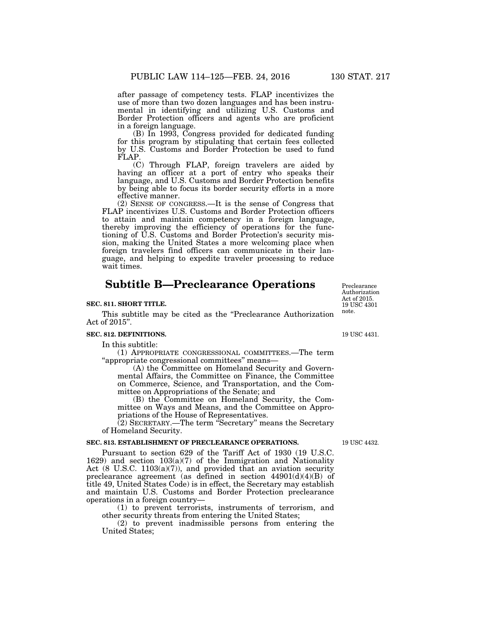after passage of competency tests. FLAP incentivizes the use of more than two dozen languages and has been instrumental in identifying and utilizing U.S. Customs and Border Protection officers and agents who are proficient in a foreign language.

(B) In 1993, Congress provided for dedicated funding for this program by stipulating that certain fees collected by U.S. Customs and Border Protection be used to fund FLAP.

(C) Through FLAP, foreign travelers are aided by having an officer at a port of entry who speaks their language, and U.S. Customs and Border Protection benefits by being able to focus its border security efforts in a more effective manner.

(2) SENSE OF CONGRESS.—It is the sense of Congress that FLAP incentivizes U.S. Customs and Border Protection officers to attain and maintain competency in a foreign language, thereby improving the efficiency of operations for the functioning of U.S. Customs and Border Protection's security mission, making the United States a more welcoming place when foreign travelers find officers can communicate in their language, and helping to expedite traveler processing to reduce wait times.

# **Subtitle B—Preclearance Operations**

#### **SEC. 811. SHORT TITLE.**

This subtitle may be cited as the ''Preclearance Authorization Act of 2015''.

### **SEC. 812. DEFINITIONS.**

In this subtitle:

(1) APPROPRIATE CONGRESSIONAL COMMITTEES.—The term ''appropriate congressional committees'' means—

(A) the Committee on Homeland Security and Governmental Affairs, the Committee on Finance, the Committee on Commerce, Science, and Transportation, and the Committee on Appropriations of the Senate; and

(B) the Committee on Homeland Security, the Committee on Ways and Means, and the Committee on Appropriations of the House of Representatives.

(2) SECRETARY.—The term ''Secretary'' means the Secretary of Homeland Security.

#### **SEC. 813. ESTABLISHMENT OF PRECLEARANCE OPERATIONS.**

Pursuant to section 629 of the Tariff Act of 1930 (19 U.S.C. 1629) and section 103(a)(7) of the Immigration and Nationality Act (8 U.S.C. 1103(a)(7)), and provided that an aviation security preclearance agreement (as defined in section 44901(d)(4)(B) of title 49, United States Code) is in effect, the Secretary may establish and maintain U.S. Customs and Border Protection preclearance operations in a foreign country—

(1) to prevent terrorists, instruments of terrorism, and other security threats from entering the United States;

(2) to prevent inadmissible persons from entering the United States;

19 USC 4301 note.

Preclearance Authorization Act of 2015.

19 USC 4431.

19 USC 4432.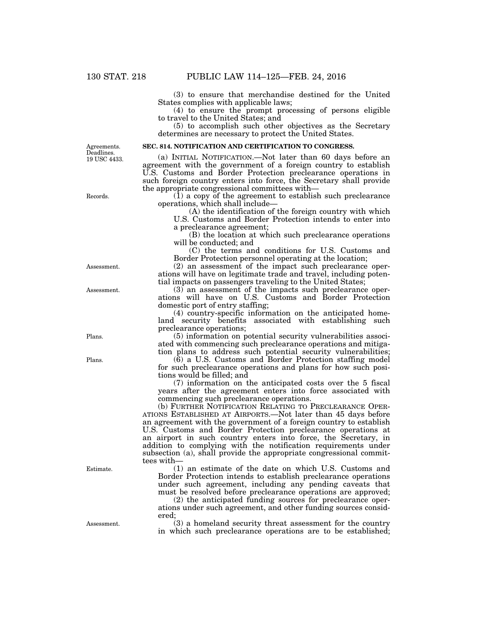(3) to ensure that merchandise destined for the United States complies with applicable laws;

(4) to ensure the prompt processing of persons eligible to travel to the United States; and

(5) to accomplish such other objectives as the Secretary determines are necessary to protect the United States.

(a) INITIAL NOTIFICATION.—Not later than 60 days before an agreement with the government of a foreign country to establish U.S. Customs and Border Protection preclearance operations in such foreign country enters into force, the Secretary shall provide

**SEC. 814. NOTIFICATION AND CERTIFICATION TO CONGRESS.** 

Agreements. Deadlines. 19 USC 4433.

Records.

Assessment.

Assessment.

Plans.

Plans.

Estimate.

Assessment.

the appropriate congressional committees with—  $(1)$  a copy of the agreement to establish such preclearance operations, which shall include—

(A) the identification of the foreign country with which U.S. Customs and Border Protection intends to enter into a preclearance agreement;

(B) the location at which such preclearance operations will be conducted; and

(C) the terms and conditions for U.S. Customs and Border Protection personnel operating at the location;

(2) an assessment of the impact such preclearance operations will have on legitimate trade and travel, including potential impacts on passengers traveling to the United States;

(3) an assessment of the impacts such preclearance operations will have on U.S. Customs and Border Protection domestic port of entry staffing;

(4) country-specific information on the anticipated homeland security benefits associated with establishing such preclearance operations;

(5) information on potential security vulnerabilities associated with commencing such preclearance operations and mitigation plans to address such potential security vulnerabilities;

(6) a U.S. Customs and Border Protection staffing model for such preclearance operations and plans for how such positions would be filled; and

(7) information on the anticipated costs over the 5 fiscal years after the agreement enters into force associated with commencing such preclearance operations.

(b) FURTHER NOTIFICATION RELATING TO PRECLEARANCE OPER-ATIONS ESTABLISHED AT AIRPORTS.—Not later than 45 days before an agreement with the government of a foreign country to establish U.S. Customs and Border Protection preclearance operations at an airport in such country enters into force, the Secretary, in addition to complying with the notification requirements under subsection (a), shall provide the appropriate congressional committees with—

(1) an estimate of the date on which U.S. Customs and Border Protection intends to establish preclearance operations under such agreement, including any pending caveats that must be resolved before preclearance operations are approved;

(2) the anticipated funding sources for preclearance operations under such agreement, and other funding sources considered;

(3) a homeland security threat assessment for the country in which such preclearance operations are to be established;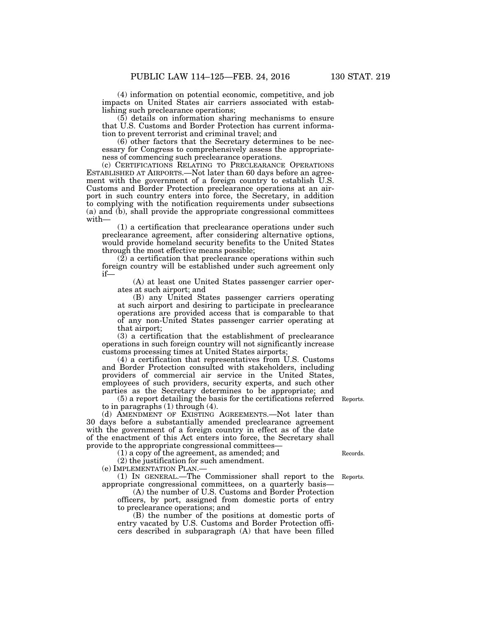(4) information on potential economic, competitive, and job impacts on United States air carriers associated with establishing such preclearance operations;

(5) details on information sharing mechanisms to ensure that U.S. Customs and Border Protection has current information to prevent terrorist and criminal travel; and

(6) other factors that the Secretary determines to be necessary for Congress to comprehensively assess the appropriateness of commencing such preclearance operations.

(c) CERTIFICATIONS RELATING TO PRECLEARANCE OPERATIONS ESTABLISHED AT AIRPORTS.—Not later than 60 days before an agreement with the government of a foreign country to establish U.S. Customs and Border Protection preclearance operations at an airport in such country enters into force, the Secretary, in addition to complying with the notification requirements under subsections (a) and (b), shall provide the appropriate congressional committees with—

(1) a certification that preclearance operations under such preclearance agreement, after considering alternative options, would provide homeland security benefits to the United States through the most effective means possible;

(2) a certification that preclearance operations within such foreign country will be established under such agreement only if—

(A) at least one United States passenger carrier operates at such airport; and

(B) any United States passenger carriers operating at such airport and desiring to participate in preclearance operations are provided access that is comparable to that of any non-United States passenger carrier operating at that airport;

(3) a certification that the establishment of preclearance operations in such foreign country will not significantly increase customs processing times at United States airports;

(4) a certification that representatives from U.S. Customs and Border Protection consulted with stakeholders, including providers of commercial air service in the United States, employees of such providers, security experts, and such other parties as the Secretary determines to be appropriate; and

(5) a report detailing the basis for the certifications referred Reports. to in paragraphs (1) through (4).

(d) AMENDMENT OF EXISTING AGREEMENTS.—Not later than 30 days before a substantially amended preclearance agreement with the government of a foreign country in effect as of the date of the enactment of this Act enters into force, the Secretary shall provide to the appropriate congressional committees—

(1) a copy of the agreement, as amended; and

(2) the justification for such amendment.

(e) IMPLEMENTATION PLAN.—

(1) IN GENERAL.—The Commissioner shall report to the appropriate congressional committees, on a quarterly basis—

(A) the number of U.S. Customs and Border Protection officers, by port, assigned from domestic ports of entry to preclearance operations; and

(B) the number of the positions at domestic ports of entry vacated by U.S. Customs and Border Protection officers described in subparagraph (A) that have been filled

Records.

Reports.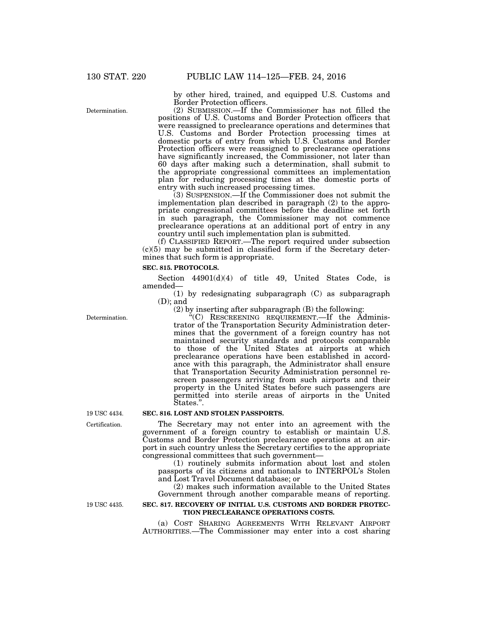Determination.

by other hired, trained, and equipped U.S. Customs and Border Protection officers.

(2) SUBMISSION.—If the Commissioner has not filled the positions of U.S. Customs and Border Protection officers that were reassigned to preclearance operations and determines that U.S. Customs and Border Protection processing times at domestic ports of entry from which U.S. Customs and Border Protection officers were reassigned to preclearance operations have significantly increased, the Commissioner, not later than 60 days after making such a determination, shall submit to the appropriate congressional committees an implementation plan for reducing processing times at the domestic ports of entry with such increased processing times.

(3) SUSPENSION.—If the Commissioner does not submit the implementation plan described in paragraph (2) to the appropriate congressional committees before the deadline set forth in such paragraph, the Commissioner may not commence preclearance operations at an additional port of entry in any country until such implementation plan is submitted.

(f) CLASSIFIED REPORT.—The report required under subsection  $(c)(5)$  may be submitted in classified form if the Secretary determines that such form is appropriate.

#### **SEC. 815. PROTOCOLS.**

Section 44901(d)(4) of title 49, United States Code, is amended—

(1) by redesignating subparagraph (C) as subparagraph (D); and

(2) by inserting after subparagraph (B) the following:

''(C) RESCREENING REQUIREMENT.—If the Administrator of the Transportation Security Administration determines that the government of a foreign country has not maintained security standards and protocols comparable to those of the United States at airports at which preclearance operations have been established in accordance with this paragraph, the Administrator shall ensure that Transportation Security Administration personnel rescreen passengers arriving from such airports and their property in the United States before such passengers are permitted into sterile areas of airports in the United States.''.

#### **SEC. 816. LOST AND STOLEN PASSPORTS.**

The Secretary may not enter into an agreement with the government of a foreign country to establish or maintain U.S. Customs and Border Protection preclearance operations at an airport in such country unless the Secretary certifies to the appropriate congressional committees that such government—

(1) routinely submits information about lost and stolen passports of its citizens and nationals to INTERPOL's Stolen and Lost Travel Document database; or

(2) makes such information available to the United States Government through another comparable means of reporting.

#### **SEC. 817. RECOVERY OF INITIAL U.S. CUSTOMS AND BORDER PROTEC-TION PRECLEARANCE OPERATIONS COSTS.**

(a) COST SHARING AGREEMENTS WITH RELEVANT AIRPORT AUTHORITIES.—The Commissioner may enter into a cost sharing

Certification. 19 USC 4434.

Determination.

19 USC 4435.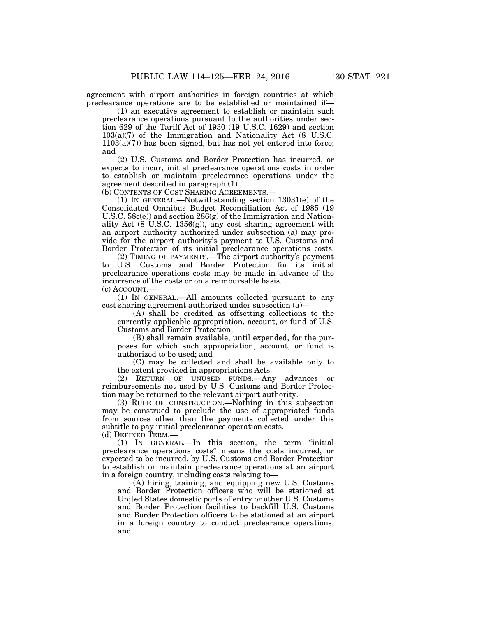agreement with airport authorities in foreign countries at which preclearance operations are to be established or maintained if— (1) an executive agreement to establish or maintain such

preclearance operations pursuant to the authorities under section 629 of the Tariff Act of 1930 (19 U.S.C. 1629) and section 103(a)(7) of the Immigration and Nationality Act (8 U.S.C.  $1103(a)(7)$  has been signed, but has not yet entered into force; and

(2) U.S. Customs and Border Protection has incurred, or expects to incur, initial preclearance operations costs in order to establish or maintain preclearance operations under the agreement described in paragraph (1).

(b) CONTENTS OF COST SHARING AGREEMENTS.—

(1) IN GENERAL.—Notwithstanding section 13031(e) of the Consolidated Omnibus Budget Reconciliation Act of 1985 (19 U.S.C.  $58c(e)$  and section  $286(g)$  of the Immigration and Nationality Act (8 U.S.C. 1356(g)), any cost sharing agreement with an airport authority authorized under subsection (a) may provide for the airport authority's payment to U.S. Customs and Border Protection of its initial preclearance operations costs.

(2) TIMING OF PAYMENTS.—The airport authority's payment to U.S. Customs and Border Protection for its initial preclearance operations costs may be made in advance of the incurrence of the costs or on a reimbursable basis.

(c) ACCOUNT.—

(1) IN GENERAL.—All amounts collected pursuant to any cost sharing agreement authorized under subsection (a)—

(A) shall be credited as offsetting collections to the currently applicable appropriation, account, or fund of U.S. Customs and Border Protection;

(B) shall remain available, until expended, for the purposes for which such appropriation, account, or fund is authorized to be used; and

(C) may be collected and shall be available only to the extent provided in appropriations Acts.

(2) RETURN OF UNUSED FUNDS.—Any advances or reimbursements not used by U.S. Customs and Border Protection may be returned to the relevant airport authority.

(3) RULE OF CONSTRUCTION.—Nothing in this subsection may be construed to preclude the use of appropriated funds from sources other than the payments collected under this subtitle to pay initial preclearance operation costs.

(d) DEFINED TERM.—

(1) IN GENERAL.—In this section, the term ''initial preclearance operations costs'' means the costs incurred, or expected to be incurred, by U.S. Customs and Border Protection to establish or maintain preclearance operations at an airport in a foreign country, including costs relating to—

(A) hiring, training, and equipping new U.S. Customs and Border Protection officers who will be stationed at United States domestic ports of entry or other U.S. Customs and Border Protection facilities to backfill U.S. Customs and Border Protection officers to be stationed at an airport in a foreign country to conduct preclearance operations; and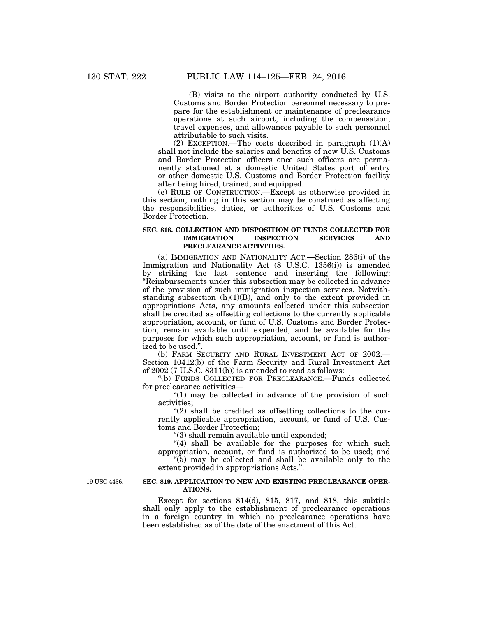(B) visits to the airport authority conducted by U.S. Customs and Border Protection personnel necessary to prepare for the establishment or maintenance of preclearance operations at such airport, including the compensation, travel expenses, and allowances payable to such personnel attributable to such visits.

(2) EXCEPTION.—The costs described in paragraph  $(1)(A)$ shall not include the salaries and benefits of new U.S. Customs and Border Protection officers once such officers are permanently stationed at a domestic United States port of entry or other domestic U.S. Customs and Border Protection facility after being hired, trained, and equipped.

(e) RULE OF CONSTRUCTION.—Except as otherwise provided in this section, nothing in this section may be construed as affecting the responsibilities, duties, or authorities of U.S. Customs and Border Protection.

#### **SEC. 818. COLLECTION AND DISPOSITION OF FUNDS COLLECTED FOR IMMIGRATION INSPECTION SERVICES AND PRECLEARANCE ACTIVITIES.**

(a) IMMIGRATION AND NATIONALITY ACT.—Section 286(i) of the Immigration and Nationality Act (8 U.S.C. 1356(i)) is amended by striking the last sentence and inserting the following: ''Reimbursements under this subsection may be collected in advance of the provision of such immigration inspection services. Notwithstanding subsection  $(h)(1)(B)$ , and only to the extent provided in appropriations Acts, any amounts collected under this subsection shall be credited as offsetting collections to the currently applicable appropriation, account, or fund of U.S. Customs and Border Protection, remain available until expended, and be available for the purposes for which such appropriation, account, or fund is authorized to be used.''.

(b) FARM SECURITY AND RURAL INVESTMENT ACT OF 2002.— Section 10412(b) of the Farm Security and Rural Investment Act of 2002 (7 U.S.C. 8311(b)) is amended to read as follows:

''(b) FUNDS COLLECTED FOR PRECLEARANCE.—Funds collected for preclearance activities—

 $''(1)$  may be collected in advance of the provision of such activities;

" $(2)$  shall be credited as offsetting collections to the currently applicable appropriation, account, or fund of U.S. Customs and Border Protection;

''(3) shall remain available until expended;

"(4) shall be available for the purposes for which such appropriation, account, or fund is authorized to be used; and

 $\angle$ (5) may be collected and shall be available only to the extent provided in appropriations Acts.''.

19 USC 4436.

#### **SEC. 819. APPLICATION TO NEW AND EXISTING PRECLEARANCE OPER-ATIONS.**

Except for sections 814(d), 815, 817, and 818, this subtitle shall only apply to the establishment of preclearance operations in a foreign country in which no preclearance operations have been established as of the date of the enactment of this Act.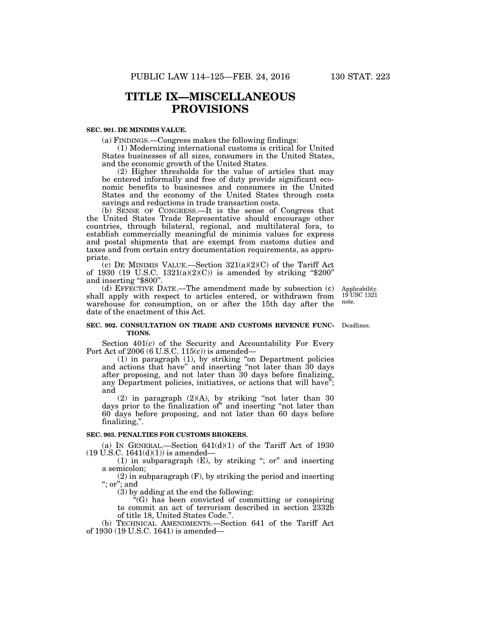# **TITLE IX—MISCELLANEOUS PROVISIONS**

### **SEC. 901. DE MINIMIS VALUE.**

(a) FINDINGS.—Congress makes the following findings:

(1) Modernizing international customs is critical for United States businesses of all sizes, consumers in the United States, and the economic growth of the United States.

(2) Higher thresholds for the value of articles that may be entered informally and free of duty provide significant economic benefits to businesses and consumers in the United States and the economy of the United States through costs savings and reductions in trade transaction costs.

(b) SENSE OF CONGRESS.—It is the sense of Congress that the United States Trade Representative should encourage other countries, through bilateral, regional, and multilateral fora, to establish commercially meaningful de minimis values for express and postal shipments that are exempt from customs duties and taxes and from certain entry documentation requirements, as appropriate.

(c) DE MINIMIS VALUE.—Section  $321(a)(2)(C)$  of the Tariff Act of 1930 (19 U.S.C. 1321(a)(2)(C)) is amended by striking "\$200" and inserting ''\$800''.

(d) EFFECTIVE DATE.—The amendment made by subsection (c) shall apply with respect to articles entered, or withdrawn from warehouse for consumption, on or after the 15th day after the date of the enactment of this Act.

Applicability. 19 USC 1321 note.

#### **SEC. 902. CONSULTATION ON TRADE AND CUSTOMS REVENUE FUNC-**Deadlines. **TIONS.**

Section 401(c) of the Security and Accountability For Every Port Act of 2006 (6 U.S.C. 115(c)) is amended—

(1) in paragraph (1), by striking ''on Department policies and actions that have'' and inserting ''not later than 30 days after proposing, and not later than 30 days before finalizing, any Department policies, initiatives, or actions that will have<sup>"</sup> and

 $(2)$  in paragraph  $(2)(A)$ , by striking "not later than 30 days prior to the finalization of'' and inserting ''not later than 60 days before proposing, and not later than 60 days before finalizing,''.

#### **SEC. 903. PENALTIES FOR CUSTOMS BROKERS.**

(a) IN GENERAL.—Section  $641(d)(1)$  of the Tariff Act of 1930  $(19 \text{ U.S.C. } 1641(d)(1))$  is amended–

(1) in subparagraph  $(E)$ , by striking "; or" and inserting a semicolon;

(2) in subparagraph (F), by striking the period and inserting ": or"; and

(3) by adding at the end the following:

''(G) has been convicted of committing or conspiring to commit an act of terrorism described in section 2332b of title 18, United States Code.''.

(b) TECHNICAL AMENDMENTS.—Section 641 of the Tariff Act of 1930 (19 U.S.C. 1641) is amended—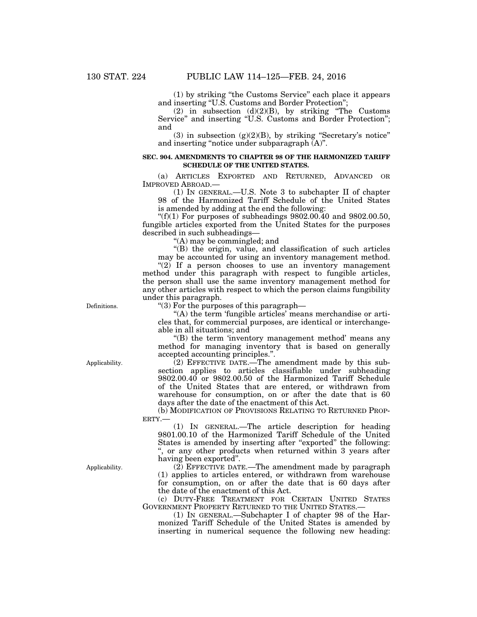(1) by striking ''the Customs Service'' each place it appears and inserting ''U.S. Customs and Border Protection'';

(2) in subsection  $(d)(2)(B)$ , by striking "The Customs" Service" and inserting "U.S. Customs and Border Protection"; and

(3) in subsection  $(g)(2)(B)$ , by striking "Secretary's notice" and inserting ''notice under subparagraph (A)''.

#### **SEC. 904. AMENDMENTS TO CHAPTER 98 OF THE HARMONIZED TARIFF SCHEDULE OF THE UNITED STATES.**

(a) ARTICLES EXPORTED AND RETURNED, ADVANCED OR IMPROVED ABROAD.—

(1) IN GENERAL.—U.S. Note 3 to subchapter II of chapter 98 of the Harmonized Tariff Schedule of the United States is amended by adding at the end the following:

" $(f)(1)$  For purposes of subheadings 9802.00.40 and 9802.00.50, fungible articles exported from the United States for the purposes described in such subheadings—

''(A) may be commingled; and

''(B) the origin, value, and classification of such articles may be accounted for using an inventory management method.

 $''(2)$  If a person chooses to use an inventory management method under this paragraph with respect to fungible articles, the person shall use the same inventory management method for any other articles with respect to which the person claims fungibility under this paragraph.

''(3) For the purposes of this paragraph—

''(A) the term 'fungible articles' means merchandise or articles that, for commercial purposes, are identical or interchangeable in all situations; and

"(B) the term 'inventory management method' means any method for managing inventory that is based on generally accepted accounting principles.''.

(2) EFFECTIVE DATE.—The amendment made by this subsection applies to articles classifiable under subheading 9802.00.40 or 9802.00.50 of the Harmonized Tariff Schedule of the United States that are entered, or withdrawn from warehouse for consumption, on or after the date that is 60 days after the date of the enactment of this Act.

(b) MODIFICATION OF PROVISIONS RELATING TO RETURNED PROP-ERTY.—

(1) IN GENERAL.—The article description for heading 9801.00.10 of the Harmonized Tariff Schedule of the United States is amended by inserting after "exported" the following: '', or any other products when returned within 3 years after having been exported''.

(2) EFFECTIVE DATE.—The amendment made by paragraph (1) applies to articles entered, or withdrawn from warehouse for consumption, on or after the date that is 60 days after the date of the enactment of this Act.

(c) DUTY-FREE TREATMENT FOR CERTAIN UNITED STATES GOVERNMENT PROPERTY RETURNED TO THE UNITED STATES.—

(1) IN GENERAL.—Subchapter I of chapter 98 of the Harmonized Tariff Schedule of the United States is amended by inserting in numerical sequence the following new heading:

Definitions.

Applicability.

Applicability.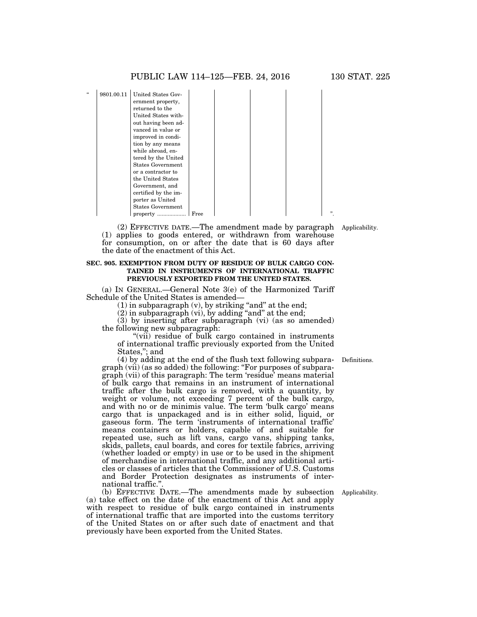9801.00.11 United States Government property, returned to the United States without having been advanced in value or improved in condition by any means while abroad, entered by the United States Government or a contractor to the United States Government, and certified by the importer as United States Government property ................... Free ''.

(2) EFFECTIVE DATE.—The amendment made by paragraph Applicability. (1) applies to goods entered, or withdrawn from warehouse for consumption, on or after the date that is 60 days after the date of the enactment of this Act.

#### **SEC. 905. EXEMPTION FROM DUTY OF RESIDUE OF BULK CARGO CON-TAINED IN INSTRUMENTS OF INTERNATIONAL TRAFFIC PREVIOUSLY EXPORTED FROM THE UNITED STATES.**

(a) IN GENERAL.—General Note 3(e) of the Harmonized Tariff Schedule of the United States is amended—

 $(1)$  in subparagraph  $(v)$ , by striking "and" at the end;

 $(2)$  in subparagraph  $(vi)$ , by adding "and" at the end;

(3) by inserting after subparagraph (vi) (as so amended) the following new subparagraph:

"(vii) residue of bulk cargo contained in instruments of international traffic previously exported from the United States,''; and

(4) by adding at the end of the flush text following subparagraph (vii) (as so added) the following: ''For purposes of subparagraph (vii) of this paragraph: The term 'residue' means material of bulk cargo that remains in an instrument of international traffic after the bulk cargo is removed, with a quantity, by weight or volume, not exceeding 7 percent of the bulk cargo, and with no or de minimis value. The term 'bulk cargo' means cargo that is unpackaged and is in either solid, liquid, or gaseous form. The term 'instruments of international traffic' means containers or holders, capable of and suitable for repeated use, such as lift vans, cargo vans, shipping tanks, skids, pallets, caul boards, and cores for textile fabrics, arriving (whether loaded or empty) in use or to be used in the shipment of merchandise in international traffic, and any additional articles or classes of articles that the Commissioner of U.S. Customs and Border Protection designates as instruments of international traffic."

(b) EFFECTIVE DATE.—The amendments made by subsection Applicability. (a) take effect on the date of the enactment of this Act and apply with respect to residue of bulk cargo contained in instruments of international traffic that are imported into the customs territory of the United States on or after such date of enactment and that previously have been exported from the United States.

Definitions.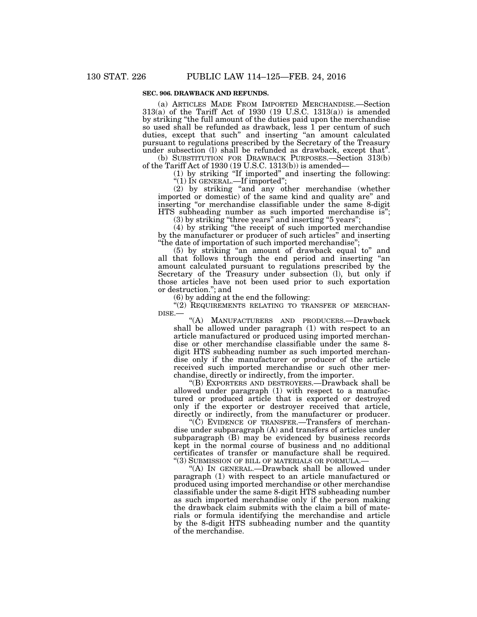#### **SEC. 906. DRAWBACK AND REFUNDS.**

(a) ARTICLES MADE FROM IMPORTED MERCHANDISE.—Section 313(a) of the Tariff Act of 1930 (19 U.S.C. 1313(a)) is amended by striking ''the full amount of the duties paid upon the merchandise so used shall be refunded as drawback, less 1 per centum of such duties, except that such'' and inserting ''an amount calculated pursuant to regulations prescribed by the Secretary of the Treasury under subsection (l) shall be refunded as drawback, except that"

(b) SUBSTITUTION FOR DRAWBACK PURPOSES.—Section 313(b) of the Tariff Act of 1930 (19 U.S.C. 1313(b)) is amended—

(1) by striking ''If imported'' and inserting the following:

''(1) IN GENERAL.—If imported'';

(2) by striking ''and any other merchandise (whether imported or domestic) of the same kind and quality are'' and inserting "or merchandise classifiable under the same 8-digit HTS subheading number as such imported merchandise is'';

 $(3)$  by striking "three years" and inserting "5 years";

(4) by striking ''the receipt of such imported merchandise by the manufacturer or producer of such articles'' and inserting ''the date of importation of such imported merchandise'';

(5) by striking ''an amount of drawback equal to'' and all that follows through the end period and inserting ''an amount calculated pursuant to regulations prescribed by the Secretary of the Treasury under subsection (l), but only if those articles have not been used prior to such exportation or destruction.''; and

(6) by adding at the end the following:

"(2) REQUIREMENTS RELATING TO TRANSFER OF MERCHAN-DISE.—

''(A) MANUFACTURERS AND PRODUCERS.—Drawback shall be allowed under paragraph (1) with respect to an article manufactured or produced using imported merchandise or other merchandise classifiable under the same 8 digit HTS subheading number as such imported merchandise only if the manufacturer or producer of the article received such imported merchandise or such other merchandise, directly or indirectly, from the importer.

''(B) EXPORTERS AND DESTROYERS.—Drawback shall be allowed under paragraph (1) with respect to a manufactured or produced article that is exported or destroyed only if the exporter or destroyer received that article, directly or indirectly, from the manufacturer or producer.

''(C) EVIDENCE OF TRANSFER.—Transfers of merchandise under subparagraph (A) and transfers of articles under subparagraph (B) may be evidenced by business records kept in the normal course of business and no additional certificates of transfer or manufacture shall be required. "(3) SUBMISSION OF BILL OF MATERIALS OR FORMULA.-

''(A) IN GENERAL.—Drawback shall be allowed under paragraph (1) with respect to an article manufactured or produced using imported merchandise or other merchandise classifiable under the same 8-digit HTS subheading number as such imported merchandise only if the person making the drawback claim submits with the claim a bill of materials or formula identifying the merchandise and article by the 8-digit HTS subheading number and the quantity of the merchandise.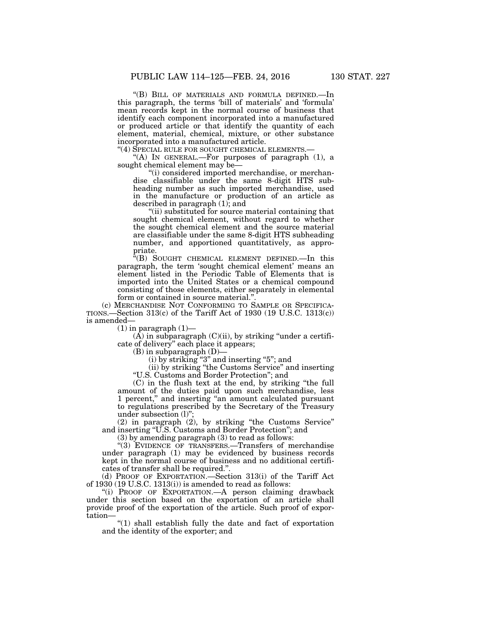''(B) BILL OF MATERIALS AND FORMULA DEFINED.—In this paragraph, the terms 'bill of materials' and 'formula' mean records kept in the normal course of business that identify each component incorporated into a manufactured or produced article or that identify the quantity of each element, material, chemical, mixture, or other substance incorporated into a manufactured article.

"(A) IN GENERAL.—For purposes of paragraph (1), a sought chemical element may be—

''(i) considered imported merchandise, or merchandise classifiable under the same 8-digit HTS subheading number as such imported merchandise, used in the manufacture or production of an article as described in paragraph  $(1)$ ; and

''(ii) substituted for source material containing that sought chemical element, without regard to whether the sought chemical element and the source material are classifiable under the same 8-digit HTS subheading number, and apportioned quantitatively, as appropriate.

''(B) SOUGHT CHEMICAL ELEMENT DEFINED.—In this paragraph, the term 'sought chemical element' means an element listed in the Periodic Table of Elements that is imported into the United States or a chemical compound consisting of those elements, either separately in elemental form or contained in source material."

(c) MERCHANDISE NOT CONFORMING TO SAMPLE OR SPECIFICA-TIONS.—Section 313(c) of the Tariff Act of 1930 (19 U.S.C. 1313(c)) is amended—

 $(1)$  in paragraph  $(1)$ —

 $(\hat{A})$  in subparagraph  $(C)(ii)$ , by striking "under a certificate of delivery'' each place it appears;

(B) in subparagraph (D)—

(i) by striking "3" and inserting "5"; and

(ii) by striking ''the Customs Service'' and inserting ''U.S. Customs and Border Protection''; and

(C) in the flush text at the end, by striking ''the full amount of the duties paid upon such merchandise, less 1 percent,'' and inserting ''an amount calculated pursuant to regulations prescribed by the Secretary of the Treasury under subsection (1)";

(2) in paragraph (2), by striking ''the Customs Service'' and inserting ''U.S. Customs and Border Protection''; and

(3) by amending paragraph (3) to read as follows:

''(3) EVIDENCE OF TRANSFERS.—Transfers of merchandise under paragraph (1) may be evidenced by business records kept in the normal course of business and no additional certificates of transfer shall be required.''.

(d) PROOF OF EXPORTATION.—Section 313(i) of the Tariff Act of 1930 (19 U.S.C. 1313(i)) is amended to read as follows:

"(i) PROOF OF EXPORTATION.- A person claiming drawback under this section based on the exportation of an article shall provide proof of the exportation of the article. Such proof of exportation—

''(1) shall establish fully the date and fact of exportation and the identity of the exporter; and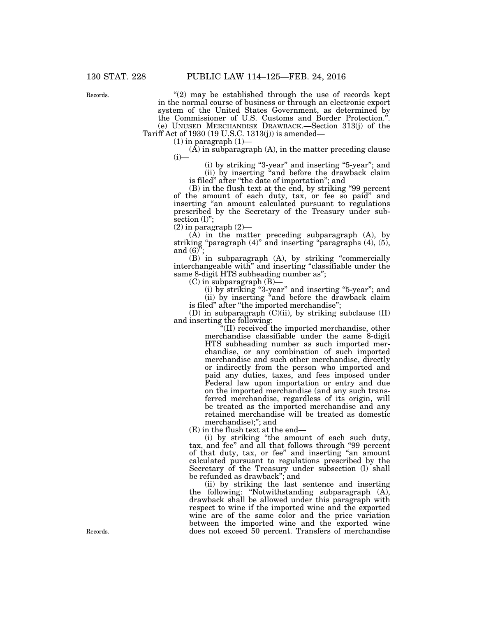Records.

" $(2)$  may be established through the use of records kept in the normal course of business or through an electronic export system of the United States Government, as determined by the Commissioner of U.S. Customs and Border Protection.''. (e) UNUSED MERCHANDISE DRAWBACK.—Section 313(j) of the Tariff Act of 1930 (19 U.S.C. 1313(j)) is amended—

 $(1)$  in paragraph  $(1)$ —

 $(\overline{A})$  in subparagraph  $(A)$ , in the matter preceding clause  $(i)$ —

(i) by striking ''3-year'' and inserting ''5-year''; and (ii) by inserting ''and before the drawback claim is filed'' after ''the date of importation''; and

(B) in the flush text at the end, by striking ''99 percent of the amount of each duty, tax, or fee so paid'' and inserting ''an amount calculated pursuant to regulations prescribed by the Secretary of the Treasury under subsection (1)";

 $(2)$  in paragraph  $(2)$ —

(A) in the matter preceding subparagraph (A), by striking "paragraph (4)" and inserting "paragraphs (4), (5), and  $(6)$ 

(B) in subparagraph (A), by striking ''commercially interchangeable with'' and inserting ''classifiable under the same 8-digit HTS subheading number as'';

(C) in subparagraph (B)—

(i) by striking ''3-year'' and inserting ''5-year''; and (ii) by inserting ''and before the drawback claim is filed'' after ''the imported merchandise'';

(D) in subparagraph (C)(ii), by striking subclause (II) and inserting the following:

> ''(II) received the imported merchandise, other merchandise classifiable under the same 8-digit HTS subheading number as such imported merchandise, or any combination of such imported merchandise and such other merchandise, directly or indirectly from the person who imported and paid any duties, taxes, and fees imposed under Federal law upon importation or entry and due on the imported merchandise (and any such transferred merchandise, regardless of its origin, will be treated as the imported merchandise and any retained merchandise will be treated as domestic merchandise);"; and

(E) in the flush text at the end—

(i) by striking ''the amount of each such duty, tax, and fee'' and all that follows through ''99 percent of that duty, tax, or fee'' and inserting ''an amount calculated pursuant to regulations prescribed by the Secretary of the Treasury under subsection (l) shall be refunded as drawback''; and

(ii) by striking the last sentence and inserting the following: ''Notwithstanding subparagraph (A), drawback shall be allowed under this paragraph with respect to wine if the imported wine and the exported wine are of the same color and the price variation between the imported wine and the exported wine Records. does not exceed 50 percent. Transfers of merchandise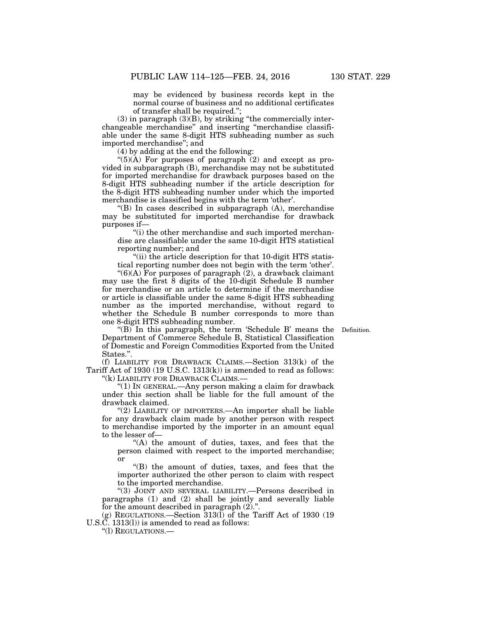may be evidenced by business records kept in the normal course of business and no additional certificates of transfer shall be required.'';

 $(3)$  in paragraph  $(3)(B)$ , by striking "the commercially interchangeable merchandise'' and inserting ''merchandise classifiable under the same 8-digit HTS subheading number as such imported merchandise''; and

(4) by adding at the end the following:

" $(5)(\text{\AA})$  For purposes of paragraph  $(2)$  and except as provided in subparagraph (B), merchandise may not be substituted for imported merchandise for drawback purposes based on the 8-digit HTS subheading number if the article description for the 8-digit HTS subheading number under which the imported merchandise is classified begins with the term 'other'.

''(B) In cases described in subparagraph (A), merchandise may be substituted for imported merchandise for drawback purposes if—

''(i) the other merchandise and such imported merchandise are classifiable under the same 10-digit HTS statistical reporting number; and

"(ii) the article description for that 10-digit HTS statistical reporting number does not begin with the term 'other'.

" $(6)(A)$  For purposes of paragraph  $(2)$ , a drawback claimant may use the first 8 digits of the 10-digit Schedule B number for merchandise or an article to determine if the merchandise or article is classifiable under the same 8-digit HTS subheading number as the imported merchandise, without regard to whether the Schedule B number corresponds to more than one 8-digit HTS subheading number.

"(B) In this paragraph, the term 'Schedule B' means the Definition. Department of Commerce Schedule B, Statistical Classification of Domestic and Foreign Commodities Exported from the United States.''.

(f) LIABILITY FOR DRAWBACK CLAIMS.—Section 313(k) of the Tariff Act of 1930 (19 U.S.C. 1313(k)) is amended to read as follows: "(k) LIABILITY FOR DRAWBACK CLAIMS.-

''(1) IN GENERAL.—Any person making a claim for drawback under this section shall be liable for the full amount of the drawback claimed.

"(2) LIABILITY OF IMPORTERS.—An importer shall be liable for any drawback claim made by another person with respect to merchandise imported by the importer in an amount equal to the lesser of—

''(A) the amount of duties, taxes, and fees that the person claimed with respect to the imported merchandise; or

''(B) the amount of duties, taxes, and fees that the importer authorized the other person to claim with respect to the imported merchandise.

''(3) JOINT AND SEVERAL LIABILITY.—Persons described in paragraphs (1) and (2) shall be jointly and severally liable for the amount described in paragraph  $(2)$ .".

(g) REGULATIONS.—Section  $313(1)$  of the Tariff Act of 1930 (19 U.S.C. 1313(l)) is amended to read as follows:

''(l) REGULATIONS.—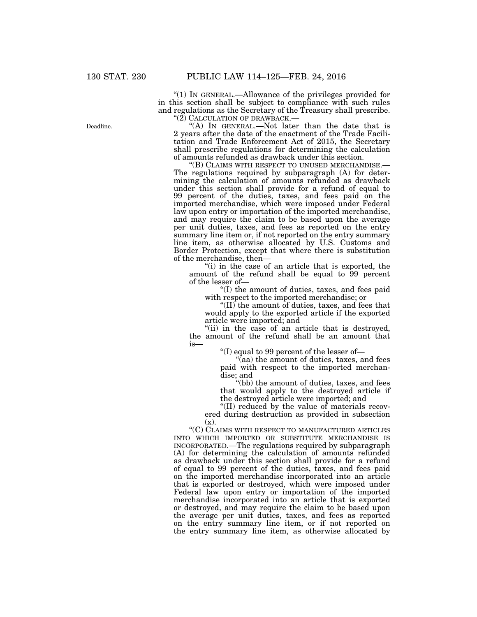''(1) IN GENERAL.—Allowance of the privileges provided for in this section shall be subject to compliance with such rules and regulations as the Secretary of the Treasury shall prescribe.<br>"(2) CALCULATION OF DRAWBACK.—

"(A) In GENERAL.—Not later than the date that is 2 years after the date of the enactment of the Trade Facilitation and Trade Enforcement Act of 2015, the Secretary shall prescribe regulations for determining the calculation of amounts refunded as drawback under this section.<br>"(B) CLAIMS WITH RESPECT TO UNUSED MERCHANDISE.—

The regulations required by subparagraph (A) for determining the calculation of amounts refunded as drawback under this section shall provide for a refund of equal to 99 percent of the duties, taxes, and fees paid on the imported merchandise, which were imposed under Federal law upon entry or importation of the imported merchandise, and may require the claim to be based upon the average per unit duties, taxes, and fees as reported on the entry summary line item or, if not reported on the entry summary line item, as otherwise allocated by U.S. Customs and Border Protection, except that where there is substitution of the merchandise, then—

"(i) in the case of an article that is exported, the amount of the refund shall be equal to 99 percent of the lesser of—

''(I) the amount of duties, taxes, and fees paid with respect to the imported merchandise; or

''(II) the amount of duties, taxes, and fees that would apply to the exported article if the exported article were imported; and

"(ii) in the case of an article that is destroyed, the amount of the refund shall be an amount that is—

''(I) equal to 99 percent of the lesser of—

''(aa) the amount of duties, taxes, and fees paid with respect to the imported merchandise; and

''(bb) the amount of duties, taxes, and fees that would apply to the destroyed article if the destroyed article were imported; and

''(II) reduced by the value of materials recovered during destruction as provided in subsection  $(\mathbf{x}).$ 

''(C) CLAIMS WITH RESPECT TO MANUFACTURED ARTICLES INTO WHICH IMPORTED OR SUBSTITUTE MERCHANDISE IS INCORPORATED.—The regulations required by subparagraph (A) for determining the calculation of amounts refunded as drawback under this section shall provide for a refund of equal to 99 percent of the duties, taxes, and fees paid on the imported merchandise incorporated into an article that is exported or destroyed, which were imposed under Federal law upon entry or importation of the imported merchandise incorporated into an article that is exported or destroyed, and may require the claim to be based upon the average per unit duties, taxes, and fees as reported on the entry summary line item, or if not reported on the entry summary line item, as otherwise allocated by

Deadline.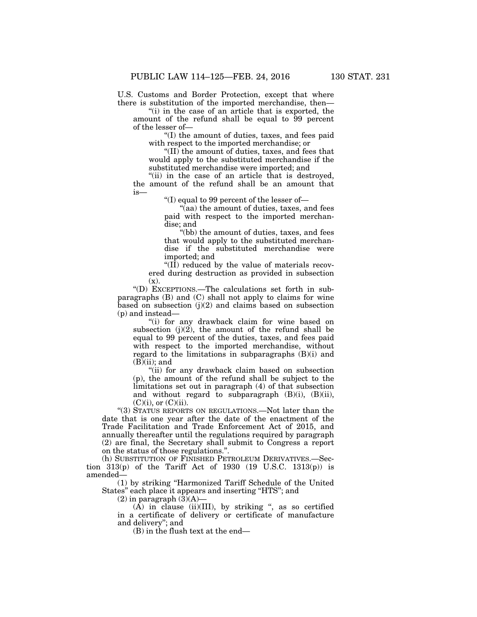U.S. Customs and Border Protection, except that where there is substitution of the imported merchandise, then—

"(i) in the case of an article that is exported, the amount of the refund shall be equal to 99 percent of the lesser of—

''(I) the amount of duties, taxes, and fees paid with respect to the imported merchandise; or

''(II) the amount of duties, taxes, and fees that would apply to the substituted merchandise if the substituted merchandise were imported; and

"(ii) in the case of an article that is destroyed, the amount of the refund shall be an amount that is—

''(I) equal to 99 percent of the lesser of—

''(aa) the amount of duties, taxes, and fees paid with respect to the imported merchandise; and

''(bb) the amount of duties, taxes, and fees that would apply to the substituted merchandise if the substituted merchandise were imported; and

''(II) reduced by the value of materials recovered during destruction as provided in subsection  $(x).$ 

''(D) EXCEPTIONS.—The calculations set forth in subparagraphs (B) and (C) shall not apply to claims for wine based on subsection (j)(2) and claims based on subsection (p) and instead—

''(i) for any drawback claim for wine based on subsection  $(j)(2)$ , the amount of the refund shall be equal to 99 percent of the duties, taxes, and fees paid with respect to the imported merchandise, without regard to the limitations in subparagraphs (B)(i) and  $(B)(ii)$ ; and

''(ii) for any drawback claim based on subsection (p), the amount of the refund shall be subject to the limitations set out in paragraph (4) of that subsection and without regard to subparagraph  $(B)(i)$ ,  $(B)(ii)$ ,  $(C)(i)$ , or  $(C)(ii)$ .

''(3) STATUS REPORTS ON REGULATIONS.—Not later than the date that is one year after the date of the enactment of the Trade Facilitation and Trade Enforcement Act of 2015, and annually thereafter until the regulations required by paragraph (2) are final, the Secretary shall submit to Congress a report on the status of those regulations.''.

(h) SUBSTITUTION OF FINISHED PETROLEUM DERIVATIVES.—Section  $313(p)$  of the Tariff Act of 1930 (19 U.S.C. 1313(p)) is amended—

(1) by striking ''Harmonized Tariff Schedule of the United States" each place it appears and inserting "HTS"; and

 $(2)$  in paragraph  $(3)(A)$ —

 $(A)$  in clause (ii)(III), by striking ", as so certified in a certificate of delivery or certificate of manufacture and delivery''; and

(B) in the flush text at the end—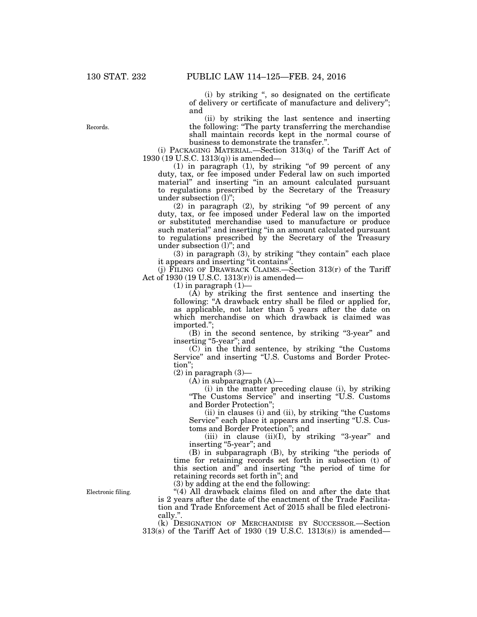(i) by striking '', so designated on the certificate of delivery or certificate of manufacture and delivery''; and

(ii) by striking the last sentence and inserting the following: ''The party transferring the merchandise shall maintain records kept in the normal course of business to demonstrate the transfer.''.

(i) PACKAGING MATERIAL.—Section  $313(q)$  of the Tariff Act of 1930 (19 U.S.C. 1313(q)) is amended—

(1) in paragraph (1), by striking ''of 99 percent of any duty, tax, or fee imposed under Federal law on such imported material'' and inserting ''in an amount calculated pursuant to regulations prescribed by the Secretary of the Treasury under subsection (l)'';

(2) in paragraph (2), by striking ''of 99 percent of any duty, tax, or fee imposed under Federal law on the imported or substituted merchandise used to manufacture or produce such material'' and inserting ''in an amount calculated pursuant to regulations prescribed by the Secretary of the Treasury under subsection (l)''; and

(3) in paragraph (3), by striking ''they contain'' each place it appears and inserting ''it contains''.

(j)  $\overline{F}$ ILING OF DRAWBACK CLAIMS.—Section 313(r) of the Tariff Act of 1930 (19 U.S.C. 1313(r)) is amended—

 $(1)$  in paragraph  $(1)$ –

(A) by striking the first sentence and inserting the following: "A drawback entry shall be filed or applied for, as applicable, not later than 5 years after the date on which merchandise on which drawback is claimed was imported.'';

(B) in the second sentence, by striking ''3-year'' and inserting "5-year"; and

(C) in the third sentence, by striking ''the Customs Service'' and inserting ''U.S. Customs and Border Protection'';

 $(2)$  in paragraph  $(3)$ —

 $(A)$  in subparagraph  $(A)$ —

(i) in the matter preceding clause (i), by striking "The Customs Service" and inserting "U.S. Customs and Border Protection'';

(ii) in clauses (i) and (ii), by striking ''the Customs Service'' each place it appears and inserting ''U.S. Customs and Border Protection''; and

(iii) in clause  $(ii)(I)$ , by striking "3-year" and inserting "5-year"; and

(B) in subparagraph (B), by striking ''the periods of time for retaining records set forth in subsection (t) of this section and'' and inserting ''the period of time for retaining records set forth in''; and

(3) by adding at the end the following:

"(4) All drawback claims filed on and after the date that is 2 years after the date of the enactment of the Trade Facilitation and Trade Enforcement Act of 2015 shall be filed electronically.''.

(k) DESIGNATION OF MERCHANDISE BY SUCCESSOR.—Section 313(s) of the Tariff Act of 1930 (19 U.S.C. 1313(s)) is amended—

Records.

Electronic filing.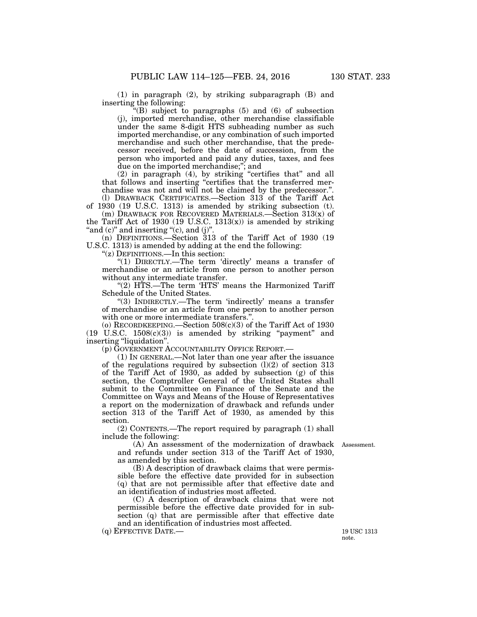(1) in paragraph (2), by striking subparagraph (B) and inserting the following:

 $H(B)$  subject to paragraphs  $(5)$  and  $(6)$  of subsection (j), imported merchandise, other merchandise classifiable under the same 8-digit HTS subheading number as such imported merchandise, or any combination of such imported merchandise and such other merchandise, that the predecessor received, before the date of succession, from the person who imported and paid any duties, taxes, and fees due on the imported merchandise;''; and

 $(2)$  in paragraph  $(4)$ , by striking "certifies that" and all that follows and inserting ''certifies that the transferred merchandise was not and will not be claimed by the predecessor.''. (l) DRAWBACK CERTIFICATES.—Section 313 of the Tariff Act

of 1930 (19 U.S.C. 1313) is amended by striking subsection (t). (m) DRAWBACK FOR RECOVERED MATERIALS.—Section  $313(x)$  of

the Tariff Act of 1930 (19 U.S.C. 1313(x)) is amended by striking "and  $(c)$ " and inserting " $(c)$ , and  $(j)$ ".

(n) DEFINITIONS.—Section 313 of the Tariff Act of 1930 (19 U.S.C. 1313) is amended by adding at the end the following:

''(z) DEFINITIONS.—In this section:

"(1) DIRECTLY.—The term 'directly' means a transfer of merchandise or an article from one person to another person without any intermediate transfer.

"(2) HTS.—The term 'HTS' means the Harmonized Tariff Schedule of the United States.

"(3) INDIRECTLY.—The term 'indirectly' means a transfer of merchandise or an article from one person to another person with one or more intermediate transfers.''.

(o) RECORDKEEPING.—Section 508(c)(3) of the Tariff Act of 1930 (19 U.S.C. 1508(c)(3)) is amended by striking ''payment'' and inserting "liquidation".

(p) GOVERNMENT ACCOUNTABILITY OFFICE REPORT.—

(1) IN GENERAL.—Not later than one year after the issuance of the regulations required by subsection  $(l)(2)$  of section 313 of the Tariff Act of 1930, as added by subsection (g) of this section, the Comptroller General of the United States shall submit to the Committee on Finance of the Senate and the Committee on Ways and Means of the House of Representatives a report on the modernization of drawback and refunds under section 313 of the Tariff Act of 1930, as amended by this section.

(2) CONTENTS.—The report required by paragraph (1) shall include the following:

Assessment.

(A) An assessment of the modernization of drawback and refunds under section 313 of the Tariff Act of 1930, as amended by this section.

(B) A description of drawback claims that were permissible before the effective date provided for in subsection (q) that are not permissible after that effective date and an identification of industries most affected.

(C) A description of drawback claims that were not permissible before the effective date provided for in subsection (q) that are permissible after that effective date and an identification of industries most affected.

 $(q)$  EFFECTIVE DATE.— $\qquad$  19 USC 1313

note.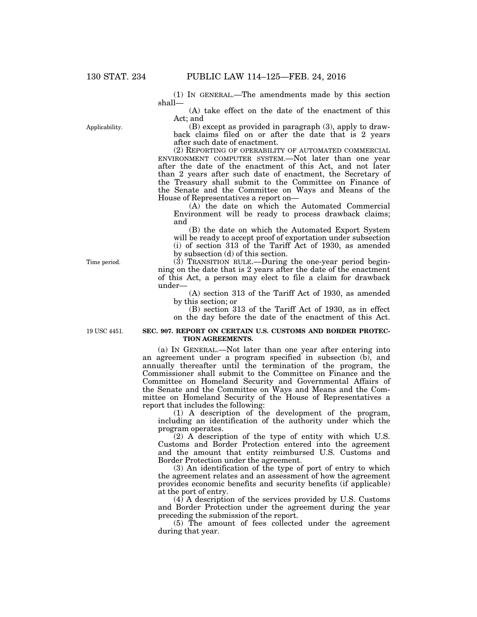(1) IN GENERAL.—The amendments made by this section shall—

(A) take effect on the date of the enactment of this Act; and

(B) except as provided in paragraph (3), apply to drawback claims filed on or after the date that is 2 years after such date of enactment.

(2) REPORTING OF OPERABILITY OF AUTOMATED COMMERCIAL ENVIRONMENT COMPUTER SYSTEM.—Not later than one year after the date of the enactment of this Act, and not later than 2 years after such date of enactment, the Secretary of the Treasury shall submit to the Committee on Finance of the Senate and the Committee on Ways and Means of the House of Representatives a report on—

(A) the date on which the Automated Commercial Environment will be ready to process drawback claims; and

(B) the date on which the Automated Export System will be ready to accept proof of exportation under subsection (i) of section 313 of the Tariff Act of 1930, as amended by subsection (d) of this section.

(3) TRANSITION RULE.—During the one-year period beginning on the date that is 2 years after the date of the enactment of this Act, a person may elect to file a claim for drawback under—

(A) section 313 of the Tariff Act of 1930, as amended by this section; or

(B) section 313 of the Tariff Act of 1930, as in effect on the day before the date of the enactment of this Act.

19 USC 4451.

Time period.

#### **SEC. 907. REPORT ON CERTAIN U.S. CUSTOMS AND BORDER PROTEC-TION AGREEMENTS.**

(a) IN GENERAL.—Not later than one year after entering into an agreement under a program specified in subsection (b), and annually thereafter until the termination of the program, the Commissioner shall submit to the Committee on Finance and the Committee on Homeland Security and Governmental Affairs of the Senate and the Committee on Ways and Means and the Committee on Homeland Security of the House of Representatives a report that includes the following:

(1) A description of the development of the program, including an identification of the authority under which the program operates.

 $(2)$  A description of the type of entity with which U.S. Customs and Border Protection entered into the agreement and the amount that entity reimbursed U.S. Customs and Border Protection under the agreement.

(3) An identification of the type of port of entry to which the agreement relates and an assessment of how the agreement provides economic benefits and security benefits (if applicable) at the port of entry.

 $(4)$  A description of the services provided by U.S. Customs and Border Protection under the agreement during the year preceding the submission of the report.

(5) The amount of fees collected under the agreement during that year.

Applicability.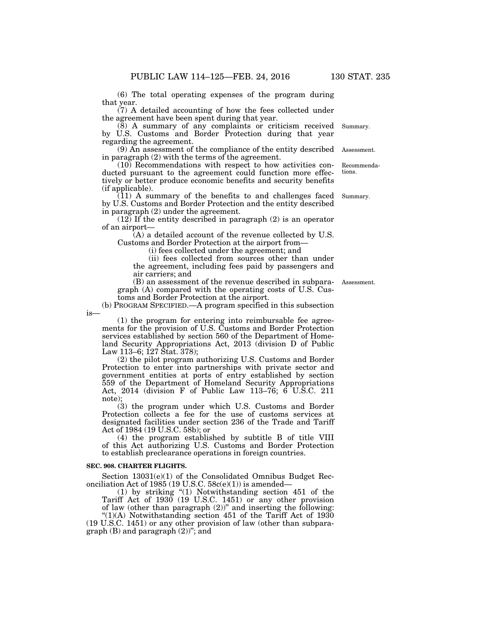(6) The total operating expenses of the program during that year.

(7) A detailed accounting of how the fees collected under the agreement have been spent during that year.

(8) A summary of any complaints or criticism received by U.S. Customs and Border Protection during that year regarding the agreement. Summary.

(9) An assessment of the compliance of the entity described Assessment. in paragraph (2) with the terms of the agreement.

(10) Recommendations with respect to how activities conducted pursuant to the agreement could function more effectively or better produce economic benefits and security benefits (if applicable). Recommendations.

 $(11)$  A summary of the benefits to and challenges faced by U.S. Customs and Border Protection and the entity described in paragraph (2) under the agreement.

 $(12)$  If the entity described in paragraph  $(2)$  is an operator of an airport—

(A) a detailed account of the revenue collected by U.S. Customs and Border Protection at the airport from—

(i) fees collected under the agreement; and

(ii) fees collected from sources other than under the agreement, including fees paid by passengers and air carriers; and

(B) an assessment of the revenue described in subparagraph (A) compared with the operating costs of U.S. Customs and Border Protection at the airport.

(b) PROGRAM SPECIFIED.—A program specified in this subsection is—

(1) the program for entering into reimbursable fee agreements for the provision of U.S. Customs and Border Protection services established by section 560 of the Department of Homeland Security Appropriations Act, 2013 (division D of Public Law 113–6; 127 Stat. 378);

(2) the pilot program authorizing U.S. Customs and Border Protection to enter into partnerships with private sector and government entities at ports of entry established by section 559 of the Department of Homeland Security Appropriations Act, 2014 (division F of Public Law 113–76; 6 U.S.C. 211 note);

(3) the program under which U.S. Customs and Border Protection collects a fee for the use of customs services at designated facilities under section 236 of the Trade and Tariff Act of 1984 (19 U.S.C. 58b); or

(4) the program established by subtitle B of title VIII of this Act authorizing U.S. Customs and Border Protection to establish preclearance operations in foreign countries.

#### **SEC. 908. CHARTER FLIGHTS.**

Section  $13031(e)(1)$  of the Consolidated Omnibus Budget Reconciliation Act of  $1985$  (19 U.S.C.  $58c(e)(1)$ ) is amended-

(1) by striking ''(1) Notwithstanding section 451 of the Tariff Act of 1930 (19 U.S.C. 1451) or any other provision of law (other than paragraph  $(2)$ )" and inserting the following:

" $(1)(A)$  Notwithstanding section 451 of the Tariff Act of 1930 (19 U.S.C. 1451) or any other provision of law (other than subparagraph  $(B)$  and paragraph  $(2)$ "; and

Assessment.

Summary.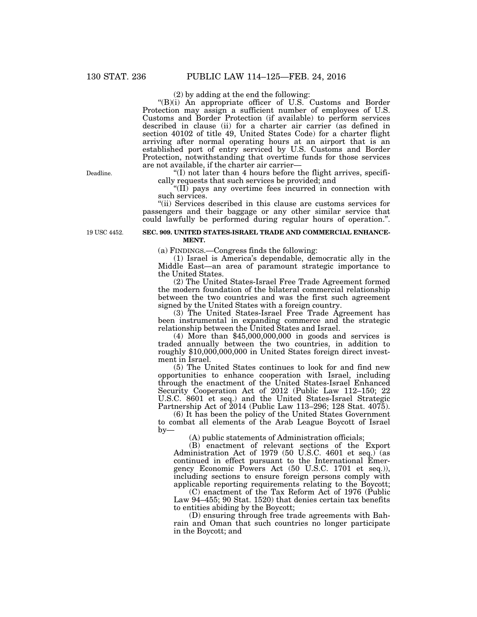(2) by adding at the end the following:

 $H(B)(i)$  An appropriate officer of U.S. Customs and Border Protection may assign a sufficient number of employees of U.S. Customs and Border Protection (if available) to perform services described in clause (ii) for a charter air carrier (as defined in section 40102 of title 49, United States Code) for a charter flight arriving after normal operating hours at an airport that is an established port of entry serviced by U.S. Customs and Border Protection, notwithstanding that overtime funds for those services are not available, if the charter air carrier—

''(I) not later than 4 hours before the flight arrives, specifically requests that such services be provided; and

''(II) pays any overtime fees incurred in connection with such services.

''(ii) Services described in this clause are customs services for passengers and their baggage or any other similar service that could lawfully be performed during regular hours of operation.''.

19 USC 4452.

Deadline.

#### **SEC. 909. UNITED STATES-ISRAEL TRADE AND COMMERCIAL ENHANCE-MENT.**

(a) FINDINGS.—Congress finds the following:

(1) Israel is America's dependable, democratic ally in the Middle East—an area of paramount strategic importance to the United States.

(2) The United States-Israel Free Trade Agreement formed the modern foundation of the bilateral commercial relationship between the two countries and was the first such agreement signed by the United States with a foreign country.

(3) The United States-Israel Free Trade Agreement has been instrumental in expanding commerce and the strategic relationship between the United States and Israel.

(4) More than \$45,000,000,000 in goods and services is traded annually between the two countries, in addition to roughly \$10,000,000,000 in United States foreign direct investment in Israel.

(5) The United States continues to look for and find new opportunities to enhance cooperation with Israel, including through the enactment of the United States-Israel Enhanced Security Cooperation Act of 2012 (Public Law 112–150; 22 U.S.C. 8601 et seq.) and the United States-Israel Strategic Partnership Act of 2014 (Public Law 113–296; 128 Stat. 4075).

(6) It has been the policy of the United States Government to combat all elements of the Arab League Boycott of Israel  $by-$ 

(A) public statements of Administration officials;

(B) enactment of relevant sections of the Export Administration Act of 1979 (50 U.S.C. 4601 et seq.) (as continued in effect pursuant to the International Emergency Economic Powers Act (50 U.S.C. 1701 et seq.)), including sections to ensure foreign persons comply with applicable reporting requirements relating to the Boycott;

(C) enactment of the Tax Reform Act of 1976 (Public Law 94–455; 90 Stat. 1520) that denies certain tax benefits to entities abiding by the Boycott;

(D) ensuring through free trade agreements with Bahrain and Oman that such countries no longer participate in the Boycott; and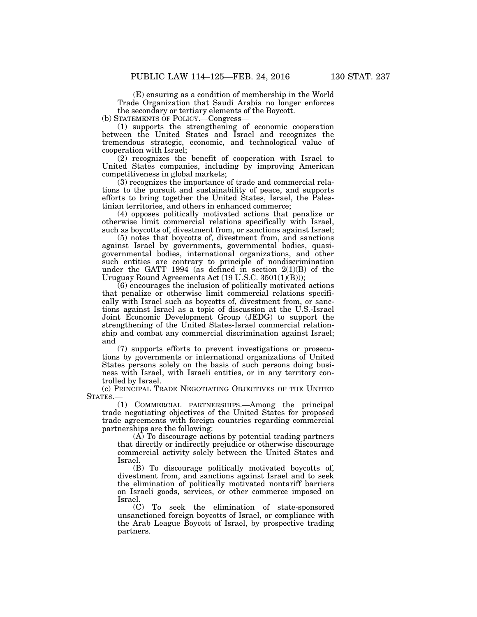(E) ensuring as a condition of membership in the World Trade Organization that Saudi Arabia no longer enforces the secondary or tertiary elements of the Boycott.

(b) STATEMENTS OF POLICY.—Congress—

(1) supports the strengthening of economic cooperation between the United States and Israel and recognizes the tremendous strategic, economic, and technological value of cooperation with Israel;

(2) recognizes the benefit of cooperation with Israel to United States companies, including by improving American competitiveness in global markets;

(3) recognizes the importance of trade and commercial relations to the pursuit and sustainability of peace, and supports efforts to bring together the United States, Israel, the Palestinian territories, and others in enhanced commerce;

(4) opposes politically motivated actions that penalize or otherwise limit commercial relations specifically with Israel, such as boycotts of, divestment from, or sanctions against Israel;

(5) notes that boycotts of, divestment from, and sanctions against Israel by governments, governmental bodies, quasigovernmental bodies, international organizations, and other such entities are contrary to principle of nondiscrimination under the GATT 1994 (as defined in section  $2(1)(B)$  of the Uruguay Round Agreements Act (19 U.S.C. 3501(1)(B)));

(6) encourages the inclusion of politically motivated actions that penalize or otherwise limit commercial relations specifically with Israel such as boycotts of, divestment from, or sanctions against Israel as a topic of discussion at the U.S.-Israel Joint Economic Development Group (JEDG) to support the strengthening of the United States-Israel commercial relationship and combat any commercial discrimination against Israel; and

(7) supports efforts to prevent investigations or prosecutions by governments or international organizations of United States persons solely on the basis of such persons doing business with Israel, with Israeli entities, or in any territory controlled by Israel.

(c) PRINCIPAL TRADE NEGOTIATING OBJECTIVES OF THE UNITED STATES.—

(1) COMMERCIAL PARTNERSHIPS.—Among the principal trade negotiating objectives of the United States for proposed trade agreements with foreign countries regarding commercial partnerships are the following:

(A) To discourage actions by potential trading partners that directly or indirectly prejudice or otherwise discourage commercial activity solely between the United States and Israel.

(B) To discourage politically motivated boycotts of, divestment from, and sanctions against Israel and to seek the elimination of politically motivated nontariff barriers on Israeli goods, services, or other commerce imposed on Israel.

(C) To seek the elimination of state-sponsored unsanctioned foreign boycotts of Israel, or compliance with the Arab League Boycott of Israel, by prospective trading partners.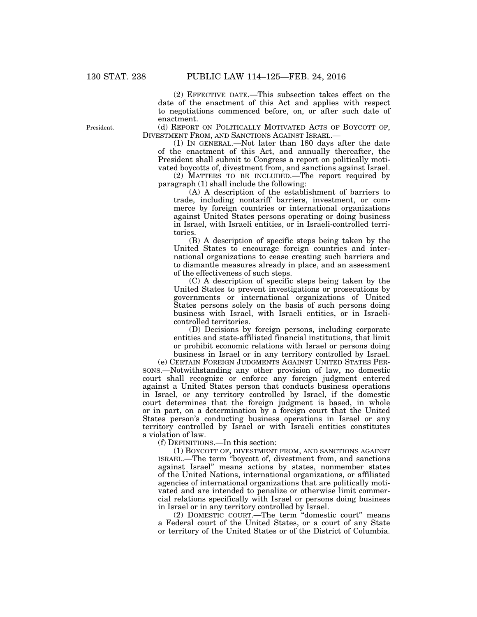(2) EFFECTIVE DATE.—This subsection takes effect on the date of the enactment of this Act and applies with respect to negotiations commenced before, on, or after such date of enactment.

(d) REPORT ON POLITICALLY MOTIVATED ACTS OF BOYCOTT OF, DIVESTMENT FROM, AND SANCTIONS AGAINST ISRAEL.—

(1) IN GENERAL.—Not later than 180 days after the date of the enactment of this Act, and annually thereafter, the President shall submit to Congress a report on politically motivated boycotts of, divestment from, and sanctions against Israel.

(2) MATTERS TO BE INCLUDED.—The report required by paragraph (1) shall include the following:

(A) A description of the establishment of barriers to trade, including nontariff barriers, investment, or commerce by foreign countries or international organizations against United States persons operating or doing business in Israel, with Israeli entities, or in Israeli-controlled territories.

(B) A description of specific steps being taken by the United States to encourage foreign countries and international organizations to cease creating such barriers and to dismantle measures already in place, and an assessment of the effectiveness of such steps.

(C) A description of specific steps being taken by the United States to prevent investigations or prosecutions by governments or international organizations of United States persons solely on the basis of such persons doing business with Israel, with Israeli entities, or in Israelicontrolled territories.

(D) Decisions by foreign persons, including corporate entities and state-affiliated financial institutions, that limit or prohibit economic relations with Israel or persons doing business in Israel or in any territory controlled by Israel.

(e) CERTAIN FOREIGN JUDGMENTS AGAINST UNITED STATES PER-SONS.—Notwithstanding any other provision of law, no domestic court shall recognize or enforce any foreign judgment entered against a United States person that conducts business operations in Israel, or any territory controlled by Israel, if the domestic court determines that the foreign judgment is based, in whole or in part, on a determination by a foreign court that the United States person's conducting business operations in Israel or any territory controlled by Israel or with Israeli entities constitutes a violation of law.

(f) DEFINITIONS.—In this section:

(1) BOYCOTT OF, DIVESTMENT FROM, AND SANCTIONS AGAINST ISRAEL.—The term ''boycott of, divestment from, and sanctions against Israel'' means actions by states, nonmember states of the United Nations, international organizations, or affiliated agencies of international organizations that are politically motivated and are intended to penalize or otherwise limit commercial relations specifically with Israel or persons doing business in Israel or in any territory controlled by Israel.

(2) DOMESTIC COURT.—The term ''domestic court'' means a Federal court of the United States, or a court of any State or territory of the United States or of the District of Columbia.

President.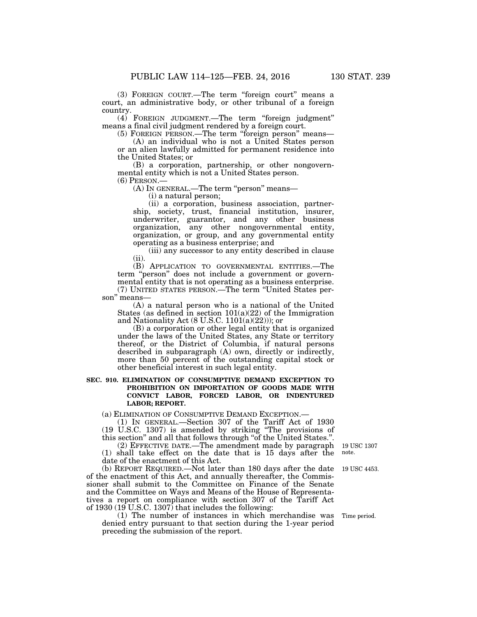(3) FOREIGN COURT.—The term ''foreign court'' means a court, an administrative body, or other tribunal of a foreign country.

(4) FOREIGN JUDGMENT.—The term ''foreign judgment'' means a final civil judgment rendered by a foreign court.

(5) FOREIGN PERSON.—The term ''foreign person'' means— (A) an individual who is not a United States person or an alien lawfully admitted for permanent residence into the United States; or

(B) a corporation, partnership, or other nongovernmental entity which is not a United States person.

(6) PERSON.— (A) IN GENERAL.—The term ''person'' means—

(i) a natural person;

(ii) a corporation, business association, partnership, society, trust, financial institution, insurer, underwriter, guarantor, and any other business organization, any other nongovernmental entity, organization, or group, and any governmental entity operating as a business enterprise; and

(iii) any successor to any entity described in clause (ii).

(B) APPLICATION TO GOVERNMENTAL ENTITIES.—The term ''person'' does not include a government or governmental entity that is not operating as a business enterprise.

(7) UNITED STATES PERSON.—The term ''United States person'' means—

(A) a natural person who is a national of the United States (as defined in section  $101(a)(22)$  of the Immigration and Nationality Act (8 U.S.C. 1101(a)(22))); or

(B) a corporation or other legal entity that is organized under the laws of the United States, any State or territory thereof, or the District of Columbia, if natural persons described in subparagraph (A) own, directly or indirectly, more than 50 percent of the outstanding capital stock or other beneficial interest in such legal entity.

#### **SEC. 910. ELIMINATION OF CONSUMPTIVE DEMAND EXCEPTION TO PROHIBITION ON IMPORTATION OF GOODS MADE WITH CONVICT LABOR, FORCED LABOR, OR INDENTURED LABOR; REPORT.**

(a) ELIMINATION OF CONSUMPTIVE DEMAND EXCEPTION.—

(1) IN GENERAL.—Section 307 of the Tariff Act of 1930 (19 U.S.C. 1307) is amended by striking ''The provisions of this section'' and all that follows through ''of the United States.''.

(2) EFFECTIVE DATE.—The amendment made by paragraph (1) shall take effect on the date that is 15 days after the date of the enactment of this Act.

19 USC 4453. note.

(b) REPORT REQUIRED.—Not later than 180 days after the date of the enactment of this Act, and annually thereafter, the Commissioner shall submit to the Committee on Finance of the Senate and the Committee on Ways and Means of the House of Representatives a report on compliance with section 307 of the Tariff Act of 1930 (19 U.S.C. 1307) that includes the following:

(1) The number of instances in which merchandise was denied entry pursuant to that section during the 1-year period preceding the submission of the report.

Time period.

19 USC 1307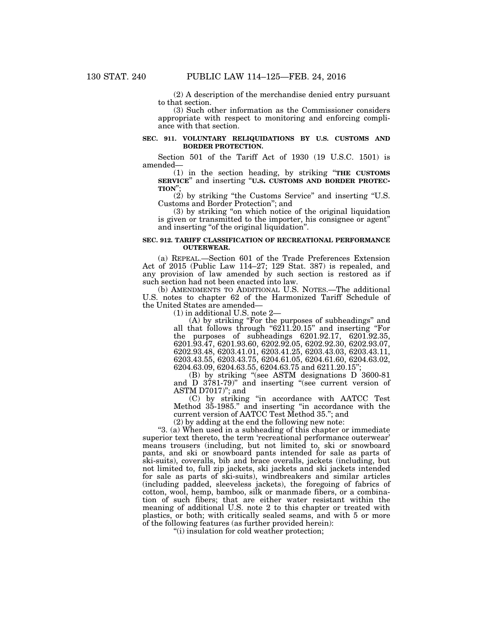(2) A description of the merchandise denied entry pursuant to that section.

(3) Such other information as the Commissioner considers appropriate with respect to monitoring and enforcing compliance with that section.

### **SEC. 911. VOLUNTARY RELIQUIDATIONS BY U.S. CUSTOMS AND BORDER PROTECTION.**

Section 501 of the Tariff Act of 1930 (19 U.S.C. 1501) is amended—

(1) in the section heading, by striking ''**THE CUSTOMS SERVICE**'' and inserting ''**U.S. CUSTOMS AND BORDER PROTEC- TION**'';

(2) by striking ''the Customs Service'' and inserting ''U.S. Customs and Border Protection''; and

(3) by striking ''on which notice of the original liquidation is given or transmitted to the importer, his consignee or agent'' and inserting "of the original liquidation".

#### **SEC. 912. TARIFF CLASSIFICATION OF RECREATIONAL PERFORMANCE OUTERWEAR.**

(a) REPEAL.—Section 601 of the Trade Preferences Extension Act of 2015 (Public Law 114–27; 129 Stat. 387) is repealed, and any provision of law amended by such section is restored as if such section had not been enacted into law.

(b) AMENDMENTS TO ADDITIONAL U.S. NOTES.—The additional U.S. notes to chapter 62 of the Harmonized Tariff Schedule of the United States are amended—

(1) in additional U.S. note 2—

(A) by striking ''For the purposes of subheadings'' and all that follows through "6211.20.15" and inserting "For the purposes of subheadings 6201.92.17, 6201.92.35, 6201.93.47, 6201.93.60, 6202.92.05, 6202.92.30, 6202.93.07, 6202.93.48, 6203.41.01, 6203.41.25, 6203.43.03, 6203.43.11, 6203.43.55, 6203.43.75, 6204.61.05, 6204.61.60, 6204.63.02, 6204.63.09, 6204.63.55, 6204.63.75 and 6211.20.15'';

(B) by striking ''(see ASTM designations D 3600-81 and D 3781-79)" and inserting "(see current version of ASTM D7017)''; and

(C) by striking ''in accordance with AATCC Test Method 35-1985.'' and inserting ''in accordance with the current version of AATCC Test Method 35.''; and

(2) by adding at the end the following new note:

''3. (a) When used in a subheading of this chapter or immediate superior text thereto, the term 'recreational performance outerwear' means trousers (including, but not limited to, ski or snowboard pants, and ski or snowboard pants intended for sale as parts of ski-suits), coveralls, bib and brace overalls, jackets (including, but not limited to, full zip jackets, ski jackets and ski jackets intended for sale as parts of ski-suits), windbreakers and similar articles (including padded, sleeveless jackets), the foregoing of fabrics of cotton, wool, hemp, bamboo, silk or manmade fibers, or a combination of such fibers; that are either water resistant within the meaning of additional U.S. note 2 to this chapter or treated with plastics, or both; with critically sealed seams, and with 5 or more of the following features (as further provided herein):

''(i) insulation for cold weather protection;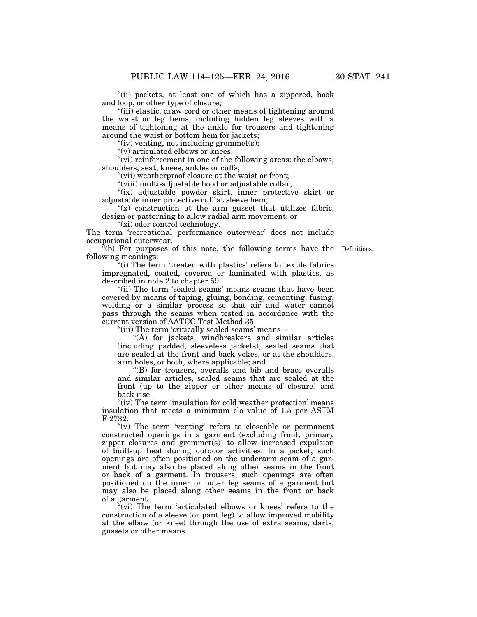"(ii) pockets, at least one of which has a zippered, hook and loop, or other type of closure;

"(iii) elastic, draw cord or other means of tightening around the waist or leg hems, including hidden leg sleeves with a means of tightening at the ankle for trousers and tightening around the waist or bottom hem for jackets;

"(iv) venting, not including grommet(s);

''(v) articulated elbows or knees;

"(vi) reinforcement in one of the following areas: the elbows, shoulders, seat, knees, ankles or cuffs;

"(vii) weatherproof closure at the waist or front;

''(viii) multi-adjustable hood or adjustable collar;

"(ix) adjustable powder skirt, inner protective skirt or adjustable inner protective cuff at sleeve hem;

" $(x)$  construction at the arm gusset that utilizes fabric, design or patterning to allow radial arm movement; or

''(xi) odor control technology.

The term 'recreational performance outerwear' does not include occupational outerwear.

''(b) For purposes of this note, the following terms have the Definitions. following meanings:

"(i) The term 'treated with plastics' refers to textile fabrics" impregnated, coated, covered or laminated with plastics, as described in note 2 to chapter 59.

"(ii) The term 'sealed seams' means seams that have been covered by means of taping, gluing, bonding, cementing, fusing, welding or a similar process so that air and water cannot pass through the seams when tested in accordance with the current version of AATCC Test Method 35.

"(iii) The term 'critically sealed seams' means-

"(A) for jackets, windbreakers and similar articles (including padded, sleeveless jackets), sealed seams that are sealed at the front and back yokes, or at the shoulders, arm holes, or both, where applicable; and

''(B) for trousers, overalls and bib and brace overalls and similar articles, sealed seams that are sealed at the front (up to the zipper or other means of closure) and back rise.

"(iv) The term 'insulation for cold weather protection' means insulation that meets a minimum clo value of 1.5 per ASTM F 2732.

" $(v)$  The term 'venting' refers to closeable or permanent constructed openings in a garment (excluding front, primary zipper closures and grommet(s)) to allow increased expulsion of built-up heat during outdoor activities. In a jacket, such openings are often positioned on the underarm seam of a garment but may also be placed along other seams in the front or back of a garment. In trousers, such openings are often positioned on the inner or outer leg seams of a garment but may also be placed along other seams in the front or back of a garment.

 $\mathbf{F}(\mathbf{vi})$  The term 'articulated elbows or knees' refers to the construction of a sleeve (or pant leg) to allow improved mobility at the elbow (or knee) through the use of extra seams, darts, gussets or other means.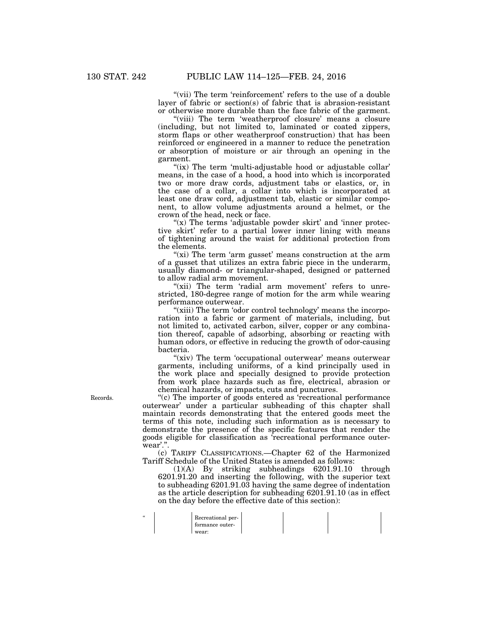"(vii) The term 'reinforcement' refers to the use of a double layer of fabric or section(s) of fabric that is abrasion-resistant or otherwise more durable than the face fabric of the garment.

"(viii) The term 'weatherproof closure' means a closure (including, but not limited to, laminated or coated zippers, storm flaps or other weatherproof construction) that has been reinforced or engineered in a manner to reduce the penetration or absorption of moisture or air through an opening in the garment.

" $(ix)$  The term 'multi-adjustable hood or adjustable collar' means, in the case of a hood, a hood into which is incorporated two or more draw cords, adjustment tabs or elastics, or, in the case of a collar, a collar into which is incorporated at least one draw cord, adjustment tab, elastic or similar component, to allow volume adjustments around a helmet, or the crown of the head, neck or face.

" $(x)$  The terms 'adjustable powder skirt' and 'inner protective skirt' refer to a partial lower inner lining with means of tightening around the waist for additional protection from the elements.

"(xi) The term 'arm gusset' means construction at the arm of a gusset that utilizes an extra fabric piece in the underarm, usually diamond- or triangular-shaped, designed or patterned to allow radial arm movement.

"(xii) The term 'radial arm movement' refers to unrestricted, 180-degree range of motion for the arm while wearing performance outerwear.

"(xiii) The term 'odor control technology' means the incorporation into a fabric or garment of materials, including, but not limited to, activated carbon, silver, copper or any combination thereof, capable of adsorbing, absorbing or reacting with human odors, or effective in reducing the growth of odor-causing bacteria.

"(xiv) The term 'occupational outerwear' means outerwear garments, including uniforms, of a kind principally used in the work place and specially designed to provide protection from work place hazards such as fire, electrical, abrasion or chemical hazards, or impacts, cuts and punctures.

''(c) The importer of goods entered as 'recreational performance outerwear' under a particular subheading of this chapter shall maintain records demonstrating that the entered goods meet the terms of this note, including such information as is necessary to demonstrate the presence of the specific features that render the goods eligible for classification as 'recreational performance outerwear'."

(c) TARIFF CLASSIFICATIONS.—Chapter 62 of the Harmonized Tariff Schedule of the United States is amended as follows:

(1)(A) By striking subheadings 6201.91.10 through 6201.91.20 and inserting the following, with the superior text to subheading 6201.91.03 having the same degree of indentation as the article description for subheading 6201.91.10 (as in effect on the day before the effective date of this section):

|  | Recreational per- |  |  |
|--|-------------------|--|--|
|  | formance outer-   |  |  |
|  | wear:             |  |  |

Records.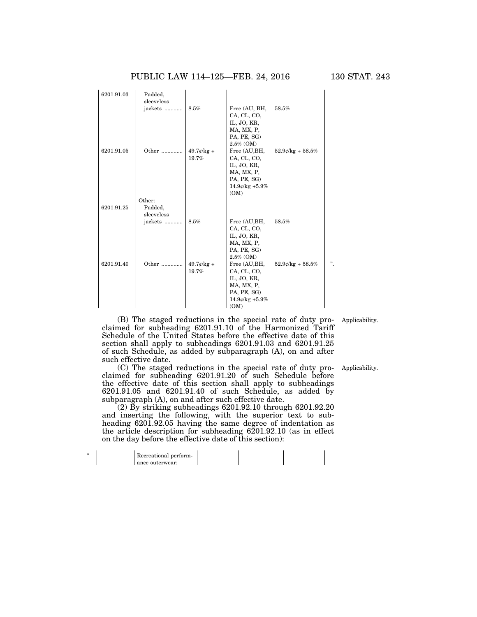PUBLIC LAW 114-125-FEB. 24, 2016 130 STAT. 243

| 6201.91.03 | Padded,    |                                        |                           |                       |    |
|------------|------------|----------------------------------------|---------------------------|-----------------------|----|
|            | sleeveless |                                        |                           |                       |    |
|            | jackets    | 8.5%                                   | Free (AU, BH,             | 58.5%                 |    |
|            |            |                                        | CA, CL, CO,               |                       |    |
|            |            |                                        | IL, JO, KR,               |                       |    |
|            |            |                                        | MA, MX, P,                |                       |    |
|            |            |                                        | PA, PE, SG)               |                       |    |
|            |            |                                        | $2.5\%$ (OM)              |                       |    |
| 6201.91.05 | Other      | $49.7$ ¢/kg +                          | Free (AU,BH,              | $52.9$ c/kg + $58.5%$ |    |
|            |            | 19.7%                                  | CA, CL, CO,               |                       |    |
|            |            |                                        | IL, JO, KR,<br>MA, MX, P, |                       |    |
|            |            |                                        | PA, PE, SG)               |                       |    |
|            |            |                                        | $14.9$ ¢/kg +5.9%         |                       |    |
|            |            |                                        | (OM)                      |                       |    |
|            | Other:     |                                        |                           |                       |    |
| 6201.91.25 | Padded,    |                                        |                           |                       |    |
|            | sleeveless |                                        |                           |                       |    |
|            | jackets    | 8.5%                                   | Free (AU,BH,              | 58.5%                 |    |
|            |            |                                        | CA, CL, CO,               |                       |    |
|            |            |                                        | IL, JO, KR,               |                       |    |
|            |            |                                        | MA, MX, P,<br>PA, PE, SG) |                       |    |
|            |            |                                        | $2.5\%$ (OM)              |                       |    |
| 6201.91.40 | Other      | $49.7 \frac{\cancel{c}}{\cancel{k}}$ + | Free (AU,BH,              | $52.9$ c/kg + $58.5%$ | ,, |
|            |            | 19.7%                                  | CA, CL, CO,               |                       |    |
|            |            |                                        | IL, JO, KR,               |                       |    |
|            |            |                                        | MA, MX, P,                |                       |    |
|            |            |                                        | PA, PE, SG)               |                       |    |
|            |            |                                        | $14.9$ c/kg +5.9%         |                       |    |
|            |            |                                        | (OM)                      |                       |    |

Applicability.

(B) The staged reductions in the special rate of duty proclaimed for subheading 6201.91.10 of the Harmonized Tariff Schedule of the United States before the effective date of this section shall apply to subheadings 6201.91.03 and 6201.91.25 of such Schedule, as added by subparagraph (A), on and after such effective date.

(C) The staged reductions in the special rate of duty proclaimed for subheading 6201.91.20 of such Schedule before the effective date of this section shall apply to subheadings 6201.91.05 and 6201.91.40 of such Schedule, as added by subparagraph (A), on and after such effective date.

(2) By striking subheadings 6201.92.10 through 6201.92.20 and inserting the following, with the superior text to subheading 6201.92.05 having the same degree of indentation as the article description for subheading  $6201.92.10$  (as in effect on the day before the effective date of this section):

|  | Recreational perform- |  |  |
|--|-----------------------|--|--|
|  | ance outerwear:       |  |  |

in 19

Applicability.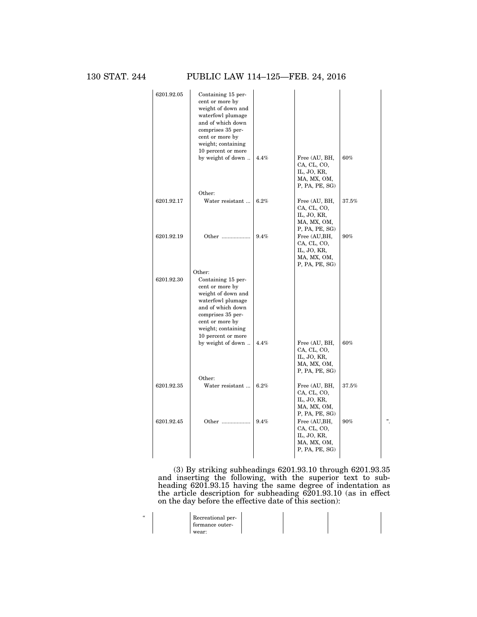130 STAT. 244 PUBLIC LAW 114–125—FEB. 24, 2016

| 6201.92.05 | Containing 15 per-<br>cent or more by<br>weight of down and<br>waterfowl plumage<br>and of which down<br>comprises 35 per-<br>cent or more by<br>weight; containing<br>10 percent or more<br>by weight of down | 4.4% | Free (AU, BH,                                                                            | 60%   |
|------------|----------------------------------------------------------------------------------------------------------------------------------------------------------------------------------------------------------------|------|------------------------------------------------------------------------------------------|-------|
|            |                                                                                                                                                                                                                |      | CA, CL, CO,<br>IL, JO, KR,<br>MA, MX, OM,<br>$P$ , $PA$ , $PE$ , $SG$ )                  |       |
|            | Other:                                                                                                                                                                                                         |      |                                                                                          |       |
| 6201.92.17 | Water resistant                                                                                                                                                                                                | 6.2% | Free (AU, BH,<br>CA, CL, CO,<br>IL, JO, KR,<br>MA, MX, OM,<br>P, PA, PE, SG)             | 37.5% |
| 6201.92.19 | Other                                                                                                                                                                                                          | 9.4% | Free (AU,BH,<br>CA, CL, CO,<br>IL, JO, KR,<br>MA, MX, OM,<br>P, PA, PE, SG)              | 90%   |
|            | Other:                                                                                                                                                                                                         |      |                                                                                          |       |
| 6201.92.30 | Containing 15 per-<br>cent or more by<br>weight of down and<br>waterfowl plumage<br>and of which down<br>comprises 35 per-<br>cent or more by<br>weight; containing<br>10 percent or more                      |      |                                                                                          |       |
|            | by weight of down                                                                                                                                                                                              | 4.4% | Free (AU, BH,<br>CA, CL, CO,<br>IL, JO, KR,<br>MA, MX, OM,<br>$P$ , $PA$ , $PE$ , $SG$ ) | 60%   |
|            | Other:                                                                                                                                                                                                         |      |                                                                                          |       |
| 6201.92.35 | Water resistant                                                                                                                                                                                                | 6.2% | Free (AU, BH,<br>CA, CL, CO,<br>IL, JO, KR,<br>MA, MX, OM,<br>$P$ , PA, PE, SG)          | 37.5% |
| 6201.92.45 | Other                                                                                                                                                                                                          | 9.4% | Free (AU,BH,<br>CA, CL, CO,<br>IL, JO, KR,<br>MA, MX, OM,<br>P, PA, PE, SG)              | 90%   |

(3) By striking subheadings 6201.93.10 through 6201.93.35 and inserting the following, with the superior text to subheading 6201.93.15 having the same degree of indentation as the article description for subheading 6201.93.10 (as in effect on the day before the effective date of this section):

 $"$ .

| $\epsilon$ | Recreational per- |  |  |
|------------|-------------------|--|--|
|            | formance outer-   |  |  |
|            | wear:             |  |  |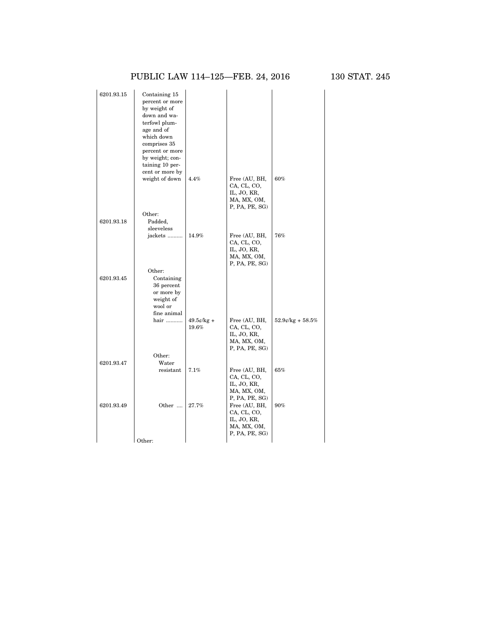# PUBLIC LAW 114-125-FEB. 24, 2016 130 STAT. 245

| 6201.93.15 | Containing 15                      |               |                            |                       |
|------------|------------------------------------|---------------|----------------------------|-----------------------|
|            | percent or more                    |               |                            |                       |
|            | by weight of                       |               |                            |                       |
|            | down and wa-<br>terfowl plum-      |               |                            |                       |
|            | age and of                         |               |                            |                       |
|            | which down                         |               |                            |                       |
|            | comprises 35                       |               |                            |                       |
|            | percent or more                    |               |                            |                       |
|            | by weight; con-                    |               |                            |                       |
|            | taining 10 per-<br>cent or more by |               |                            |                       |
|            | weight of down                     | 4.4%          | Free (AU, BH,              | 60%                   |
|            |                                    |               | CA, CL, CO,                |                       |
|            |                                    |               | IL, JO, KR,                |                       |
|            |                                    |               | MA, MX, OM,                |                       |
|            | Other:                             |               | P, PA, PE, SG)             |                       |
| 6201.93.18 | Padded,                            |               |                            |                       |
|            | sleeveless                         |               |                            |                       |
|            | jackets                            | 14.9%         | Free (AU, BH,              | 76%                   |
|            |                                    |               | CA, CL, CO,                |                       |
|            |                                    |               | IL, JO, KR,<br>MA, MX, OM, |                       |
|            |                                    |               | $P$ , $PA$ , $PE$ , $SG$ ) |                       |
|            | Other:                             |               |                            |                       |
| 6201.93.45 | Containing                         |               |                            |                       |
|            | 36 percent                         |               |                            |                       |
|            | or more by<br>weight of            |               |                            |                       |
|            | wool or                            |               |                            |                       |
|            | fine animal                        |               |                            |                       |
|            | hair                               | $49.5$ c/kg + | Free (AU, BH,              | $52.9$ e/kg + $58.5%$ |
|            |                                    | 19.6%         | CA, CL, CO,                |                       |
|            |                                    |               | IL, JO, KR,<br>MA, MX, OM, |                       |
|            |                                    |               | P, PA, PE, SG)             |                       |
|            | Other:                             |               |                            |                       |
| 6201.93.47 | Water                              |               |                            |                       |
|            | resistant                          | 7.1%          | Free (AU, BH,              | 65%                   |
|            |                                    |               | CA, CL, CO,<br>IL, JO, KR, |                       |
|            |                                    |               | MA, MX, OM,                |                       |
|            |                                    |               | P, PA, PE, SG)             |                       |
| 6201.93.49 | Other                              | 27.7%         | Free (AU, BH,              | 90%                   |
|            |                                    |               | CA, CL, CO,                |                       |
|            |                                    |               | IL, JO, KR,<br>MA, MX, OM, |                       |
|            |                                    |               | $P$ , PA, PE, SG)          |                       |
|            | Other:                             |               |                            |                       |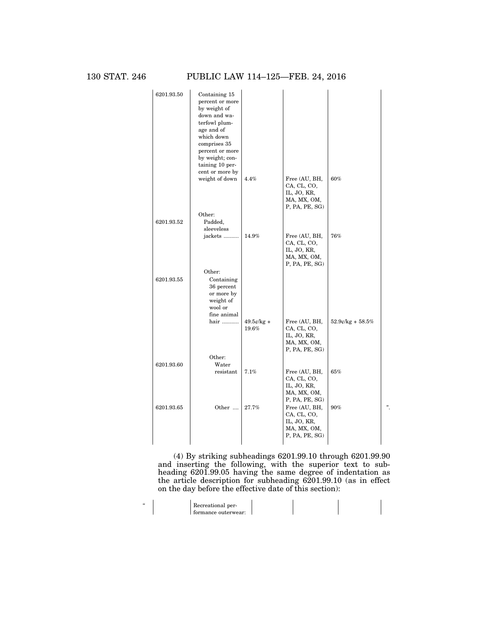130 STAT. 246 PUBLIC LAW 114–125—FEB. 24, 2016

| 6201.93.50 | Containing 15<br>percent or more<br>by weight of<br>down and wa-<br>terfowl plum-<br>age and of<br>which down<br>comprises 35<br>percent or more<br>by weight; con-<br>taining 10 per-<br>cent or more by<br>weight of down | 4.4%                  | Free (AU, BH,<br>CA, CL, CO,<br>IL, JO, KR,<br>MA, MX, OM,<br>$P$ , $PA$ , $PE$ , $SG$ ) | 60%                              |
|------------|-----------------------------------------------------------------------------------------------------------------------------------------------------------------------------------------------------------------------------|-----------------------|------------------------------------------------------------------------------------------|----------------------------------|
| 6201.93.52 | Other:<br>Padded,<br>sleeveless<br>jackets                                                                                                                                                                                  | 14.9%                 | Free (AU, BH,<br>CA, CL, CO,<br>IL, JO, KR,                                              | 76%                              |
|            |                                                                                                                                                                                                                             |                       | MA, MX, OM,<br>$P$ , PA, PE, SG)                                                         |                                  |
| 6201.93.55 | Other:<br>Containing<br>36 percent<br>or more by<br>weight of<br>wool or<br>fine animal                                                                                                                                     |                       |                                                                                          |                                  |
|            | hair                                                                                                                                                                                                                        | $49.5¢/kg +$<br>19.6% | Free (AU, BH,<br>CA, CL, CO,<br>IL, JO, KR,<br>MA, MX, OM,<br>P, PA, PE, SG)             | $52.9\ell\mathrm{kg}$ + $58.5\%$ |
| 6201.93.60 | Other:<br>Water<br>resistant                                                                                                                                                                                                | 7.1%                  | Free (AU, BH,<br>CA, CL, CO,<br>IL, JO, KR,<br>MA, MX, OM,<br>P, PA, PE, SG)             | 65%                              |
| 6201.93.65 | Other                                                                                                                                                                                                                       | 27.7%                 | Free (AU, BH,<br>CA, CL, CO,<br>IL, JO, KR,<br>MA, MX, OM,<br>$P$ , PA, PE, SG)          | 90%                              |

(4) By striking subheadings 6201.99.10 through 6201.99.90 and inserting the following, with the superior text to subheading 6201.99.05 having the same degree of indentation as the article description for subheading 6201.99.10 (as in effect on the day before the effective date of this section):

 $"$ .

|  | Recreational per-<br>formance outerwear: |  |  |
|--|------------------------------------------|--|--|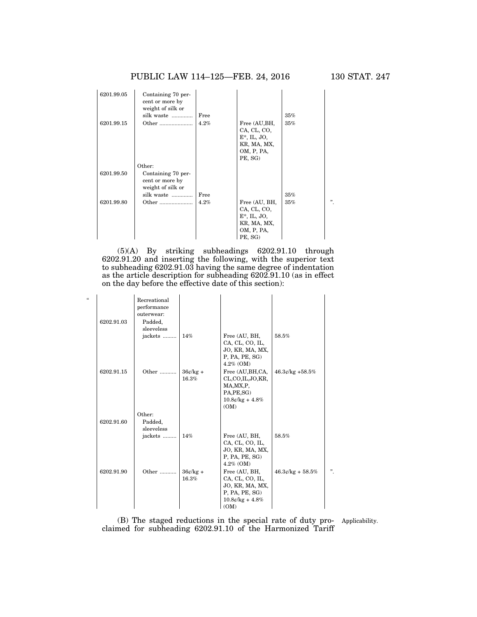$\overline{1}$ 

35% ''.

| 6201.99.05 | Containing 70 per-<br>cent or more by<br>weight of silk or<br>silk waste | Free |                                                                                         | 35% |
|------------|--------------------------------------------------------------------------|------|-----------------------------------------------------------------------------------------|-----|
| 6201.99.15 | Other                                                                    | 4.2% | Free (AU,BH,<br>CA, CL, CO,<br>$E^*$ , IL, JO,<br>KR, MA, MX,<br>OM, P, PA,<br>PE, SG)  | 35% |
|            | Other:                                                                   |      |                                                                                         |     |
| 6201.99.50 | Containing 70 per-<br>cent or more by<br>weight of silk or               |      |                                                                                         |     |
|            | silk waste                                                               | Free |                                                                                         | 35% |
| 6201.99.80 | Other                                                                    | 4.2% | Free (AU, BH,<br>CA, CL, CO,<br>$E^*$ , IL, JO,<br>KR, MA, MX,<br>OM, P, PA,<br>PE, SG) | 35% |

(5)(A) By striking subheadings 6202.91.10 through 6202.91.20 and inserting the following, with the superior text to subheading 6202.91.03 having the same degree of indentation as the article description for subheading 6202.91.10 (as in effect on the day before the effective date of this section):

| $\epsilon$ | 6202.91.03 | Recreational<br>performance<br>outerwear:<br>Padded,<br>sleeveless |                     |                                                                                                     |                     |                    |
|------------|------------|--------------------------------------------------------------------|---------------------|-----------------------------------------------------------------------------------------------------|---------------------|--------------------|
|            |            | jackets                                                            | 14%                 | Free (AU, BH,<br>CA, CL, CO, IL,<br>JO, KR, MA, MX,<br>$P$ , $PA$ , $PE$ , $SG$ )<br>$4.2\%$ (OM)   | 58.5%               |                    |
|            | 6202.91.15 | Other                                                              | $36¢/kg +$<br>16.3% | Free (AU,BH,CA,<br>CL,CO,IL,JO,KR,<br>MA, MX, P,<br>PA, PE, SG)<br>$10.8$ c/kg + 4.8%<br>(OM)       | $46.3$ ¢/kg +58.5%  |                    |
|            | 6202.91.60 | Other:<br>Padded,<br>sleeveless                                    |                     |                                                                                                     |                     |                    |
|            |            | jackets                                                            | 14%                 | Free (AU, BH,<br>CA, CL, CO, IL,<br>JO, KR, MA, MX,<br>$P$ , $PA$ , $PE$ , $SG$ )<br>$4.2\%$ (OM)   | 58.5%               |                    |
|            | 6202.91.90 | Other                                                              | $36¢/kg +$<br>16.3% | Free (AU, BH,<br>CA, CL, CO, IL,<br>JO, KR, MA, MX,<br>P, PA, PE, SG)<br>$10.8$ c/kg + 4.8%<br>(OM) | $46.3$ ¢/kg + 58.5% | $\boldsymbol{v}$ . |

(B) The staged reductions in the special rate of duty pro-Applicability. claimed for subheading 6202.91.10 of the Harmonized Tariff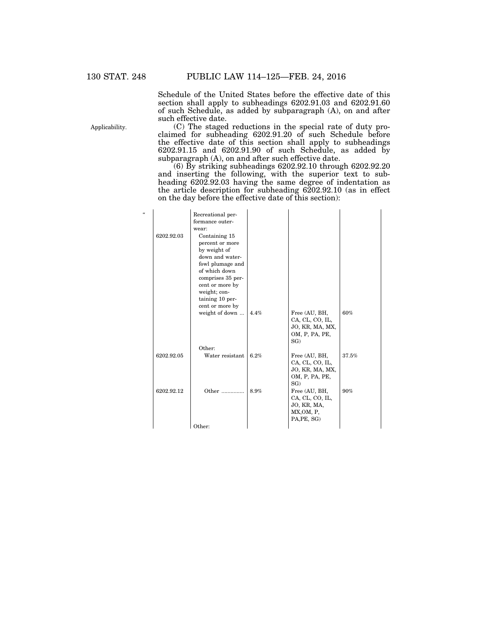Schedule of the United States before the effective date of this section shall apply to subheadings 6202.91.03 and 6202.91.60 of such Schedule, as added by subparagraph (A), on and after such effective date.

(C) The staged reductions in the special rate of duty proclaimed for subheading 6202.91.20 of such Schedule before the effective date of this section shall apply to subheadings 6202.91.15 and 6202.91.90 of such Schedule, as added by subparagraph (A), on and after such effective date.

 $(6)$  By striking subheadings 6202.92.10 through 6202.92.20 and inserting the following, with the superior text to subheading 6202.92.03 having the same degree of indentation as the article description for subheading  $6202.92.10$  (as in effect on the day before the effective date of this section):

 $\mathbf{r}$ 

| $\epsilon$ |            | Recreational per-<br>formance outer-<br>wear:                                                                                                                                                          |      |                                                                              |       |
|------------|------------|--------------------------------------------------------------------------------------------------------------------------------------------------------------------------------------------------------|------|------------------------------------------------------------------------------|-------|
|            | 6202.92.03 | Containing 15<br>percent or more<br>by weight of<br>down and water-<br>fowl plumage and<br>of which down<br>comprises 35 per-<br>cent or more by<br>weight; con-<br>taining 10 per-<br>cent or more by |      |                                                                              |       |
|            |            | weight of down                                                                                                                                                                                         | 4.4% | Free (AU, BH,<br>CA, CL, CO, IL,<br>JO, KR, MA, MX,<br>OM, P, PA, PE,<br>SG) | 60%   |
|            |            | Other:                                                                                                                                                                                                 |      |                                                                              |       |
|            | 6202.92.05 | Water resistant                                                                                                                                                                                        | 6.2% | Free (AU, BH,<br>CA, CL, CO, IL,<br>JO, KR, MA, MX,<br>OM, P, PA, PE,<br>SG) | 37.5% |
|            | 6202.92.12 | Other<br>Other:                                                                                                                                                                                        | 8.9% | Free (AU, BH,<br>CA, CL, CO, IL,<br>JO, KR, MA,<br>MX, OM, P,<br>PA, PE, SG) | 90%   |

Applicability.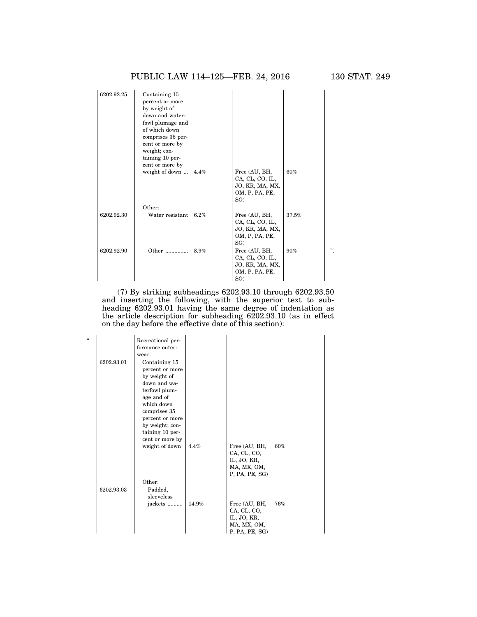$"$ .

| 6202.92.25 | Containing 15     |      |                 |       |
|------------|-------------------|------|-----------------|-------|
|            | percent or more   |      |                 |       |
|            | by weight of      |      |                 |       |
|            | down and water-   |      |                 |       |
|            | fowl plumage and  |      |                 |       |
|            | of which down     |      |                 |       |
|            | comprises 35 per- |      |                 |       |
|            | cent or more by   |      |                 |       |
|            | weight; con-      |      |                 |       |
|            | taining 10 per-   |      |                 |       |
|            | cent or more by   |      |                 |       |
|            | weight of down    | 4.4% | Free (AU, BH,   | 60%   |
|            |                   |      | CA, CL, CO, IL, |       |
|            |                   |      | JO, KR, MA, MX, |       |
|            |                   |      | OM, P, PA, PE,  |       |
|            |                   |      | SG)             |       |
|            | Other:            |      |                 |       |
| 6202.92.30 | Water resistant   | 6.2% | Free (AU, BH,   | 37.5% |
|            |                   |      | CA, CL, CO, IL, |       |
|            |                   |      | JO, KR, MA, MX, |       |
|            |                   |      | OM, P, PA, PE,  |       |
|            |                   |      | SG)             |       |
| 6202.92.90 | Other             | 8.9% | Free (AU, BH,   | 90%   |
|            |                   |      | CA, CL, CO, IL, |       |
|            |                   |      | JO, KR, MA, MX, |       |
|            |                   |      | OM, P, PA, PE,  |       |
|            |                   |      | SG)             |       |

(7) By striking subheadings 6202.93.10 through 6202.93.50 and inserting the following, with the superior text to subheading 6202.93.01 having the same degree of indentation as the article description for subheading 6202.93.10 (as in effect on the day before the effective date of this section):

| $\epsilon$ |            | Recreational per-<br>formance outer-<br>wear:                                                                                                                       |       |                                                                                          |     |
|------------|------------|---------------------------------------------------------------------------------------------------------------------------------------------------------------------|-------|------------------------------------------------------------------------------------------|-----|
|            | 6202.93.01 | Containing 15<br>percent or more<br>by weight of<br>down and wa-<br>terfowl plum-<br>age and of<br>which down<br>comprises 35<br>percent or more<br>by weight; con- |       |                                                                                          |     |
|            |            | taining 10 per-<br>cent or more by<br>weight of down                                                                                                                | 4.4%  | Free (AU, BH,<br>CA, CL, CO,<br>IL, JO, KR,<br>MA, MX, OM,<br>$P$ , $PA$ , $PE$ , $SG$ ) | 60% |
|            | 6202.93.03 | Other:<br>Padded,<br>sleeveless                                                                                                                                     |       |                                                                                          |     |
|            |            | jackets                                                                                                                                                             | 14.9% | Free (AU, BH,<br>CA, CL, CO,<br>IL, JO, KR,<br>MA, MX, OM,<br>$P$ , $PA$ , $PE$ , $SG$ ) | 76% |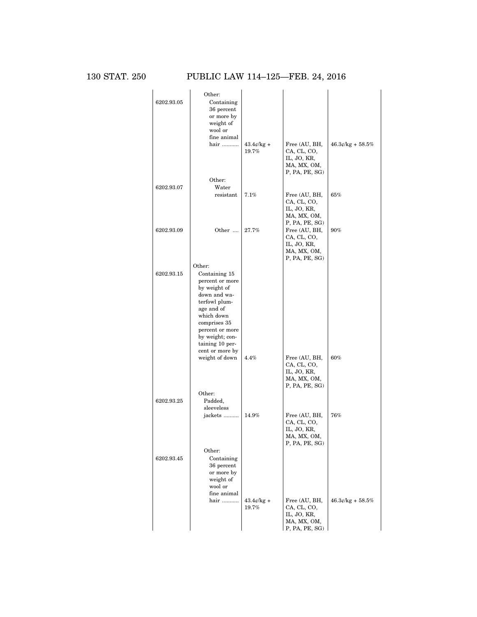# 130 STAT. 250 PUBLIC LAW 114–125—FEB. 24, 2016

| 6202.93.05 | Other:<br>Containing<br>36 percent<br>or more by<br>weight of<br>wool or<br>fine animal<br>hair                                                                                                                                       | $43.4\ell$ /kg +<br>19.7% | Free (AU, BH,<br>CA, CL, CO,<br>IL, JO, KR,                                     | $46.3¢/kg + 58.5%$  |
|------------|---------------------------------------------------------------------------------------------------------------------------------------------------------------------------------------------------------------------------------------|---------------------------|---------------------------------------------------------------------------------|---------------------|
|            | Other:                                                                                                                                                                                                                                |                           | MA, MX, OM,<br>$P$ , PA, PE, SG)                                                |                     |
| 6202.93.07 | Water<br>resistant                                                                                                                                                                                                                    | 7.1%                      | Free (AU, BH,<br>CA, CL, CO,<br>IL, JO, KR,<br>MA, MX, OM,<br>$P$ , PA, PE, SG) | 65%                 |
| 6202.93.09 | Other                                                                                                                                                                                                                                 | 27.7%                     | Free (AU, BH,<br>CA, CL, CO,<br>IL, JO, KR,<br>MA, MX, OM,<br>$P$ , PA, PE, SG) | 90%                 |
| 6202.93.15 | Other:<br>Containing 15<br>percent or more<br>by weight of<br>down and wa-<br>terfowl plum-<br>age and of<br>which down<br>comprises 35<br>percent or more<br>by weight; con-<br>taining 10 per-<br>cent or more by<br>weight of down | 4.4%                      | Free (AU, BH,<br>CA, CL, CO,<br>IL, JO, KR,                                     | 60%                 |
| 6202.93.25 | Other:<br>Padded,                                                                                                                                                                                                                     |                           | MA, MX, OM,<br>$P$ , PA, PE, SG)                                                |                     |
|            | sleeveless<br>jackets                                                                                                                                                                                                                 | 14.9%                     | Free (AU, BH,<br>CA, CL, CO,<br>IL, JO, KR,<br>MA, MX, OM,<br>P, PA, PE, SG)    | 76%                 |
| 6202.93.45 | Other:<br>Containing<br>36 percent<br>or more by<br>weight of<br>wool or<br>fine animal                                                                                                                                               |                           |                                                                                 |                     |
|            | hair                                                                                                                                                                                                                                  | $43.4$ ¢/kg +<br>$19.7\%$ | Free (AU, BH,<br>CA, CL, CO,<br>IL, JO, KR,<br>MA, MX, OM,<br>P, PA, PE, SG)    | $46.3$ ¢/kg + 58.5% |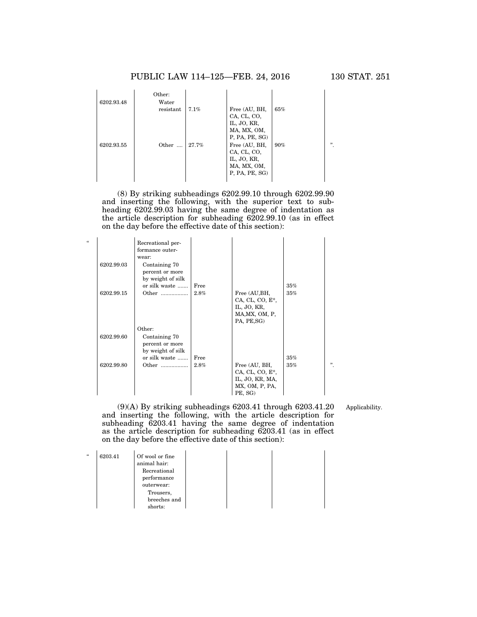PUBLIC LAW 114-125-FEB. 24, 2016 130 STAT. 251

| 6202.93.48 | Other:<br>Water |       |                                                                                                               |     |     |
|------------|-----------------|-------|---------------------------------------------------------------------------------------------------------------|-----|-----|
|            | resistant       | 7.1%  | Free (AU, BH,<br>CA, CL, CO,<br>IL, JO, KR,<br>MA, MX, OM,                                                    | 65% |     |
| 6202.93.55 | Other           | 27.7% | $P$ , PA, PE, SG)<br>Free (AU, BH,<br>CA, CL, CO,<br>IL, JO, KR,<br>MA, MX, OM,<br>$P$ , $PA$ , $PE$ , $SG$ ) | 90% | , 1 |
|            |                 |       |                                                                                                               |     |     |

(8) By striking subheadings 6202.99.10 through 6202.99.90 and inserting the following, with the superior text to subheading 6202.99.03 having the same degree of indentation as the article description for subheading 6202.99.10 (as in effect on the day before the effective date of this section):

| $\epsilon$ |            | Recreational per-<br>formance outer-<br>wear:                          |      |                                                                                     |     |     |
|------------|------------|------------------------------------------------------------------------|------|-------------------------------------------------------------------------------------|-----|-----|
|            | 6202.99.03 | Containing 70<br>percent or more<br>by weight of silk<br>or silk waste | Free |                                                                                     | 35% |     |
|            | 6202.99.15 | Other                                                                  | 2.8% | Free (AU,BH,<br>$CA, CL, CO, E^*$ ,<br>IL, JO, KR,<br>MA, MX, OM, P,<br>PA, PE, SG) | 35% |     |
|            |            | Other:                                                                 |      |                                                                                     |     |     |
|            | 6202.99.60 | Containing 70<br>percent or more<br>by weight of silk                  |      |                                                                                     |     |     |
|            |            | or silk waste                                                          | Free |                                                                                     | 35% |     |
|            | 6202.99.80 | Other                                                                  | 2.8% | Free (AU, BH,<br>$CA, CL, CO, E^*,$<br>IL, JO, KR, MA,<br>MX, OM, P, PA,<br>PE, SG) | 35% | , , |

(9)(A) By striking subheadings 6203.41 through 6203.41.20 and inserting the following, with the article description for subheading 6203.41 having the same degree of indentation as the article description for subheading 6203.41 (as in effect on the day before the effective date of this section):

| $\epsilon$ | 6203.41 | Of wool or fine |  |  |
|------------|---------|-----------------|--|--|
|            |         | animal hair:    |  |  |
|            |         | Recreational    |  |  |
|            |         | performance     |  |  |
|            |         | outerwear:      |  |  |
|            |         | Trousers,       |  |  |
|            |         | breeches and    |  |  |
|            |         | shorts:         |  |  |

Applicability.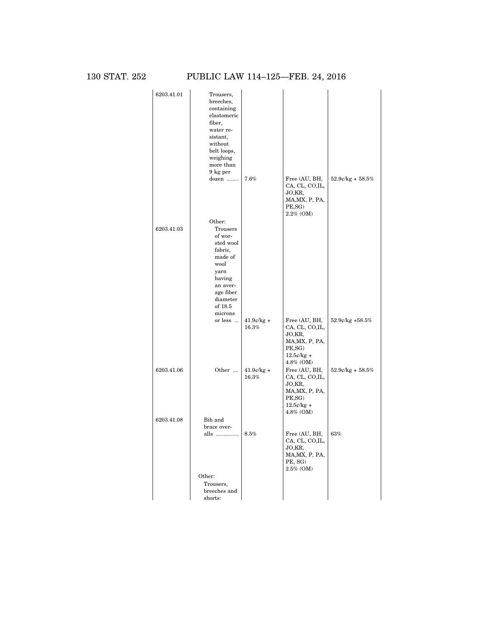130 STAT. 252 PUBLIC LAW 114–125—FEB. 24, 2016

| 6203.41.01 | Trousers,<br>breeches,<br>containing<br>elastomeric<br>fiber,<br>water re-<br>sistant,<br>without<br>belt loops,<br>weighing<br>more than<br>9 kg per<br>dozen | 7.6%                   | Free (AU, BH,<br>CA, CL, CO, IL,<br>JO,KR,<br>MA, MX, P, PA,                            | $52.9$ e/kg + $58.5%$ |
|------------|----------------------------------------------------------------------------------------------------------------------------------------------------------------|------------------------|-----------------------------------------------------------------------------------------|-----------------------|
|            |                                                                                                                                                                |                        | PE,SG)                                                                                  |                       |
|            |                                                                                                                                                                |                        | 2.2% (OM)                                                                               |                       |
| 6203.41.03 | Other:<br>Trousers<br>of wor-<br>sted wool<br>fabric,                                                                                                          |                        |                                                                                         |                       |
|            | made of                                                                                                                                                        |                        |                                                                                         |                       |
|            | wool<br>yarn                                                                                                                                                   |                        |                                                                                         |                       |
|            | having                                                                                                                                                         |                        |                                                                                         |                       |
|            | an aver-<br>age fiber                                                                                                                                          |                        |                                                                                         |                       |
|            | diameter<br>of 18.5                                                                                                                                            |                        |                                                                                         |                       |
|            | microns                                                                                                                                                        |                        |                                                                                         |                       |
|            | or less                                                                                                                                                        | $41.9$ c/kg +<br>16.3% | Free (AU, BH,<br>CA, CL, CO, IL,<br>JO,KR,<br>MA, MX, P, PA,<br>PE,SG)<br>$12.5$ ¢/kg + | $52.9$ e/kg +58.5%    |
| 6203.41.06 | Other                                                                                                                                                          | $41.9$ c/kg +          | 4.8% (OM)<br>Free (AU, BH,                                                              | $52.9$ e/kg + $58.5%$ |
|            |                                                                                                                                                                | 16.3%                  | CA, CL, CO,IL,<br>JO,KR,<br>MA, MX, P, PA,<br>PE,SG)<br>$12.5$ ¢/kg +<br>$4.8\%$ (OM)   |                       |
| 6203.41.08 | Bib and                                                                                                                                                        |                        |                                                                                         |                       |
|            | brace over-                                                                                                                                                    |                        | Free (AU, BH,<br>CA, CL, CO,IL,<br>JO,KR,<br>MA, MX, P, PA,<br>PE, SG)<br>2.5% (OM)     | 63%                   |
|            | Other:                                                                                                                                                         |                        |                                                                                         |                       |
|            | Trousers,<br>breeches and                                                                                                                                      |                        |                                                                                         |                       |
|            | shorts:                                                                                                                                                        |                        |                                                                                         |                       |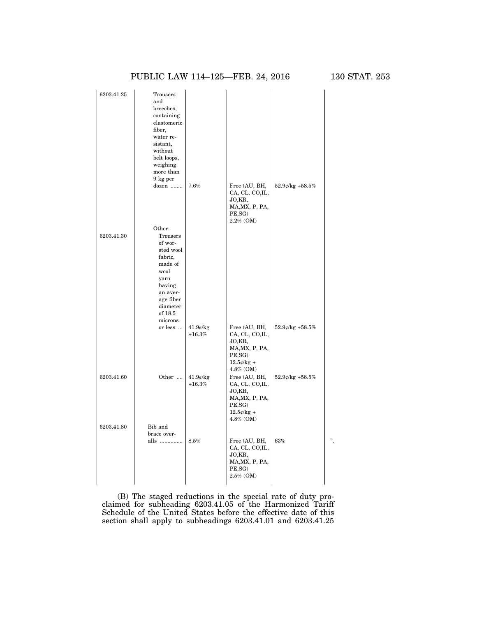# PUBLIC LAW 114-125-FEB. 24, 2016 130 STAT. 253

| 6203.41.25 | Trousers                |             |                            |                    |    |
|------------|-------------------------|-------------|----------------------------|--------------------|----|
|            | and                     |             |                            |                    |    |
|            | breeches,<br>containing |             |                            |                    |    |
|            | elastomeric             |             |                            |                    |    |
|            | fiber,                  |             |                            |                    |    |
|            | water re-               |             |                            |                    |    |
|            | sistant.<br>without     |             |                            |                    |    |
|            | belt loops,             |             |                            |                    |    |
|            | weighing                |             |                            |                    |    |
|            | more than<br>9 kg per   |             |                            |                    |    |
|            | dozen                   | 7.6%        | Free (AU, BH,              | $52.9$ e/kg +58.5% |    |
|            |                         |             | CA, CL, CO,IL,             |                    |    |
|            |                         |             | JO,KR,<br>MA, MX, P, PA,   |                    |    |
|            |                         |             | PE,SG)                     |                    |    |
|            |                         |             | 2.2% (OM)                  |                    |    |
|            | Other:                  |             |                            |                    |    |
| 6203.41.30 | Trousers<br>of wor-     |             |                            |                    |    |
|            | sted wool               |             |                            |                    |    |
|            | fabric,                 |             |                            |                    |    |
|            | made of<br>wool         |             |                            |                    |    |
|            | yarn                    |             |                            |                    |    |
|            | having                  |             |                            |                    |    |
|            | an aver-<br>age fiber   |             |                            |                    |    |
|            | diameter                |             |                            |                    |    |
|            | of 18.5                 |             |                            |                    |    |
|            | microns<br>or less      | $41.9$ c/kg | Free (AU, BH,              | $52.9$ e/kg +58.5% |    |
|            |                         | $+16.3\%$   | CA, CL, CO,IL,             |                    |    |
|            |                         |             | JO,KR,<br>MA, MX, P, PA,   |                    |    |
|            |                         |             | PE,SG)                     |                    |    |
|            |                         |             | $12.5$ ¢/kg +              |                    |    |
| 6203.41.60 | Other                   | $41.9$ c/kg | 4.8% (OM)<br>Free (AU, BH, | $52.9$ ¢/kg +58.5% |    |
|            |                         | $+16.3%$    | CA, CL, CO,IL,             |                    |    |
|            |                         |             | JO,KR,                     |                    |    |
|            |                         |             | MA, MX, P, PA,<br>PE,SG)   |                    |    |
|            |                         |             | $12.5$ ¢/kg +              |                    |    |
|            |                         |             | 4.8% (OM)                  |                    |    |
| 6203.41.80 | Bib and                 |             |                            |                    |    |
|            | brace over-<br>alls     | $8.5\%$     | Free (AU, BH,              | 63%                | ". |
|            |                         |             | CA, CL, CO,IL,             |                    |    |
|            |                         |             | JO,KR,                     |                    |    |
|            |                         |             | MA, MX, P, PA,<br>PE,SG)   |                    |    |
|            |                         |             | $2.5\%$ (OM)               |                    |    |
|            |                         |             |                            |                    |    |

(B) The staged reductions in the special rate of duty proclaimed for subheading 6203.41.05 of the Harmonized Tariff Schedule of the United States before the effective date of this section shall apply to subheadings 6203.41.01 and 6203.41.25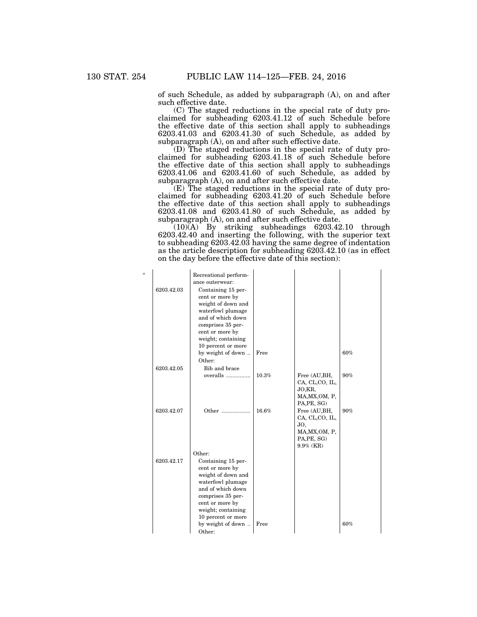of such Schedule, as added by subparagraph (A), on and after such effective date.

(C) The staged reductions in the special rate of duty proclaimed for subheading 6203.41.12 of such Schedule before the effective date of this section shall apply to subheadings 6203.41.03 and 6203.41.30 of such Schedule, as added by subparagraph (A), on and after such effective date.

(D) The staged reductions in the special rate of duty proclaimed for subheading 6203.41.18 of such Schedule before the effective date of this section shall apply to subheadings 6203.41.06 and 6203.41.60 of such Schedule, as added by subparagraph (A), on and after such effective date.

(E) The staged reductions in the special rate of duty proclaimed for subheading 6203.41.20 of such Schedule before the effective date of this section shall apply to subheadings 6203.41.08 and 6203.41.80 of such Schedule, as added by subparagraph (A), on and after such effective date.

 $(10)(A)$  By striking subheadings 6203.42.10 through 6203.42.40 and inserting the following, with the superior text to subheading 6203.42.03 having the same degree of indentation as the article description for subheading 6203.42.10 (as in effect on the day before the effective date of this section):

| $\epsilon\epsilon$ | 6203.42.03 | Recreational perform-<br>ance outerwear:<br>Containing 15 per-<br>cent or more by<br>weight of down and<br>waterfowl plumage<br>and of which down<br>comprises 35 per-<br>cent or more by<br>weight; containing<br>10 percent or more<br>by weight of down | Free           |                                                                                                                                        | 60%        |
|--------------------|------------|------------------------------------------------------------------------------------------------------------------------------------------------------------------------------------------------------------------------------------------------------------|----------------|----------------------------------------------------------------------------------------------------------------------------------------|------------|
|                    |            | Other:                                                                                                                                                                                                                                                     |                |                                                                                                                                        |            |
|                    | 6203.42.05 | Bib and brace                                                                                                                                                                                                                                              |                |                                                                                                                                        |            |
|                    | 6203.42.07 | overalls<br>Other                                                                                                                                                                                                                                          | 10.3%<br>16.6% | Free (AU,BH,<br>CA, CL, CO, IL,<br>JO,KR,<br>MA, MX, OM, P,<br>PA, PE, SG)<br>Free (AU,BH,<br>CA, CL, CO, IL,<br>JO.<br>MA, MX, OM, P, | 90%<br>90% |
|                    |            |                                                                                                                                                                                                                                                            |                | PA, PE, SG)                                                                                                                            |            |
|                    |            |                                                                                                                                                                                                                                                            |                | $9.9\%$ (KR)                                                                                                                           |            |
|                    |            | Other:                                                                                                                                                                                                                                                     |                |                                                                                                                                        |            |
|                    | 6203.42.17 | Containing 15 per-<br>cent or more by<br>weight of down and<br>waterfowl plumage<br>and of which down<br>comprises 35 per-<br>cent or more by<br>weight; containing<br>10 percent or more                                                                  | Free           |                                                                                                                                        | 60%        |
|                    |            | by weight of down<br>Other:                                                                                                                                                                                                                                |                |                                                                                                                                        |            |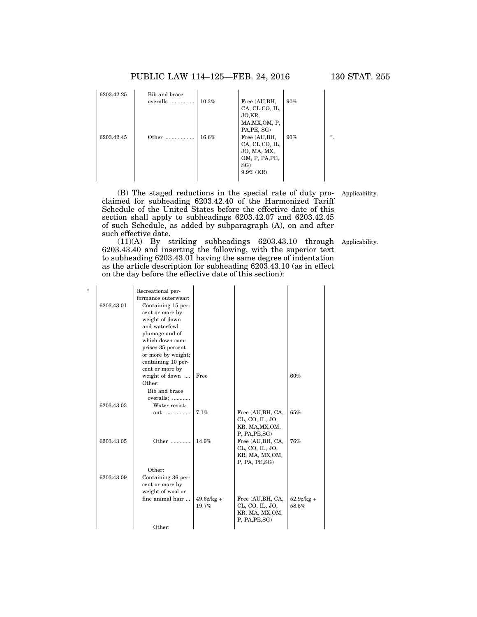PUBLIC LAW 114-125-FEB. 24, 2016 130 STAT. 255



(B) The staged reductions in the special rate of duty proclaimed for subheading 6203.42.40 of the Harmonized Tariff Schedule of the United States before the effective date of this section shall apply to subheadings 6203.42.07 and 6203.42.45 of such Schedule, as added by subparagraph (A), on and after such effective date.

(11)(A) By striking subheadings 6203.43.10 through 6203.43.40 and inserting the following, with the superior text to subheading 6203.43.01 having the same degree of indentation as the article description for subheading 6203.43.10 (as in effect on the day before the effective date of this section):

" Recreational performance outerwear: 6203.43.01 Containing 15 percent or more by weight of down and waterfowl plumage and of which down comprises 35 percent or more by weight; containing 10 percent or more by weight of down  $\dots$  Free 60% Other: Bib and brace overalls: ............ 6203.43.03 Water resistant ................. 7.1% Free (AU,BH, CA, CL, CO, IL, JO, KR, MA,MX,OM, P, PA,PE,SG) 65% 6203.43.05 Other ............. 14.9% Free (AU,BH, CA, CL, CO, IL, JO, KR, MA, MX,OM, P, PA, PE,SG) 76% Other: 6203.43.09 Containing 36 percent or more by weight of wool or fine animal hair ...  $49.6¢/kg +$ 19.7% Free (AU,BH, CA, CL, CO, IL, JO, KR, MA, MX,OM, P, PA,PE,SG)  $52.9$ e/kg + 58.5% Other:

Applicability.

Applicability.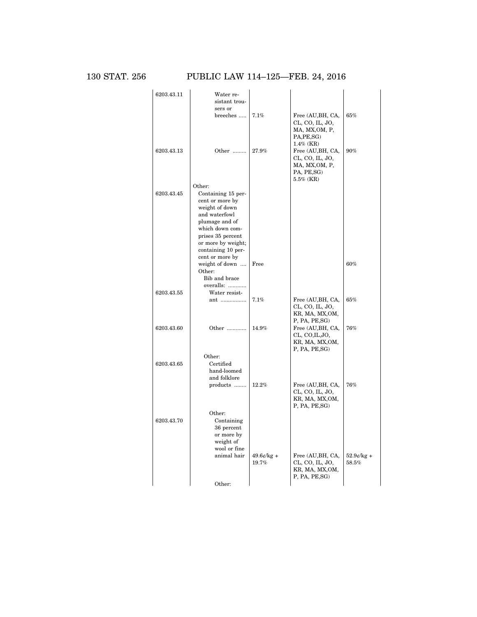130 STAT. 256 PUBLIC LAW 114–125—FEB. 24, 2016

| 6203.43.11 | Water re-<br>sistant trou-<br>sers or                                                                                                                                                    |                        |                                                                                      |                        |
|------------|------------------------------------------------------------------------------------------------------------------------------------------------------------------------------------------|------------------------|--------------------------------------------------------------------------------------|------------------------|
|            | breeches                                                                                                                                                                                 | 7.1%                   | Free (AU,BH, CA,<br>CL, CO, IL, JO,<br>MA, MX, OM, P,<br>PA, PE, SG)<br>$1.4\%$ (KR) | 65%                    |
| 6203.43.13 | Other                                                                                                                                                                                    | 27.9%                  | Free (AU,BH, CA,<br>CL, CO, IL, JO,<br>MA, MX, OM, P,<br>PA, PE, SG)<br>$5.5\%$ (KR) | 90%                    |
| 6203.43.45 | Other:<br>Containing 15 per-<br>cent or more by<br>weight of down<br>and waterfowl<br>plumage and of<br>which down com-<br>prises 35 percent<br>or more by weight;<br>containing 10 per- |                        |                                                                                      |                        |
|            | cent or more by<br>weight of down<br>Other:<br>Bib and brace<br>overalls:                                                                                                                | Free                   |                                                                                      | 60%                    |
| 6203.43.55 | Water resist-<br>ant                                                                                                                                                                     | 7.1%                   | Free (AU,BH, CA,<br>CL, CO, IL, JO,<br>KR, MA, MX, OM,<br>P, PA, PE, SG)             | 65%                    |
| 6203.43.60 | Other                                                                                                                                                                                    | 14.9%                  | Free (AU,BH, CA,<br>CL, CO,IL,JO,<br>KR, MA, MX, OM,<br>P, PA, PE, SG)               | 76%                    |
| 6203.43.65 | Other:<br>Certified<br>hand-loomed<br>and folklore                                                                                                                                       |                        |                                                                                      |                        |
|            | products                                                                                                                                                                                 | 12.2%                  | Free (AU,BH, CA,<br>CL, CO, IL, JO,<br>KR, MA, MX, OM,<br>P, PA, PE, SG)             | 76%                    |
| 6203.43.70 | Other:<br>Containing<br>36 percent<br>or more by<br>weight of<br>wool or fine<br>animal hair                                                                                             | $49.6$ c/kg +<br>19.7% | Free (AU,BH, CA,<br>CL, CO, IL, JO,<br>KR, MA, MX, OM,                               | $52.9$ e/kg +<br>58.5% |
|            | Other:                                                                                                                                                                                   |                        | P, PA, PE, SG)                                                                       |                        |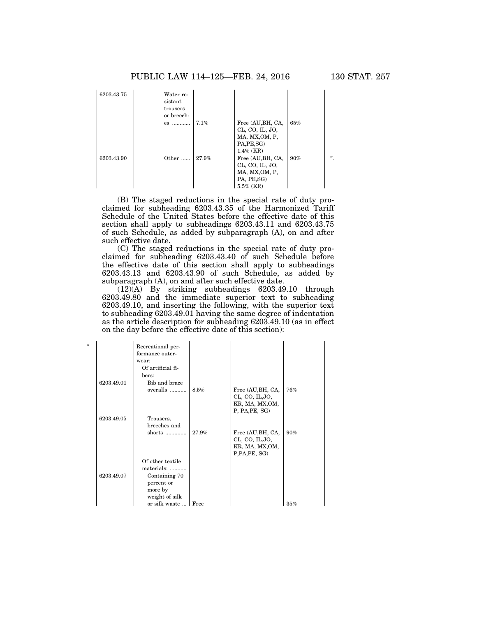| 6203.43.75 | Water re-<br>sistant<br>trousers<br>or breech- |       |                                                                                      |     |      |
|------------|------------------------------------------------|-------|--------------------------------------------------------------------------------------|-----|------|
|            | es                                             | 7.1%  | Free (AU,BH, CA,<br>CL, CO, IL, JO,<br>MA, MX, OM, P,<br>PA, PE, SG)<br>$1.4\%$ (KR) | 65% |      |
| 6203.43.90 | Other                                          | 27.9% | Free (AU,BH, CA,<br>CL, CO, IL, JO,<br>MA, MX, OM, P,<br>PA, PE, SG)<br>$5.5\%$ (KR) | 90% | , 22 |

(B) The staged reductions in the special rate of duty proclaimed for subheading 6203.43.35 of the Harmonized Tariff Schedule of the United States before the effective date of this section shall apply to subheadings 6203.43.11 and 6203.43.75 of such Schedule, as added by subparagraph (A), on and after such effective date.

(C) The staged reductions in the special rate of duty proclaimed for subheading 6203.43.40 of such Schedule before the effective date of this section shall apply to subheadings 6203.43.13 and 6203.43.90 of such Schedule, as added by subparagraph (A), on and after such effective date.

 $(12)(A)$  By striking subheadings 6203.49.10 through 6203.49.80 and the immediate superior text to subheading 6203.49.10, and inserting the following, with the superior text to subheading 6203.49.01 having the same degree of indentation as the article description for subheading 6203.49.10 (as in effect on the day before the effective date of this section):

| $\epsilon$ |            | Recreational per-<br>formance outer-<br>wear:<br>Of artificial fi-<br>bers: |       |                                                                          |     |
|------------|------------|-----------------------------------------------------------------------------|-------|--------------------------------------------------------------------------|-----|
|            | 6203.49.01 | Bib and brace                                                               |       |                                                                          |     |
|            |            | overalls                                                                    | 8.5%  | Free (AU,BH, CA,<br>CL, CO, IL, JO,<br>KR, MA, MX, OM,<br>P, PA, PE, SG) | 76% |
|            | 6203.49.05 | Trousers,                                                                   |       |                                                                          |     |
|            |            | breeches and                                                                |       |                                                                          |     |
|            |            | shorts                                                                      | 27.9% | Free (AU,BH, CA,<br>CL, CO, IL, JO,<br>KR, MA, MX, OM,<br>P,PA,PE, SG)   | 90% |
|            |            | Of other textile                                                            |       |                                                                          |     |
|            |            | materials:                                                                  |       |                                                                          |     |
|            | 6203.49.07 | Containing 70<br>percent or<br>more by<br>weight of silk                    |       |                                                                          |     |
|            |            | or silk waste  Free                                                         |       |                                                                          | 35% |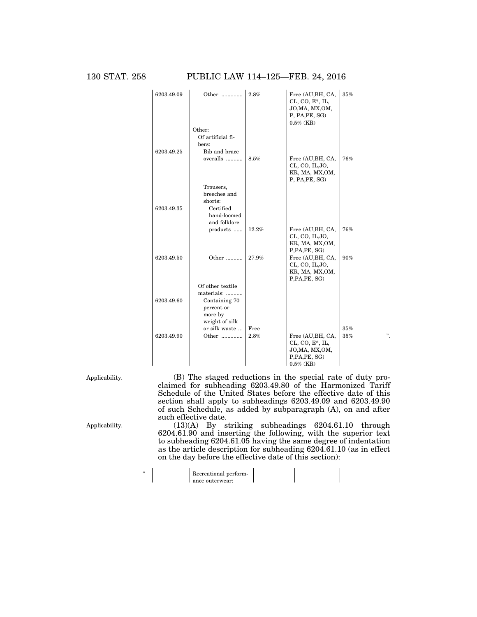130 STAT. 258 PUBLIC LAW 114–125—FEB. 24, 2016

| 6203.49.09 | Other                       | 2.8%  | Free (AU,BH, CA,<br>CL, CO, E*, IL,<br>JO,MA, MX,OM,<br>P, PA, PE, SG)<br>$0.5\%$ (KR) | 35% |
|------------|-----------------------------|-------|----------------------------------------------------------------------------------------|-----|
|            | Other:                      |       |                                                                                        |     |
|            | Of artificial fi-<br>bers:  |       |                                                                                        |     |
| 6203.49.25 | Bib and brace               |       |                                                                                        |     |
|            | overalls                    | 8.5%  | Free (AU,BH, CA,<br>CL, CO, IL, JO,<br>KR, MA, MX, OM,<br>P, PA, PE, SG)               | 76% |
|            | Trousers,                   |       |                                                                                        |     |
|            | breeches and<br>shorts:     |       |                                                                                        |     |
| 6203.49.35 | Certified                   |       |                                                                                        |     |
|            | hand-loomed                 |       |                                                                                        |     |
|            | and folklore<br>products    | 12.2% | Free (AU,BH, CA,                                                                       | 76% |
|            |                             |       | CL, CO, IL, JO,                                                                        |     |
|            |                             |       | KR, MA, MX, OM,<br>P,PA,PE, SG)                                                        |     |
| 6203.49.50 | Other $\ldots$              | 27.9% | Free (AU,BH, CA,                                                                       | 90% |
|            |                             |       | CL, CO, IL, JO,<br>KR, MA, MX, OM,                                                     |     |
|            |                             |       | P,PA,PE, SG)                                                                           |     |
|            | Of other textile            |       |                                                                                        |     |
| 6203.49.60 | materials:<br>Containing 70 |       |                                                                                        |     |
|            | percent or                  |       |                                                                                        |     |
|            | more by<br>weight of silk   |       |                                                                                        |     |
|            | or silk waste               | Free  |                                                                                        | 35% |
| 6203.49.90 | Other                       | 2.8%  | Free (AU,BH, CA,<br>CL, CO, E*, IL,                                                    | 35% |
|            |                             |       | JO,MA, MX,OM,                                                                          |     |
|            |                             |       | P,PA,PE, SG)                                                                           |     |
|            |                             |       | $0.5\%$ (KR)                                                                           |     |

Applicability.

Applicability.

(B) The staged reductions in the special rate of duty proclaimed for subheading 6203.49.80 of the Harmonized Tariff Schedule of the United States before the effective date of this section shall apply to subheadings 6203.49.09 and 6203.49.90 of such Schedule, as added by subparagraph (A), on and after such effective date.

 $"$ .

(13)(A) By striking subheadings 6204.61.10 through 6204.61.90 and inserting the following, with the superior text to subheading 6204.61.05 having the same degree of indentation as the article description for subheading 6204.61.10 (as in effect on the day before the effective date of this section):

|  | Recreational perform- |  |  |
|--|-----------------------|--|--|
|  | ance outerwear:       |  |  |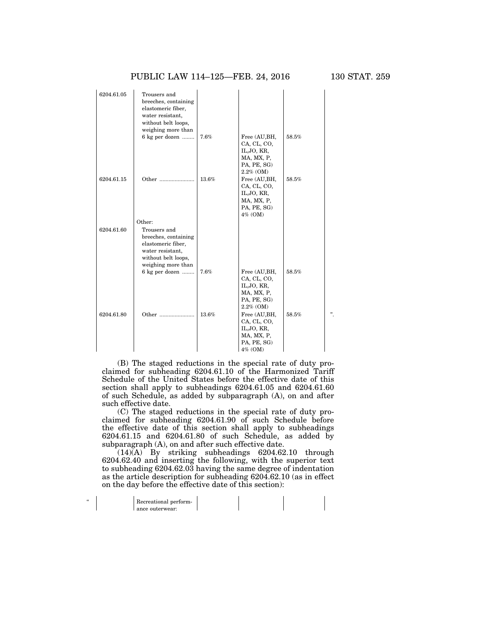### PUBLIC LAW 114-125-FEB. 24, 2016 130 STAT. 259

 $\overline{1}$ 

| 6204.61.05 | Trousers and<br>breeches, containing<br>elastomeric fiber,<br>water resistant.<br>without belt loops,<br>weighing more than |          |                                                                                         |       |    |
|------------|-----------------------------------------------------------------------------------------------------------------------------|----------|-----------------------------------------------------------------------------------------|-------|----|
|            | 6 kg per dozen                                                                                                              | 7.6%     | Free (AU,BH,<br>CA, CL, CO,<br>IL, JO, KR,<br>MA, MX, P,<br>PA, PE, SG)<br>$2.2\%$ (OM) | 58.5% |    |
| 6204.61.15 | Other                                                                                                                       | 13.6%    | Free (AU,BH,<br>CA, CL, CO,<br>IL, JO, KR,<br>MA, MX, P,<br>PA, PE, SG)<br>4% (OM)      | 58.5% |    |
|            | Other:                                                                                                                      |          |                                                                                         |       |    |
| 6204.61.60 | Trousers and<br>breeches, containing<br>elastomeric fiber,<br>water resistant,<br>without belt loops,<br>weighing more than |          |                                                                                         |       |    |
|            | 6 kg per dozen                                                                                                              | 7.6%     | Free (AU,BH,<br>CA, CL, CO,<br>IL, JO, KR,<br>MA, MX, P,<br>PA, PE, SG)<br>$2.2\%$ (OM) | 58.5% |    |
| 6204.61.80 | Other                                                                                                                       | $13.6\%$ | Free (AU,BH,<br>CA, CL, CO,<br>IL, JO, KR,<br>MA, MX, P,<br>PA, PE, SG)<br>4% (OM)      | 58.5% | ,, |

(B) The staged reductions in the special rate of duty proclaimed for subheading 6204.61.10 of the Harmonized Tariff Schedule of the United States before the effective date of this section shall apply to subheadings 6204.61.05 and 6204.61.60 of such Schedule, as added by subparagraph (A), on and after such effective date.

(C) The staged reductions in the special rate of duty proclaimed for subheading 6204.61.90 of such Schedule before the effective date of this section shall apply to subheadings 6204.61.15 and 6204.61.80 of such Schedule, as added by subparagraph (A), on and after such effective date.

(14)(A) By striking subheadings 6204.62.10 through 6204.62.40 and inserting the following, with the superior text to subheading 6204.62.03 having the same degree of indentation as the article description for subheading 6204.62.10 (as in effect on the day before the effective date of this section):

|  | Recreational perform- |  |  |
|--|-----------------------|--|--|
|  | ance outerwear:       |  |  |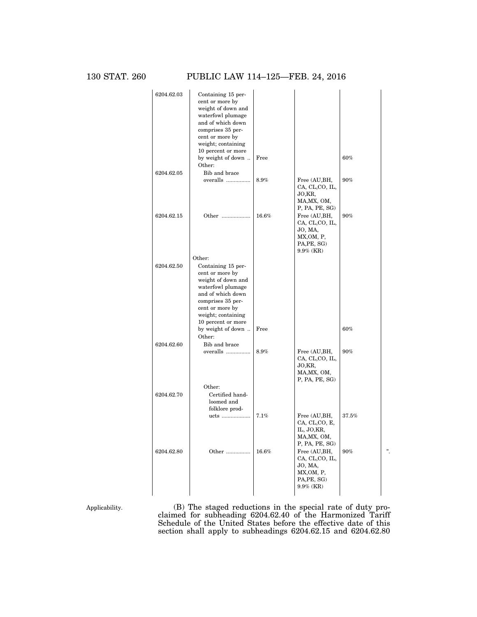130 STAT. 260 PUBLIC LAW 114–125—FEB. 24, 2016

| 6204.62.03 | Containing 15 per-<br>cent or more by<br>weight of down and<br>waterfowl plumage<br>and of which down<br>comprises 35 per-<br>cent or more by<br>weight; containing<br>10 percent or more<br>by weight of down<br>Other: | Free    |                                                                                         | 60%   |
|------------|--------------------------------------------------------------------------------------------------------------------------------------------------------------------------------------------------------------------------|---------|-----------------------------------------------------------------------------------------|-------|
| 6204.62.05 | Bib and brace<br>overalls                                                                                                                                                                                                | $8.9\%$ | Free (AU,BH,<br>CA, CL, CO, IL,<br>JO,KR,<br>MA, MX, OM,<br>P, PA, PE, SG)              | 90%   |
| 6204.62.15 | Other<br>Other:                                                                                                                                                                                                          | 16.6%   | Free (AU,BH,<br>CA, CL, CO, IL,<br>JO, MA,<br>MX, OM, P,<br>PA, PE, SG)<br>9.9% (KR)    | 90%   |
| 6204.62.50 | Containing 15 per-<br>cent or more by<br>weight of down and<br>waterfowl plumage<br>and of which down<br>comprises 35 per-<br>cent or more by<br>weight; containing<br>10 percent or more<br>by weight of down           | Free    |                                                                                         | 60%   |
| 6204.62.60 | Other:<br>Bib and brace<br>overalls<br>Other:                                                                                                                                                                            | 8.9%    | Free (AU,BH,<br>CA, CL, CO, IL,<br>JO,KR,<br>MA, MX, OM,<br>$P$ , $PA$ , $PE$ , $SG$ )  | 90%   |
| 6204.62.70 | Certified hand-<br>loomed and<br>folklore prod-                                                                                                                                                                          | 7.1%    | Free (AU,BH,                                                                            | 37.5% |
|            | ucts                                                                                                                                                                                                                     |         | CA, CL,CO, E,<br>IL, JO,KR,<br>MA, MX, OM,<br>P, PA, PE, SG)                            |       |
| 6204.62.80 | Other                                                                                                                                                                                                                    | 16.6%   | Free (AU,BH,<br>CA, CL, CO, IL,<br>JO, MA,<br>MX, OM, P,<br>PA, PE, SG)<br>$9.9\%$ (KR) | 90%   |

Applicability.

(B) The staged reductions in the special rate of duty proclaimed for subheading 6204.62.40 of the Harmonized Tariff Schedule of the United States before the effective date of this section shall apply to subheadings 6204.62.15 and 6204.62.80

 $"$ .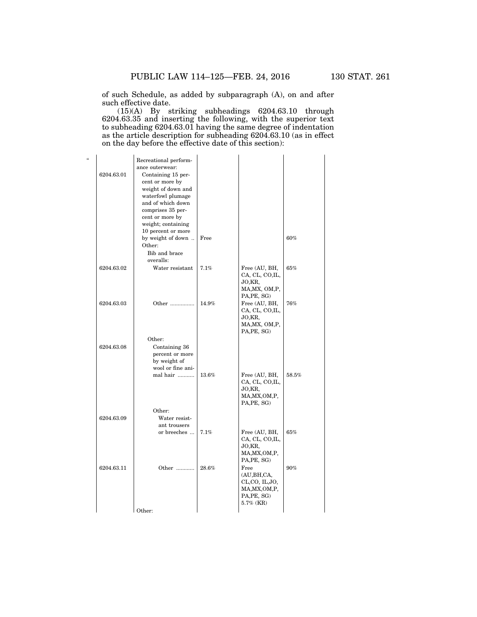of such Schedule, as added by subparagraph (A), on and after such effective date.

(15)(A) By striking subheadings 6204.63.10 through 6204.63.35 and inserting the following, with the superior text to subheading 6204.63.01 having the same degree of indentation as the article description for subheading 6204.63.10 (as in effect on the day before the effective date of this section):

| a |            | Recreational perform-                                    |          |                                            |       |
|---|------------|----------------------------------------------------------|----------|--------------------------------------------|-------|
|   | 6204.63.01 | ance outerwear:<br>Containing 15 per-<br>cent or more by |          |                                            |       |
|   |            | weight of down and<br>waterfowl plumage                  |          |                                            |       |
|   |            | and of which down<br>comprises 35 per-                   |          |                                            |       |
|   |            | cent or more by<br>weight; containing                    |          |                                            |       |
|   |            | 10 percent or more                                       |          |                                            |       |
|   |            | by weight of down<br>Other:                              | Free     |                                            | 60%   |
|   |            | Bib and brace<br>overalls:                               |          |                                            |       |
|   | 6204.63.02 | Water resistant                                          | 7.1%     | Free (AU, BH,<br>CA, CL, CO, IL,           | 65%   |
|   |            |                                                          |          | JO,KR,<br>MA, MX, OM, P,<br>PA, PE, SG)    |       |
|   | 6204.63.03 | Other                                                    | 14.9%    | Free (AU, BH,<br>CA, CL, CO, IL,           | 76%   |
|   |            |                                                          |          | JO,KR,<br>MA, MX, OM, P,<br>PA, PE, SG)    |       |
|   |            | Other:                                                   |          |                                            |       |
|   | 6204.63.08 | Containing 36<br>percent or more                         |          |                                            |       |
|   |            | by weight of                                             |          |                                            |       |
|   |            | wool or fine ani-<br>mal hair                            | $13.6\%$ | Free (AU, BH,                              | 58.5% |
|   |            |                                                          |          | CA, CL, CO,IL,<br>JO,KR,<br>MA, MX, OM, P, |       |
|   |            | Other:                                                   |          | PA, PE, SG)                                |       |
|   | 6204.63.09 | Water resist-                                            |          |                                            |       |
|   |            | ant trousers<br>or breeches                              | 7.1%     | Free (AU, BH,                              | 65%   |
|   |            |                                                          |          | CA, CL, CO, IL,                            |       |
|   |            |                                                          |          | JO,KR,<br>MA, MX, OM, P,<br>PA, PE, SG)    |       |
|   | 6204.63.11 | Other                                                    | 28.6%    | Free                                       | 90%   |
|   |            |                                                          |          | (AU,BH,CA,<br>CL,CO, IL,JO,                |       |
|   |            |                                                          |          | MA, MX, OM, P,<br>PA, PE, SG)              |       |
|   |            | Other:                                                   |          | 5.7% (KR)                                  |       |
|   |            |                                                          |          |                                            |       |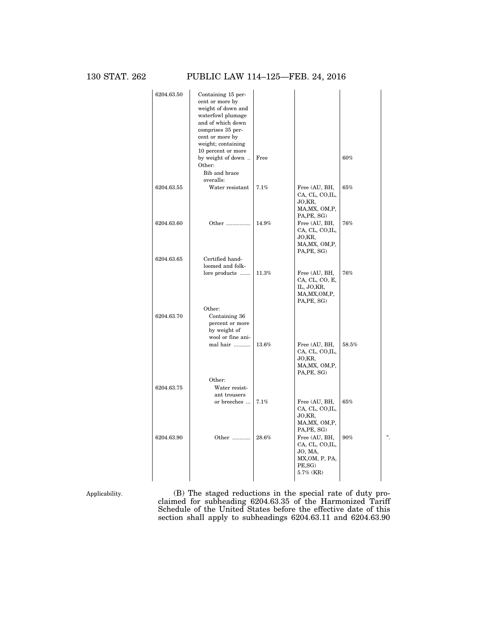130 STAT. 262 PUBLIC LAW 114–125—FEB. 24, 2016

| 6204.63.50 | Containing 15 per-<br>cent or more by<br>weight of down and<br>waterfowl plumage<br>and of which down<br>comprises 35 per-<br>cent or more by<br>weight; containing<br>10 percent or more |       |                                                                                      |       |
|------------|-------------------------------------------------------------------------------------------------------------------------------------------------------------------------------------------|-------|--------------------------------------------------------------------------------------|-------|
|            | by weight of down<br>Other:<br>Bib and brace<br>overalls:                                                                                                                                 | Free  |                                                                                      | 60%   |
| 6204.63.55 | Water resistant                                                                                                                                                                           | 7.1%  | Free (AU, BH,<br>CA, CL, CO, IL,<br>JO,KR,<br>MA, MX, OM, P,<br>PA, PE, SG)          | 65%   |
| 6204.63.60 | Other                                                                                                                                                                                     | 14.9% | Free (AU, BH,<br>CA, CL, CO, IL,<br>JO,KR,<br>MA, MX, OM, P,<br>PA, PE, SG)          | 76%   |
| 6204.63.65 | Certified hand-<br>loomed and folk-<br>lore products                                                                                                                                      | 11.3% | Free (AU, BH,<br>CA, CL, CO, E,<br>IL, JO,KR,<br>MA, MX, OM, P,<br>PA, PE, SG)       | 76%   |
| 6204.63.70 | Other:<br>Containing 36<br>percent or more<br>by weight of<br>wool or fine ani-                                                                                                           |       |                                                                                      |       |
|            | mal hair                                                                                                                                                                                  | 13.6% | Free (AU, BH,<br>CA, CL, CO,IL,<br>JO,KR,<br>MA, MX, OM, P,<br>PA, PE, SG)           | 58.5% |
| 6204.63.75 | Other:<br>Water resist-<br>ant trousers<br>or breeches                                                                                                                                    | 7.1%  | Free (AU, BH,                                                                        | 65%   |
|            |                                                                                                                                                                                           |       | CA, CL, CO, IL,<br>JO,KR,<br>MA, MX, OM, P,<br>PA, PE, SG)                           |       |
| 6204.63.90 | Other                                                                                                                                                                                     | 28.6% | Free (AU, BH,<br>CA, CL, CO, IL,<br>JO, MA,<br>MX, OM, P, PA,<br>PE,SG)<br>5.7% (KR) | 90%   |

Applicability.

(B) The staged reductions in the special rate of duty proclaimed for subheading 6204.63.35 of the Harmonized Tariff Schedule of the United States before the effective date of this section shall apply to subheadings 6204.63.11 and 6204.63.90

 $"$ .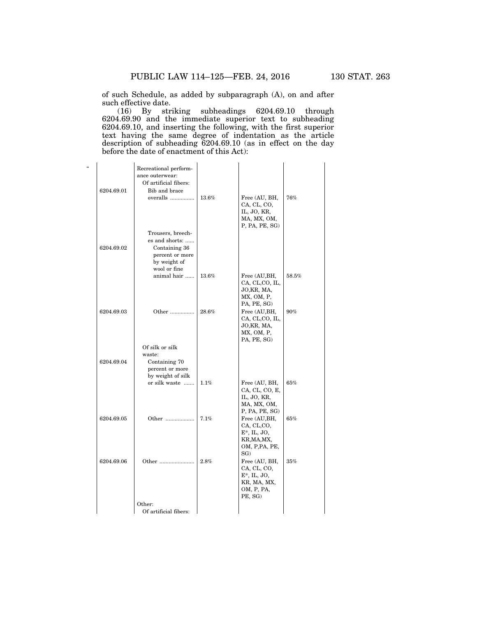of such Schedule, as added by subparagraph (A), on and after such effective date.

(16) By striking subheadings 6204.69.10 through 6204.69.90 and the immediate superior text to subheading 6204.69.10, and inserting the following, with the first superior text having the same degree of indentation as the article description of subheading 6204.69.10 (as in effect on the day before the date of enactment of this Act):

| $\epsilon$ | 6204.69.01 | Recreational perform-<br>ance outerwear:<br>Of artificial fibers:<br>Bib and brace<br>overalls | 13.6% | Free (AU, BH,<br>CA, CL, CO,<br>IL, JO, KR,                                                 | 76%   |
|------------|------------|------------------------------------------------------------------------------------------------|-------|---------------------------------------------------------------------------------------------|-------|
|            |            | Trousers, breech-                                                                              |       | MA, MX, OM,<br>$P$ , PA, PE, SG)                                                            |       |
|            | 6204.69.02 | es and shorts:<br>Containing 36<br>percent or more<br>by weight of<br>wool or fine             |       |                                                                                             |       |
|            |            | animal hair                                                                                    | 13.6% | Free (AU,BH,<br>CA, CL, CO, IL,<br>JO,KR, MA,<br>MX, OM, P,<br>PA, PE, SG)                  | 58.5% |
|            | 6204.69.03 | Other                                                                                          | 28.6% | Free (AU,BH,<br>CA, CL,CO, IL,<br>JO,KR, MA,<br>MX, OM, P,<br>PA, PE, SG)                   | 90%   |
|            | 6204.69.04 | Of silk or silk<br>waste:<br>Containing 70                                                     |       |                                                                                             |       |
|            |            | percent or more<br>by weight of silk                                                           |       |                                                                                             |       |
|            |            | or silk waste                                                                                  | 1.1%  | Free (AU, BH,<br>CA, CL, CO, E,<br>IL, JO, KR,<br>MA, MX, OM,<br>$P$ , $PA$ , $PE$ , $SG$ ) | 65%   |
|            | 6204.69.05 | Other                                                                                          | 7.1%  | Free (AU,BH,<br>CA, CL,CO,<br>$E^*$ , IL, JO,<br>KR, MA, MX,<br>OM, P,PA, PE,<br>SG)        | 65%   |
|            | 6204.69.06 | Other                                                                                          | 2.8%  | Free (AU, BH,<br>CA, CL, CO,<br>$E^*$ , IL, JO,<br>KR, MA, MX,<br>OM, P, PA,<br>PE, SG)     | 35%   |
|            |            | Other:                                                                                         |       |                                                                                             |       |
|            |            | Of artificial fibers:                                                                          |       |                                                                                             |       |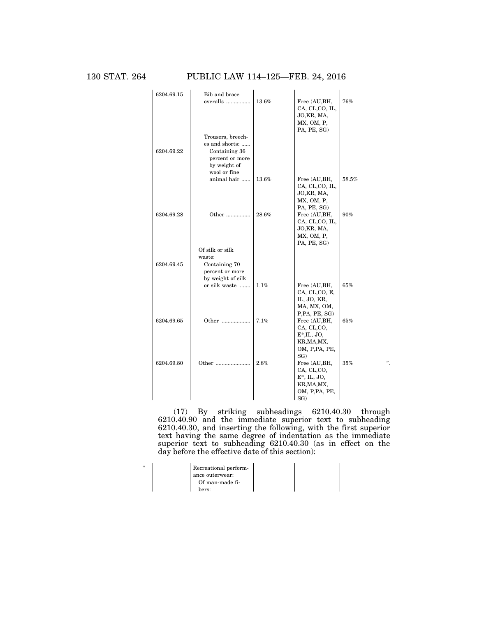130 STAT. 264 PUBLIC LAW 114–125—FEB. 24, 2016

| 6204.69.15 | Bib and brace<br>overalls                                                                               | 13.6% | Free (AU,BH,<br>CA, CL, CO, IL,<br>JO,KR, MA,<br>MX, OM, P,<br>PA, PE, SG)                  | 76%   |
|------------|---------------------------------------------------------------------------------------------------------|-------|---------------------------------------------------------------------------------------------|-------|
| 6204.69.22 | Trousers, breech-<br>es and shorts:<br>Containing 36<br>percent or more<br>by weight of<br>wool or fine |       |                                                                                             |       |
|            | animal hair                                                                                             | 13.6% | Free (AU,BH,<br>CA, CL, CO, IL,<br>JO,KR, MA,<br>MX, OM, P,<br>PA, PE, SG)                  | 58.5% |
| 6204.69.28 | Other                                                                                                   | 28.6% | Free (AU,BH,<br>CA, CL, CO, IL,<br>JO,KR, MA,<br>MX, OM, P,<br>PA, PE, SG)                  | 90%   |
|            | Of silk or silk<br>waste:                                                                               |       |                                                                                             |       |
| 6204.69.45 | Containing 70<br>percent or more<br>by weight of silk                                                   |       |                                                                                             |       |
|            | or silk waste                                                                                           | 1.1%  | Free (AU,BH,<br>CA, CL,CO, E,<br>IL, JO, KR,<br>MA, MX, OM,<br>P,PA, PE, SG)                | 65%   |
| 6204.69.65 | Other                                                                                                   | 7.1%  | Free (AU,BH,<br>CA, CL,CO,<br>$E^*$ , IL, JO,<br>KR, MA, MX,<br>OM, P,PA, PE,               | 65%   |
| 6204.69.80 | Other                                                                                                   | 2.8%  | SG)<br>Free (AU,BH,<br>CA, CL,CO,<br>$E^*$ , IL, JO,<br>KR, MA, MX,<br>OM, P,PA, PE,<br>SG) | 35%   |

(17) By striking subheadings 6210.40.30 through 6210.40.90 and the immediate superior text to subheading 6210.40.30, and inserting the following, with the first superior text having the same degree of indentation as the immediate superior text to subheading 6210.40.30 (as in effect on the day before the effective date of this section):

 $"$ .

| $\epsilon\epsilon$ | Recreational perform- |  |  |
|--------------------|-----------------------|--|--|
|                    | ance outerwear:       |  |  |
|                    | Of man-made fi-       |  |  |
|                    | hers.                 |  |  |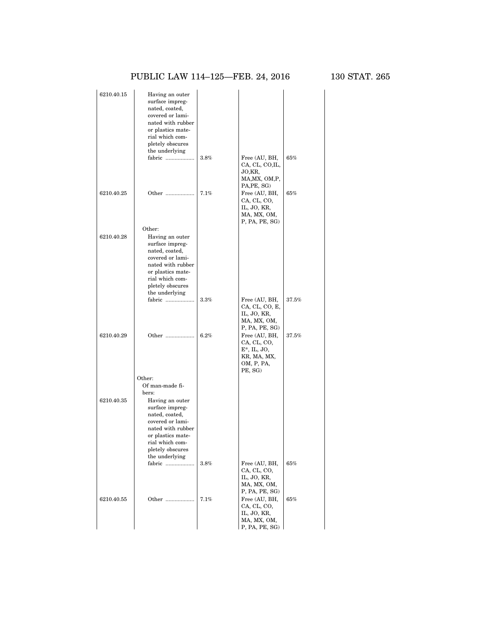| 6210.40.15 | Having an outer<br>surface impreg-<br>nated, coated,<br>covered or lami-<br>nated with rubber<br>or plastics mate-<br>rial which com-<br>pletely obscures<br>the underlying           |         |                                                                                         |          |
|------------|---------------------------------------------------------------------------------------------------------------------------------------------------------------------------------------|---------|-----------------------------------------------------------------------------------------|----------|
|            | fabric                                                                                                                                                                                | 3.8%    | Free (AU, BH,<br>CA, CL, CO,IL,<br>JO,KR,<br>MA, MX, OM, P,<br>PA, PE, SG)              | 65%      |
| 6210.40.25 | Other                                                                                                                                                                                 | 7.1%    | Free (AU, BH,<br>CA, CL, CO,<br>IL, JO, KR,<br>MA, MX, OM,<br>$P$ , PA, PE, SG)         | 65%      |
| 6210.40.28 | Other:<br>Having an outer<br>surface impreg-<br>nated, coated,<br>covered or lami-<br>nated with rubber<br>or plastics mate-<br>rial which com-<br>pletely obscures<br>the underlying |         |                                                                                         |          |
|            | fabric                                                                                                                                                                                | 3.3%    | Free (AU, BH,<br>CA, CL, CO, E,<br>IL, JO, KR,<br>MA, MX, OM,<br>$P$ , PA, PE, SG)      | $37.5\%$ |
| 6210.40.29 | Other                                                                                                                                                                                 | 6.2%    | Free (AU, BH,<br>CA, CL, CO,<br>$E^*$ , IL, JO,<br>KR, MA, MX,<br>OM, P, PA,<br>PE, SG) | 37.5%    |
|            | Other:<br>Of man-made fi-<br>bers:                                                                                                                                                    |         |                                                                                         |          |
| 6210.40.35 | Having an outer<br>surface impreg-<br>nated, coated,<br>covered or lami-<br>nated with rubber<br>or plastics mate-<br>rial which com-<br>pletely obscures<br>the underlying           |         |                                                                                         |          |
|            | fabric                                                                                                                                                                                | $3.8\%$ | Free (AU, BH,<br>CA, CL, CO,<br>IL, JO, KR,<br>MA, MX, OM,<br>P, PA, PE, SG)            | $65\%$   |
| 6210.40.55 | Other                                                                                                                                                                                 | 7.1%    | Free (AU, BH,<br>CA, CL, CO,<br>IL, JO, KR,<br>MA, MX, OM,<br>P, PA, PE, SG)            | $65\%$   |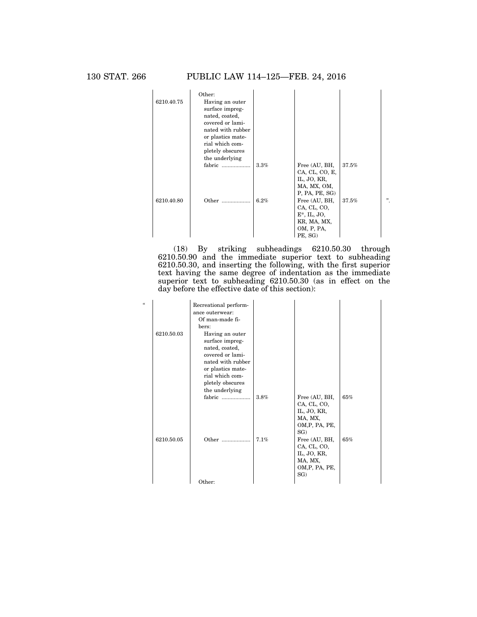130 STAT. 266 PUBLIC LAW 114–125—FEB. 24, 2016

| 6210.40.75 | Other:<br>Having an outer<br>surface impreg-<br>nated, coated,<br>covered or lami-<br>nated with rubber<br>or plastics mate-<br>rial which com- |      |                                                                                         |       |   |
|------------|-------------------------------------------------------------------------------------------------------------------------------------------------|------|-----------------------------------------------------------------------------------------|-------|---|
|            | pletely obscures<br>the underlying<br>fabric                                                                                                    | 3.3% | Free (AU, BH,                                                                           | 37.5% |   |
|            |                                                                                                                                                 |      | CA, CL, CO, E,<br>IL, JO, KR,<br>MA, MX, OM,<br>$P$ , $PA$ , $PE$ , $SG$ )              |       |   |
| 6210.40.80 | Other                                                                                                                                           | 6.2% | Free (AU, BH,<br>CA, CL, CO,<br>$E^*$ , IL, JO,<br>KR, MA, MX,<br>OM, P, PA,<br>PE, SG) | 37.5% | " |

(18) By striking subheadings 6210.50.30 through 6210.50.90 and the immediate superior text to subheading 6210.50.30, and inserting the following, with the first superior text having the same degree of indentation as the immediate superior text to subheading 6210.50.30 (as in effect on the day before the effective date of this section):

| $\epsilon$ |            | Recreational perform-                                                                                                                                     |      |                                                                                 |     |
|------------|------------|-----------------------------------------------------------------------------------------------------------------------------------------------------------|------|---------------------------------------------------------------------------------|-----|
|            |            | ance outerwear:                                                                                                                                           |      |                                                                                 |     |
|            |            | Of man-made fi-                                                                                                                                           |      |                                                                                 |     |
|            |            | bers:                                                                                                                                                     |      |                                                                                 |     |
|            | 6210.50.03 | Having an outer<br>surface impreg-<br>nated, coated,<br>covered or lami-<br>nated with rubber<br>or plastics mate-<br>rial which com-<br>pletely obscures |      |                                                                                 |     |
|            |            | the underlying                                                                                                                                            |      |                                                                                 |     |
|            |            | fabric                                                                                                                                                    | 3.8% | Free (AU, BH,<br>CA, CL, CO,<br>IL, JO, KR,<br>MA, MX,<br>OM, P, PA, PE,<br>SG) | 65% |
|            | 6210.50.05 | Other                                                                                                                                                     | 7.1% | Free (AU, BH,<br>CA, CL, CO,<br>IL, JO, KR,<br>MA, MX,<br>OM, P, PA, PE,<br>SG) | 65% |
|            |            | Other:                                                                                                                                                    |      |                                                                                 |     |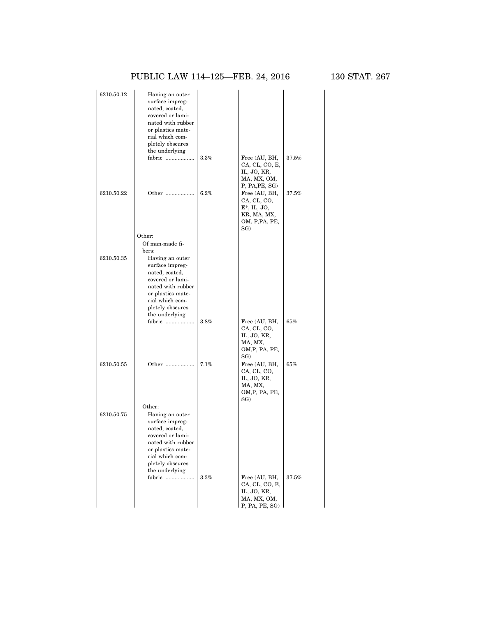| 6210.50.12 | Having an outer<br>surface impreg-<br>nated, coated,<br>covered or lami-<br>nated with rubber<br>or plastics mate-<br>rial which com-<br>pletely obscures<br>the underlying<br>fabric | 3.3%    | Free (AU, BH,<br>CA, CL, CO, E,<br>IL, JO, KR,                                                                      | 37.5%    |
|------------|---------------------------------------------------------------------------------------------------------------------------------------------------------------------------------------|---------|---------------------------------------------------------------------------------------------------------------------|----------|
| 6210.50.22 | Other                                                                                                                                                                                 | $6.2\%$ | MA, MX, OM,<br>P, PA, PE, SG)<br>Free (AU, BH,<br>CA, CL, CO,<br>E*, IL, JO,<br>KR, MA, MX,<br>OM, P,PA, PE,<br>SG) | $37.5\%$ |
|            | Other:                                                                                                                                                                                |         |                                                                                                                     |          |
|            | Of man-made fi-<br>bers:                                                                                                                                                              |         |                                                                                                                     |          |
| 6210.50.35 | Having an outer<br>surface impreg-<br>nated, coated,<br>covered or lami-<br>nated with rubber<br>or plastics mate-<br>rial which com-<br>pletely obscures<br>the underlying           |         |                                                                                                                     |          |
|            | fabric                                                                                                                                                                                | 3.8%    | Free (AU, BH,<br>CA, CL, CO,<br>IL, JO, KR,<br>MA, MX,<br>OM,P, PA, PE,<br>SG)                                      | 65%      |
| 6210.50.55 | Other<br>Other:                                                                                                                                                                       | 7.1%    | Free (AU, BH,<br>CA, CL, CO,<br>IL, JO, KR,<br>MA, MX,<br>OM,P, PA, PE,<br>SG)                                      | 65%      |
| 6210.50.75 | Having an outer<br>surface impreg-<br>nated, coated,<br>covered or lami-<br>nated with rubber<br>or plastics mate-<br>rial which com-<br>pletely obscures<br>the underlying           |         |                                                                                                                     |          |
|            | fabric                                                                                                                                                                                | 3.3%    | Free (AU, BH,<br>CA, CL, CO, E,<br>IL, JO, KR,<br>MA, MX, OM,<br>$P$ , PA, PE, SG)                                  | $37.5\%$ |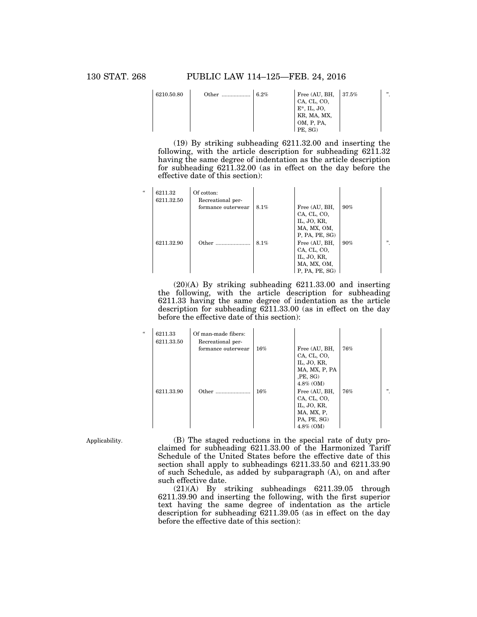130 STAT. 268 PUBLIC LAW 114–125—FEB. 24, 2016

| 6210.50.80 | Other | $6.2\%$ | Free (AU, BH,<br>CA, CL, CO,   | 37.5% | " |
|------------|-------|---------|--------------------------------|-------|---|
|            |       |         | $E^*$ , IL, JO,<br>KR, MA, MX, |       |   |
|            |       |         | OM, P, PA,<br>PE. SG)          |       |   |

(19) By striking subheading 6211.32.00 and inserting the following, with the article description for subheading  $62\overline{1}1.32$ having the same degree of indentation as the article description for subheading 6211.32.00 (as in effect on the day before the effective date of this section):

| $\epsilon$ | 6211.32<br>6211.32.50 | Of cotton:<br>Recreational per- |      |                            |     |                          |
|------------|-----------------------|---------------------------------|------|----------------------------|-----|--------------------------|
|            |                       | formance outerwear              | 8.1% | Free (AU, BH,              | 90% |                          |
|            |                       |                                 |      | CA, CL, CO,                |     |                          |
|            |                       |                                 |      | IL, JO, KR,                |     |                          |
|            |                       |                                 |      | MA, MX, OM,                |     |                          |
|            |                       |                                 |      | $P$ , PA, PE, SG)          |     |                          |
|            | 6211.32.90            | Other                           | 8.1% | Free (AU, BH,              | 90% | , 2, 3<br>$\blacksquare$ |
|            |                       |                                 |      | CA, CL, CO,                |     |                          |
|            |                       |                                 |      | IL, JO, KR,                |     |                          |
|            |                       |                                 |      | MA, MX, OM,                |     |                          |
|            |                       |                                 |      | $P$ , $PA$ , $PE$ , $SG$ ) |     |                          |

(20)(A) By striking subheading 6211.33.00 and inserting the following, with the article description for subheading 6211.33 having the same degree of indentation as the article description for subheading  $6211.33.00$  (as in effect on the day before the effective date of this section):

| $\epsilon$ | 6211.33<br>6211.33.50 | Of man-made fibers:<br>Recreational per- |        |                                                                                          |     |     |
|------------|-----------------------|------------------------------------------|--------|------------------------------------------------------------------------------------------|-----|-----|
|            |                       | formance outerwear                       | $16\%$ | Free (AU, BH,<br>CA, CL, CO,<br>IL, JO, KR,<br>MA, MX, P, PA<br>PE, SG<br>$4.8\%$ (OM)   | 76% |     |
|            | 6211.33.90            | Other                                    | $16\%$ | Free (AU, BH,<br>CA, CL, CO,<br>IL, JO, KR,<br>MA, MX, P,<br>PA, PE, SG)<br>$4.8\%$ (OM) | 76% | , 1 |

Applicability.

(B) The staged reductions in the special rate of duty proclaimed for subheading 6211.33.00 of the Harmonized Tariff Schedule of the United States before the effective date of this section shall apply to subheadings 6211.33.50 and 6211.33.90 of such Schedule, as added by subparagraph (A), on and after such effective date.

(21)(A) By striking subheadings 6211.39.05 through 6211.39.90 and inserting the following, with the first superior text having the same degree of indentation as the article description for subheading 6211.39.05 (as in effect on the day before the effective date of this section):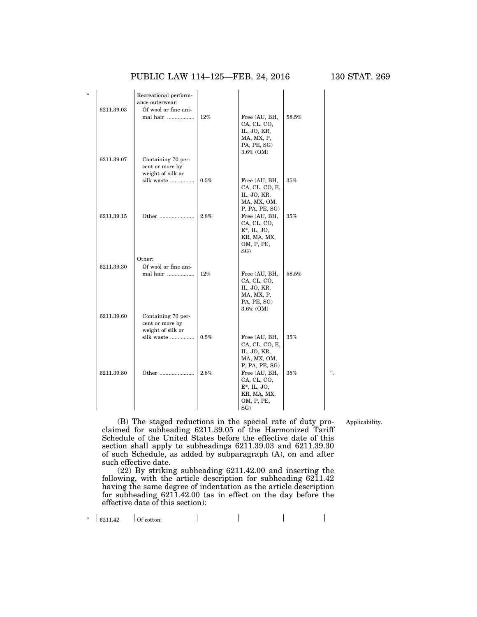| $\epsilon$ | 6211.39.03 | Recreational perform-<br>ance outerwear:<br>Of wool or fine ani- |      |                                                                                              |       |   |
|------------|------------|------------------------------------------------------------------|------|----------------------------------------------------------------------------------------------|-------|---|
|            |            | mal hair                                                         | 12%  | Free (AU, BH,<br>CA, CL, CO,<br>IL, JO, KR,<br>MA, MX, P,<br>PA, PE, SG)<br>3.6% (OM)        | 58.5% |   |
|            | 6211.39.07 | Containing 70 per-<br>cent or more by<br>weight of silk or       |      |                                                                                              |       |   |
|            |            | silk waste                                                       | 0.5% | Free (AU, BH,<br>CA, CL, CO, E,<br>IL, JO, KR,<br>MA, MX, OM,<br>P, PA, PE, SG)              | 35%   |   |
|            | 6211.39.15 | Other                                                            | 2.8% | Free (AU, BH,<br>CA, CL, CO,<br>$E^*$ , IL, JO,<br>KR, MA, MX,<br>OM, P, PE,                 | 35%   |   |
|            |            | Other:                                                           |      | SG)                                                                                          |       |   |
|            | 6211.39.30 | Of wool or fine ani-<br>mal hair                                 | 12%  | Free (AU, BH,<br>CA, CL, CO,<br>IL, JO, KR,<br>MA, MX, P,<br>PA, PE, SG)<br>3.6% (OM)        | 58.5% |   |
|            | 6211.39.60 | Containing 70 per-<br>cent or more by<br>weight of silk or       |      |                                                                                              |       |   |
|            |            | silk waste                                                       | 0.5% | Free (AU, BH,<br>CA, CL, CO, E,<br>IL, JO, KR,<br>MA, MX, OM,<br>P, PA, PE, SG)              | 35%   |   |
|            | 6211.39.80 | Other                                                            | 2.8% | Free (AU, BH,<br>CA, CL, CO,<br>$\mathcal{E}^*,$ IL, JO,<br>KR, MA, MX,<br>OM, P, PE,<br>SG) | 35%   | " |

Applicability.

(B) The staged reductions in the special rate of duty proclaimed for subheading 6211.39.05 of the Harmonized Tariff Schedule of the United States before the effective date of this section shall apply to subheadings 6211.39.03 and 6211.39.30 of such Schedule, as added by subparagraph (A), on and after such effective date.

(22) By striking subheading 6211.42.00 and inserting the following, with the article description for subheading 6211.42 having the same degree of indentation as the article description for subheading 6211.42.00 (as in effect on the day before the effective date of this section):

| Of cotton:<br>6211.42 |  |  |  |  |  |  |  |
|-----------------------|--|--|--|--|--|--|--|
|-----------------------|--|--|--|--|--|--|--|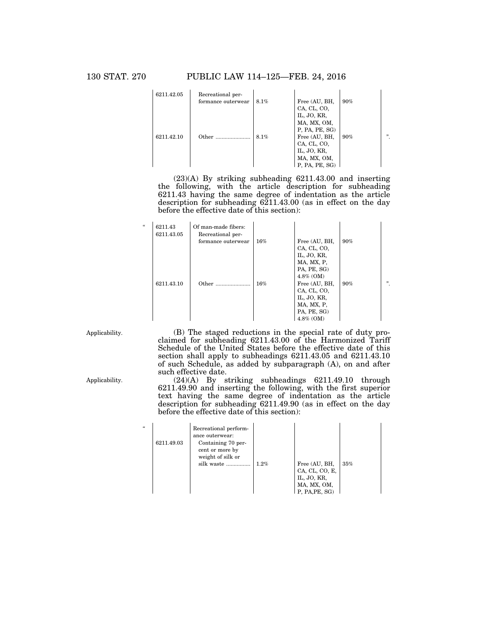130 STAT. 270 PUBLIC LAW 114–125—FEB. 24, 2016

| 6211.42.05 | Recreational per-<br>formance outerwear | 8.1% | Free (AU, BH,              | $90\%$ |        |
|------------|-----------------------------------------|------|----------------------------|--------|--------|
|            |                                         |      | CA, CL, CO,                |        |        |
|            |                                         |      | IL, JO, KR,                |        |        |
|            |                                         |      | MA, MX, OM,                |        |        |
|            |                                         |      | $P$ , $PA$ , $PE$ , $SG$ ) |        |        |
| 6211.42.10 | Other                                   | 8.1% | Free (AU, BH,              | 90%    | , 2, 3 |
|            |                                         |      | CA, CL, CO,                |        |        |
|            |                                         |      | IL, JO, KR,                |        |        |
|            |                                         |      | MA, MX, OM,                |        |        |
|            |                                         |      | $P$ , $PA$ , $PE$ , $SG$ ) |        |        |

(23)(A) By striking subheading 6211.43.00 and inserting the following, with the article description for subheading 6211.43 having the same degree of indentation as the article description for subheading  $6\overline{2}11.43.00$  (as in effect on the day before the effective date of this section):

| $\epsilon$ | 6211.43<br>6211.43.05 | Of man-made fibers:<br>Recreational per- |        |               |     |     |
|------------|-----------------------|------------------------------------------|--------|---------------|-----|-----|
|            |                       | formance outerwear                       | 16%    | Free (AU, BH, | 90% |     |
|            |                       |                                          |        | CA, CL, CO,   |     |     |
|            |                       |                                          |        | IL, JO, KR,   |     |     |
|            |                       |                                          |        | MA, MX, P,    |     |     |
|            |                       |                                          |        | PA, PE, SG)   |     |     |
|            |                       |                                          |        | $4.8\%$ (OM)  |     |     |
|            | 6211.43.10            | Other                                    | $16\%$ | Free (AU, BH, | 90% | , , |
|            |                       |                                          |        | CA, CL, CO,   |     |     |
|            |                       |                                          |        | IL, JO, KR,   |     |     |
|            |                       |                                          |        | MA, MX, P,    |     |     |
|            |                       |                                          |        | PA, PE, SG)   |     |     |
|            |                       |                                          |        | $4.8\%$ (OM)  |     |     |

Applicability.

Applicability.

(B) The staged reductions in the special rate of duty proclaimed for subheading 6211.43.00 of the Harmonized Tariff Schedule of the United States before the effective date of this section shall apply to subheadings 6211.43.05 and 6211.43.10 of such Schedule, as added by subparagraph (A), on and after such effective date.

(24)(A) By striking subheadings 6211.49.10 through 6211.49.90 and inserting the following, with the first superior text having the same degree of indentation as the article description for subheading 6211.49.90 (as in effect on the day before the effective date of this section):

| $\epsilon$ | 6211.49.03 | Recreational perform-<br>ance outerwear:<br>Containing 70 per-<br>cent or more by<br>weight of silk or<br>silk waste | 1.2% | Free (AU, BH,<br>CA, CL, CO, E,<br>IL, JO, KR,<br>MA, MX, OM,<br>P, PA, PE, SG) | 35% |
|------------|------------|----------------------------------------------------------------------------------------------------------------------|------|---------------------------------------------------------------------------------|-----|
|------------|------------|----------------------------------------------------------------------------------------------------------------------|------|---------------------------------------------------------------------------------|-----|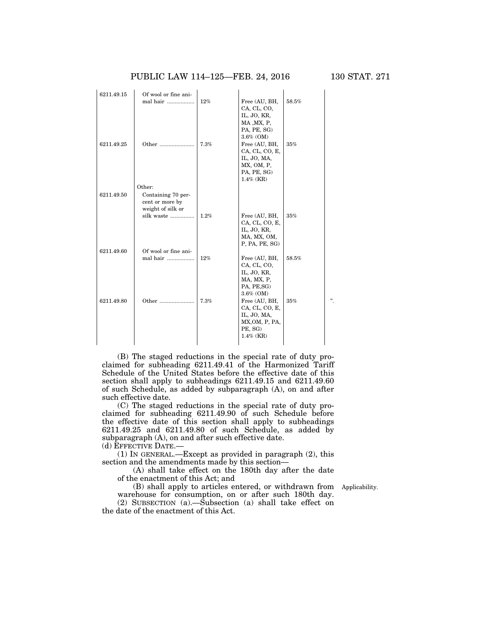| 6211.49.15 | Of wool or fine ani-                                       |      |                                                                                             |       |    |
|------------|------------------------------------------------------------|------|---------------------------------------------------------------------------------------------|-------|----|
|            | mal hair                                                   | 12%  | Free (AU, BH,<br>CA, CL, CO,<br>IL, JO, KR,<br>MA, MX, P,<br>PA, PE, SG)<br>3.6% (OM)       | 58.5% |    |
| 6211.49.25 | Other                                                      | 7.3% | Free (AU, BH,<br>CA, CL, CO, E,<br>IL, JO, MA,<br>MX, OM, P,<br>PA, PE, SG)<br>$1.4\%$ (KR) | 35%   |    |
|            | Other:                                                     |      |                                                                                             |       |    |
| 6211.49.50 | Containing 70 per-<br>cent or more by<br>weight of silk or |      |                                                                                             |       |    |
|            | silk waste                                                 | 1.2% | Free (AU, BH,<br>CA, CL, CO, E,<br>IL, JO, KR,<br>MA, MX, OM,<br>P, PA, PE, SG)             | 35%   |    |
| 6211.49.60 | Of wool or fine ani-                                       |      |                                                                                             |       |    |
|            | mal hair                                                   | 12%  | Free (AU, BH,<br>CA, CL, CO,<br>IL, JO, KR,<br>MA, MX, P,<br>PA, PE, SG)<br>$3.6\%$ (OM)    | 58.5% |    |
| 6211.49.80 | Other                                                      | 7.3% | Free (AU, BH,<br>CA, CL, CO, E,<br>IL, JO, MA,<br>MX, OM, P, PA,<br>PE, SG)<br>$1.4\%$ (KR) | 35%   | ,, |

(B) The staged reductions in the special rate of duty proclaimed for subheading 6211.49.41 of the Harmonized Tariff Schedule of the United States before the effective date of this section shall apply to subheadings 6211.49.15 and 6211.49.60 of such Schedule, as added by subparagraph (A), on and after such effective date.

(C) The staged reductions in the special rate of duty proclaimed for subheading 6211.49.90 of such Schedule before the effective date of this section shall apply to subheadings 6211.49.25 and 6211.49.80 of such Schedule, as added by subparagraph (A), on and after such effective date.

(d) EFFECTIVE DATE.—

(1) IN GENERAL.—Except as provided in paragraph (2), this section and the amendments made by this section—

(A) shall take effect on the 180th day after the date of the enactment of this Act; and

(B) shall apply to articles entered, or withdrawn from Applicability. warehouse for consumption, on or after such 180th day.

(2) SUBSECTION (a).—Subsection (a) shall take effect on the date of the enactment of this Act.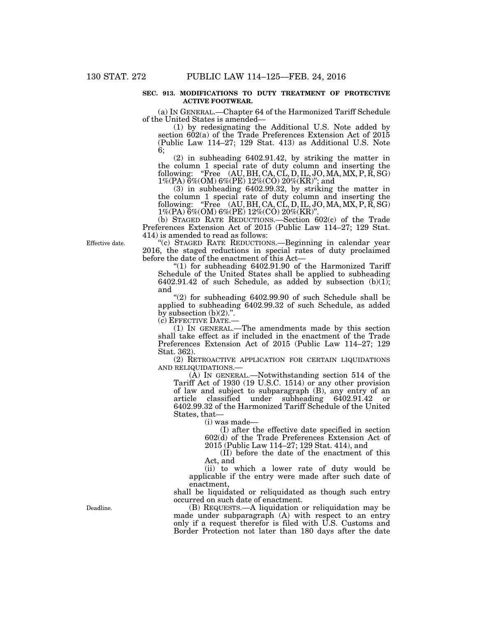#### **SEC. 913. MODIFICATIONS TO DUTY TREATMENT OF PROTECTIVE ACTIVE FOOTWEAR.**

(a) IN GENERAL.—Chapter 64 of the Harmonized Tariff Schedule of the United States is amended—

(1) by redesignating the Additional U.S. Note added by section 602(a) of the Trade Preferences Extension Act of 2015 (Public Law 114–27; 129 Stat. 413) as Additional U.S. Note 6;

(2) in subheading 6402.91.42, by striking the matter in the column 1 special rate of duty column and inserting the following: "Free  $(AU, BH, CA, CL, D, IL, JO, MA, MX, P, R, SG)$  $1\%$ (PA)  $6\%$ (OM)  $6\%$ (PE)  $12\%$ (CO)  $20\%$ (KR)"; and

(3) in subheading 6402.99.32, by striking the matter in the column 1 special rate of duty column and inserting the following: "Free  $(AU, BH, CA, CL, D, IL, JO, MA, MX, P, R, SG)$ 1%(PA) 6%(OM) 6%(PE) 12%(CO) 20%(KR)''.

(b) STAGED RATE REDUCTIONS.—Section 602(c) of the Trade Preferences Extension Act of 2015 (Public Law 114–27; 129 Stat. 414) is amended to read as follows:

'(c) STAGED RATE REDUCTIONS.—Beginning in calendar year 2016, the staged reductions in special rates of duty proclaimed before the date of the enactment of this Act—

''(1) for subheading 6402.91.90 of the Harmonized Tariff Schedule of the United States shall be applied to subheading 6402.91.42 of such Schedule, as added by subsection  $(b)(1)$ ; and

 $(2)$  for subheading  $6402.99.90$  of such Schedule shall be applied to subheading 6402.99.32 of such Schedule, as added by subsection  $(b)(2)$ .".

(c) EFFECTIVE DATE.—

(1) IN GENERAL.—The amendments made by this section shall take effect as if included in the enactment of the Trade Preferences Extension Act of 2015 (Public Law 114–27; 129 Stat. 362).

(2) RETROACTIVE APPLICATION FOR CERTAIN LIQUIDATIONS AND RELIQUIDATIONS.—

(A) IN GENERAL.—Notwithstanding section 514 of the Tariff Act of 1930 (19 U.S.C. 1514) or any other provision of law and subject to subparagraph (B), any entry of an article classified under subheading 6402.91.42 or 6402.99.32 of the Harmonized Tariff Schedule of the United States, that—

(i) was made—

(I) after the effective date specified in section 602(d) of the Trade Preferences Extension Act of 2015 (Public Law 114–27; 129 Stat. 414), and

(II) before the date of the enactment of this Act, and

(ii) to which a lower rate of duty would be applicable if the entry were made after such date of enactment,

shall be liquidated or reliquidated as though such entry occurred on such date of enactment.

(B) REQUESTS.—A liquidation or reliquidation may be made under subparagraph (A) with respect to an entry only if a request therefor is filed with U.S. Customs and Border Protection not later than 180 days after the date

Effective date.

Deadline.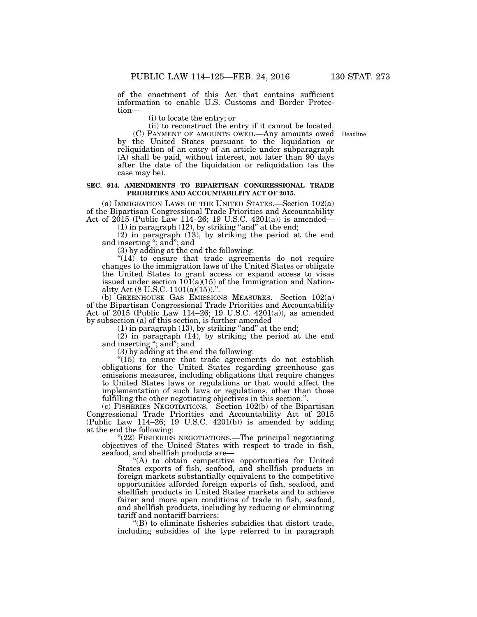of the enactment of this Act that contains sufficient information to enable U.S. Customs and Border Protection—

(i) to locate the entry; or

(ii) to reconstruct the entry if it cannot be located. (C) PAYMENT OF AMOUNTS OWED.—Any amounts owed Deadline. by the United States pursuant to the liquidation or reliquidation of an entry of an article under subparagraph (A) shall be paid, without interest, not later than 90 days after the date of the liquidation or reliquidation (as the case may be).

# **SEC. 914. AMENDMENTS TO BIPARTISAN CONGRESSIONAL TRADE PRIORITIES AND ACCOUNTABILITY ACT OF 2015.**

(a) IMMIGRATION LAWS OF THE UNITED STATES.—Section 102(a) of the Bipartisan Congressional Trade Priorities and Accountability Act of 2015 (Public Law 114–26; 19 U.S.C.  $4201(a)$ ) is amended—

 $(1)$  in paragraph  $(12)$ , by striking "and" at the end;

(2) in paragraph (13), by striking the period at the end and inserting ''; and''; and

(3) by adding at the end the following:

 $*(14)$  to ensure that trade agreements do not require changes to the immigration laws of the United States or obligate the United States to grant access or expand access to visas issued under section  $10(1a)(15)$  of the Immigration and Nationality Act (8 U.S.C.  $1101(a)(15)$ ).".

(b) GREENHOUSE GAS EMISSIONS MEASURES.—Section 102(a) of the Bipartisan Congressional Trade Priorities and Accountability Act of 2015 (Public Law 114–26; 19 U.S.C. 4201(a)), as amended by subsection (a) of this section, is further amended—

 $(1)$  in paragraph  $(13)$ , by striking "and" at the end;

(2) in paragraph (14), by striking the period at the end and inserting ''; and''; and

(3) by adding at the end the following:

" $(15)$  to ensure that trade agreements do not establish obligations for the United States regarding greenhouse gas emissions measures, including obligations that require changes to United States laws or regulations or that would affect the implementation of such laws or regulations, other than those fulfilling the other negotiating objectives in this section.''.

(c) FISHERIES NEGOTIATIONS.—Section 102(b) of the Bipartisan Congressional Trade Priorities and Accountability Act of 2015 (Public Law 114–26; 19 U.S.C. 4201(b)) is amended by adding at the end the following:

"(22) FISHERIES NEGOTIATIONS.—The principal negotiating objectives of the United States with respect to trade in fish, seafood, and shellfish products are—

''(A) to obtain competitive opportunities for United States exports of fish, seafood, and shellfish products in foreign markets substantially equivalent to the competitive opportunities afforded foreign exports of fish, seafood, and shellfish products in United States markets and to achieve fairer and more open conditions of trade in fish, seafood, and shellfish products, including by reducing or eliminating tariff and nontariff barriers;

''(B) to eliminate fisheries subsidies that distort trade, including subsidies of the type referred to in paragraph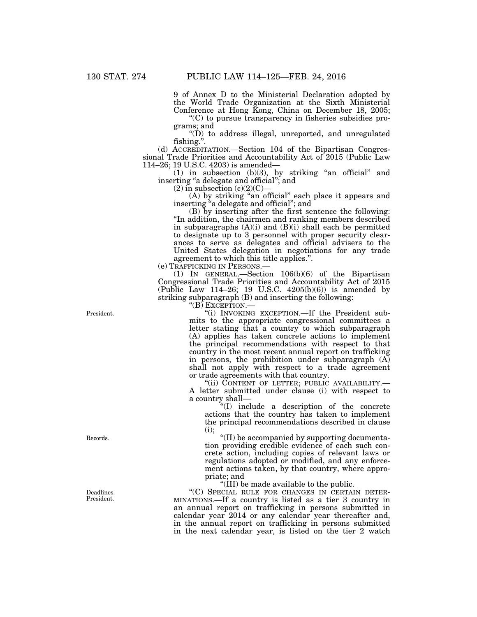9 of Annex D to the Ministerial Declaration adopted by the World Trade Organization at the Sixth Ministerial Conference at Hong Kong, China on December 18, 2005;

''(C) to pursue transparency in fisheries subsidies programs; and

''(D) to address illegal, unreported, and unregulated fishing.''.

(d) ACCREDITATION.—Section 104 of the Bipartisan Congressional Trade Priorities and Accountability Act of 2015 (Public Law 114–26; 19 U.S.C. 4203) is amended—

 $(1)$  in subsection  $(b)(3)$ , by striking "an official" and inserting ''a delegate and official''; and

 $(2)$  in subsection  $(c)(2)(C)$ -

(A) by striking ''an official'' each place it appears and inserting ''a delegate and official''; and

(B) by inserting after the first sentence the following: ''In addition, the chairmen and ranking members described in subparagraphs  $(A)(i)$  and  $(B)(i)$  shall each be permitted to designate up to 3 personnel with proper security clearances to serve as delegates and official advisers to the United States delegation in negotiations for any trade agreement to which this title applies.''.

(e) TRAFFICKING IN PERSONS.—

(1) IN GENERAL.—Section 106(b)(6) of the Bipartisan Congressional Trade Priorities and Accountability Act of 2015 (Public Law 114–26; 19 U.S.C.  $4205(b)(6)$ ) is amended by striking subparagraph (B) and inserting the following:

''(B) EXCEPTION.—

''(i) INVOKING EXCEPTION.—If the President submits to the appropriate congressional committees a letter stating that a country to which subparagraph (A) applies has taken concrete actions to implement the principal recommendations with respect to that country in the most recent annual report on trafficking in persons, the prohibition under subparagraph  $(A)$ shall not apply with respect to a trade agreement or trade agreements with that country.

"(ii) CONTENT OF LETTER; PUBLIC AVAILABILITY.— A letter submitted under clause (i) with respect to a country shall—

''(I) include a description of the concrete actions that the country has taken to implement the principal recommendations described in clause (i);

''(II) be accompanied by supporting documentation providing credible evidence of each such concrete action, including copies of relevant laws or regulations adopted or modified, and any enforcement actions taken, by that country, where appropriate; and

''(III) be made available to the public.

''(C) SPECIAL RULE FOR CHANGES IN CERTAIN DETER-MINATIONS.—If a country is listed as a tier 3 country in an annual report on trafficking in persons submitted in calendar year 2014 or any calendar year thereafter and, in the annual report on trafficking in persons submitted in the next calendar year, is listed on the tier 2 watch

President.

Records.

Deadlines. President.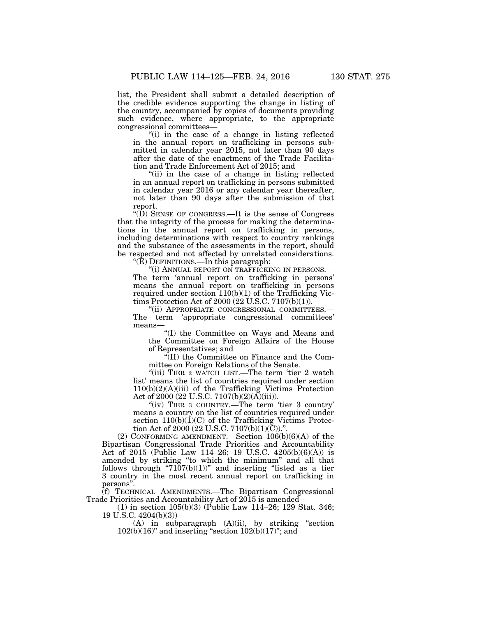list, the President shall submit a detailed description of the credible evidence supporting the change in listing of the country, accompanied by copies of documents providing such evidence, where appropriate, to the appropriate congressional committees—

"(i) in the case of a change in listing reflected in the annual report on trafficking in persons submitted in calendar year 2015, not later than 90 days after the date of the enactment of the Trade Facilitation and Trade Enforcement Act of 2015; and

"(ii) in the case of a change in listing reflected in an annual report on trafficking in persons submitted in calendar year 2016 or any calendar year thereafter, not later than 90 days after the submission of that report.

''(D) SENSE OF CONGRESS.—It is the sense of Congress that the integrity of the process for making the determinations in the annual report on trafficking in persons, including determinations with respect to country rankings and the substance of the assessments in the report, should be respected and not affected by unrelated considerations.

" $(E)$  DEFINITIONS.—In this paragraph:

''(i) ANNUAL REPORT ON TRAFFICKING IN PERSONS.— The term 'annual report on trafficking in persons' means the annual report on trafficking in persons required under section  $110(b)(1)$  of the Trafficking Victims Protection Act of 2000 (22 U.S.C. 7107(b)(1)).

''(ii) APPROPRIATE CONGRESSIONAL COMMITTEES.— The term 'appropriate congressional committees' means—

''(I) the Committee on Ways and Means and the Committee on Foreign Affairs of the House of Representatives; and

''(II) the Committee on Finance and the Committee on Foreign Relations of the Senate.

"(iii) TIER 2 WATCH LIST.—The term 'tier 2 watch list' means the list of countries required under section 110(b)(2)(A)(iii) of the Trafficking Victims Protection Act of 2000 (22 U.S.C. 7107(b)(2)(A)(iii)).

" $(iv)$  TIER 3 COUNTRY.—The term 'tier 3 country' means a country on the list of countries required under section  $110(b)(1)(C)$  of the Trafficking Victims Protection Act of 2000 (22 U.S.C. 7107(b)(1)(C)).".

(2) CONFORMING AMENDMENT.—Section 106(b)(6)(A) of the Bipartisan Congressional Trade Priorities and Accountability Act of 2015 (Public Law 114–26; 19 U.S.C. 4205(b)(6)(A)) is amended by striking ''to which the minimum'' and all that follows through " $7107(b)(1)$ " and inserting "listed as a tier 3 country in the most recent annual report on trafficking in persons''.

(f) TECHNICAL AMENDMENTS.—The Bipartisan Congressional Trade Priorities and Accountability Act of 2015 is amended—

(1) in section 105(b)(3) (Public Law 114–26; 129 Stat. 346; 19 U.S.C. 4204(b)(3))—

(A) in subparagraph (A)(ii), by striking ''section  $102(b)(16)$ " and inserting "section  $102(b)(17)$ "; and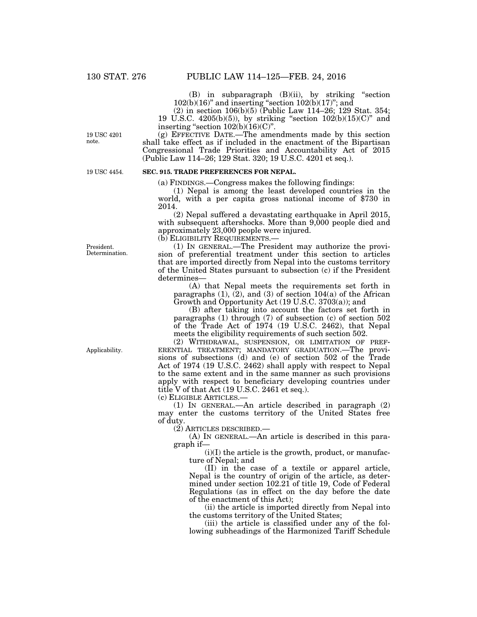(B) in subparagraph (B)(ii), by striking ''section  $102(b)(16)$ " and inserting "section  $102(b)(17)$ "; and

(2) in section 106(b)(5) (Public Law 114–26; 129 Stat. 354; 19 U.S.C. 4205(b)(5)), by striking ''section 102(b)(15)(C)'' and inserting "section 102(b)(16)(C)".

19 USC 4201 note.

(g) EFFECTIVE DATE.—The amendments made by this section shall take effect as if included in the enactment of the Bipartisan Congressional Trade Priorities and Accountability Act of 2015 (Public Law 114–26; 129 Stat. 320; 19 U.S.C. 4201 et seq.).

President. Determination.

# **SEC. 915. TRADE PREFERENCES FOR NEPAL.**

(a) FINDINGS.—Congress makes the following findings:

(1) Nepal is among the least developed countries in the world, with a per capita gross national income of \$730 in 2014.

(2) Nepal suffered a devastating earthquake in April 2015, with subsequent aftershocks. More than 9,000 people died and approximately 23,000 people were injured.

(b) ELIGIBILITY REQUIREMENTS.—

(1) IN GENERAL.—The President may authorize the provision of preferential treatment under this section to articles that are imported directly from Nepal into the customs territory of the United States pursuant to subsection (c) if the President determines—

(A) that Nepal meets the requirements set forth in paragraphs  $(1)$ ,  $(2)$ , and  $(3)$  of section 104 $(a)$  of the African Growth and Opportunity Act (19 U.S.C. 3703(a)); and

(B) after taking into account the factors set forth in paragraphs (1) through (7) of subsection (c) of section 502 of the Trade Act of 1974 (19 U.S.C. 2462), that Nepal meets the eligibility requirements of such section 502.

(2) WITHDRAWAL, SUSPENSION, OR LIMITATION OF PREF-ERENTIAL TREATMENT; MANDATORY GRADUATION.—The provisions of subsections (d) and (e) of section 502 of the Trade Act of 1974 (19 U.S.C. 2462) shall apply with respect to Nepal to the same extent and in the same manner as such provisions apply with respect to beneficiary developing countries under title V of that  $Act(19 U.S.C. 2461 et seq.).$ 

(c) ELIGIBLE ARTICLES.—

(1) IN GENERAL.—An article described in paragraph (2) may enter the customs territory of the United States free of duty.

(2) ARTICLES DESCRIBED.—

(A) IN GENERAL.—An article is described in this paragraph if—

 $(i)(I)$  the article is the growth, product, or manufacture of Nepal; and

(II) in the case of a textile or apparel article, Nepal is the country of origin of the article, as determined under section 102.21 of title 19, Code of Federal Regulations (as in effect on the day before the date of the enactment of this Act);

(ii) the article is imported directly from Nepal into the customs territory of the United States;

(iii) the article is classified under any of the following subheadings of the Harmonized Tariff Schedule

Applicability.

19 USC 4454.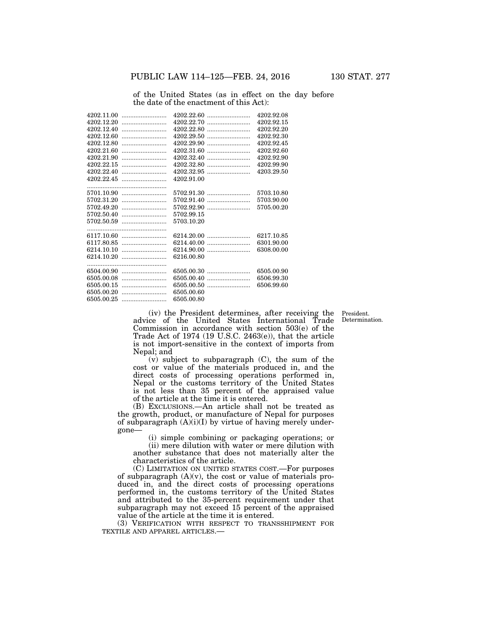#### of the United States (as in effect on the day before the date of the enactment of this Act):

| 4202.11.00 | 4202.22.60 | 4202.92.08 |
|------------|------------|------------|
| 4202.12.20 | 4202.22.70 | 4202.92.15 |
| 4202.12.40 | 4202.22.80 | 4202.92.20 |
| 4202.12.60 | 4202.29.50 | 4202.92.30 |
| 4202.12.80 | 4202.29.90 | 4202.92.45 |
| 4202.21.60 | 4202.31.60 | 4202.92.60 |
| 4202.21.90 | 4202.32.40 | 4202.92.90 |
| 4202.22.15 | 4202.32.80 | 4202.99.90 |
| 4202.22.40 |            | 4203.29.50 |
| 4202.22.45 | 4202.91.00 |            |
|            |            |            |
| 5701.10.90 |            | 5703.10.80 |
| 5702.31.20 | 5702.91.40 | 5703.90.00 |
| 5702.49.20 |            | 5705.00.20 |
| 5702.50.40 | 5702.99.15 |            |
| 5702.50.59 | 5703.10.20 |            |
|            |            |            |
| 6117.10.60 | 6214.20.00 | 6217.10.85 |
| 6117.80.85 |            | 6301.90.00 |
| 6214.10.10 | 6214.90.00 | 6308.00.00 |
| 6214.10.20 | 6216.00.80 |            |
|            |            |            |
| 6504.00.90 | 6505.00.30 | 6505.00.90 |
| 6505.00.08 |            | 6506.99.30 |
| 6505.00.15 | 6505.00.50 | 6506.99.60 |
| 6505.00.20 | 6505.00.60 |            |
| 6505.00.25 | 6505.00.80 |            |
|            |            |            |

President. Determination.

(iv) the President determines, after receiving the advice of the United States International Trade Commission in accordance with section 503(e) of the Trade Act of 1974 (19 U.S.C. 2463(e)), that the article is not import-sensitive in the context of imports from Nepal; and

(v) subject to subparagraph (C), the sum of the cost or value of the materials produced in, and the direct costs of processing operations performed in, Nepal or the customs territory of the United States is not less than 35 percent of the appraised value of the article at the time it is entered.

(B) EXCLUSIONS.—An article shall not be treated as the growth, product, or manufacture of Nepal for purposes of subparagraph  $(A)(i)(I)$  by virtue of having merely undergone—

(i) simple combining or packaging operations; or (ii) mere dilution with water or mere dilution with another substance that does not materially alter the characteristics of the article.

(C) LIMITATION ON UNITED STATES COST.—For purposes of subparagraph (A)(v), the cost or value of materials produced in, and the direct costs of processing operations performed in, the customs territory of the United States and attributed to the 35-percent requirement under that subparagraph may not exceed 15 percent of the appraised value of the article at the time it is entered.

(3) VERIFICATION WITH RESPECT TO TRANSSHIPMENT FOR TEXTILE AND APPAREL ARTICLES.—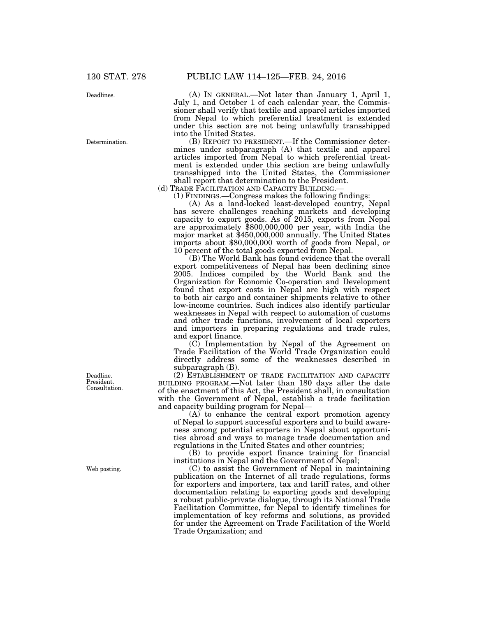Deadlines.

Determination.

Deadline. President. Consultation.

Web posting.

(A) IN GENERAL.—Not later than January 1, April 1, July 1, and October 1 of each calendar year, the Commissioner shall verify that textile and apparel articles imported from Nepal to which preferential treatment is extended under this section are not being unlawfully transshipped into the United States.

(B) REPORT TO PRESIDENT.—If the Commissioner determines under subparagraph (A) that textile and apparel articles imported from Nepal to which preferential treatment is extended under this section are being unlawfully transshipped into the United States, the Commissioner shall report that determination to the President.<br>(d) TRADE FACILITATION AND CAPACITY BUILDING.—

 $(1)$  FINDINGS.—Congress makes the following findings:

(A) As a land-locked least-developed country, Nepal has severe challenges reaching markets and developing capacity to export goods. As of 2015, exports from Nepal are approximately \$800,000,000 per year, with India the major market at \$450,000,000 annually. The United States imports about \$80,000,000 worth of goods from Nepal, or 10 percent of the total goods exported from Nepal.

(B) The World Bank has found evidence that the overall export competitiveness of Nepal has been declining since 2005. Indices compiled by the World Bank and the Organization for Economic Co-operation and Development found that export costs in Nepal are high with respect to both air cargo and container shipments relative to other low-income countries. Such indices also identify particular weaknesses in Nepal with respect to automation of customs and other trade functions, involvement of local exporters and importers in preparing regulations and trade rules, and export finance.

(C) Implementation by Nepal of the Agreement on Trade Facilitation of the World Trade Organization could directly address some of the weaknesses described in subparagraph (B).

(2) ESTABLISHMENT OF TRADE FACILITATION AND CAPACITY BUILDING PROGRAM.—Not later than 180 days after the date of the enactment of this Act, the President shall, in consultation with the Government of Nepal, establish a trade facilitation and capacity building program for Nepal—

(A) to enhance the central export promotion agency of Nepal to support successful exporters and to build awareness among potential exporters in Nepal about opportunities abroad and ways to manage trade documentation and regulations in the United States and other countries;

(B) to provide export finance training for financial institutions in Nepal and the Government of Nepal;

(C) to assist the Government of Nepal in maintaining publication on the Internet of all trade regulations, forms for exporters and importers, tax and tariff rates, and other documentation relating to exporting goods and developing a robust public-private dialogue, through its National Trade Facilitation Committee, for Nepal to identify timelines for implementation of key reforms and solutions, as provided for under the Agreement on Trade Facilitation of the World Trade Organization; and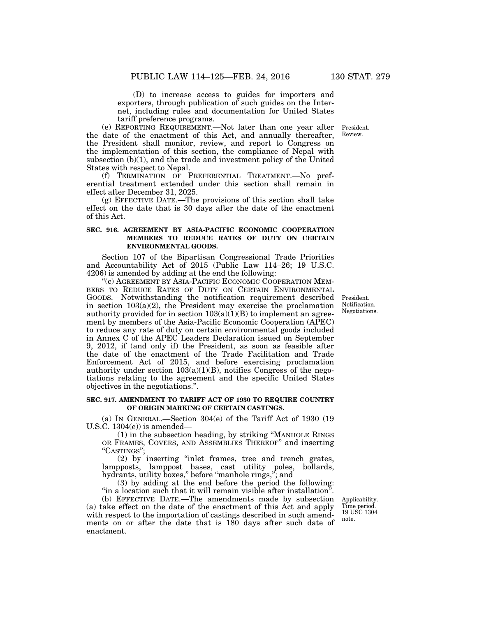(D) to increase access to guides for importers and exporters, through publication of such guides on the Internet, including rules and documentation for United States tariff preference programs.

> President. Review.

(e) REPORTING REQUIREMENT.—Not later than one year after the date of the enactment of this Act, and annually thereafter, the President shall monitor, review, and report to Congress on the implementation of this section, the compliance of Nepal with subsection (b)(1), and the trade and investment policy of the United States with respect to Nepal.

(f) TERMINATION OF PREFERENTIAL TREATMENT.—No preferential treatment extended under this section shall remain in effect after December 31, 2025.

(g) EFFECTIVE DATE.—The provisions of this section shall take effect on the date that is 30 days after the date of the enactment of this Act.

## **SEC. 916. AGREEMENT BY ASIA-PACIFIC ECONOMIC COOPERATION MEMBERS TO REDUCE RATES OF DUTY ON CERTAIN ENVIRONMENTAL GOODS.**

Section 107 of the Bipartisan Congressional Trade Priorities and Accountability Act of 2015 (Public Law 114–26; 19 U.S.C. 4206) is amended by adding at the end the following:

''(c) AGREEMENT BY ASIA-PACIFIC ECONOMIC COOPERATION MEM-BERS TO REDUCE RATES OF DUTY ON CERTAIN ENVIRONMENTAL GOODS.—Notwithstanding the notification requirement described in section  $103(a)(2)$ , the President may exercise the proclamation authority provided for in section  $103(a)(1)(B)$  to implement an agreement by members of the Asia-Pacific Economic Cooperation (APEC) to reduce any rate of duty on certain environmental goods included in Annex C of the APEC Leaders Declaration issued on September 9, 2012, if (and only if) the President, as soon as feasible after the date of the enactment of the Trade Facilitation and Trade Enforcement Act of 2015, and before exercising proclamation authority under section  $103(a)(1)(B)$ , notifies Congress of the negotiations relating to the agreement and the specific United States objectives in the negotiations.''.

## **SEC. 917. AMENDMENT TO TARIFF ACT OF 1930 TO REQUIRE COUNTRY OF ORIGIN MARKING OF CERTAIN CASTINGS.**

(a) IN GENERAL.—Section 304(e) of the Tariff Act of 1930 (19 U.S.C.  $1304(e)$  is amended-

(1) in the subsection heading, by striking ''MANHOLE RINGS OR FRAMES, COVERS, AND ASSEMBLIES THEREOF'' and inserting ''CASTINGS'';

(2) by inserting ''inlet frames, tree and trench grates, lampposts, lamppost bases, cast utility poles, bollards, hydrants, utility boxes," before "manhole rings,"; and

(3) by adding at the end before the period the following: "in a location such that it will remain visible after installation".

(b) EFFECTIVE DATE.—The amendments made by subsection (a) take effect on the date of the enactment of this Act and apply with respect to the importation of castings described in such amendments on or after the date that is 180 days after such date of enactment.

Applicability. Time period. 19 USC 1304 note.

President. Notification. Negotiations.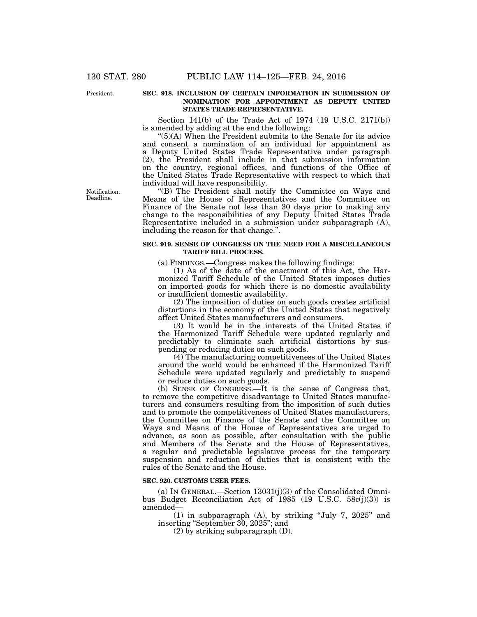President.

### **SEC. 918. INCLUSION OF CERTAIN INFORMATION IN SUBMISSION OF NOMINATION FOR APPOINTMENT AS DEPUTY UNITED STATES TRADE REPRESENTATIVE.**

Section 141(b) of the Trade Act of 1974 (19 U.S.C. 2171(b)) is amended by adding at the end the following:

''(5)(A) When the President submits to the Senate for its advice and consent a nomination of an individual for appointment as a Deputy United States Trade Representative under paragraph (2), the President shall include in that submission information on the country, regional offices, and functions of the Office of the United States Trade Representative with respect to which that individual will have responsibility.

''(B) The President shall notify the Committee on Ways and Means of the House of Representatives and the Committee on Finance of the Senate not less than 30 days prior to making any change to the responsibilities of any Deputy United States Trade Representative included in a submission under subparagraph (A), including the reason for that change.''.

### **SEC. 919. SENSE OF CONGRESS ON THE NEED FOR A MISCELLANEOUS TARIFF BILL PROCESS.**

(a) FINDINGS.—Congress makes the following findings:

(1) As of the date of the enactment of this Act, the Harmonized Tariff Schedule of the United States imposes duties on imported goods for which there is no domestic availability or insufficient domestic availability.

(2) The imposition of duties on such goods creates artificial distortions in the economy of the United States that negatively affect United States manufacturers and consumers.

(3) It would be in the interests of the United States if the Harmonized Tariff Schedule were updated regularly and predictably to eliminate such artificial distortions by suspending or reducing duties on such goods.

(4) The manufacturing competitiveness of the United States around the world would be enhanced if the Harmonized Tariff Schedule were updated regularly and predictably to suspend or reduce duties on such goods.

(b) SENSE OF CONGRESS.—It is the sense of Congress that, to remove the competitive disadvantage to United States manufacturers and consumers resulting from the imposition of such duties and to promote the competitiveness of United States manufacturers, the Committee on Finance of the Senate and the Committee on Ways and Means of the House of Representatives are urged to advance, as soon as possible, after consultation with the public and Members of the Senate and the House of Representatives, a regular and predictable legislative process for the temporary suspension and reduction of duties that is consistent with the rules of the Senate and the House.

#### **SEC. 920. CUSTOMS USER FEES.**

(a) IN GENERAL.—Section 13031(j)(3) of the Consolidated Omnibus Budget Reconciliation Act of 1985 (19 U.S.C. 58c(j)(3)) is amended—

(1) in subparagraph (A), by striking ''July 7, 2025'' and inserting ''September 30, 2025''; and

(2) by striking subparagraph (D).

Notification. Deadline.